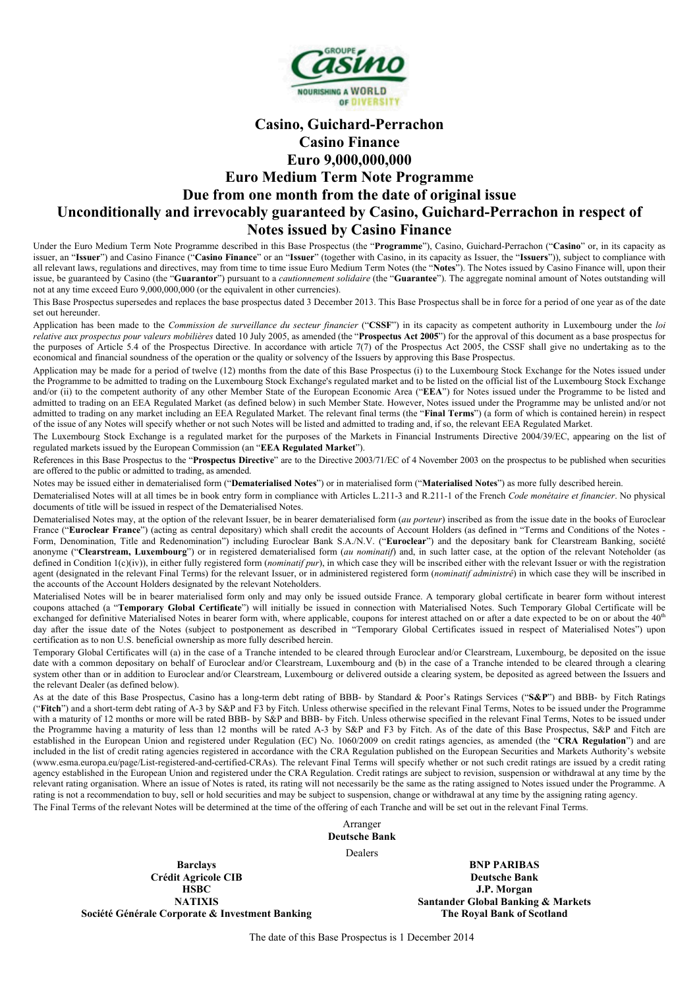

# **Casino, Guichard-Perrachon Casino Finance Euro 9,000,000,000 Euro Medium Term Note Programme Due from one month from the date of original issue Unconditionally and irrevocably guaranteed by Casino, Guichard-Perrachon in respect of Notes issued by Casino Finance**

Under the Euro Medium Term Note Programme described in this Base Prospectus (the "**Programme**"), Casino, Guichard-Perrachon ("**Casino**" or, in its capacity as issuer, an "**Issuer**") and Casino Finance ("**Casino Finance**" or an "**Issuer**" (together with Casino, in its capacity as Issuer, the "**Issuers**")), subject to compliance with all relevant laws, regulations and directives, may from time to time issue Euro Medium Term Notes (the "**Notes**"). The Notes issued by Casino Finance will, upon their issue, be guaranteed by Casino (the "**Guarantor**") pursuant to a *cautionnement solidaire* (the "**Guarantee**"). The aggregate nominal amount of Notes outstanding will not at any time exceed Euro 9,000,000,000 (or the equivalent in other currencies).

This Base Prospectus supersedes and replaces the base prospectus dated 3 December 2013. This Base Prospectus shall be in force for a period of one year as of the date set out hereunder.

Application has been made to the *Commission de surveillance du secteur financier* ("**CSSF**") in its capacity as competent authority in Luxembourg under the *loi relative aux prospectus pour valeurs mobilières* dated 10 July 2005, as amended (the "**Prospectus Act 2005**") for the approval of this document as a base prospectus for the purposes of Article 5.4 of the Prospectus Directive. In accordance with article 7(7) of the Prospectus Act 2005, the CSSF shall give no undertaking as to the economical and financial soundness of the operation or the quality or solvency of the Issuers by approving this Base Prospectus.

Application may be made for a period of twelve (12) months from the date of this Base Prospectus (i) to the Luxembourg Stock Exchange for the Notes issued under the Programme to be admitted to trading on the Luxembourg Stock Exchange's regulated market and to be listed on the official list of the Luxembourg Stock Exchange and/or (ii) to the competent authority of any other Member State of the European Economic Area ("**EEA**") for Notes issued under the Programme to be listed and admitted to trading on an EEA Regulated Market (as defined below) in such Member State. However, Notes issued under the Programme may be unlisted and/or not admitted to trading on any market including an EEA Regulated Market. The relevant final terms (the "**Final Terms**") (a form of which is contained herein) in respect of the issue of any Notes will specify whether or not such Notes will be listed and admitted to trading and, if so, the relevant EEA Regulated Market.

The Luxembourg Stock Exchange is a regulated market for the purposes of the Markets in Financial Instruments Directive 2004/39/EC, appearing on the list of regulated markets issued by the European Commission (an "**EEA Regulated Market**").

References in this Base Prospectus to the "**Prospectus Directive**" are to the Directive 2003/71/EC of 4 November 2003 on the prospectus to be published when securities are offered to the public or admitted to trading, as amended.

Notes may be issued either in dematerialised form ("**Dematerialised Notes**") or in materialised form ("**Materialised Notes**") as more fully described herein.

Dematerialised Notes will at all times be in book entry form in compliance with Articles L.211-3 and R.211-1 of the French *Code monétaire et financier*. No physical documents of title will be issued in respect of the Dematerialised Notes.

Dematerialised Notes may, at the option of the relevant Issuer, be in bearer dematerialised form (*au porteur*) inscribed as from the issue date in the books of Euroclear France ("Euroclear France") (acting as central depositary) which shall credit the accounts of Account Holders (as defined in "Terms and Conditions of the Notes -Form, Denomination, Title and Redenomination") including Euroclear Bank S.A./N.V. ("**Euroclear**") and the depositary bank for Clearstream Banking, société anonyme ("**Clearstream, Luxembourg**") or in registered dematerialised form (*au nominatif*) and, in such latter case, at the option of the relevant Noteholder (as defined in Condition 1(c)(iv)), in either fully registered form (*nominatif pur*), in which case they will be inscribed either with the relevant Issuer or with the registration agent (designated in the relevant Final Terms) for the relevant Issuer, or in administered registered form (*nominatif administré*) in which case they will be inscribed in the accounts of the Account Holders designated by the relevant Noteholders.

Materialised Notes will be in bearer materialised form only and may only be issued outside France. A temporary global certificate in bearer form without interest coupons attached (a "**Temporary Global Certificate**") will initially be issued in connection with Materialised Notes. Such Temporary Global Certificate will be exchanged for definitive Materialised Notes in bearer form with, where applicable, coupons for interest attached on or after a date expected to be on or about the 40<sup>th</sup> day after the issue date of the Notes (subject to postponement as described in "Temporary Global Certificates issued in respect of Materialised Notes") upon certification as to non U.S. beneficial ownership as more fully described herein.

Temporary Global Certificates will (a) in the case of a Tranche intended to be cleared through Euroclear and/or Clearstream, Luxembourg, be deposited on the issue date with a common depositary on behalf of Euroclear and/or Clearstream, Luxembourg and (b) in the case of a Tranche intended to be cleared through a clearing system other than or in addition to Euroclear and/or Clearstream, Luxembourg or delivered outside a clearing system, be deposited as agreed between the Issuers and the relevant Dealer (as defined below).

As at the date of this Base Prospectus, Casino has a long-term debt rating of BBB- by Standard & Poor's Ratings Services ("**S&P**") and BBB- by Fitch Ratings ("**Fitch**") and a short-term debt rating of A-3 by S&P and F3 by Fitch. Unless otherwise specified in the relevant Final Terms, Notes to be issued under the Programme with a maturity of 12 months or more will be rated BBB- by S&P and BBB- by Fitch. Unless otherwise specified in the relevant Final Terms, Notes to be issued under the Programme having a maturity of less than 12 months will be rated A-3 by S&P and F3 by Fitch. As of the date of this Base Prospectus, S&P and Fitch are established in the European Union and registered under Regulation (EC) No. 1060/2009 on credit ratings agencies, as amended (the "**CRA Regulation**") and are included in the list of credit rating agencies registered in accordance with the CRA Regulation published on the European Securities and Markets Authority's website (www.esma.europa.eu/page/List-registered-and-certified-CRAs). The relevant Final Terms will specify whether or not such credit ratings are issued by a credit rating agency established in the European Union and registered under the CRA Regulation. Credit ratings are subject to revision, suspension or withdrawal at any time by the relevant rating organisation. Where an issue of Notes is rated, its rating will not necessarily be the same as the rating assigned to Notes issued under the Programme. A rating is not a recommendation to buy, sell or hold securities and may be subject to suspension, change or withdrawal at any time by the assigning rating agency.

The Final Terms of the relevant Notes will be determined at the time of the offering of each Tranche and will be set out in the relevant Final Terms.

Arranger **Deutsche Bank**

Dealers

**Barclays Crédit Agricole CIB HSBC NATIXIS Société Générale Corporate & Investment Banking**

**BNP PARIBAS Deutsche Bank J.P. Morgan Santander Global Banking & Markets The Royal Bank of Scotland**

The date of this Base Prospectus is 1 December 2014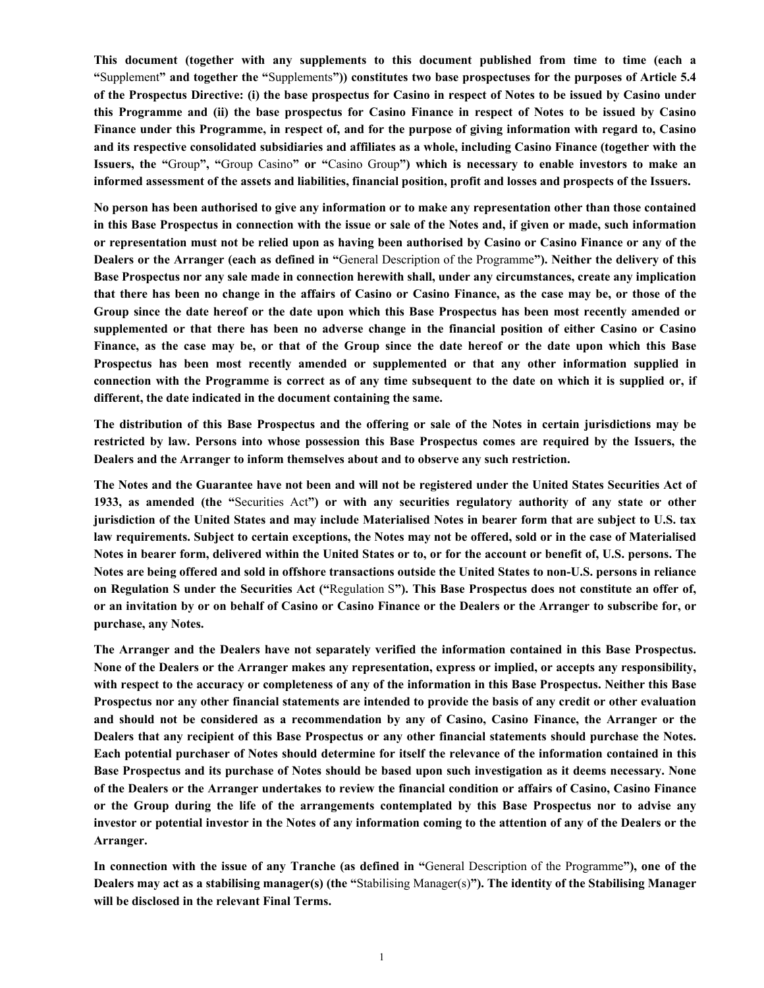**This document (together with any supplements to this document published from time to time (each a "**Supplement**" and together the "**Supplements**")) constitutes two base prospectuses for the purposes of Article 5.4 of the Prospectus Directive: (i) the base prospectus for Casino in respect of Notes to be issued by Casino under this Programme and (ii) the base prospectus for Casino Finance in respect of Notes to be issued by Casino Finance under this Programme, in respect of, and for the purpose of giving information with regard to, Casino and its respective consolidated subsidiaries and affiliates as a whole, including Casino Finance (together with the Issuers, the "**Group**", "**Group Casino**" or "**Casino Group**") which is necessary to enable investors to make an informed assessment of the assets and liabilities, financial position, profit and losses and prospects of the Issuers.**

**No person has been authorised to give any information or to make any representation other than those contained in this Base Prospectus in connection with the issue or sale of the Notes and, if given or made, such information or representation must not be relied upon as having been authorised by Casino or Casino Finance or any of the Dealers or the Arranger (each as defined in "**General Description of the Programme**"). Neither the delivery of this Base Prospectus nor any sale made in connection herewith shall, under any circumstances, create any implication that there has been no change in the affairs of Casino or Casino Finance, as the case may be, or those of the Group since the date hereof or the date upon which this Base Prospectus has been most recently amended or supplemented or that there has been no adverse change in the financial position of either Casino or Casino Finance, as the case may be, or that of the Group since the date hereof or the date upon which this Base Prospectus has been most recently amended or supplemented or that any other information supplied in connection with the Programme is correct as of any time subsequent to the date on which it is supplied or, if different, the date indicated in the document containing the same.**

**The distribution of this Base Prospectus and the offering or sale of the Notes in certain jurisdictions may be restricted by law. Persons into whose possession this Base Prospectus comes are required by the Issuers, the Dealers and the Arranger to inform themselves about and to observe any such restriction.** 

**The Notes and the Guarantee have not been and will not be registered under the United States Securities Act of 1933, as amended (the "**Securities Act**") or with any securities regulatory authority of any state or other jurisdiction of the United States and may include Materialised Notes in bearer form that are subject to U.S. tax law requirements. Subject to certain exceptions, the Notes may not be offered, sold or in the case of Materialised Notes in bearer form, delivered within the United States or to, or for the account or benefit of, U.S. persons. The Notes are being offered and sold in offshore transactions outside the United States to non-U.S. persons in reliance on Regulation S under the Securities Act ("**Regulation S**"). This Base Prospectus does not constitute an offer of, or an invitation by or on behalf of Casino or Casino Finance or the Dealers or the Arranger to subscribe for, or purchase, any Notes.**

**The Arranger and the Dealers have not separately verified the information contained in this Base Prospectus. None of the Dealers or the Arranger makes any representation, express or implied, or accepts any responsibility, with respect to the accuracy or completeness of any of the information in this Base Prospectus. Neither this Base Prospectus nor any other financial statements are intended to provide the basis of any credit or other evaluation and should not be considered as a recommendation by any of Casino, Casino Finance, the Arranger or the Dealers that any recipient of this Base Prospectus or any other financial statements should purchase the Notes. Each potential purchaser of Notes should determine for itself the relevance of the information contained in this Base Prospectus and its purchase of Notes should be based upon such investigation as it deems necessary. None of the Dealers or the Arranger undertakes to review the financial condition or affairs of Casino, Casino Finance or the Group during the life of the arrangements contemplated by this Base Prospectus nor to advise any investor or potential investor in the Notes of any information coming to the attention of any of the Dealers or the Arranger.**

**In connection with the issue of any Tranche (as defined in "**General Description of the Programme**"), one of the Dealers may act as a stabilising manager(s) (the "**Stabilising Manager(s)**"). The identity of the Stabilising Manager will be disclosed in the relevant Final Terms.**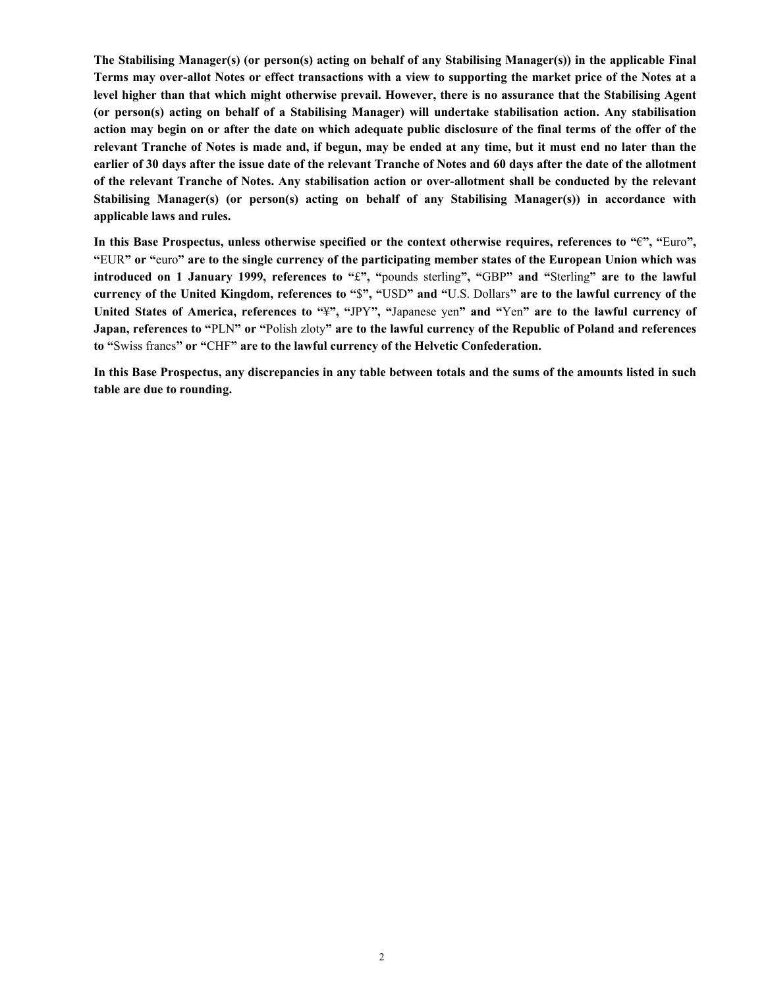**The Stabilising Manager(s) (or person(s) acting on behalf of any Stabilising Manager(s)) in the applicable Final Terms may over-allot Notes or effect transactions with a view to supporting the market price of the Notes at a level higher than that which might otherwise prevail. However, there is no assurance that the Stabilising Agent (or person(s) acting on behalf of a Stabilising Manager) will undertake stabilisation action. Any stabilisation action may begin on or after the date on which adequate public disclosure of the final terms of the offer of the relevant Tranche of Notes is made and, if begun, may be ended at any time, but it must end no later than the earlier of 30 days after the issue date of the relevant Tranche of Notes and 60 days after the date of the allotment of the relevant Tranche of Notes. Any stabilisation action or over-allotment shall be conducted by the relevant Stabilising Manager(s) (or person(s) acting on behalf of any Stabilising Manager(s)) in accordance with applicable laws and rules.**

**In this Base Prospectus, unless otherwise specified or the context otherwise requires, references to "**€**", "**Euro**", "**EUR**" or "**euro**" are to the single currency of the participating member states of the European Union which was introduced on 1 January 1999, references to "**£**", "**pounds sterling**", "**GBP**" and "**Sterling**" are to the lawful currency of the United Kingdom, references to "**\$**", "**USD**" and "**U.S. Dollars**" are to the lawful currency of the United States of America, references to "**¥**", "**JPY**", "**Japanese yen**" and "**Yen**" are to the lawful currency of Japan, references to "**PLN**" or "**Polish zloty**" are to the lawful currency of the Republic of Poland and references to "**Swiss francs**" or "**CHF**" are to the lawful currency of the Helvetic Confederation.**

**In this Base Prospectus, any discrepancies in any table between totals and the sums of the amounts listed in such table are due to rounding.**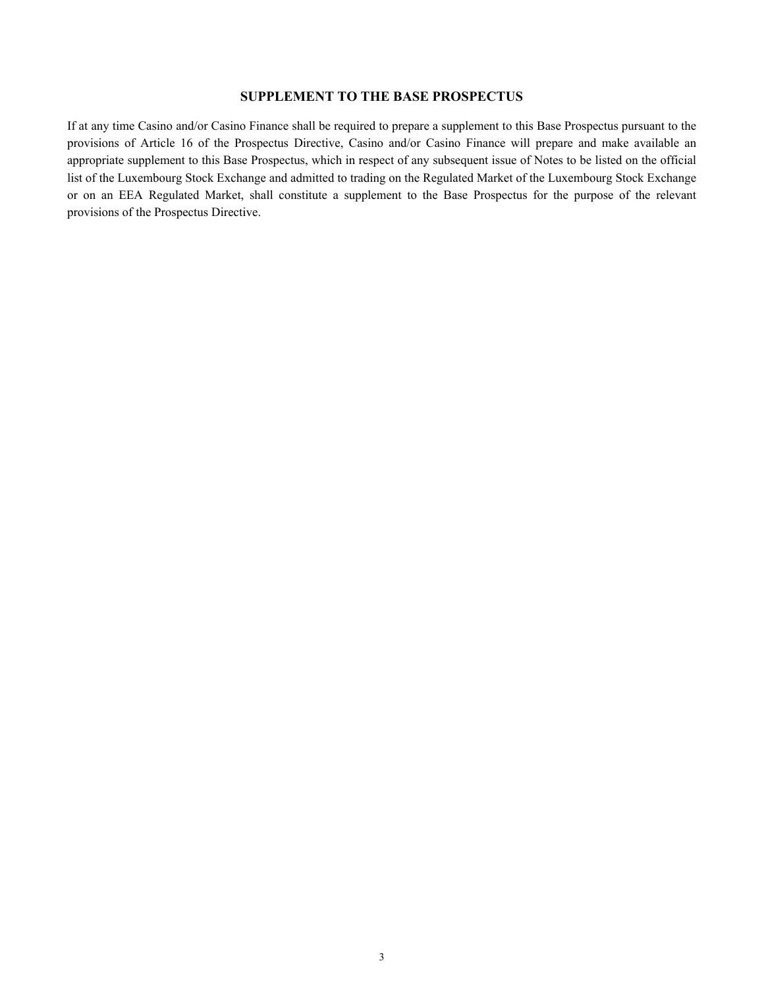## **SUPPLEMENT TO THE BASE PROSPECTUS**

If at any time Casino and/or Casino Finance shall be required to prepare a supplement to this Base Prospectus pursuant to the provisions of Article 16 of the Prospectus Directive, Casino and/or Casino Finance will prepare and make available an appropriate supplement to this Base Prospectus, which in respect of any subsequent issue of Notes to be listed on the official list of the Luxembourg Stock Exchange and admitted to trading on the Regulated Market of the Luxembourg Stock Exchange or on an EEA Regulated Market, shall constitute a supplement to the Base Prospectus for the purpose of the relevant provisions of the Prospectus Directive.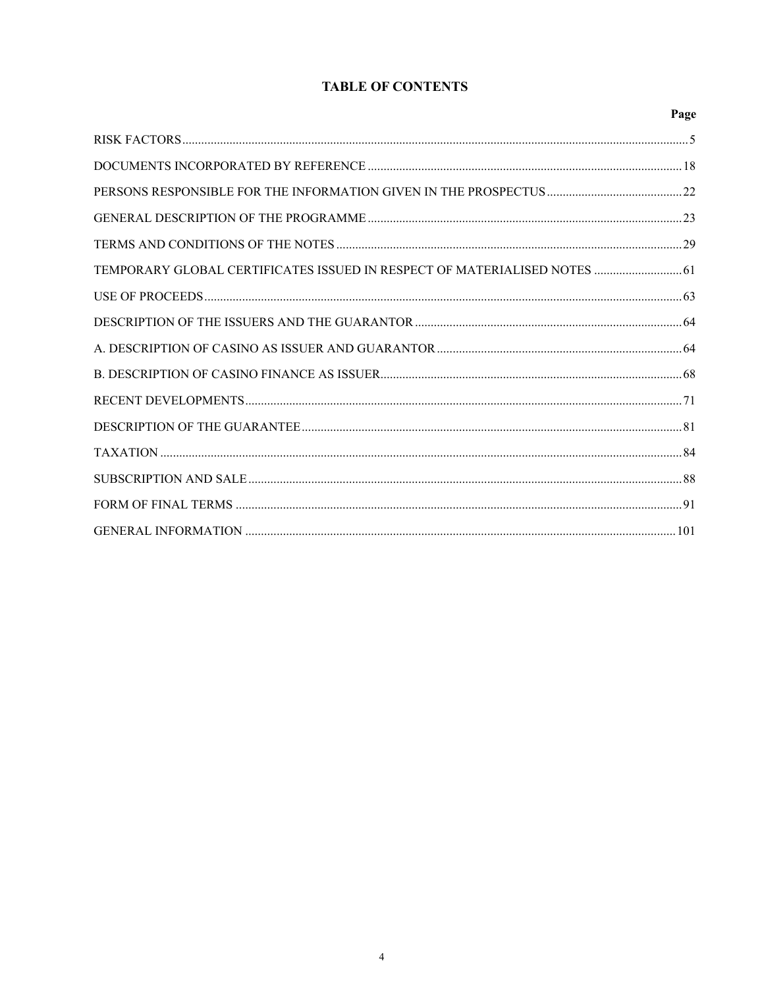# **TABLE OF CONTENTS**

|                                                                           | Page |
|---------------------------------------------------------------------------|------|
|                                                                           |      |
|                                                                           |      |
|                                                                           |      |
|                                                                           |      |
|                                                                           |      |
| TEMPORARY GLOBAL CERTIFICATES ISSUED IN RESPECT OF MATERIALISED NOTES  61 |      |
|                                                                           |      |
|                                                                           |      |
|                                                                           |      |
|                                                                           |      |
|                                                                           |      |
|                                                                           |      |
|                                                                           |      |
|                                                                           |      |
|                                                                           |      |
|                                                                           |      |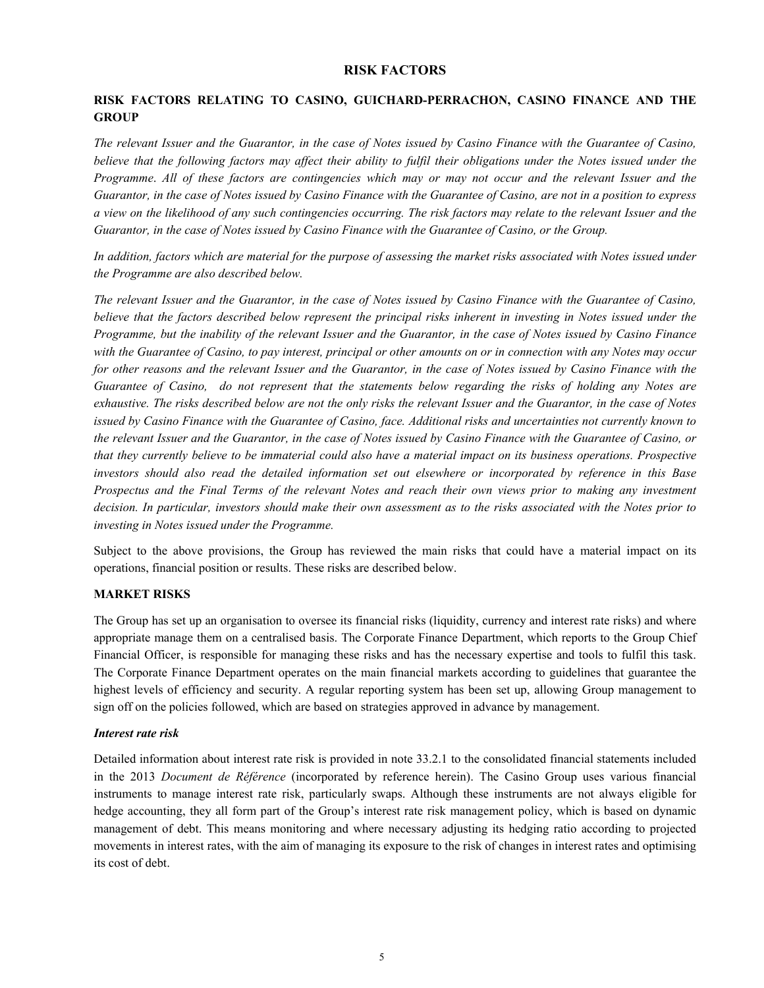#### **RISK FACTORS**

# **RISK FACTORS RELATING TO CASINO, GUICHARD-PERRACHON, CASINO FINANCE AND THE GROUP**

*The relevant Issuer and the Guarantor, in the case of Notes issued by Casino Finance with the Guarantee of Casino, believe that the following factors may affect their ability to fulfil their obligations under the Notes issued under the Programme*. *All of these factors are contingencies which may or may not occur and the relevant Issuer and the Guarantor, in the case of Notes issued by Casino Finance with the Guarantee of Casino, are not in a position to express a view on the likelihood of any such contingencies occurring. The risk factors may relate to the relevant Issuer and the Guarantor, in the case of Notes issued by Casino Finance with the Guarantee of Casino, or the Group.*

*In addition, factors which are material for the purpose of assessing the market risks associated with Notes issued under the Programme are also described below.*

*The relevant Issuer and the Guarantor, in the case of Notes issued by Casino Finance with the Guarantee of Casino, believe that the factors described below represent the principal risks inherent in investing in Notes issued under the Programme, but the inability of the relevant Issuer and the Guarantor, in the case of Notes issued by Casino Finance with the Guarantee of Casino, to pay interest, principal or other amounts on or in connection with any Notes may occur for other reasons and the relevant Issuer and the Guarantor, in the case of Notes issued by Casino Finance with the Guarantee of Casino, do not represent that the statements below regarding the risks of holding any Notes are exhaustive. The risks described below are not the only risks the relevant Issuer and the Guarantor, in the case of Notes issued by Casino Finance with the Guarantee of Casino, face. Additional risks and uncertainties not currently known to the relevant Issuer and the Guarantor, in the case of Notes issued by Casino Finance with the Guarantee of Casino, or that they currently believe to be immaterial could also have a material impact on its business operations. Prospective investors should also read the detailed information set out elsewhere or incorporated by reference in this Base Prospectus and the Final Terms of the relevant Notes and reach their own views prior to making any investment decision. In particular, investors should make their own assessment as to the risks associated with the Notes prior to investing in Notes issued under the Programme.*

Subject to the above provisions, the Group has reviewed the main risks that could have a material impact on its operations, financial position or results. These risks are described below.

#### **MARKET RISKS**

The Group has set up an organisation to oversee its financial risks (liquidity, currency and interest rate risks) and where appropriate manage them on a centralised basis. The Corporate Finance Department, which reports to the Group Chief Financial Officer, is responsible for managing these risks and has the necessary expertise and tools to fulfil this task. The Corporate Finance Department operates on the main financial markets according to guidelines that guarantee the highest levels of efficiency and security. A regular reporting system has been set up, allowing Group management to sign off on the policies followed, which are based on strategies approved in advance by management.

#### *Interest rate risk*

Detailed information about interest rate risk is provided in note 33.2.1 to the consolidated financial statements included in the 2013 *Document de Référence* (incorporated by reference herein). The Casino Group uses various financial instruments to manage interest rate risk, particularly swaps. Although these instruments are not always eligible for hedge accounting, they all form part of the Group's interest rate risk management policy, which is based on dynamic management of debt. This means monitoring and where necessary adjusting its hedging ratio according to projected movements in interest rates, with the aim of managing its exposure to the risk of changes in interest rates and optimising its cost of debt.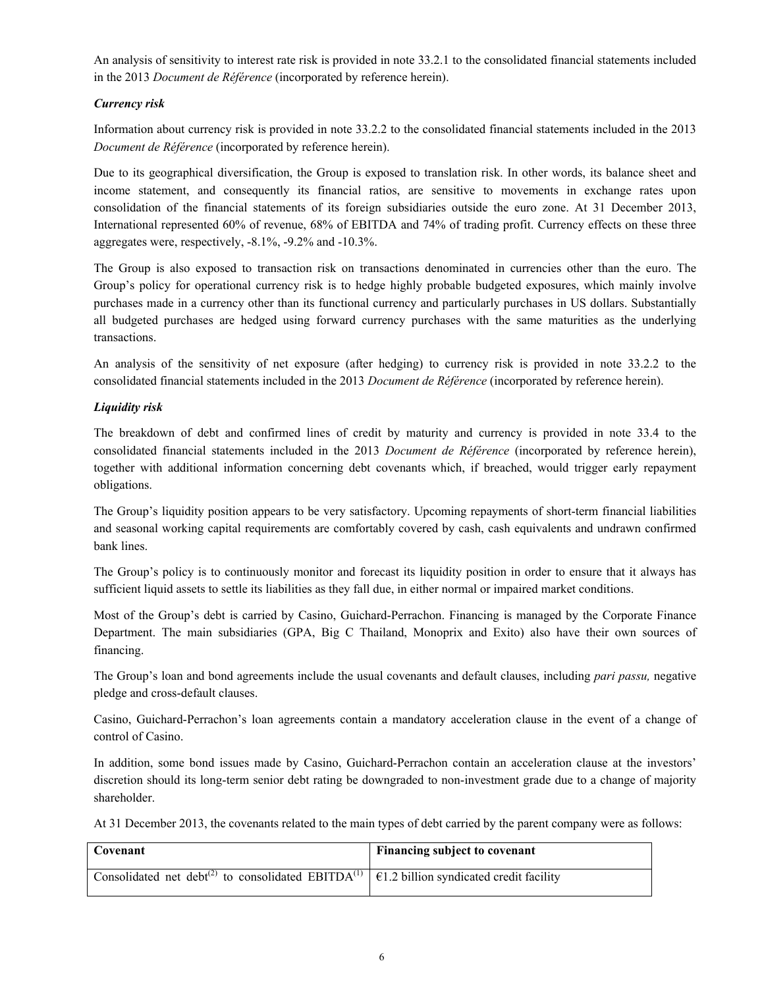An analysis of sensitivity to interest rate risk is provided in note 33.2.1 to the consolidated financial statements included in the 2013 *Document de Référence* (incorporated by reference herein).

# *Currency risk*

Information about currency risk is provided in note 33.2.2 to the consolidated financial statements included in the 2013 *Document de Référence* (incorporated by reference herein).

Due to its geographical diversification, the Group is exposed to translation risk. In other words, its balance sheet and income statement, and consequently its financial ratios, are sensitive to movements in exchange rates upon consolidation of the financial statements of its foreign subsidiaries outside the euro zone. At 31 December 2013, International represented 60% of revenue, 68% of EBITDA and 74% of trading profit. Currency effects on these three aggregates were, respectively, -8.1%, -9.2% and -10.3%.

The Group is also exposed to transaction risk on transactions denominated in currencies other than the euro. The Group's policy for operational currency risk is to hedge highly probable budgeted exposures, which mainly involve purchases made in a currency other than its functional currency and particularly purchases in US dollars. Substantially all budgeted purchases are hedged using forward currency purchases with the same maturities as the underlying transactions.

An analysis of the sensitivity of net exposure (after hedging) to currency risk is provided in note 33.2.2 to the consolidated financial statements included in the 2013 *Document de Référence* (incorporated by reference herein).

# *Liquidity risk*

The breakdown of debt and confirmed lines of credit by maturity and currency is provided in note 33.4 to the consolidated financial statements included in the 2013 *Document de Référence* (incorporated by reference herein), together with additional information concerning debt covenants which, if breached, would trigger early repayment obligations.

The Group's liquidity position appears to be very satisfactory. Upcoming repayments of short-term financial liabilities and seasonal working capital requirements are comfortably covered by cash, cash equivalents and undrawn confirmed bank lines.

The Group's policy is to continuously monitor and forecast its liquidity position in order to ensure that it always has sufficient liquid assets to settle its liabilities as they fall due, in either normal or impaired market conditions.

Most of the Group's debt is carried by Casino, Guichard-Perrachon. Financing is managed by the Corporate Finance Department. The main subsidiaries (GPA, Big C Thailand, Monoprix and Exito) also have their own sources of financing.

The Group's loan and bond agreements include the usual covenants and default clauses, including *pari passu,* negative pledge and cross-default clauses.

Casino, Guichard-Perrachon's loan agreements contain a mandatory acceleration clause in the event of a change of control of Casino.

In addition, some bond issues made by Casino, Guichard-Perrachon contain an acceleration clause at the investors' discretion should its long-term senior debt rating be downgraded to non-investment grade due to a change of majority shareholder.

At 31 December 2013, the covenants related to the main types of debt carried by the parent company were as follows:

| Covenant                                                                                                                            | Financing subject to covenant |
|-------------------------------------------------------------------------------------------------------------------------------------|-------------------------------|
| Consolidated net debt <sup>(2)</sup> to consolidated EBITDA <sup>(1)</sup> $\left  \right $ E1.2 billion syndicated credit facility |                               |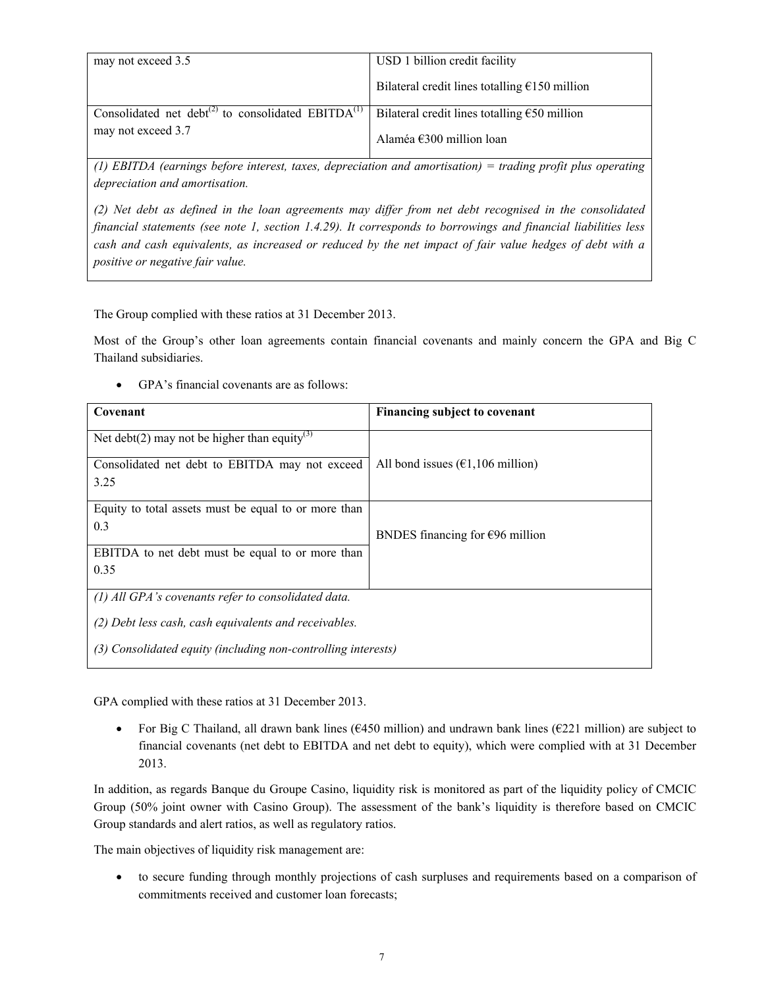| may not exceed 3.5                                                         | USD 1 billion credit facility                          |
|----------------------------------------------------------------------------|--------------------------------------------------------|
|                                                                            | Bilateral credit lines totalling $E150$ million        |
| Consolidated net debt <sup>(2)</sup> to consolidated EBITDA <sup>(1)</sup> | Bilateral credit lines totalling $\epsilon$ 50 million |
| may not exceed 3.7                                                         | Alaméa $\epsilon$ 300 million loan                     |

*(1) EBITDA (earnings before interest, taxes, depreciation and amortisation) = trading profit plus operating depreciation and amortisation.*

*(2) Net debt as defined in the loan agreements may differ from net debt recognised in the consolidated financial statements (see note 1, section 1.4.29). It corresponds to borrowings and financial liabilities less cash and cash equivalents, as increased or reduced by the net impact of fair value hedges of debt with a positive or negative fair value.*

The Group complied with these ratios at 31 December 2013.

Most of the Group's other loan agreements contain financial covenants and mainly concern the GPA and Big C Thailand subsidiaries.

GPA's financial covenants are as follows:

| Covenant                                                      | Financing subject to covenant               |
|---------------------------------------------------------------|---------------------------------------------|
| Net debt(2) may not be higher than equity <sup>(3)</sup>      |                                             |
| Consolidated net debt to EBITDA may not exceed                | All bond issues $(61, 106 \text{ million})$ |
| 3.25                                                          |                                             |
| Equity to total assets must be equal to or more than          |                                             |
| 0.3                                                           | BNDES financing for $\epsilon$ 96 million   |
| EBITDA to net debt must be equal to or more than              |                                             |
| 0.35                                                          |                                             |
| $(1)$ All GPA's covenants refer to consolidated data.         |                                             |
| (2) Debt less cash, cash equivalents and receivables.         |                                             |
| (3) Consolidated equity (including non-controlling interests) |                                             |

GPA complied with these ratios at 31 December 2013.

For Big C Thailand, all drawn bank lines ( $\epsilon$ 450 million) and undrawn bank lines ( $\epsilon$ 221 million) are subject to financial covenants (net debt to EBITDA and net debt to equity), which were complied with at 31 December 2013.

In addition, as regards Banque du Groupe Casino, liquidity risk is monitored as part of the liquidity policy of CMCIC Group (50% joint owner with Casino Group). The assessment of the bank's liquidity is therefore based on CMCIC Group standards and alert ratios, as well as regulatory ratios.

The main objectives of liquidity risk management are:

 to secure funding through monthly projections of cash surpluses and requirements based on a comparison of commitments received and customer loan forecasts;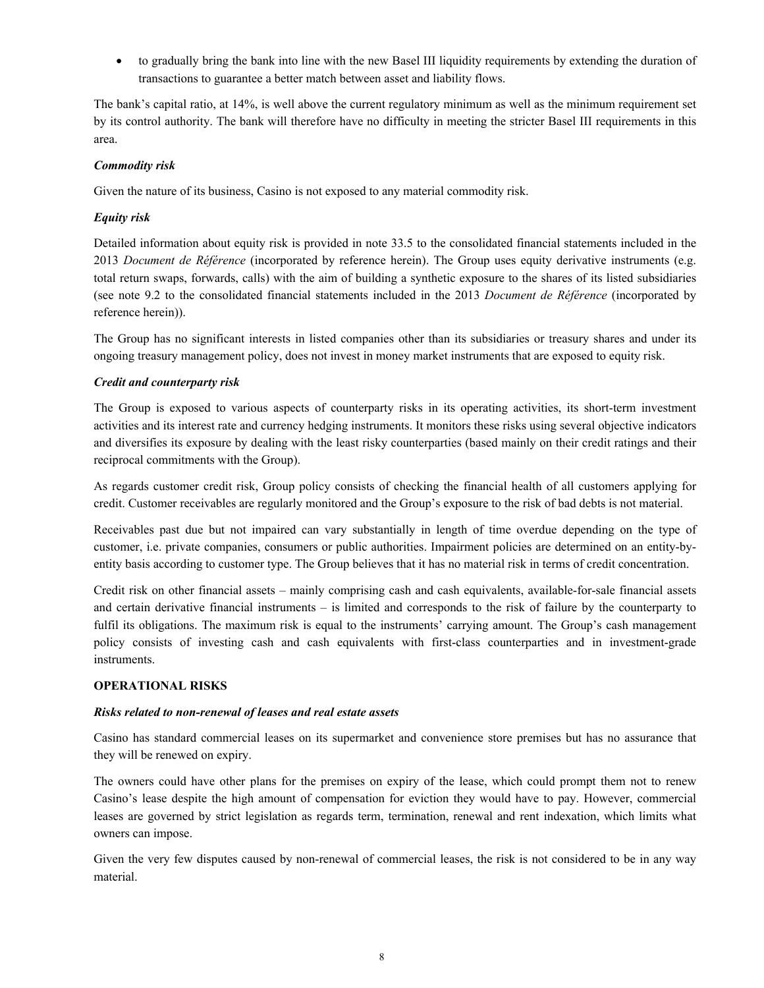to gradually bring the bank into line with the new Basel III liquidity requirements by extending the duration of transactions to guarantee a better match between asset and liability flows.

The bank's capital ratio, at 14%, is well above the current regulatory minimum as well as the minimum requirement set by its control authority. The bank will therefore have no difficulty in meeting the stricter Basel III requirements in this area.

# *Commodity risk*

Given the nature of its business, Casino is not exposed to any material commodity risk.

# *Equity risk*

Detailed information about equity risk is provided in note 33.5 to the consolidated financial statements included in the 2013 *Document de Référence* (incorporated by reference herein). The Group uses equity derivative instruments (e.g. total return swaps, forwards, calls) with the aim of building a synthetic exposure to the shares of its listed subsidiaries (see note 9.2 to the consolidated financial statements included in the 2013 *Document de Référence* (incorporated by reference herein)).

The Group has no significant interests in listed companies other than its subsidiaries or treasury shares and under its ongoing treasury management policy, does not invest in money market instruments that are exposed to equity risk.

# *Credit and counterparty risk*

The Group is exposed to various aspects of counterparty risks in its operating activities, its short-term investment activities and its interest rate and currency hedging instruments. It monitors these risks using several objective indicators and diversifies its exposure by dealing with the least risky counterparties (based mainly on their credit ratings and their reciprocal commitments with the Group).

As regards customer credit risk, Group policy consists of checking the financial health of all customers applying for credit. Customer receivables are regularly monitored and the Group's exposure to the risk of bad debts is not material.

Receivables past due but not impaired can vary substantially in length of time overdue depending on the type of customer, i.e. private companies, consumers or public authorities. Impairment policies are determined on an entity-byentity basis according to customer type. The Group believes that it has no material risk in terms of credit concentration.

Credit risk on other financial assets – mainly comprising cash and cash equivalents, available-for-sale financial assets and certain derivative financial instruments – is limited and corresponds to the risk of failure by the counterparty to fulfil its obligations. The maximum risk is equal to the instruments' carrying amount. The Group's cash management policy consists of investing cash and cash equivalents with first-class counterparties and in investment-grade instruments.

## **OPERATIONAL RISKS**

## *Risks related to non-renewal of leases and real estate assets*

Casino has standard commercial leases on its supermarket and convenience store premises but has no assurance that they will be renewed on expiry.

The owners could have other plans for the premises on expiry of the lease, which could prompt them not to renew Casino's lease despite the high amount of compensation for eviction they would have to pay. However, commercial leases are governed by strict legislation as regards term, termination, renewal and rent indexation, which limits what owners can impose.

Given the very few disputes caused by non-renewal of commercial leases, the risk is not considered to be in any way material.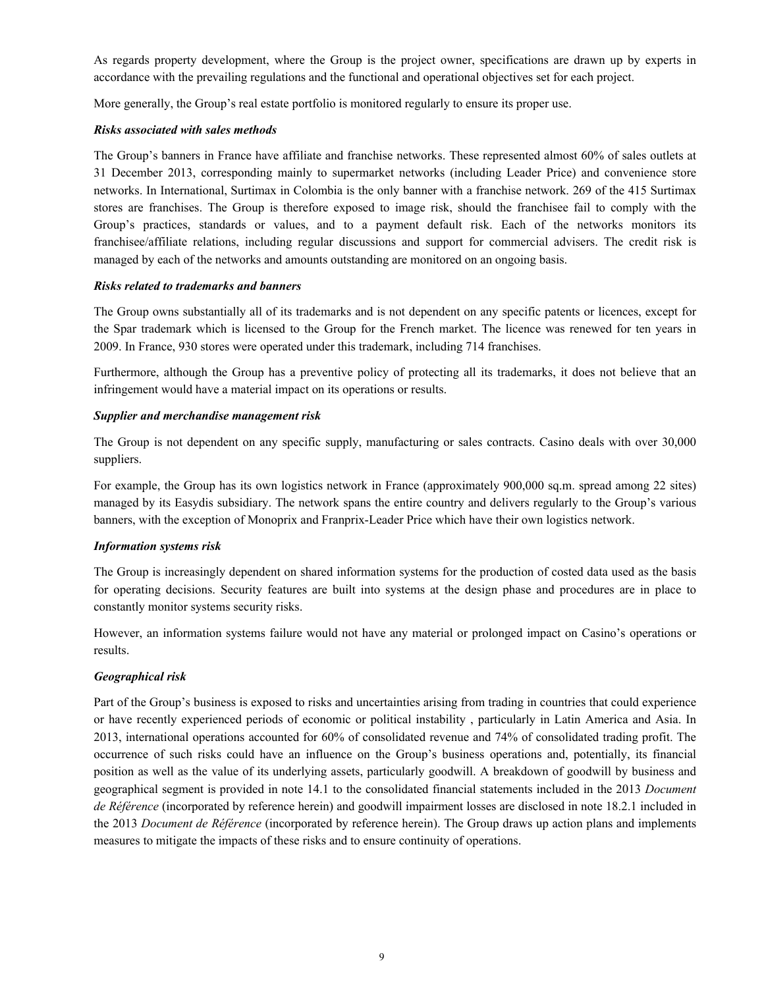As regards property development, where the Group is the project owner, specifications are drawn up by experts in accordance with the prevailing regulations and the functional and operational objectives set for each project.

More generally, the Group's real estate portfolio is monitored regularly to ensure its proper use.

#### *Risks associated with sales methods*

The Group's banners in France have affiliate and franchise networks. These represented almost 60% of sales outlets at 31 December 2013, corresponding mainly to supermarket networks (including Leader Price) and convenience store networks. In International, Surtimax in Colombia is the only banner with a franchise network. 269 of the 415 Surtimax stores are franchises. The Group is therefore exposed to image risk, should the franchisee fail to comply with the Group's practices, standards or values, and to a payment default risk. Each of the networks monitors its franchisee/affiliate relations, including regular discussions and support for commercial advisers. The credit risk is managed by each of the networks and amounts outstanding are monitored on an ongoing basis.

#### *Risks related to trademarks and banners*

The Group owns substantially all of its trademarks and is not dependent on any specific patents or licences, except for the Spar trademark which is licensed to the Group for the French market. The licence was renewed for ten years in 2009. In France, 930 stores were operated under this trademark, including 714 franchises.

Furthermore, although the Group has a preventive policy of protecting all its trademarks, it does not believe that an infringement would have a material impact on its operations or results.

#### *Supplier and merchandise management risk*

The Group is not dependent on any specific supply, manufacturing or sales contracts. Casino deals with over 30,000 suppliers.

For example, the Group has its own logistics network in France (approximately 900,000 sq.m. spread among 22 sites) managed by its Easydis subsidiary. The network spans the entire country and delivers regularly to the Group's various banners, with the exception of Monoprix and Franprix-Leader Price which have their own logistics network.

## *Information systems risk*

The Group is increasingly dependent on shared information systems for the production of costed data used as the basis for operating decisions. Security features are built into systems at the design phase and procedures are in place to constantly monitor systems security risks.

However, an information systems failure would not have any material or prolonged impact on Casino's operations or results.

## *Geographical risk*

Part of the Group's business is exposed to risks and uncertainties arising from trading in countries that could experience or have recently experienced periods of economic or political instability , particularly in Latin America and Asia. In 2013, international operations accounted for 60% of consolidated revenue and 74% of consolidated trading profit. The occurrence of such risks could have an influence on the Group's business operations and, potentially, its financial position as well as the value of its underlying assets, particularly goodwill. A breakdown of goodwill by business and geographical segment is provided in note 14.1 to the consolidated financial statements included in the 2013 *Document de Référence* (incorporated by reference herein) and goodwill impairment losses are disclosed in note 18.2.1 included in the 2013 *Document de Référence* (incorporated by reference herein). The Group draws up action plans and implements measures to mitigate the impacts of these risks and to ensure continuity of operations.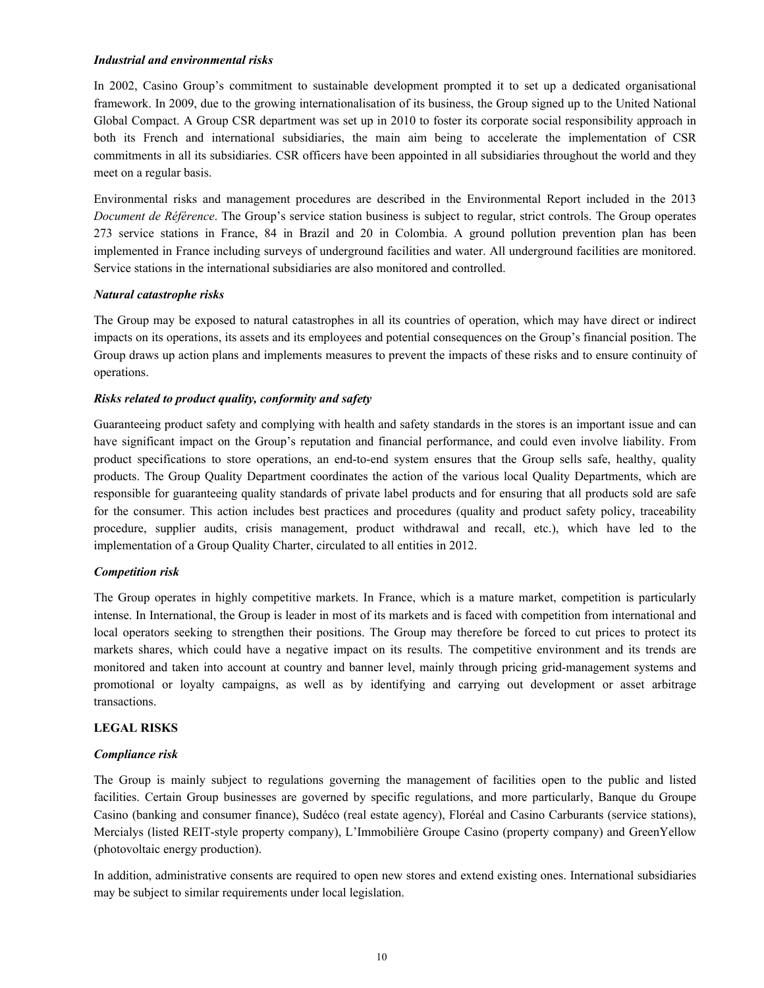#### *Industrial and environmental risks*

In 2002, Casino Group's commitment to sustainable development prompted it to set up a dedicated organisational framework. In 2009, due to the growing internationalisation of its business, the Group signed up to the United National Global Compact. A Group CSR department was set up in 2010 to foster its corporate social responsibility approach in both its French and international subsidiaries, the main aim being to accelerate the implementation of CSR commitments in all its subsidiaries. CSR officers have been appointed in all subsidiaries throughout the world and they meet on a regular basis.

Environmental risks and management procedures are described in the Environmental Report included in the 2013 *Document de Référence*. The Group's service station business is subject to regular, strict controls. The Group operates 273 service stations in France, 84 in Brazil and 20 in Colombia. A ground pollution prevention plan has been implemented in France including surveys of underground facilities and water. All underground facilities are monitored. Service stations in the international subsidiaries are also monitored and controlled.

#### *Natural catastrophe risks*

The Group may be exposed to natural catastrophes in all its countries of operation, which may have direct or indirect impacts on its operations, its assets and its employees and potential consequences on the Group's financial position. The Group draws up action plans and implements measures to prevent the impacts of these risks and to ensure continuity of operations.

## *Risks related to product quality, conformity and safety*

Guaranteeing product safety and complying with health and safety standards in the stores is an important issue and can have significant impact on the Group's reputation and financial performance, and could even involve liability. From product specifications to store operations, an end-to-end system ensures that the Group sells safe, healthy, quality products. The Group Quality Department coordinates the action of the various local Quality Departments, which are responsible for guaranteeing quality standards of private label products and for ensuring that all products sold are safe for the consumer. This action includes best practices and procedures (quality and product safety policy, traceability procedure, supplier audits, crisis management, product withdrawal and recall, etc.), which have led to the implementation of a Group Quality Charter, circulated to all entities in 2012.

## *Competition risk*

The Group operates in highly competitive markets. In France, which is a mature market, competition is particularly intense. In International, the Group is leader in most of its markets and is faced with competition from international and local operators seeking to strengthen their positions. The Group may therefore be forced to cut prices to protect its markets shares, which could have a negative impact on its results. The competitive environment and its trends are monitored and taken into account at country and banner level, mainly through pricing grid-management systems and promotional or loyalty campaigns, as well as by identifying and carrying out development or asset arbitrage transactions.

#### **LEGAL RISKS**

#### *Compliance risk*

The Group is mainly subject to regulations governing the management of facilities open to the public and listed facilities. Certain Group businesses are governed by specific regulations, and more particularly, Banque du Groupe Casino (banking and consumer finance), Sudéco (real estate agency), Floréal and Casino Carburants (service stations), Mercialys (listed REIT-style property company), L'Immobilière Groupe Casino (property company) and GreenYellow (photovoltaic energy production).

In addition, administrative consents are required to open new stores and extend existing ones. International subsidiaries may be subject to similar requirements under local legislation.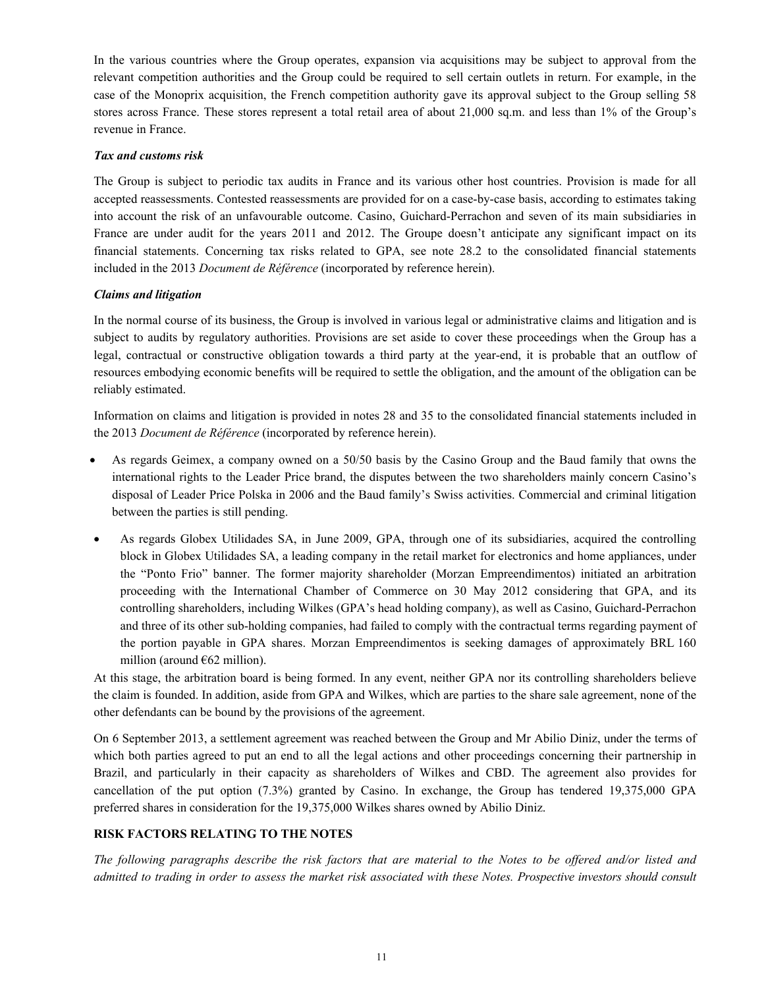In the various countries where the Group operates, expansion via acquisitions may be subject to approval from the relevant competition authorities and the Group could be required to sell certain outlets in return. For example, in the case of the Monoprix acquisition, the French competition authority gave its approval subject to the Group selling 58 stores across France. These stores represent a total retail area of about 21,000 sq.m. and less than 1% of the Group's revenue in France.

#### *Tax and customs risk*

The Group is subject to periodic tax audits in France and its various other host countries. Provision is made for all accepted reassessments. Contested reassessments are provided for on a case-by-case basis, according to estimates taking into account the risk of an unfavourable outcome. Casino, Guichard-Perrachon and seven of its main subsidiaries in France are under audit for the years 2011 and 2012. The Groupe doesn't anticipate any significant impact on its financial statements. Concerning tax risks related to GPA, see note 28.2 to the consolidated financial statements included in the 2013 *Document de Référence* (incorporated by reference herein).

#### *Claims and litigation*

In the normal course of its business, the Group is involved in various legal or administrative claims and litigation and is subject to audits by regulatory authorities. Provisions are set aside to cover these proceedings when the Group has a legal, contractual or constructive obligation towards a third party at the year-end, it is probable that an outflow of resources embodying economic benefits will be required to settle the obligation, and the amount of the obligation can be reliably estimated.

Information on claims and litigation is provided in notes 28 and 35 to the consolidated financial statements included in the 2013 *Document de Référence* (incorporated by reference herein).

- As regards Geimex, a company owned on a 50/50 basis by the Casino Group and the Baud family that owns the international rights to the Leader Price brand, the disputes between the two shareholders mainly concern Casino's disposal of Leader Price Polska in 2006 and the Baud family's Swiss activities. Commercial and criminal litigation between the parties is still pending.
- As regards Globex Utilidades SA, in June 2009, GPA, through one of its subsidiaries, acquired the controlling block in Globex Utilidades SA, a leading company in the retail market for electronics and home appliances, under the "Ponto Frio" banner. The former majority shareholder (Morzan Empreendimentos) initiated an arbitration proceeding with the International Chamber of Commerce on 30 May 2012 considering that GPA, and its controlling shareholders, including Wilkes (GPA's head holding company), as well as Casino, Guichard-Perrachon and three of its other sub-holding companies, had failed to comply with the contractual terms regarding payment of the portion payable in GPA shares. Morzan Empreendimentos is seeking damages of approximately BRL 160 million (around  $662$  million).

At this stage, the arbitration board is being formed. In any event, neither GPA nor its controlling shareholders believe the claim is founded. In addition, aside from GPA and Wilkes, which are parties to the share sale agreement, none of the other defendants can be bound by the provisions of the agreement.

On 6 September 2013, a settlement agreement was reached between the Group and Mr Abilio Diniz, under the terms of which both parties agreed to put an end to all the legal actions and other proceedings concerning their partnership in Brazil, and particularly in their capacity as shareholders of Wilkes and CBD. The agreement also provides for cancellation of the put option (7.3%) granted by Casino. In exchange, the Group has tendered 19,375,000 GPA preferred shares in consideration for the 19,375,000 Wilkes shares owned by Abilio Diniz.

# **RISK FACTORS RELATING TO THE NOTES**

*The following paragraphs describe the risk factors that are material to the Notes to be offered and/or listed and admitted to trading in order to assess the market risk associated with these Notes. Prospective investors should consult*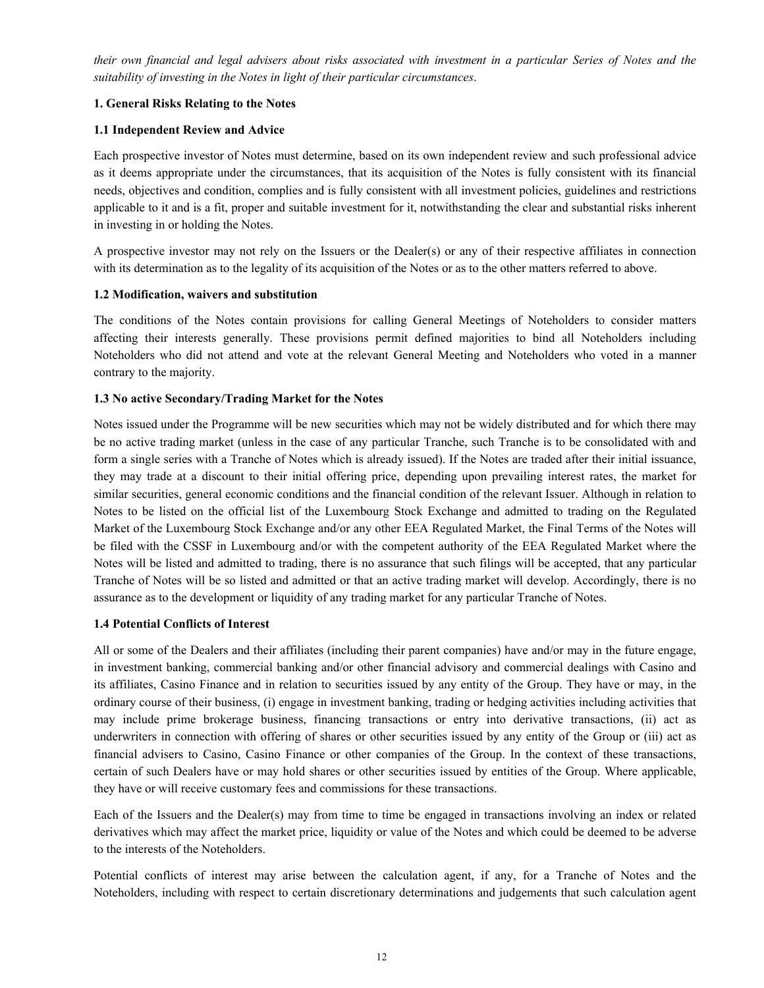*their own financial and legal advisers about risks associated with investment in a particular Series of Notes and the suitability of investing in the Notes in light of their particular circumstances*.

# **1. General Risks Relating to the Notes**

## **1.1 Independent Review and Advice**

Each prospective investor of Notes must determine, based on its own independent review and such professional advice as it deems appropriate under the circumstances, that its acquisition of the Notes is fully consistent with its financial needs, objectives and condition, complies and is fully consistent with all investment policies, guidelines and restrictions applicable to it and is a fit, proper and suitable investment for it, notwithstanding the clear and substantial risks inherent in investing in or holding the Notes.

A prospective investor may not rely on the Issuers or the Dealer(s) or any of their respective affiliates in connection with its determination as to the legality of its acquisition of the Notes or as to the other matters referred to above.

# **1.2 Modification, waivers and substitution**

The conditions of the Notes contain provisions for calling General Meetings of Noteholders to consider matters affecting their interests generally. These provisions permit defined majorities to bind all Noteholders including Noteholders who did not attend and vote at the relevant General Meeting and Noteholders who voted in a manner contrary to the majority.

# **1.3 No active Secondary/Trading Market for the Notes**

Notes issued under the Programme will be new securities which may not be widely distributed and for which there may be no active trading market (unless in the case of any particular Tranche, such Tranche is to be consolidated with and form a single series with a Tranche of Notes which is already issued). If the Notes are traded after their initial issuance, they may trade at a discount to their initial offering price, depending upon prevailing interest rates, the market for similar securities, general economic conditions and the financial condition of the relevant Issuer. Although in relation to Notes to be listed on the official list of the Luxembourg Stock Exchange and admitted to trading on the Regulated Market of the Luxembourg Stock Exchange and/or any other EEA Regulated Market, the Final Terms of the Notes will be filed with the CSSF in Luxembourg and/or with the competent authority of the EEA Regulated Market where the Notes will be listed and admitted to trading, there is no assurance that such filings will be accepted, that any particular Tranche of Notes will be so listed and admitted or that an active trading market will develop. Accordingly, there is no assurance as to the development or liquidity of any trading market for any particular Tranche of Notes.

## **1.4 Potential Conflicts of Interest**

All or some of the Dealers and their affiliates (including their parent companies) have and/or may in the future engage, in investment banking, commercial banking and/or other financial advisory and commercial dealings with Casino and its affiliates, Casino Finance and in relation to securities issued by any entity of the Group. They have or may, in the ordinary course of their business, (i) engage in investment banking, trading or hedging activities including activities that may include prime brokerage business, financing transactions or entry into derivative transactions, (ii) act as underwriters in connection with offering of shares or other securities issued by any entity of the Group or (iii) act as financial advisers to Casino, Casino Finance or other companies of the Group. In the context of these transactions, certain of such Dealers have or may hold shares or other securities issued by entities of the Group. Where applicable, they have or will receive customary fees and commissions for these transactions.

Each of the Issuers and the Dealer(s) may from time to time be engaged in transactions involving an index or related derivatives which may affect the market price, liquidity or value of the Notes and which could be deemed to be adverse to the interests of the Noteholders.

Potential conflicts of interest may arise between the calculation agent, if any, for a Tranche of Notes and the Noteholders, including with respect to certain discretionary determinations and judgements that such calculation agent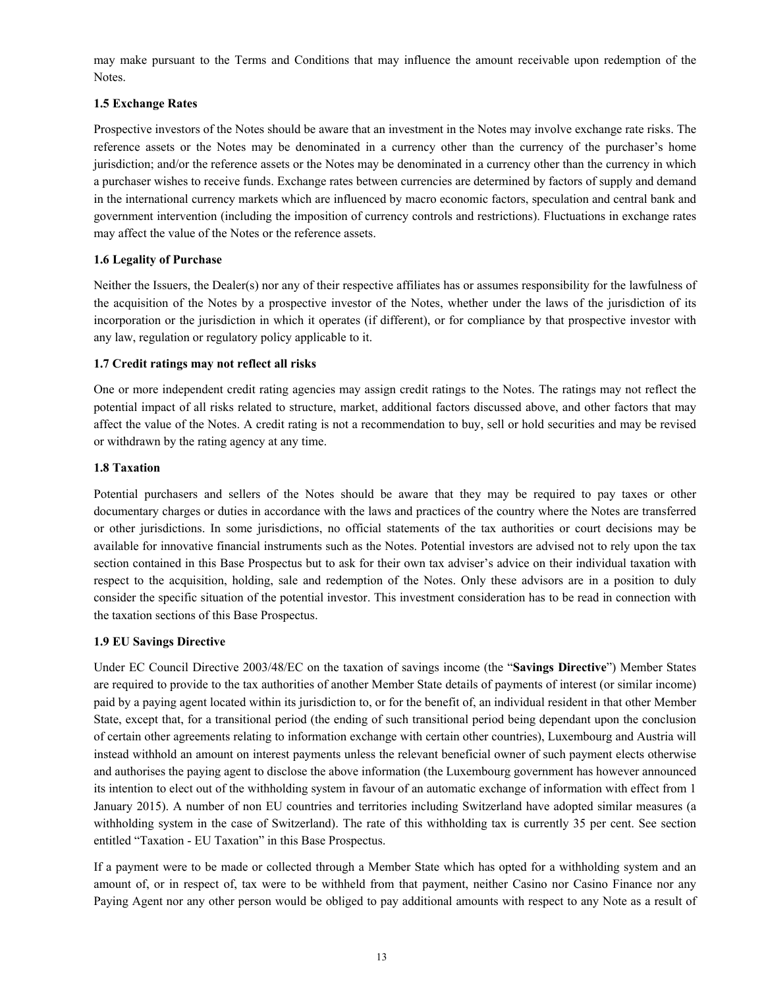may make pursuant to the Terms and Conditions that may influence the amount receivable upon redemption of the Notes.

## **1.5 Exchange Rates**

Prospective investors of the Notes should be aware that an investment in the Notes may involve exchange rate risks. The reference assets or the Notes may be denominated in a currency other than the currency of the purchaser's home jurisdiction; and/or the reference assets or the Notes may be denominated in a currency other than the currency in which a purchaser wishes to receive funds. Exchange rates between currencies are determined by factors of supply and demand in the international currency markets which are influenced by macro economic factors, speculation and central bank and government intervention (including the imposition of currency controls and restrictions). Fluctuations in exchange rates may affect the value of the Notes or the reference assets.

# **1.6 Legality of Purchase**

Neither the Issuers, the Dealer(s) nor any of their respective affiliates has or assumes responsibility for the lawfulness of the acquisition of the Notes by a prospective investor of the Notes, whether under the laws of the jurisdiction of its incorporation or the jurisdiction in which it operates (if different), or for compliance by that prospective investor with any law, regulation or regulatory policy applicable to it.

# **1.7 Credit ratings may not reflect all risks**

One or more independent credit rating agencies may assign credit ratings to the Notes. The ratings may not reflect the potential impact of all risks related to structure, market, additional factors discussed above, and other factors that may affect the value of the Notes. A credit rating is not a recommendation to buy, sell or hold securities and may be revised or withdrawn by the rating agency at any time.

## **1.8 Taxation**

Potential purchasers and sellers of the Notes should be aware that they may be required to pay taxes or other documentary charges or duties in accordance with the laws and practices of the country where the Notes are transferred or other jurisdictions. In some jurisdictions, no official statements of the tax authorities or court decisions may be available for innovative financial instruments such as the Notes. Potential investors are advised not to rely upon the tax section contained in this Base Prospectus but to ask for their own tax adviser's advice on their individual taxation with respect to the acquisition, holding, sale and redemption of the Notes. Only these advisors are in a position to duly consider the specific situation of the potential investor. This investment consideration has to be read in connection with the taxation sections of this Base Prospectus.

## **1.9 EU Savings Directive**

Under EC Council Directive 2003/48/EC on the taxation of savings income (the "**Savings Directive**") Member States are required to provide to the tax authorities of another Member State details of payments of interest (or similar income) paid by a paying agent located within its jurisdiction to, or for the benefit of, an individual resident in that other Member State, except that, for a transitional period (the ending of such transitional period being dependant upon the conclusion of certain other agreements relating to information exchange with certain other countries), Luxembourg and Austria will instead withhold an amount on interest payments unless the relevant beneficial owner of such payment elects otherwise and authorises the paying agent to disclose the above information (the Luxembourg government has however announced its intention to elect out of the withholding system in favour of an automatic exchange of information with effect from 1 January 2015). A number of non EU countries and territories including Switzerland have adopted similar measures (a withholding system in the case of Switzerland). The rate of this withholding tax is currently 35 per cent. See section entitled "Taxation - EU Taxation" in this Base Prospectus.

If a payment were to be made or collected through a Member State which has opted for a withholding system and an amount of, or in respect of, tax were to be withheld from that payment, neither Casino nor Casino Finance nor any Paying Agent nor any other person would be obliged to pay additional amounts with respect to any Note as a result of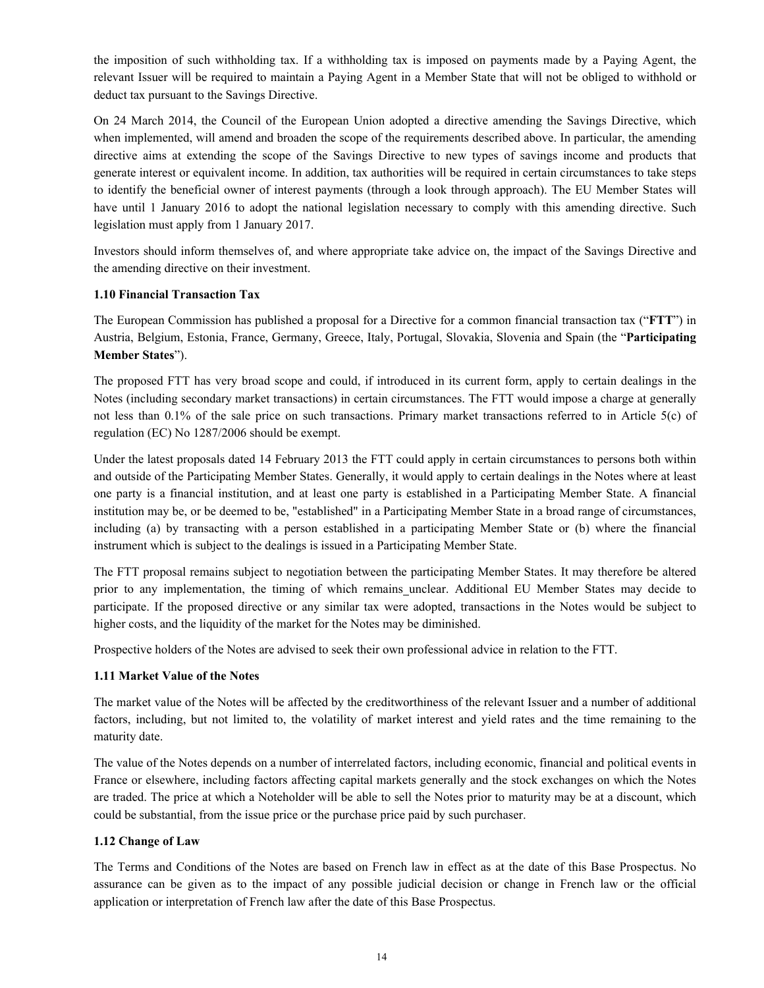the imposition of such withholding tax. If a withholding tax is imposed on payments made by a Paying Agent, the relevant Issuer will be required to maintain a Paying Agent in a Member State that will not be obliged to withhold or deduct tax pursuant to the Savings Directive.

On 24 March 2014, the Council of the European Union adopted a directive amending the Savings Directive, which when implemented, will amend and broaden the scope of the requirements described above. In particular, the amending directive aims at extending the scope of the Savings Directive to new types of savings income and products that generate interest or equivalent income. In addition, tax authorities will be required in certain circumstances to take steps to identify the beneficial owner of interest payments (through a look through approach). The EU Member States will have until 1 January 2016 to adopt the national legislation necessary to comply with this amending directive. Such legislation must apply from 1 January 2017.

Investors should inform themselves of, and where appropriate take advice on, the impact of the Savings Directive and the amending directive on their investment.

## **1.10 Financial Transaction Tax**

The European Commission has published a proposal for a Directive for a common financial transaction tax ("**FTT**") in Austria, Belgium, Estonia, France, Germany, Greece, Italy, Portugal, Slovakia, Slovenia and Spain (the "**Participating Member States**").

The proposed FTT has very broad scope and could, if introduced in its current form, apply to certain dealings in the Notes (including secondary market transactions) in certain circumstances. The FTT would impose a charge at generally not less than 0.1% of the sale price on such transactions. Primary market transactions referred to in Article 5(c) of regulation (EC) No 1287/2006 should be exempt.

Under the latest proposals dated 14 February 2013 the FTT could apply in certain circumstances to persons both within and outside of the Participating Member States. Generally, it would apply to certain dealings in the Notes where at least one party is a financial institution, and at least one party is established in a Participating Member State. A financial institution may be, or be deemed to be, "established" in a Participating Member State in a broad range of circumstances, including (a) by transacting with a person established in a participating Member State or (b) where the financial instrument which is subject to the dealings is issued in a Participating Member State.

The FTT proposal remains subject to negotiation between the participating Member States. It may therefore be altered prior to any implementation, the timing of which remains unclear. Additional EU Member States may decide to participate. If the proposed directive or any similar tax were adopted, transactions in the Notes would be subject to higher costs, and the liquidity of the market for the Notes may be diminished.

Prospective holders of the Notes are advised to seek their own professional advice in relation to the FTT.

## **1.11 Market Value of the Notes**

The market value of the Notes will be affected by the creditworthiness of the relevant Issuer and a number of additional factors, including, but not limited to, the volatility of market interest and yield rates and the time remaining to the maturity date.

The value of the Notes depends on a number of interrelated factors, including economic, financial and political events in France or elsewhere, including factors affecting capital markets generally and the stock exchanges on which the Notes are traded. The price at which a Noteholder will be able to sell the Notes prior to maturity may be at a discount, which could be substantial, from the issue price or the purchase price paid by such purchaser.

## **1.12 Change of Law**

The Terms and Conditions of the Notes are based on French law in effect as at the date of this Base Prospectus. No assurance can be given as to the impact of any possible judicial decision or change in French law or the official application or interpretation of French law after the date of this Base Prospectus.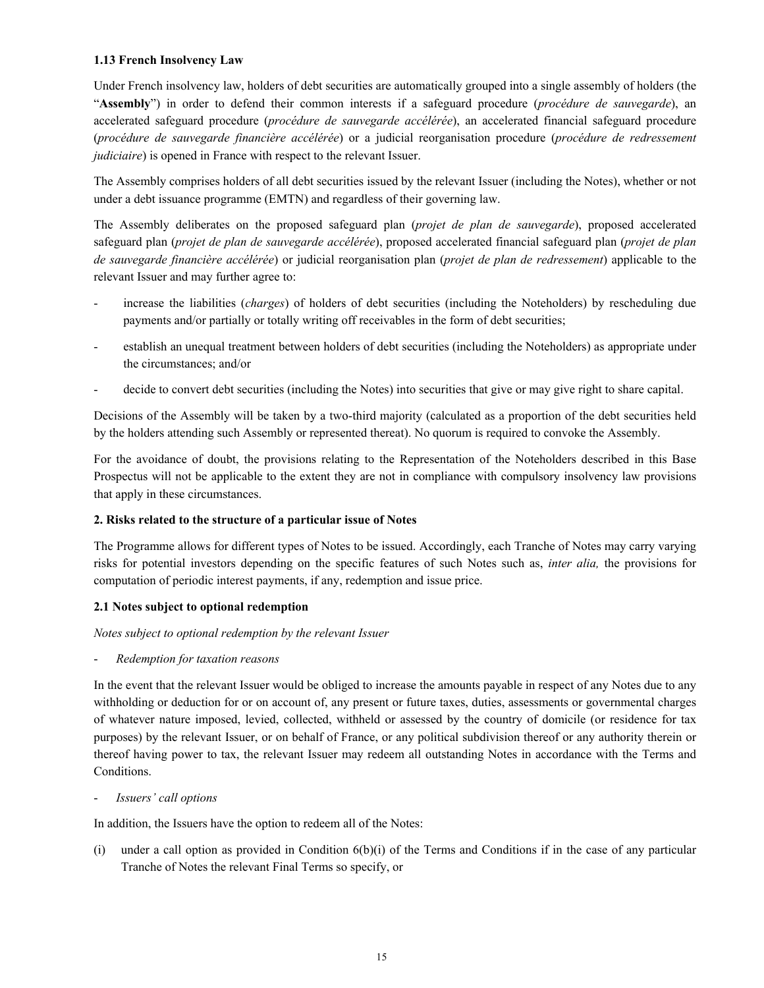## **1.13 French Insolvency Law**

Under French insolvency law, holders of debt securities are automatically grouped into a single assembly of holders (the "**Assembly**") in order to defend their common interests if a safeguard procedure (*procédure de sauvegarde*), an accelerated safeguard procedure (*procédure de sauvegarde accélérée*), an accelerated financial safeguard procedure (*procédure de sauvegarde financière accélérée*) or a judicial reorganisation procedure (*procédure de redressement judiciaire*) is opened in France with respect to the relevant Issuer.

The Assembly comprises holders of all debt securities issued by the relevant Issuer (including the Notes), whether or not under a debt issuance programme (EMTN) and regardless of their governing law.

The Assembly deliberates on the proposed safeguard plan (*projet de plan de sauvegarde*), proposed accelerated safeguard plan (*projet de plan de sauvegarde accélérée*), proposed accelerated financial safeguard plan (*projet de plan de sauvegarde financière accélérée*) or judicial reorganisation plan (*projet de plan de redressement*) applicable to the relevant Issuer and may further agree to:

- increase the liabilities (*charges*) of holders of debt securities (including the Noteholders) by rescheduling due payments and/or partially or totally writing off receivables in the form of debt securities;
- establish an unequal treatment between holders of debt securities (including the Noteholders) as appropriate under the circumstances; and/or
- decide to convert debt securities (including the Notes) into securities that give or may give right to share capital.

Decisions of the Assembly will be taken by a two-third majority (calculated as a proportion of the debt securities held by the holders attending such Assembly or represented thereat). No quorum is required to convoke the Assembly.

For the avoidance of doubt, the provisions relating to the Representation of the Noteholders described in this Base Prospectus will not be applicable to the extent they are not in compliance with compulsory insolvency law provisions that apply in these circumstances.

# **2. Risks related to the structure of a particular issue of Notes**

The Programme allows for different types of Notes to be issued. Accordingly, each Tranche of Notes may carry varying risks for potential investors depending on the specific features of such Notes such as, *inter alia,* the provisions for computation of periodic interest payments, if any, redemption and issue price.

# **2.1 Notes subject to optional redemption**

*Notes subject to optional redemption by the relevant Issuer*

- *Redemption for taxation reasons*

In the event that the relevant Issuer would be obliged to increase the amounts payable in respect of any Notes due to any withholding or deduction for or on account of, any present or future taxes, duties, assessments or governmental charges of whatever nature imposed, levied, collected, withheld or assessed by the country of domicile (or residence for tax purposes) by the relevant Issuer, or on behalf of France, or any political subdivision thereof or any authority therein or thereof having power to tax, the relevant Issuer may redeem all outstanding Notes in accordance with the Terms and Conditions.

- *Issuers' call options*

In addition, the Issuers have the option to redeem all of the Notes:

(i) under a call option as provided in Condition 6(b)(i) of the Terms and Conditions if in the case of any particular Tranche of Notes the relevant Final Terms so specify, or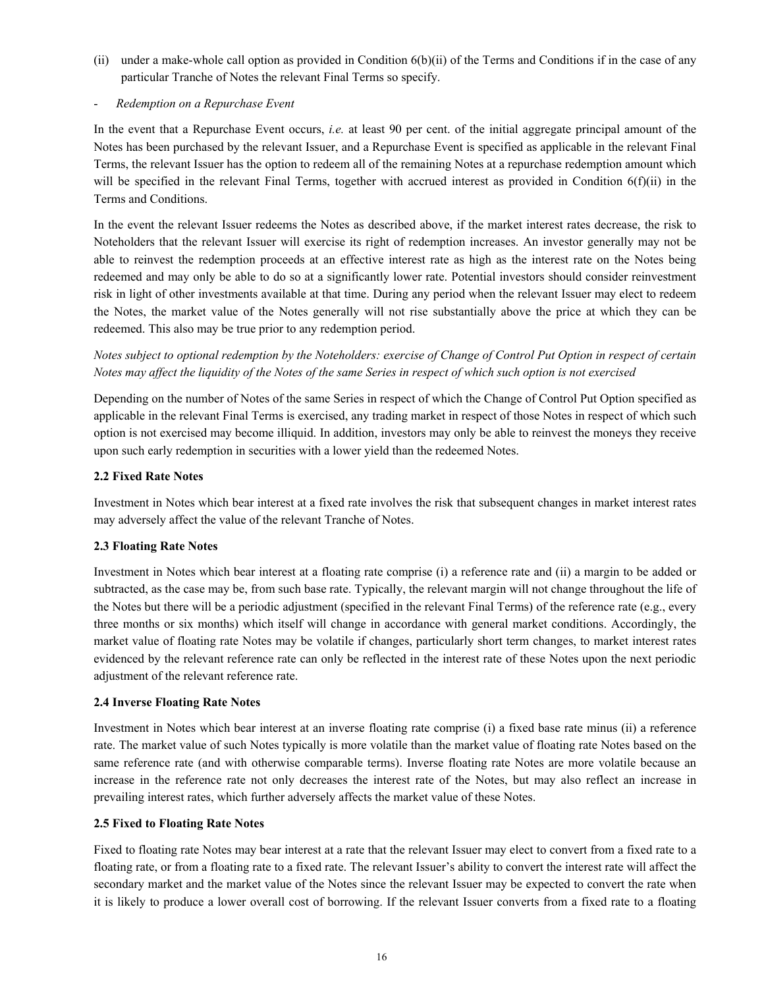(ii) under a make-whole call option as provided in Condition 6(b)(ii) of the Terms and Conditions if in the case of any particular Tranche of Notes the relevant Final Terms so specify.

#### - *Redemption on a Repurchase Event*

In the event that a Repurchase Event occurs, *i.e.* at least 90 per cent. of the initial aggregate principal amount of the Notes has been purchased by the relevant Issuer, and a Repurchase Event is specified as applicable in the relevant Final Terms, the relevant Issuer has the option to redeem all of the remaining Notes at a repurchase redemption amount which will be specified in the relevant Final Terms, together with accrued interest as provided in Condition 6(f)(ii) in the Terms and Conditions.

In the event the relevant Issuer redeems the Notes as described above, if the market interest rates decrease, the risk to Noteholders that the relevant Issuer will exercise its right of redemption increases. An investor generally may not be able to reinvest the redemption proceeds at an effective interest rate as high as the interest rate on the Notes being redeemed and may only be able to do so at a significantly lower rate. Potential investors should consider reinvestment risk in light of other investments available at that time. During any period when the relevant Issuer may elect to redeem the Notes, the market value of the Notes generally will not rise substantially above the price at which they can be redeemed. This also may be true prior to any redemption period.

*Notes subject to optional redemption by the Noteholders: exercise of Change of Control Put Option in respect of certain Notes may affect the liquidity of the Notes of the same Series in respect of which such option is not exercised*

Depending on the number of Notes of the same Series in respect of which the Change of Control Put Option specified as applicable in the relevant Final Terms is exercised, any trading market in respect of those Notes in respect of which such option is not exercised may become illiquid. In addition, investors may only be able to reinvest the moneys they receive upon such early redemption in securities with a lower yield than the redeemed Notes.

## **2.2 Fixed Rate Notes**

Investment in Notes which bear interest at a fixed rate involves the risk that subsequent changes in market interest rates may adversely affect the value of the relevant Tranche of Notes.

## **2.3 Floating Rate Notes**

Investment in Notes which bear interest at a floating rate comprise (i) a reference rate and (ii) a margin to be added or subtracted, as the case may be, from such base rate. Typically, the relevant margin will not change throughout the life of the Notes but there will be a periodic adjustment (specified in the relevant Final Terms) of the reference rate (e.g., every three months or six months) which itself will change in accordance with general market conditions. Accordingly, the market value of floating rate Notes may be volatile if changes, particularly short term changes, to market interest rates evidenced by the relevant reference rate can only be reflected in the interest rate of these Notes upon the next periodic adjustment of the relevant reference rate.

## **2.4 Inverse Floating Rate Notes**

Investment in Notes which bear interest at an inverse floating rate comprise (i) a fixed base rate minus (ii) a reference rate. The market value of such Notes typically is more volatile than the market value of floating rate Notes based on the same reference rate (and with otherwise comparable terms). Inverse floating rate Notes are more volatile because an increase in the reference rate not only decreases the interest rate of the Notes, but may also reflect an increase in prevailing interest rates, which further adversely affects the market value of these Notes.

## **2.5 Fixed to Floating Rate Notes**

Fixed to floating rate Notes may bear interest at a rate that the relevant Issuer may elect to convert from a fixed rate to a floating rate, or from a floating rate to a fixed rate. The relevant Issuer's ability to convert the interest rate will affect the secondary market and the market value of the Notes since the relevant Issuer may be expected to convert the rate when it is likely to produce a lower overall cost of borrowing. If the relevant Issuer converts from a fixed rate to a floating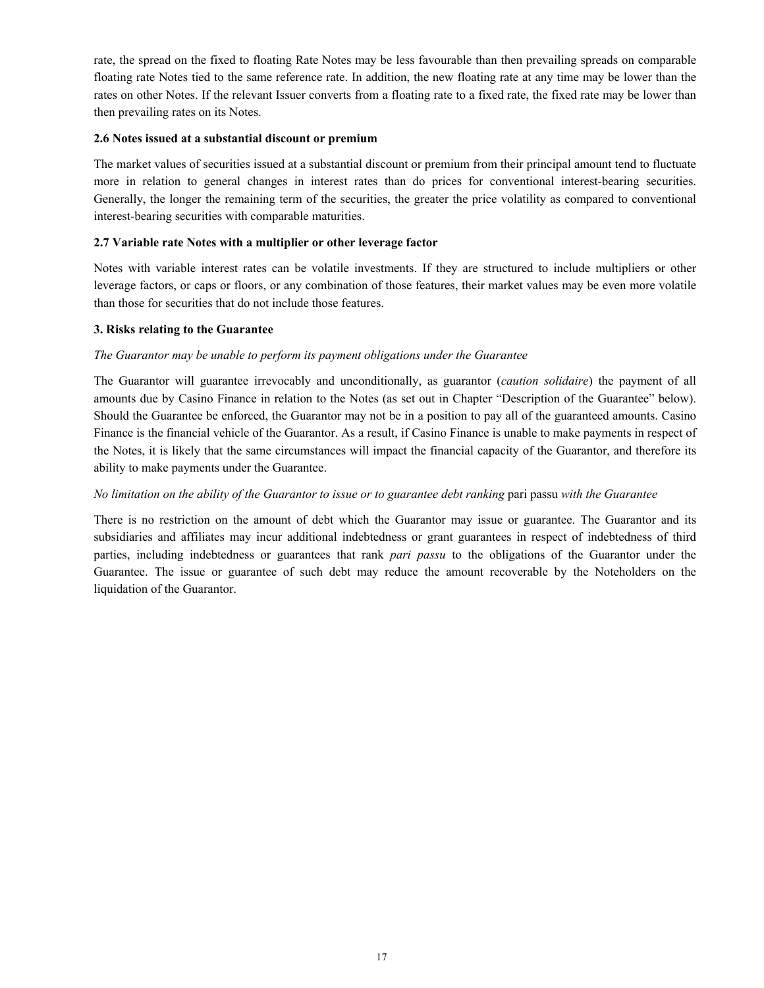rate, the spread on the fixed to floating Rate Notes may be less favourable than then prevailing spreads on comparable floating rate Notes tied to the same reference rate. In addition, the new floating rate at any time may be lower than the rates on other Notes. If the relevant Issuer converts from a floating rate to a fixed rate, the fixed rate may be lower than then prevailing rates on its Notes.

## **2.6 Notes issued at a substantial discount or premium**

The market values of securities issued at a substantial discount or premium from their principal amount tend to fluctuate more in relation to general changes in interest rates than do prices for conventional interest-bearing securities. Generally, the longer the remaining term of the securities, the greater the price volatility as compared to conventional interest-bearing securities with comparable maturities.

#### **2.7 Variable rate Notes with a multiplier or other leverage factor**

Notes with variable interest rates can be volatile investments. If they are structured to include multipliers or other leverage factors, or caps or floors, or any combination of those features, their market values may be even more volatile than those for securities that do not include those features.

#### **3. Risks relating to the Guarantee**

#### *The Guarantor may be unable to perform its payment obligations under the Guarantee*

The Guarantor will guarantee irrevocably and unconditionally, as guarantor (*caution solidaire*) the payment of all amounts due by Casino Finance in relation to the Notes (as set out in Chapter "Description of the Guarantee" below). Should the Guarantee be enforced, the Guarantor may not be in a position to pay all of the guaranteed amounts. Casino Finance is the financial vehicle of the Guarantor. As a result, if Casino Finance is unable to make payments in respect of the Notes, it is likely that the same circumstances will impact the financial capacity of the Guarantor, and therefore its ability to make payments under the Guarantee.

#### *No limitation on the ability of the Guarantor to issue or to guarantee debt ranking* pari passu *with the Guarantee*

There is no restriction on the amount of debt which the Guarantor may issue or guarantee. The Guarantor and its subsidiaries and affiliates may incur additional indebtedness or grant guarantees in respect of indebtedness of third parties, including indebtedness or guarantees that rank *pari passu* to the obligations of the Guarantor under the Guarantee. The issue or guarantee of such debt may reduce the amount recoverable by the Noteholders on the liquidation of the Guarantor.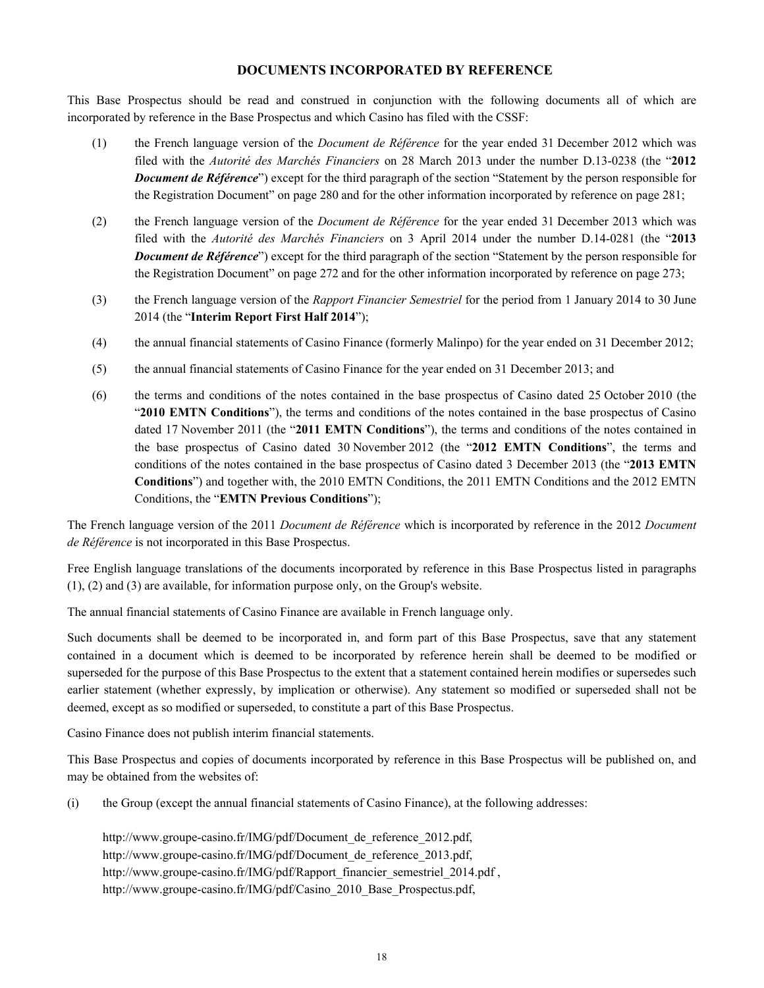## **DOCUMENTS INCORPORATED BY REFERENCE**

This Base Prospectus should be read and construed in conjunction with the following documents all of which are incorporated by reference in the Base Prospectus and which Casino has filed with the CSSF:

- (1) the French language version of the *Document de Référence* for the year ended 31 December 2012 which was filed with the *Autorité des Marchés Financiers* on 28 March 2013 under the number D.13-0238 (the "**2012** *Document de Référence*") except for the third paragraph of the section "Statement by the person responsible for the Registration Document" on page 280 and for the other information incorporated by reference on page 281;
- (2) the French language version of the *Document de Référence* for the year ended 31 December 2013 which was filed with the *Autorité des Marchés Financiers* on 3 April 2014 under the number D.14-0281 (the "**2013** *Document de Référence*") except for the third paragraph of the section "Statement by the person responsible for the Registration Document" on page 272 and for the other information incorporated by reference on page 273;
- (3) the French language version of the *Rapport Financier Semestriel* for the period from 1 January 2014 to 30 June 2014 (the "**Interim Report First Half 2014**");
- (4) the annual financial statements of Casino Finance (formerly Malinpo) for the year ended on 31 December 2012;
- (5) the annual financial statements of Casino Finance for the year ended on 31 December 2013; and
- (6) the terms and conditions of the notes contained in the base prospectus of Casino dated 25 October 2010 (the "**2010 EMTN Conditions**"), the terms and conditions of the notes contained in the base prospectus of Casino dated 17 November 2011 (the "**2011 EMTN Conditions**"), the terms and conditions of the notes contained in the base prospectus of Casino dated 30 November 2012 (the "**2012 EMTN Conditions**", the terms and conditions of the notes contained in the base prospectus of Casino dated 3 December 2013 (the "**2013 EMTN Conditions**") and together with, the 2010 EMTN Conditions, the 2011 EMTN Conditions and the 2012 EMTN Conditions, the "**EMTN Previous Conditions**");

The French language version of the 2011 *Document de Référence* which is incorporated by reference in the 2012 *Document de Référence* is not incorporated in this Base Prospectus.

Free English language translations of the documents incorporated by reference in this Base Prospectus listed in paragraphs (1), (2) and (3) are available, for information purpose only, on the Group's website.

The annual financial statements of Casino Finance are available in French language only.

Such documents shall be deemed to be incorporated in, and form part of this Base Prospectus, save that any statement contained in a document which is deemed to be incorporated by reference herein shall be deemed to be modified or superseded for the purpose of this Base Prospectus to the extent that a statement contained herein modifies or supersedes such earlier statement (whether expressly, by implication or otherwise). Any statement so modified or superseded shall not be deemed, except as so modified or superseded, to constitute a part of this Base Prospectus.

Casino Finance does not publish interim financial statements.

This Base Prospectus and copies of documents incorporated by reference in this Base Prospectus will be published on, and may be obtained from the websites of:

(i) the Group (except the annual financial statements of Casino Finance), at the following addresses:

http://www.groupe-casino.fr/IMG/pdf/Document\_de\_reference\_2012.pdf, http://www.groupe-casino.fr/IMG/pdf/Document\_de\_reference\_2013.pdf, http://www.groupe-casino.fr/IMG/pdf/Rapport\_financier\_semestriel\_2014.pdf , http://www.groupe-casino.fr/IMG/pdf/Casino\_2010\_Base\_Prospectus.pdf,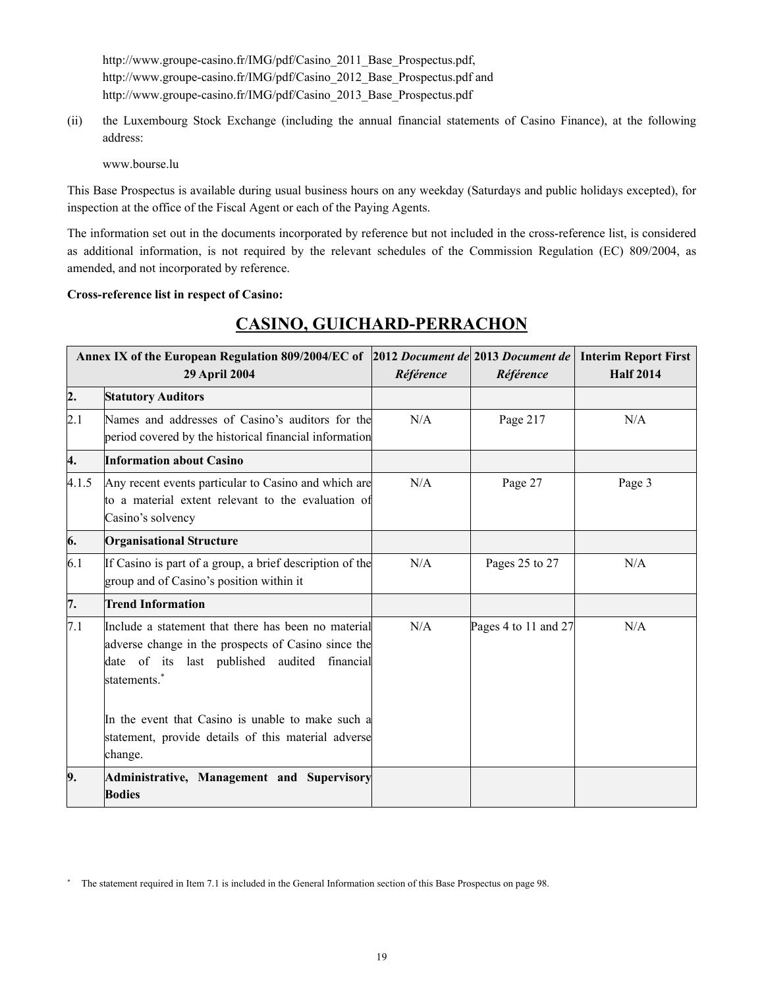http://www.groupe-casino.fr/IMG/pdf/Casino\_2011\_Base\_Prospectus.pdf, http://www.groupe-casino.fr/IMG/pdf/Casino\_2012\_Base\_Prospectus.pdf and http://www.groupe-casino.fr/IMG/pdf/Casino\_2013\_Base\_Prospectus.pdf

(ii) the Luxembourg Stock Exchange (including the annual financial statements of Casino Finance), at the following address:

www.bourse.lu

This Base Prospectus is available during usual business hours on any weekday (Saturdays and public holidays excepted), for inspection at the office of the Fiscal Agent or each of the Paying Agents.

The information set out in the documents incorporated by reference but not included in the cross-reference list, is considered as additional information, is not required by the relevant schedules of the Commission Regulation (EC) 809/2004, as amended, and not incorporated by reference.

#### **Cross-reference list in respect of Casino:**

| Annex IX of the European Regulation 809/2004/EC of 2012 Document de 2013 Document de<br><b>29 April 2004</b>                                                                                                                                                                                             |                                                                                                                                 | Référence | Référence            | <b>Interim Report First</b><br><b>Half 2014</b> |
|----------------------------------------------------------------------------------------------------------------------------------------------------------------------------------------------------------------------------------------------------------------------------------------------------------|---------------------------------------------------------------------------------------------------------------------------------|-----------|----------------------|-------------------------------------------------|
| 2.                                                                                                                                                                                                                                                                                                       | <b>Statutory Auditors</b>                                                                                                       |           |                      |                                                 |
| 2.1                                                                                                                                                                                                                                                                                                      | Names and addresses of Casino's auditors for the<br>period covered by the historical financial information                      | N/A       | Page 217             | N/A                                             |
| 4.                                                                                                                                                                                                                                                                                                       | <b>Information about Casino</b>                                                                                                 |           |                      |                                                 |
| 4.1.5                                                                                                                                                                                                                                                                                                    | Any recent events particular to Casino and which are<br>to a material extent relevant to the evaluation of<br>Casino's solvency | N/A       | Page 27              | Page 3                                          |
| 6.                                                                                                                                                                                                                                                                                                       | <b>Organisational Structure</b>                                                                                                 |           |                      |                                                 |
| 6.1                                                                                                                                                                                                                                                                                                      | If Casino is part of a group, a brief description of the<br>group and of Casino's position within it                            | N/A       | Pages 25 to 27       | N/A                                             |
| 7.                                                                                                                                                                                                                                                                                                       | <b>Trend Information</b>                                                                                                        |           |                      |                                                 |
| 7.1<br>Include a statement that there has been no material<br>adverse change in the prospects of Casino since the<br>date of its last published audited financial<br>statements.*<br>In the event that Casino is unable to make such a<br>statement, provide details of this material adverse<br>change. |                                                                                                                                 | N/A       | Pages 4 to 11 and 27 | N/A                                             |
| 9.                                                                                                                                                                                                                                                                                                       | Administrative, Management and Supervisory<br><b>Bodies</b>                                                                     |           |                      |                                                 |

# **CASINO, GUICHARD-PERRACHON**

The statement required in Item 7.1 is included in the General Information section of this Base Prospectus on page 98.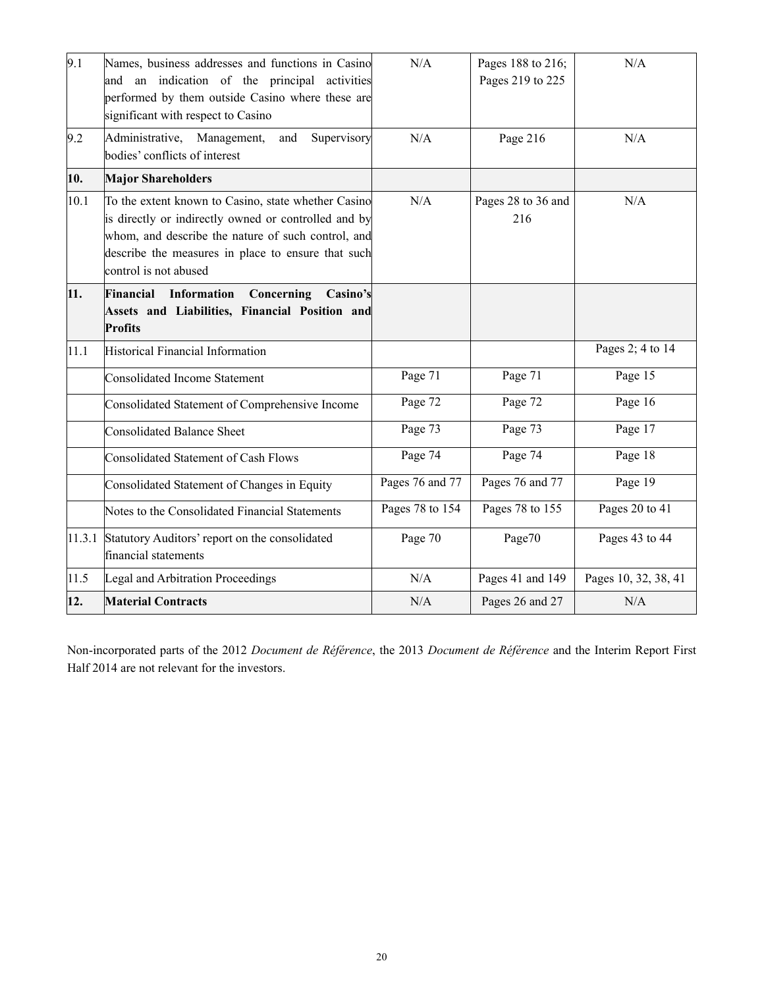| 9.1    | Names, business addresses and functions in Casino<br>and an indication of the principal activities<br>performed by them outside Casino where these are<br>significant with respect to Casino                                                     | N/A             | Pages 188 to 216;<br>Pages 219 to 225 | N/A                  |
|--------|--------------------------------------------------------------------------------------------------------------------------------------------------------------------------------------------------------------------------------------------------|-----------------|---------------------------------------|----------------------|
| 9.2    | Administrative, Management,<br>and<br>Supervisory<br>bodies' conflicts of interest                                                                                                                                                               | N/A             | Page 216                              | N/A                  |
| 10.    | <b>Major Shareholders</b>                                                                                                                                                                                                                        |                 |                                       |                      |
| 10.1   | To the extent known to Casino, state whether Casino<br>is directly or indirectly owned or controlled and by<br>whom, and describe the nature of such control, and<br>describe the measures in place to ensure that such<br>control is not abused | N/A             | Pages 28 to 36 and<br>216             | N/A                  |
| 11.    | Concerning<br>Financial<br>Information<br>Casino's<br>Assets and Liabilities, Financial Position and<br><b>Profits</b>                                                                                                                           |                 |                                       |                      |
| 11.1   | Historical Financial Information                                                                                                                                                                                                                 |                 |                                       | Pages 2; 4 to 14     |
|        | <b>Consolidated Income Statement</b>                                                                                                                                                                                                             | Page 71         | Page 71                               | Page 15              |
|        | Consolidated Statement of Comprehensive Income                                                                                                                                                                                                   | Page 72         | Page 72                               | Page 16              |
|        | <b>Consolidated Balance Sheet</b>                                                                                                                                                                                                                | Page 73         | Page 73                               | Page $1\overline{7}$ |
|        | <b>Consolidated Statement of Cash Flows</b>                                                                                                                                                                                                      | Page 74         | Page 74                               | Page 18              |
|        | Consolidated Statement of Changes in Equity                                                                                                                                                                                                      | Pages 76 and 77 | Pages 76 and 77                       | Page 19              |
|        | Notes to the Consolidated Financial Statements                                                                                                                                                                                                   | Pages 78 to 154 | Pages 78 to 155                       | Pages 20 to 41       |
| 11.3.1 | Statutory Auditors' report on the consolidated<br>financial statements                                                                                                                                                                           | Page 70         | Page70                                | Pages 43 to 44       |
| 11.5   | Legal and Arbitration Proceedings                                                                                                                                                                                                                | N/A             | Pages 41 and 149                      | Pages 10, 32, 38, 41 |
| 12.    | <b>Material Contracts</b>                                                                                                                                                                                                                        | N/A             | Pages 26 and 27                       | N/A                  |

Non-incorporated parts of the 2012 *Document de Référence*, the 2013 *Document de Référence* and the Interim Report First Half 2014 are not relevant for the investors.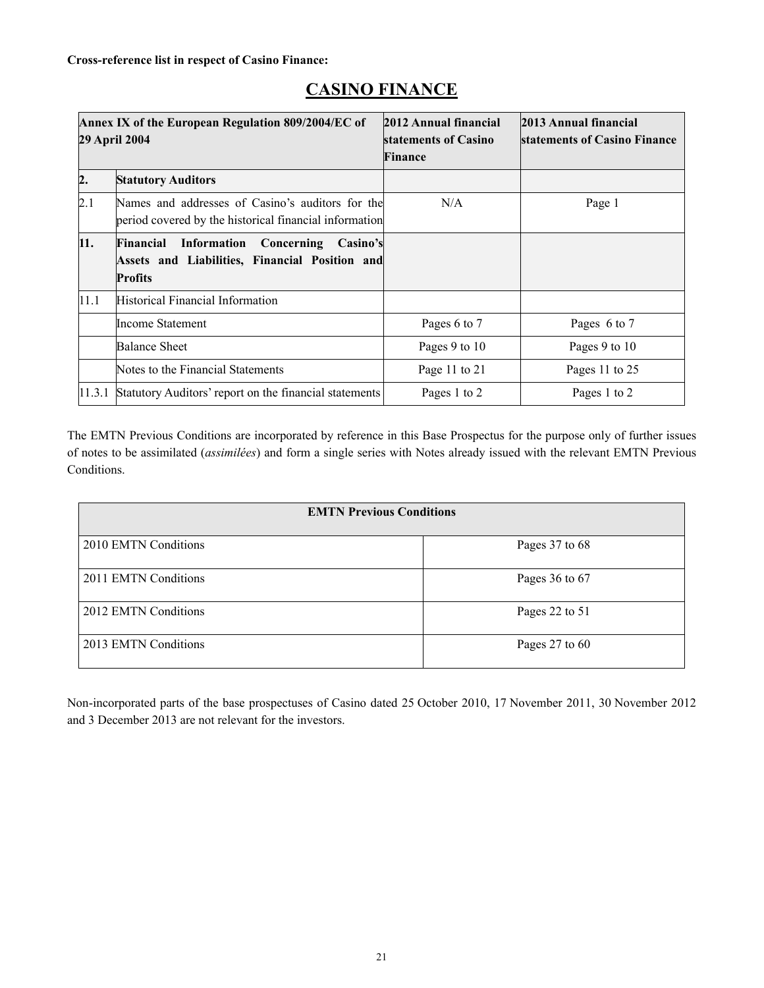| Annex IX of the European Regulation 809/2004/EC of<br>29 April 2004 |                                                                                                                            | 2012 Annual financial<br>statements of Casino<br>Finance | 2013 Annual financial<br>statements of Casino Finance |
|---------------------------------------------------------------------|----------------------------------------------------------------------------------------------------------------------------|----------------------------------------------------------|-------------------------------------------------------|
| $\mathbf{2}$ .                                                      | <b>Statutory Auditors</b>                                                                                                  |                                                          |                                                       |
| 2.1                                                                 | Names and addresses of Casino's auditors for the<br>period covered by the historical financial information                 | N/A                                                      | Page 1                                                |
| 11.                                                                 | <b>Financial Information</b><br>Concerning<br>Casino's<br>Assets and Liabilities, Financial Position and<br><b>Profits</b> |                                                          |                                                       |
| 11.1                                                                | <b>Historical Financial Information</b>                                                                                    |                                                          |                                                       |
|                                                                     | <b>Income Statement</b>                                                                                                    | Pages 6 to 7                                             | Pages 6 to 7                                          |
|                                                                     | <b>Balance Sheet</b>                                                                                                       | Pages 9 to 10                                            | Pages 9 to 10                                         |
|                                                                     | Notes to the Financial Statements                                                                                          | Page 11 to 21                                            | Pages 11 to 25                                        |
| 11.3.1                                                              | Statutory Auditors' report on the financial statements                                                                     | Pages 1 to 2                                             | Pages 1 to 2                                          |

# **CASINO FINANCE**

The EMTN Previous Conditions are incorporated by reference in this Base Prospectus for the purpose only of further issues of notes to be assimilated (*assimilées*) and form a single series with Notes already issued with the relevant EMTN Previous Conditions.

| <b>EMTN Previous Conditions</b> |                |  |
|---------------------------------|----------------|--|
| 2010 EMTN Conditions            | Pages 37 to 68 |  |
| 2011 EMTN Conditions            | Pages 36 to 67 |  |
| 2012 EMTN Conditions            | Pages 22 to 51 |  |
| 2013 EMTN Conditions            | Pages 27 to 60 |  |

Non-incorporated parts of the base prospectuses of Casino dated 25 October 2010, 17 November 2011, 30 November 2012 and 3 December 2013 are not relevant for the investors.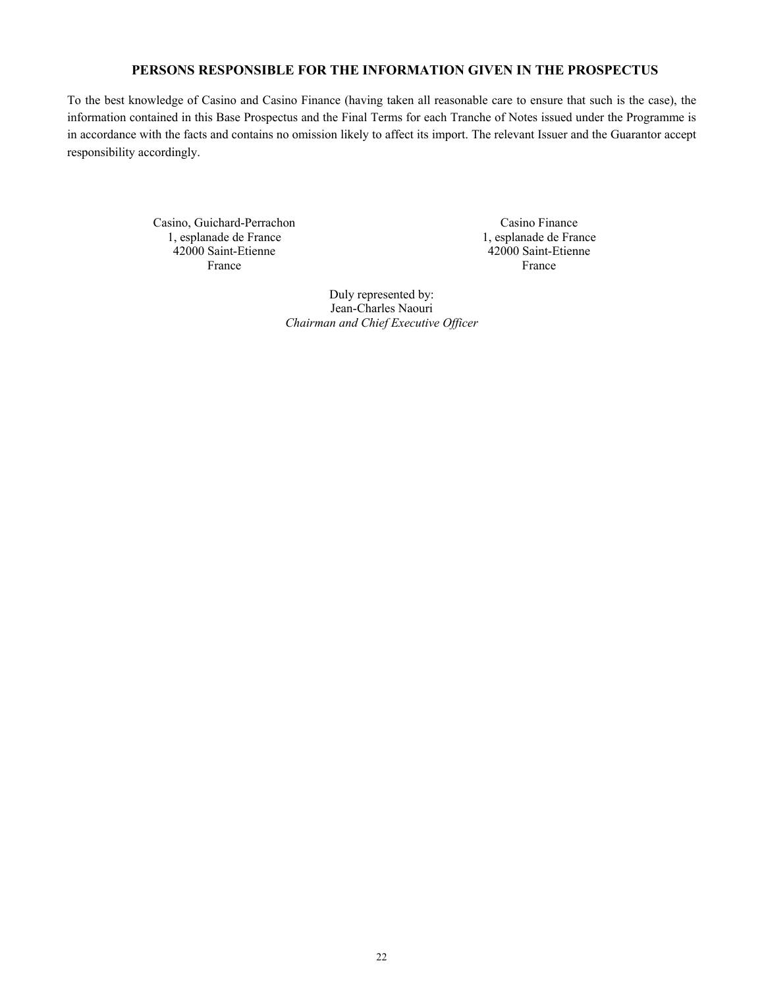# **PERSONS RESPONSIBLE FOR THE INFORMATION GIVEN IN THE PROSPECTUS**

To the best knowledge of Casino and Casino Finance (having taken all reasonable care to ensure that such is the case), the information contained in this Base Prospectus and the Final Terms for each Tranche of Notes issued under the Programme is in accordance with the facts and contains no omission likely to affect its import. The relevant Issuer and the Guarantor accept responsibility accordingly.

> Casino, Guichard-Perrachon 1, esplanade de France 42000 Saint-Etienne France

Casino Finance 1, esplanade de France 42000 Saint-Etienne France

Duly represented by: Jean-Charles Naouri *Chairman and Chief Executive Officer*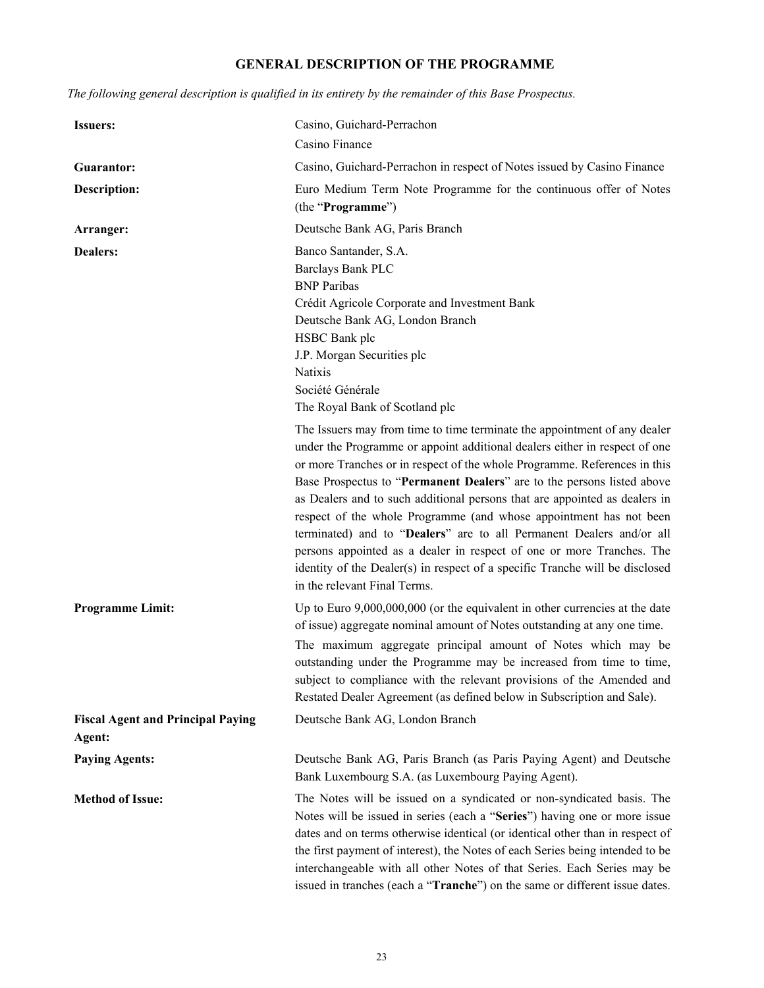# **GENERAL DESCRIPTION OF THE PROGRAMME**

*The following general description is qualified in its entirety by the remainder of this Base Prospectus.*

| <b>Issuers:</b>                                    | Casino, Guichard-Perrachon                                                                                                                                                                                                                                                                                                                                                                                                                                                                                                                                                                                                                                                                                                          |
|----------------------------------------------------|-------------------------------------------------------------------------------------------------------------------------------------------------------------------------------------------------------------------------------------------------------------------------------------------------------------------------------------------------------------------------------------------------------------------------------------------------------------------------------------------------------------------------------------------------------------------------------------------------------------------------------------------------------------------------------------------------------------------------------------|
|                                                    | Casino Finance                                                                                                                                                                                                                                                                                                                                                                                                                                                                                                                                                                                                                                                                                                                      |
| Guarantor:                                         | Casino, Guichard-Perrachon in respect of Notes issued by Casino Finance                                                                                                                                                                                                                                                                                                                                                                                                                                                                                                                                                                                                                                                             |
| <b>Description:</b>                                | Euro Medium Term Note Programme for the continuous offer of Notes<br>(the "Programme")                                                                                                                                                                                                                                                                                                                                                                                                                                                                                                                                                                                                                                              |
| Arranger:                                          | Deutsche Bank AG, Paris Branch                                                                                                                                                                                                                                                                                                                                                                                                                                                                                                                                                                                                                                                                                                      |
| <b>Dealers:</b>                                    | Banco Santander, S.A.<br>Barclays Bank PLC<br><b>BNP</b> Paribas<br>Crédit Agricole Corporate and Investment Bank<br>Deutsche Bank AG, London Branch<br>HSBC Bank plc<br>J.P. Morgan Securities plc<br>Natixis<br>Société Générale<br>The Royal Bank of Scotland plc                                                                                                                                                                                                                                                                                                                                                                                                                                                                |
|                                                    | The Issuers may from time to time terminate the appointment of any dealer<br>under the Programme or appoint additional dealers either in respect of one<br>or more Tranches or in respect of the whole Programme. References in this<br>Base Prospectus to "Permanent Dealers" are to the persons listed above<br>as Dealers and to such additional persons that are appointed as dealers in<br>respect of the whole Programme (and whose appointment has not been<br>terminated) and to "Dealers" are to all Permanent Dealers and/or all<br>persons appointed as a dealer in respect of one or more Tranches. The<br>identity of the Dealer(s) in respect of a specific Tranche will be disclosed<br>in the relevant Final Terms. |
| <b>Programme Limit:</b>                            | Up to Euro $9,000,000,000$ (or the equivalent in other currencies at the date<br>of issue) aggregate nominal amount of Notes outstanding at any one time.<br>The maximum aggregate principal amount of Notes which may be<br>outstanding under the Programme may be increased from time to time,<br>subject to compliance with the relevant provisions of the Amended and<br>Restated Dealer Agreement (as defined below in Subscription and Sale).                                                                                                                                                                                                                                                                                 |
| <b>Fiscal Agent and Principal Paying</b><br>Agent: | Deutsche Bank AG, London Branch                                                                                                                                                                                                                                                                                                                                                                                                                                                                                                                                                                                                                                                                                                     |
| <b>Paying Agents:</b>                              | Deutsche Bank AG, Paris Branch (as Paris Paying Agent) and Deutsche<br>Bank Luxembourg S.A. (as Luxembourg Paying Agent).                                                                                                                                                                                                                                                                                                                                                                                                                                                                                                                                                                                                           |
| <b>Method of Issue:</b>                            | The Notes will be issued on a syndicated or non-syndicated basis. The<br>Notes will be issued in series (each a "Series") having one or more issue<br>dates and on terms otherwise identical (or identical other than in respect of<br>the first payment of interest), the Notes of each Series being intended to be<br>interchangeable with all other Notes of that Series. Each Series may be<br>issued in tranches (each a "Tranche") on the same or different issue dates.                                                                                                                                                                                                                                                      |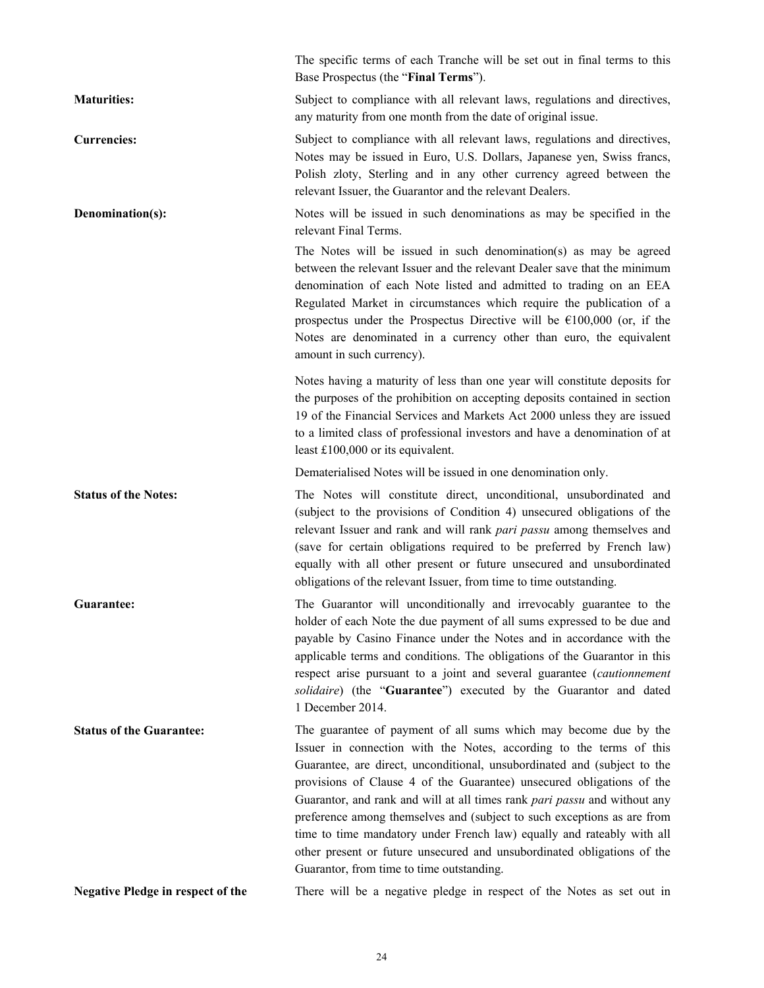|                                          | The specific terms of each Tranche will be set out in final terms to this<br>Base Prospectus (the "Final Terms").                                                                                                                                                                                                                                                                                                                                                                                                                                                                                                                                      |
|------------------------------------------|--------------------------------------------------------------------------------------------------------------------------------------------------------------------------------------------------------------------------------------------------------------------------------------------------------------------------------------------------------------------------------------------------------------------------------------------------------------------------------------------------------------------------------------------------------------------------------------------------------------------------------------------------------|
| <b>Maturities:</b>                       | Subject to compliance with all relevant laws, regulations and directives,<br>any maturity from one month from the date of original issue.                                                                                                                                                                                                                                                                                                                                                                                                                                                                                                              |
| <b>Currencies:</b>                       | Subject to compliance with all relevant laws, regulations and directives,<br>Notes may be issued in Euro, U.S. Dollars, Japanese yen, Swiss francs,<br>Polish zloty, Sterling and in any other currency agreed between the<br>relevant Issuer, the Guarantor and the relevant Dealers.                                                                                                                                                                                                                                                                                                                                                                 |
| Denomination(s):                         | Notes will be issued in such denominations as may be specified in the<br>relevant Final Terms.                                                                                                                                                                                                                                                                                                                                                                                                                                                                                                                                                         |
|                                          | The Notes will be issued in such denomination(s) as may be agreed<br>between the relevant Issuer and the relevant Dealer save that the minimum<br>denomination of each Note listed and admitted to trading on an EEA<br>Regulated Market in circumstances which require the publication of a<br>prospectus under the Prospectus Directive will be $\epsilon$ 100,000 (or, if the<br>Notes are denominated in a currency other than euro, the equivalent<br>amount in such currency).                                                                                                                                                                   |
|                                          | Notes having a maturity of less than one year will constitute deposits for<br>the purposes of the prohibition on accepting deposits contained in section<br>19 of the Financial Services and Markets Act 2000 unless they are issued<br>to a limited class of professional investors and have a denomination of at<br>least $£100,000$ or its equivalent.                                                                                                                                                                                                                                                                                              |
|                                          | Dematerialised Notes will be issued in one denomination only.                                                                                                                                                                                                                                                                                                                                                                                                                                                                                                                                                                                          |
| <b>Status of the Notes:</b>              | The Notes will constitute direct, unconditional, unsubordinated and<br>(subject to the provisions of Condition 4) unsecured obligations of the<br>relevant Issuer and rank and will rank pari passu among themselves and<br>(save for certain obligations required to be preferred by French law)<br>equally with all other present or future unsecured and unsubordinated<br>obligations of the relevant Issuer, from time to time outstanding.                                                                                                                                                                                                       |
| Guarantee:                               | The Guarantor will unconditionally and irrevocably guarantee to the<br>holder of each Note the due payment of all sums expressed to be due and<br>payable by Casino Finance under the Notes and in accordance with the<br>applicable terms and conditions. The obligations of the Guarantor in this<br>respect arise pursuant to a joint and several guarantee (cautionnement<br>solidaire) (the "Guarantee") executed by the Guarantor and dated<br>1 December 2014.                                                                                                                                                                                  |
| <b>Status of the Guarantee:</b>          | The guarantee of payment of all sums which may become due by the<br>Issuer in connection with the Notes, according to the terms of this<br>Guarantee, are direct, unconditional, unsubordinated and (subject to the<br>provisions of Clause 4 of the Guarantee) unsecured obligations of the<br>Guarantor, and rank and will at all times rank pari passu and without any<br>preference among themselves and (subject to such exceptions as are from<br>time to time mandatory under French law) equally and rateably with all<br>other present or future unsecured and unsubordinated obligations of the<br>Guarantor, from time to time outstanding. |
| <b>Negative Pledge in respect of the</b> | There will be a negative pledge in respect of the Notes as set out in                                                                                                                                                                                                                                                                                                                                                                                                                                                                                                                                                                                  |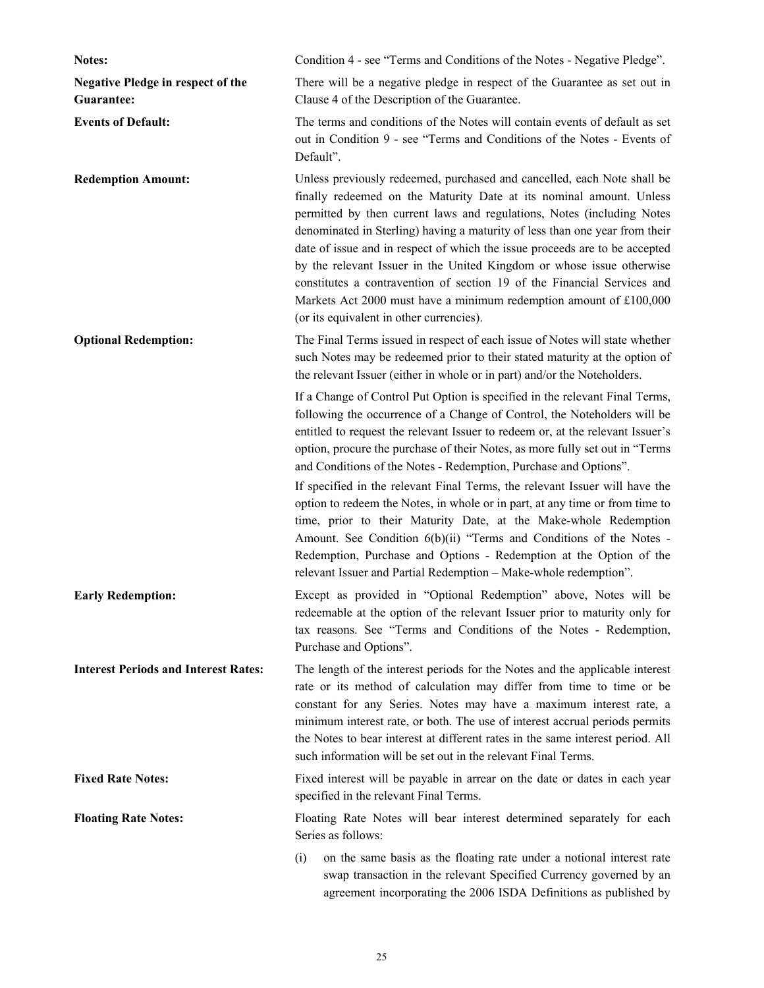| Notes:                                                 | Condition 4 - see "Terms and Conditions of the Notes - Negative Pledge".                                                                                                                                                                                                                                                                                                                                                                                                                                                                                                                                                                                                                                |
|--------------------------------------------------------|---------------------------------------------------------------------------------------------------------------------------------------------------------------------------------------------------------------------------------------------------------------------------------------------------------------------------------------------------------------------------------------------------------------------------------------------------------------------------------------------------------------------------------------------------------------------------------------------------------------------------------------------------------------------------------------------------------|
| <b>Negative Pledge in respect of the</b><br>Guarantee: | There will be a negative pledge in respect of the Guarantee as set out in<br>Clause 4 of the Description of the Guarantee.                                                                                                                                                                                                                                                                                                                                                                                                                                                                                                                                                                              |
| <b>Events of Default:</b>                              | The terms and conditions of the Notes will contain events of default as set<br>out in Condition 9 - see "Terms and Conditions of the Notes - Events of<br>Default".                                                                                                                                                                                                                                                                                                                                                                                                                                                                                                                                     |
| <b>Redemption Amount:</b>                              | Unless previously redeemed, purchased and cancelled, each Note shall be<br>finally redeemed on the Maturity Date at its nominal amount. Unless<br>permitted by then current laws and regulations, Notes (including Notes<br>denominated in Sterling) having a maturity of less than one year from their<br>date of issue and in respect of which the issue proceeds are to be accepted<br>by the relevant Issuer in the United Kingdom or whose issue otherwise<br>constitutes a contravention of section 19 of the Financial Services and<br>Markets Act 2000 must have a minimum redemption amount of £100,000<br>(or its equivalent in other currencies).                                            |
| <b>Optional Redemption:</b>                            | The Final Terms issued in respect of each issue of Notes will state whether<br>such Notes may be redeemed prior to their stated maturity at the option of<br>the relevant Issuer (either in whole or in part) and/or the Noteholders.                                                                                                                                                                                                                                                                                                                                                                                                                                                                   |
|                                                        | If a Change of Control Put Option is specified in the relevant Final Terms,<br>following the occurrence of a Change of Control, the Noteholders will be<br>entitled to request the relevant Issuer to redeem or, at the relevant Issuer's<br>option, procure the purchase of their Notes, as more fully set out in "Terms<br>and Conditions of the Notes - Redemption, Purchase and Options".<br>If specified in the relevant Final Terms, the relevant Issuer will have the<br>option to redeem the Notes, in whole or in part, at any time or from time to<br>time, prior to their Maturity Date, at the Make-whole Redemption<br>Amount. See Condition 6(b)(ii) "Terms and Conditions of the Notes - |
|                                                        | Redemption, Purchase and Options - Redemption at the Option of the<br>relevant Issuer and Partial Redemption - Make-whole redemption".                                                                                                                                                                                                                                                                                                                                                                                                                                                                                                                                                                  |
| <b>Early Redemption:</b>                               | Except as provided in "Optional Redemption" above, Notes will be<br>redeemable at the option of the relevant Issuer prior to maturity only for<br>tax reasons. See "Terms and Conditions of the Notes - Redemption,<br>Purchase and Options".                                                                                                                                                                                                                                                                                                                                                                                                                                                           |
| <b>Interest Periods and Interest Rates:</b>            | The length of the interest periods for the Notes and the applicable interest<br>rate or its method of calculation may differ from time to time or be<br>constant for any Series. Notes may have a maximum interest rate, a<br>minimum interest rate, or both. The use of interest accrual periods permits<br>the Notes to bear interest at different rates in the same interest period. All<br>such information will be set out in the relevant Final Terms.                                                                                                                                                                                                                                            |
| <b>Fixed Rate Notes:</b>                               | Fixed interest will be payable in arrear on the date or dates in each year<br>specified in the relevant Final Terms.                                                                                                                                                                                                                                                                                                                                                                                                                                                                                                                                                                                    |
| <b>Floating Rate Notes:</b>                            | Floating Rate Notes will bear interest determined separately for each<br>Series as follows:                                                                                                                                                                                                                                                                                                                                                                                                                                                                                                                                                                                                             |
|                                                        | on the same basis as the floating rate under a notional interest rate<br>(i)<br>swap transaction in the relevant Specified Currency governed by an<br>agreement incorporating the 2006 ISDA Definitions as published by                                                                                                                                                                                                                                                                                                                                                                                                                                                                                 |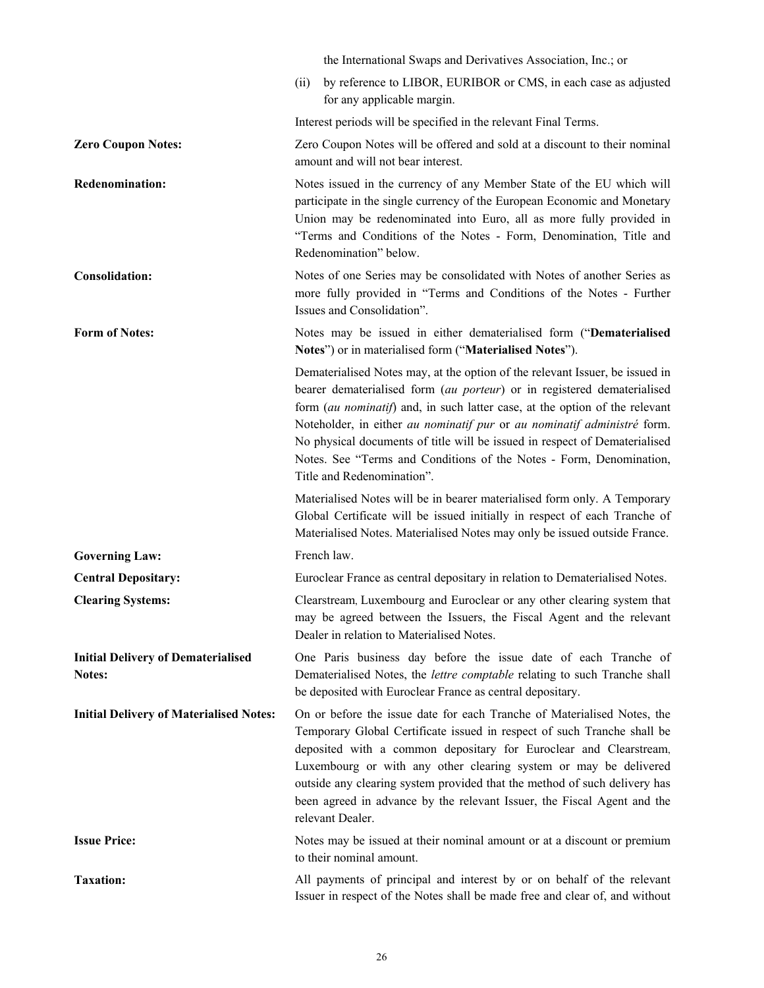|                                                     | the International Swaps and Derivatives Association, Inc.; or                                                                                                                                                                                                                                                                                                                                                                                                                                        |
|-----------------------------------------------------|------------------------------------------------------------------------------------------------------------------------------------------------------------------------------------------------------------------------------------------------------------------------------------------------------------------------------------------------------------------------------------------------------------------------------------------------------------------------------------------------------|
|                                                     | by reference to LIBOR, EURIBOR or CMS, in each case as adjusted<br>(ii)<br>for any applicable margin.                                                                                                                                                                                                                                                                                                                                                                                                |
|                                                     | Interest periods will be specified in the relevant Final Terms.                                                                                                                                                                                                                                                                                                                                                                                                                                      |
| <b>Zero Coupon Notes:</b>                           | Zero Coupon Notes will be offered and sold at a discount to their nominal<br>amount and will not bear interest.                                                                                                                                                                                                                                                                                                                                                                                      |
| <b>Redenomination:</b>                              | Notes issued in the currency of any Member State of the EU which will<br>participate in the single currency of the European Economic and Monetary<br>Union may be redenominated into Euro, all as more fully provided in<br>"Terms and Conditions of the Notes - Form, Denomination, Title and<br>Redenomination" below.                                                                                                                                                                             |
| <b>Consolidation:</b>                               | Notes of one Series may be consolidated with Notes of another Series as<br>more fully provided in "Terms and Conditions of the Notes - Further<br>Issues and Consolidation".                                                                                                                                                                                                                                                                                                                         |
| <b>Form of Notes:</b>                               | Notes may be issued in either dematerialised form ("Dematerialised<br>Notes") or in materialised form ("Materialised Notes").                                                                                                                                                                                                                                                                                                                                                                        |
|                                                     | Dematerialised Notes may, at the option of the relevant Issuer, be issued in<br>bearer dematerialised form (au porteur) or in registered dematerialised<br>form (au nominatif) and, in such latter case, at the option of the relevant<br>Noteholder, in either au nominatif pur or au nominatif administré form.<br>No physical documents of title will be issued in respect of Dematerialised<br>Notes. See "Terms and Conditions of the Notes - Form, Denomination,<br>Title and Redenomination". |
|                                                     | Materialised Notes will be in bearer materialised form only. A Temporary<br>Global Certificate will be issued initially in respect of each Tranche of<br>Materialised Notes. Materialised Notes may only be issued outside France.                                                                                                                                                                                                                                                                   |
| <b>Governing Law:</b>                               | French law.                                                                                                                                                                                                                                                                                                                                                                                                                                                                                          |
| <b>Central Depositary:</b>                          | Euroclear France as central depositary in relation to Dematerialised Notes.                                                                                                                                                                                                                                                                                                                                                                                                                          |
| <b>Clearing Systems:</b>                            | Clearstream, Luxembourg and Euroclear or any other clearing system that<br>may be agreed between the Issuers, the Fiscal Agent and the relevant<br>Dealer in relation to Materialised Notes.                                                                                                                                                                                                                                                                                                         |
| <b>Initial Delivery of Dematerialised</b><br>Notes: | One Paris business day before the issue date of each Tranche of<br>Dematerialised Notes, the lettre comptable relating to such Tranche shall<br>be deposited with Euroclear France as central depositary.                                                                                                                                                                                                                                                                                            |
| <b>Initial Delivery of Materialised Notes:</b>      | On or before the issue date for each Tranche of Materialised Notes, the<br>Temporary Global Certificate issued in respect of such Tranche shall be<br>deposited with a common depositary for Euroclear and Clearstream,<br>Luxembourg or with any other clearing system or may be delivered<br>outside any clearing system provided that the method of such delivery has<br>been agreed in advance by the relevant Issuer, the Fiscal Agent and the<br>relevant Dealer.                              |
| <b>Issue Price:</b>                                 | Notes may be issued at their nominal amount or at a discount or premium<br>to their nominal amount.                                                                                                                                                                                                                                                                                                                                                                                                  |
| <b>Taxation:</b>                                    | All payments of principal and interest by or on behalf of the relevant<br>Issuer in respect of the Notes shall be made free and clear of, and without                                                                                                                                                                                                                                                                                                                                                |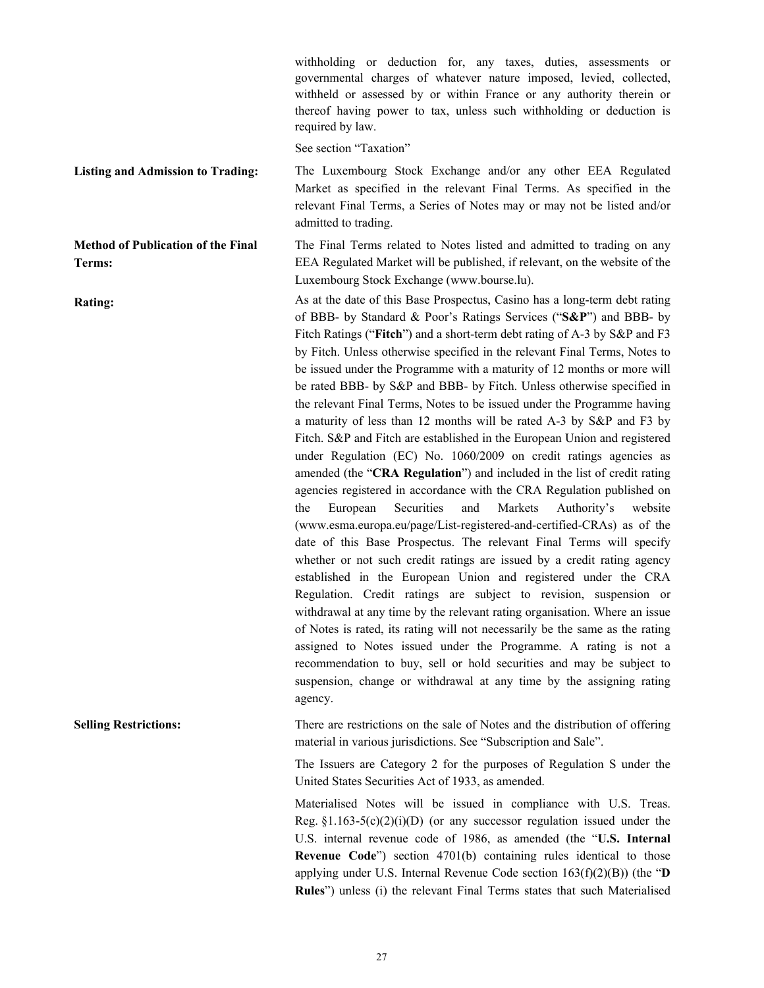withholding or deduction for, any taxes, duties, assessments or governmental charges of whatever nature imposed, levied, collected, withheld or assessed by or within France or any authority therein or thereof having power to tax, unless such withholding or deduction is required by law.

See section "Taxation"

#### **Listing and Admission to Trading:** The Luxembourg Stock Exchange and/or any other EEA Regulated

**Method of Publication of the Final Terms:**

Market as specified in the relevant Final Terms. As specified in the relevant Final Terms, a Series of Notes may or may not be listed and/or admitted to trading.

The Final Terms related to Notes listed and admitted to trading on any EEA Regulated Market will be published, if relevant, on the website of the Luxembourg Stock Exchange (www.bourse.lu).

**Rating:** As at the date of this Base Prospectus, Casino has a long-term debt rating of BBB- by Standard & Poor's Ratings Services ("**S&P**") and BBB- by Fitch Ratings ("**Fitch**") and a short-term debt rating of A-3 by S&P and F3 by Fitch. Unless otherwise specified in the relevant Final Terms, Notes to be issued under the Programme with a maturity of 12 months or more will be rated BBB- by S&P and BBB- by Fitch. Unless otherwise specified in the relevant Final Terms, Notes to be issued under the Programme having a maturity of less than 12 months will be rated A-3 by S&P and F3 by Fitch. S&P and Fitch are established in the European Union and registered under Regulation (EC) No. 1060/2009 on credit ratings agencies as amended (the "**CRA Regulation**") and included in the list of credit rating agencies registered in accordance with the CRA Regulation published on the European Securities and Markets Authority's website (www.esma.europa.eu/page/List-registered-and-certified-CRAs) as of the date of this Base Prospectus. The relevant Final Terms will specify whether or not such credit ratings are issued by a credit rating agency established in the European Union and registered under the CRA Regulation. Credit ratings are subject to revision, suspension or withdrawal at any time by the relevant rating organisation. Where an issue of Notes is rated, its rating will not necessarily be the same as the rating assigned to Notes issued under the Programme. A rating is not a recommendation to buy, sell or hold securities and may be subject to suspension, change or withdrawal at any time by the assigning rating agency.

**Selling Restrictions:** There are restrictions on the sale of Notes and the distribution of offering material in various jurisdictions. See "Subscription and Sale".

> The Issuers are Category 2 for the purposes of Regulation S under the United States Securities Act of 1933, as amended.

> Materialised Notes will be issued in compliance with U.S. Treas. Reg.  $$1.163-5(c)(2)(i)(D)$  (or any successor regulation issued under the U.S. internal revenue code of 1986, as amended (the "**U.S. Internal Revenue Code**") section 4701(b) containing rules identical to those applying under U.S. Internal Revenue Code section 163(f)(2)(B)) (the "**D Rules**") unless (i) the relevant Final Terms states that such Materialised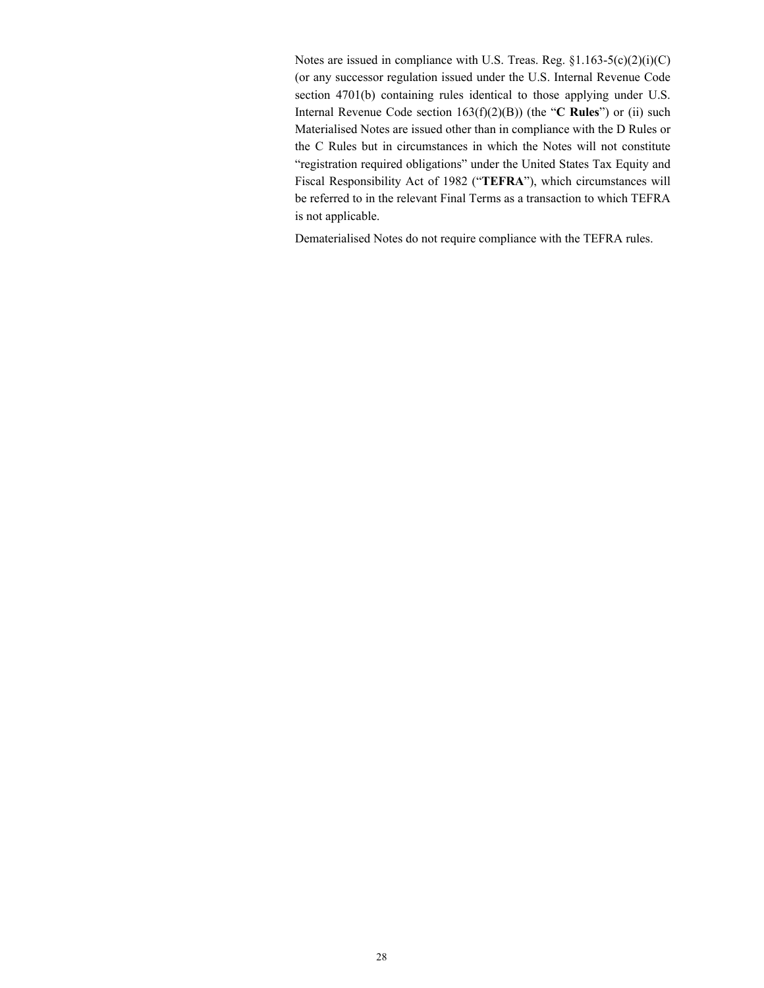Notes are issued in compliance with U.S. Treas. Reg. §1.163-5(c)(2)(i)(C) (or any successor regulation issued under the U.S. Internal Revenue Code section 4701(b) containing rules identical to those applying under U.S. Internal Revenue Code section 163(f)(2)(B)) (the "**C Rules**") or (ii) such Materialised Notes are issued other than in compliance with the D Rules or the C Rules but in circumstances in which the Notes will not constitute "registration required obligations" under the United States Tax Equity and Fiscal Responsibility Act of 1982 ("**TEFRA**"), which circumstances will be referred to in the relevant Final Terms as a transaction to which TEFRA is not applicable.

Dematerialised Notes do not require compliance with the TEFRA rules.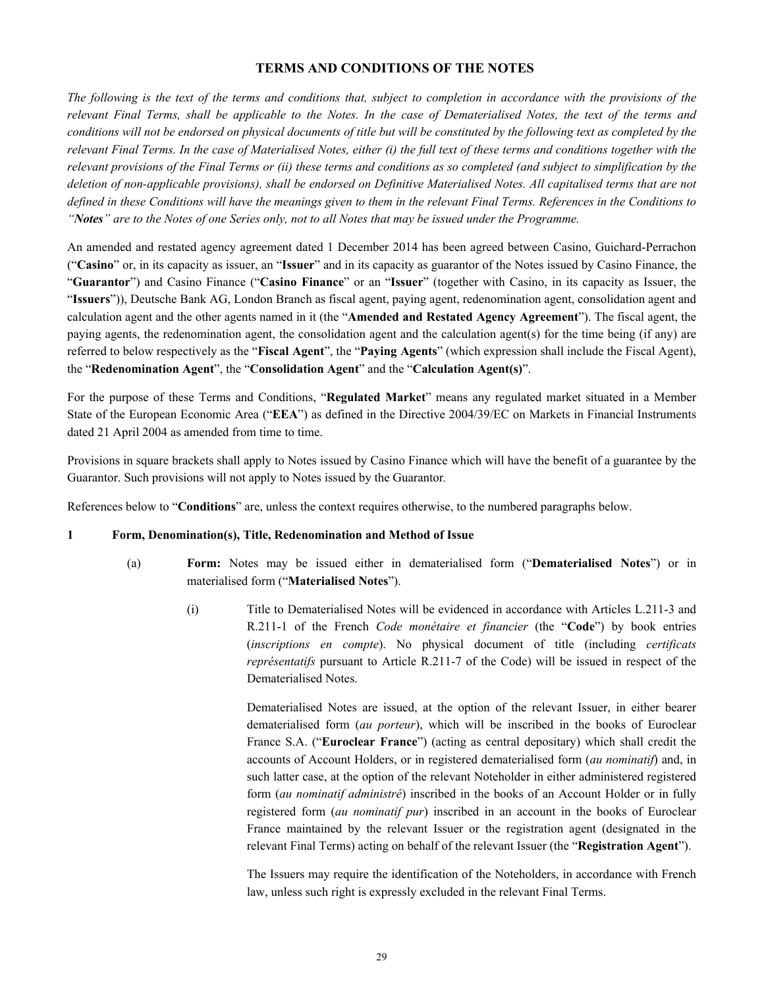# **TERMS AND CONDITIONS OF THE NOTES**

*The following is the text of the terms and conditions that, subject to completion in accordance with the provisions of the relevant Final Terms, shall be applicable to the Notes. In the case of Dematerialised Notes, the text of the terms and conditions will not be endorsed on physical documents of title but will be constituted by the following text as completed by the relevant Final Terms. In the case of Materialised Notes, either (i) the full text of these terms and conditions together with the relevant provisions of the Final Terms or (ii) these terms and conditions as so completed (and subject to simplification by the deletion of non-applicable provisions), shall be endorsed on Definitive Materialised Notes. All capitalised terms that are not defined in these Conditions will have the meanings given to them in the relevant Final Terms. References in the Conditions to "Notes" are to the Notes of one Series only, not to all Notes that may be issued under the Programme.*

An amended and restated agency agreement dated 1 December 2014 has been agreed between Casino, Guichard-Perrachon ("**Casino**" or, in its capacity as issuer, an "**Issuer**" and in its capacity as guarantor of the Notes issued by Casino Finance, the "**Guarantor**") and Casino Finance ("**Casino Finance**" or an "**Issuer**" (together with Casino, in its capacity as Issuer, the "**Issuers**")), Deutsche Bank AG, London Branch as fiscal agent, paying agent, redenomination agent, consolidation agent and calculation agent and the other agents named in it (the "**Amended and Restated Agency Agreement**"). The fiscal agent, the paying agents, the redenomination agent, the consolidation agent and the calculation agent(s) for the time being (if any) are referred to below respectively as the "**Fiscal Agent**", the "**Paying Agents**" (which expression shall include the Fiscal Agent), the "**Redenomination Agent**", the "**Consolidation Agent**" and the "**Calculation Agent(s)**".

For the purpose of these Terms and Conditions, "**Regulated Market**" means any regulated market situated in a Member State of the European Economic Area ("**EEA**") as defined in the Directive 2004/39/EC on Markets in Financial Instruments dated 21 April 2004 as amended from time to time.

Provisions in square brackets shall apply to Notes issued by Casino Finance which will have the benefit of a guarantee by the Guarantor. Such provisions will not apply to Notes issued by the Guarantor*.*

References below to "**Conditions**" are, unless the context requires otherwise, to the numbered paragraphs below.

#### **1 Form, Denomination(s), Title, Redenomination and Method of Issue**

- (a) **Form:** Notes may be issued either in dematerialised form ("**Dematerialised Notes**") or in materialised form ("**Materialised Notes**").
	- (i) Title to Dematerialised Notes will be evidenced in accordance with Articles L.211-3 and R.211-1 of the French *Code monétaire et financier* (the "**Code**") by book entries (*inscriptions en compte*). No physical document of title (including *certificats représentatifs* pursuant to Article R.211-7 of the Code) will be issued in respect of the Dematerialised Notes.

Dematerialised Notes are issued, at the option of the relevant Issuer, in either bearer dematerialised form (*au porteur*), which will be inscribed in the books of Euroclear France S.A. ("**Euroclear France**") (acting as central depositary) which shall credit the accounts of Account Holders, or in registered dematerialised form (*au nominatif*) and, in such latter case, at the option of the relevant Noteholder in either administered registered form (*au nominatif administré*) inscribed in the books of an Account Holder or in fully registered form (*au nominatif pur*) inscribed in an account in the books of Euroclear France maintained by the relevant Issuer or the registration agent (designated in the relevant Final Terms) acting on behalf of the relevant Issuer (the "**Registration Agent**").

The Issuers may require the identification of the Noteholders, in accordance with French law, unless such right is expressly excluded in the relevant Final Terms.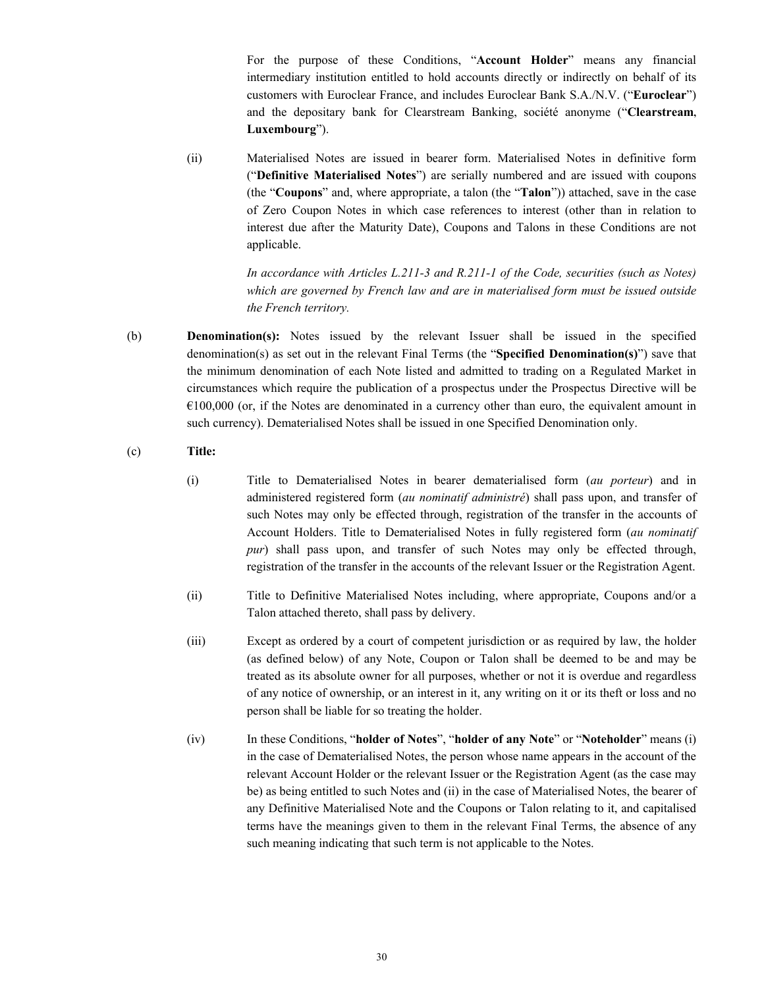For the purpose of these Conditions, "**Account Holder**" means any financial intermediary institution entitled to hold accounts directly or indirectly on behalf of its customers with Euroclear France, and includes Euroclear Bank S.A./N.V. ("**Euroclear**") and the depositary bank for Clearstream Banking, société anonyme ("**Clearstream, Luxembourg**").

(ii) Materialised Notes are issued in bearer form. Materialised Notes in definitive form ("**Definitive Materialised Notes**") are serially numbered and are issued with coupons (the "**Coupons**" and, where appropriate, a talon (the "**Talon**")) attached, save in the case of Zero Coupon Notes in which case references to interest (other than in relation to interest due after the Maturity Date), Coupons and Talons in these Conditions are not applicable.

> *In accordance with Articles L.211-3 and R.211-1 of the Code, securities (such as Notes) which are governed by French law and are in materialised form must be issued outside the French territory.*

(b) **Denomination(s):** Notes issued by the relevant Issuer shall be issued in the specified denomination(s) as set out in the relevant Final Terms (the "**Specified Denomination(s)**") save that the minimum denomination of each Note listed and admitted to trading on a Regulated Market in circumstances which require the publication of a prospectus under the Prospectus Directive will be  $€100,000$  (or, if the Notes are denominated in a currency other than euro, the equivalent amount in such currency). Dematerialised Notes shall be issued in one Specified Denomination only.

# (c) **Title:**

- (i) Title to Dematerialised Notes in bearer dematerialised form (*au porteur*) and in administered registered form (*au nominatif administré*) shall pass upon, and transfer of such Notes may only be effected through, registration of the transfer in the accounts of Account Holders. Title to Dematerialised Notes in fully registered form (*au nominatif pur*) shall pass upon, and transfer of such Notes may only be effected through, registration of the transfer in the accounts of the relevant Issuer or the Registration Agent.
- (ii) Title to Definitive Materialised Notes including, where appropriate, Coupons and/or a Talon attached thereto, shall pass by delivery.
- (iii) Except as ordered by a court of competent jurisdiction or as required by law, the holder (as defined below) of any Note, Coupon or Talon shall be deemed to be and may be treated as its absolute owner for all purposes, whether or not it is overdue and regardless of any notice of ownership, or an interest in it, any writing on it or its theft or loss and no person shall be liable for so treating the holder.
- (iv) In these Conditions, "**holder of Notes**", "**holder of any Note**" or "**Noteholder**" means (i) in the case of Dematerialised Notes, the person whose name appears in the account of the relevant Account Holder or the relevant Issuer or the Registration Agent (as the case may be) as being entitled to such Notes and (ii) in the case of Materialised Notes, the bearer of any Definitive Materialised Note and the Coupons or Talon relating to it, and capitalised terms have the meanings given to them in the relevant Final Terms, the absence of any such meaning indicating that such term is not applicable to the Notes.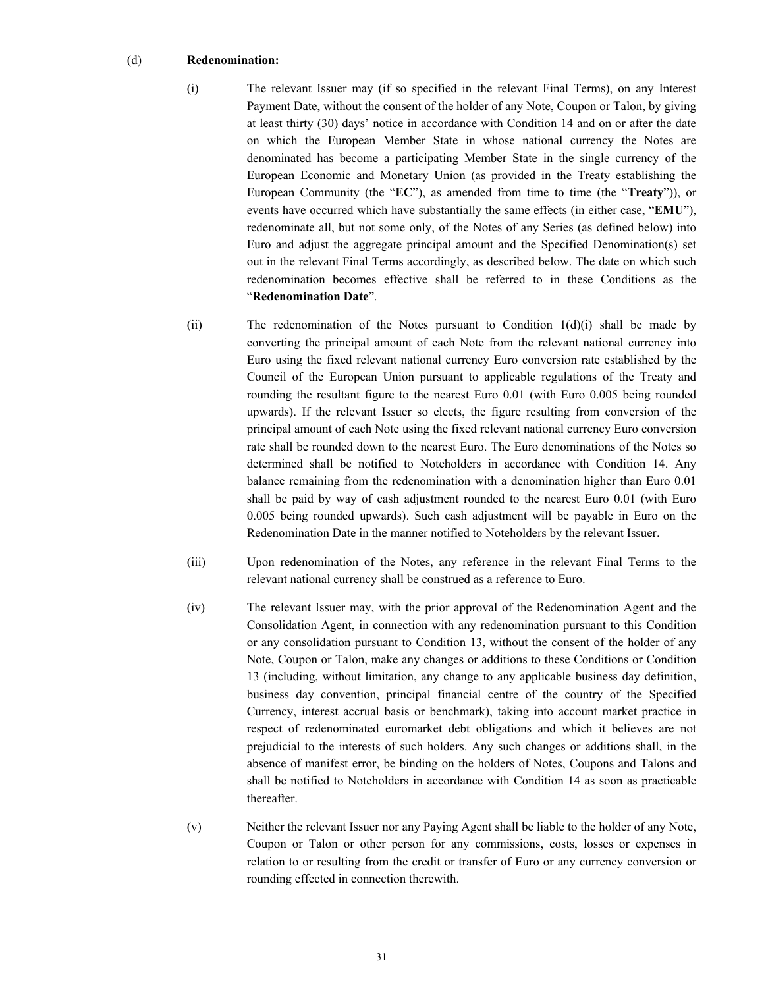#### (d) **Redenomination:**

- (i) The relevant Issuer may (if so specified in the relevant Final Terms), on any Interest Payment Date, without the consent of the holder of any Note, Coupon or Talon, by giving at least thirty (30) days' notice in accordance with Condition 14 and on or after the date on which the European Member State in whose national currency the Notes are denominated has become a participating Member State in the single currency of the European Economic and Monetary Union (as provided in the Treaty establishing the European Community (the "**EC**"), as amended from time to time (the "**Treaty**")), or events have occurred which have substantially the same effects (in either case, "**EMU**"), redenominate all, but not some only, of the Notes of any Series (as defined below) into Euro and adjust the aggregate principal amount and the Specified Denomination(s) set out in the relevant Final Terms accordingly, as described below. The date on which such redenomination becomes effective shall be referred to in these Conditions as the "**Redenomination Date**".
- (ii) The redenomination of the Notes pursuant to Condition  $1(d)(i)$  shall be made by converting the principal amount of each Note from the relevant national currency into Euro using the fixed relevant national currency Euro conversion rate established by the Council of the European Union pursuant to applicable regulations of the Treaty and rounding the resultant figure to the nearest Euro 0.01 (with Euro 0.005 being rounded upwards). If the relevant Issuer so elects, the figure resulting from conversion of the principal amount of each Note using the fixed relevant national currency Euro conversion rate shall be rounded down to the nearest Euro. The Euro denominations of the Notes so determined shall be notified to Noteholders in accordance with Condition 14. Any balance remaining from the redenomination with a denomination higher than Euro 0.01 shall be paid by way of cash adjustment rounded to the nearest Euro 0.01 (with Euro 0.005 being rounded upwards). Such cash adjustment will be payable in Euro on the Redenomination Date in the manner notified to Noteholders by the relevant Issuer.
- (iii) Upon redenomination of the Notes, any reference in the relevant Final Terms to the relevant national currency shall be construed as a reference to Euro.
- (iv) The relevant Issuer may, with the prior approval of the Redenomination Agent and the Consolidation Agent, in connection with any redenomination pursuant to this Condition or any consolidation pursuant to Condition 13, without the consent of the holder of any Note, Coupon or Talon, make any changes or additions to these Conditions or Condition 13 (including, without limitation, any change to any applicable business day definition, business day convention, principal financial centre of the country of the Specified Currency, interest accrual basis or benchmark), taking into account market practice in respect of redenominated euromarket debt obligations and which it believes are not prejudicial to the interests of such holders. Any such changes or additions shall, in the absence of manifest error, be binding on the holders of Notes, Coupons and Talons and shall be notified to Noteholders in accordance with Condition 14 as soon as practicable thereafter.
- (v) Neither the relevant Issuer nor any Paying Agent shall be liable to the holder of any Note, Coupon or Talon or other person for any commissions, costs, losses or expenses in relation to or resulting from the credit or transfer of Euro or any currency conversion or rounding effected in connection therewith.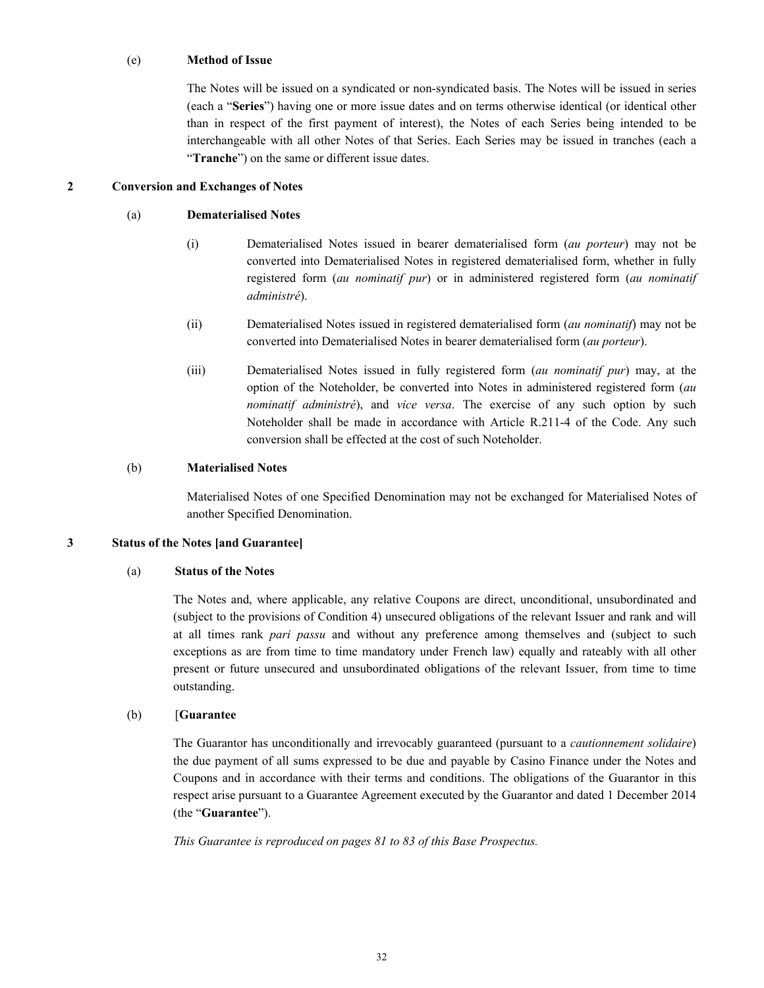#### (e) **Method of Issue**

The Notes will be issued on a syndicated or non-syndicated basis. The Notes will be issued in series (each a "**Series**") having one or more issue dates and on terms otherwise identical (or identical other than in respect of the first payment of interest), the Notes of each Series being intended to be interchangeable with all other Notes of that Series. Each Series may be issued in tranches (each a "**Tranche**") on the same or different issue dates.

#### **2 Conversion and Exchanges of Notes**

#### (a) **Dematerialised Notes**

- (i) Dematerialised Notes issued in bearer dematerialised form (*au porteur*) may not be converted into Dematerialised Notes in registered dematerialised form, whether in fully registered form (*au nominatif pur*) or in administered registered form (*au nominatif administré*).
- (ii) Dematerialised Notes issued in registered dematerialised form (*au nominatif*) may not be converted into Dematerialised Notes in bearer dematerialised form (*au porteur*).
- (iii) Dematerialised Notes issued in fully registered form (*au nominatif pur*) may, at the option of the Noteholder, be converted into Notes in administered registered form (*au nominatif administré*), and *vice versa*. The exercise of any such option by such Noteholder shall be made in accordance with Article R.211-4 of the Code. Any such conversion shall be effected at the cost of such Noteholder.

#### (b) **Materialised Notes**

Materialised Notes of one Specified Denomination may not be exchanged for Materialised Notes of another Specified Denomination.

# **3 Status of the Notes [and Guarantee]**

#### (a) **Status of the Notes**

The Notes and, where applicable, any relative Coupons are direct, unconditional, unsubordinated and (subject to the provisions of Condition 4) unsecured obligations of the relevant Issuer and rank and will at all times rank *pari passu* and without any preference among themselves and (subject to such exceptions as are from time to time mandatory under French law) equally and rateably with all other present or future unsecured and unsubordinated obligations of the relevant Issuer, from time to time outstanding.

#### (b) [**Guarantee**

The Guarantor has unconditionally and irrevocably guaranteed (pursuant to a *cautionnement solidaire*) the due payment of all sums expressed to be due and payable by Casino Finance under the Notes and Coupons and in accordance with their terms and conditions. The obligations of the Guarantor in this respect arise pursuant to a Guarantee Agreement executed by the Guarantor and dated 1 December 2014 (the "**Guarantee**").

*This Guarantee is reproduced on pages 81 to 83 of this Base Prospectus.*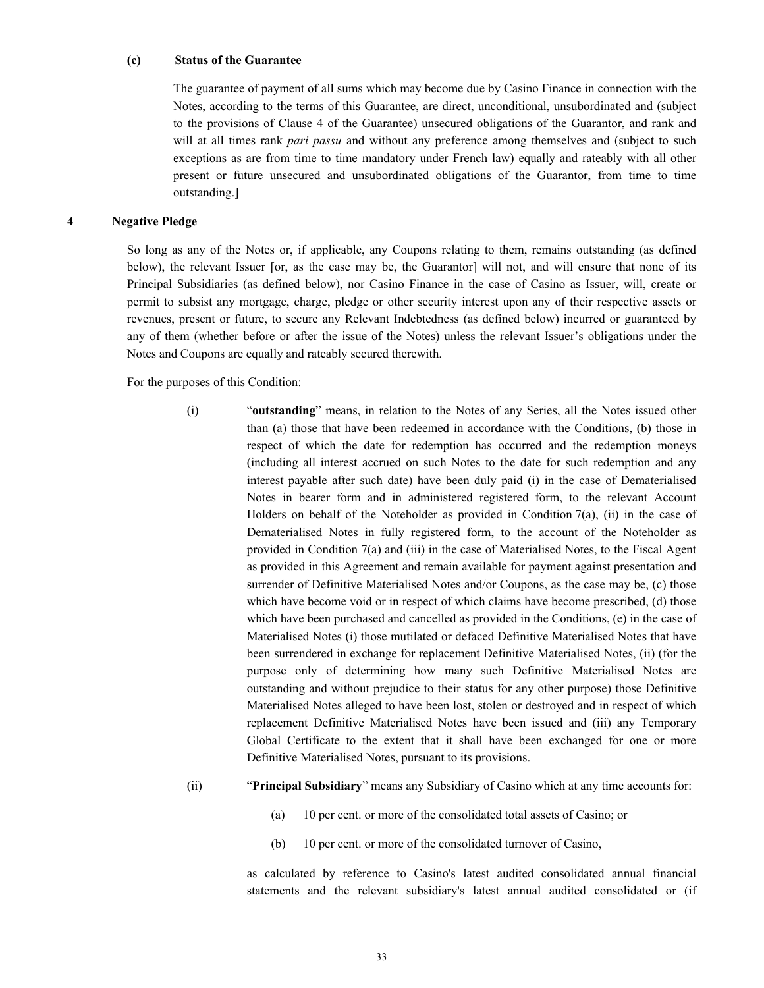#### **(c) Status of the Guarantee**

The guarantee of payment of all sums which may become due by Casino Finance in connection with the Notes, according to the terms of this Guarantee, are direct, unconditional, unsubordinated and (subject to the provisions of Clause 4 of the Guarantee) unsecured obligations of the Guarantor, and rank and will at all times rank *pari passu* and without any preference among themselves and (subject to such exceptions as are from time to time mandatory under French law) equally and rateably with all other present or future unsecured and unsubordinated obligations of the Guarantor, from time to time outstanding.]

#### **4 Negative Pledge**

So long as any of the Notes or, if applicable, any Coupons relating to them, remains outstanding (as defined below), the relevant Issuer [or, as the case may be, the Guarantor] will not, and will ensure that none of its Principal Subsidiaries (as defined below), nor Casino Finance in the case of Casino as Issuer, will, create or permit to subsist any mortgage, charge, pledge or other security interest upon any of their respective assets or revenues, present or future, to secure any Relevant Indebtedness (as defined below) incurred or guaranteed by any of them (whether before or after the issue of the Notes) unless the relevant Issuer's obligations under the Notes and Coupons are equally and rateably secured therewith.

For the purposes of this Condition:

- (i) "**outstanding**" means, in relation to the Notes of any Series, all the Notes issued other than (a) those that have been redeemed in accordance with the Conditions, (b) those in respect of which the date for redemption has occurred and the redemption moneys (including all interest accrued on such Notes to the date for such redemption and any interest payable after such date) have been duly paid (i) in the case of Dematerialised Notes in bearer form and in administered registered form, to the relevant Account Holders on behalf of the Noteholder as provided in Condition 7(a), (ii) in the case of Dematerialised Notes in fully registered form, to the account of the Noteholder as provided in Condition 7(a) and (iii) in the case of Materialised Notes, to the Fiscal Agent as provided in this Agreement and remain available for payment against presentation and surrender of Definitive Materialised Notes and/or Coupons, as the case may be, (c) those which have become void or in respect of which claims have become prescribed, (d) those which have been purchased and cancelled as provided in the Conditions, (e) in the case of Materialised Notes (i) those mutilated or defaced Definitive Materialised Notes that have been surrendered in exchange for replacement Definitive Materialised Notes, (ii) (for the purpose only of determining how many such Definitive Materialised Notes are outstanding and without prejudice to their status for any other purpose) those Definitive Materialised Notes alleged to have been lost, stolen or destroyed and in respect of which replacement Definitive Materialised Notes have been issued and (iii) any Temporary Global Certificate to the extent that it shall have been exchanged for one or more Definitive Materialised Notes, pursuant to its provisions.
- (ii) "**Principal Subsidiary**" means any Subsidiary of Casino which at any time accounts for:
	- (a) 10 per cent. or more of the consolidated total assets of Casino; or
	- (b) 10 per cent. or more of the consolidated turnover of Casino,

as calculated by reference to Casino's latest audited consolidated annual financial statements and the relevant subsidiary's latest annual audited consolidated or (if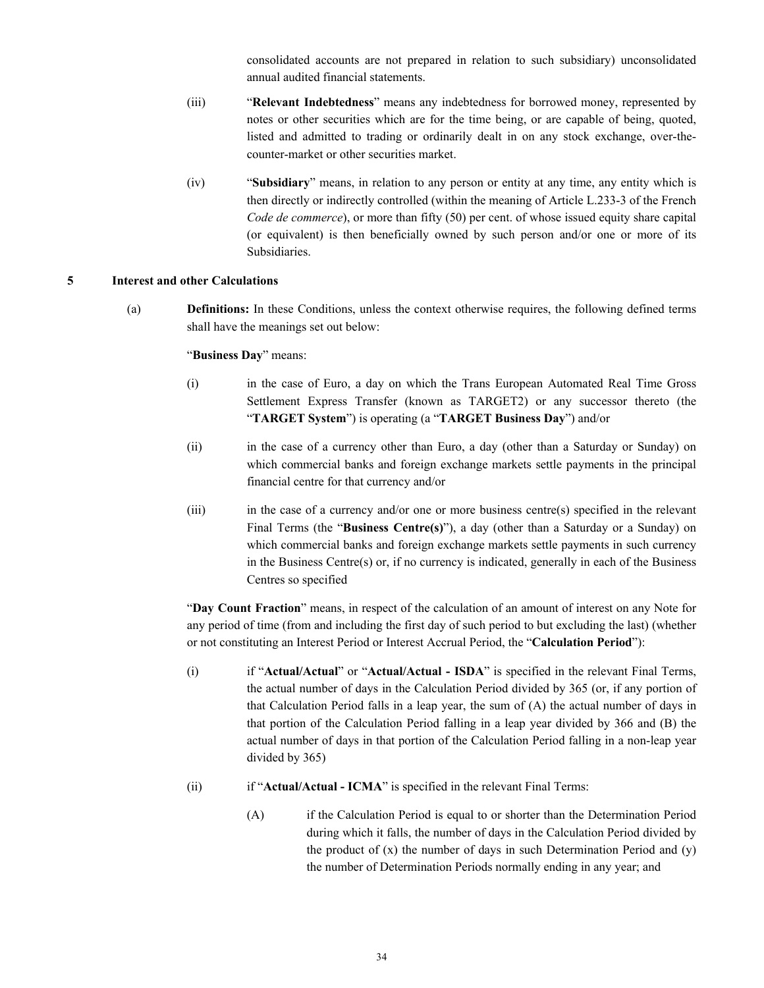consolidated accounts are not prepared in relation to such subsidiary) unconsolidated annual audited financial statements.

- (iii) "**Relevant Indebtedness**" means any indebtedness for borrowed money, represented by notes or other securities which are for the time being, or are capable of being, quoted, listed and admitted to trading or ordinarily dealt in on any stock exchange, over-thecounter-market or other securities market.
- (iv) "**Subsidiary**" means, in relation to any person or entity at any time, any entity which is then directly or indirectly controlled (within the meaning of Article L.233-3 of the French *Code de commerce*), or more than fifty (50) per cent. of whose issued equity share capital (or equivalent) is then beneficially owned by such person and/or one or more of its Subsidiaries.

#### **5 Interest and other Calculations**

(a) **Definitions:** In these Conditions, unless the context otherwise requires, the following defined terms shall have the meanings set out below:

"**Business Day**" means:

- (i) in the case of Euro, a day on which the Trans European Automated Real Time Gross Settlement Express Transfer (known as TARGET2) or any successor thereto (the "**TARGET System**") is operating (a "**TARGET Business Day**") and/or
- (ii) in the case of a currency other than Euro, a day (other than a Saturday or Sunday) on which commercial banks and foreign exchange markets settle payments in the principal financial centre for that currency and/or
- (iii) in the case of a currency and/or one or more business centre(s) specified in the relevant Final Terms (the "**Business Centre(s)**"), a day (other than a Saturday or a Sunday) on which commercial banks and foreign exchange markets settle payments in such currency in the Business Centre(s) or, if no currency is indicated, generally in each of the Business Centres so specified

"**Day Count Fraction**" means, in respect of the calculation of an amount of interest on any Note for any period of time (from and including the first day of such period to but excluding the last) (whether or not constituting an Interest Period or Interest Accrual Period, the "**Calculation Period**"):

- (i) if "**Actual/Actual**" or "**Actual/Actual - ISDA**" is specified in the relevant Final Terms, the actual number of days in the Calculation Period divided by 365 (or, if any portion of that Calculation Period falls in a leap year, the sum of (A) the actual number of days in that portion of the Calculation Period falling in a leap year divided by 366 and (B) the actual number of days in that portion of the Calculation Period falling in a non-leap year divided by 365)
- (ii) if "**Actual/Actual - ICMA**" is specified in the relevant Final Terms:
	- (A) if the Calculation Period is equal to or shorter than the Determination Period during which it falls, the number of days in the Calculation Period divided by the product of  $(x)$  the number of days in such Determination Period and  $(y)$ the number of Determination Periods normally ending in any year; and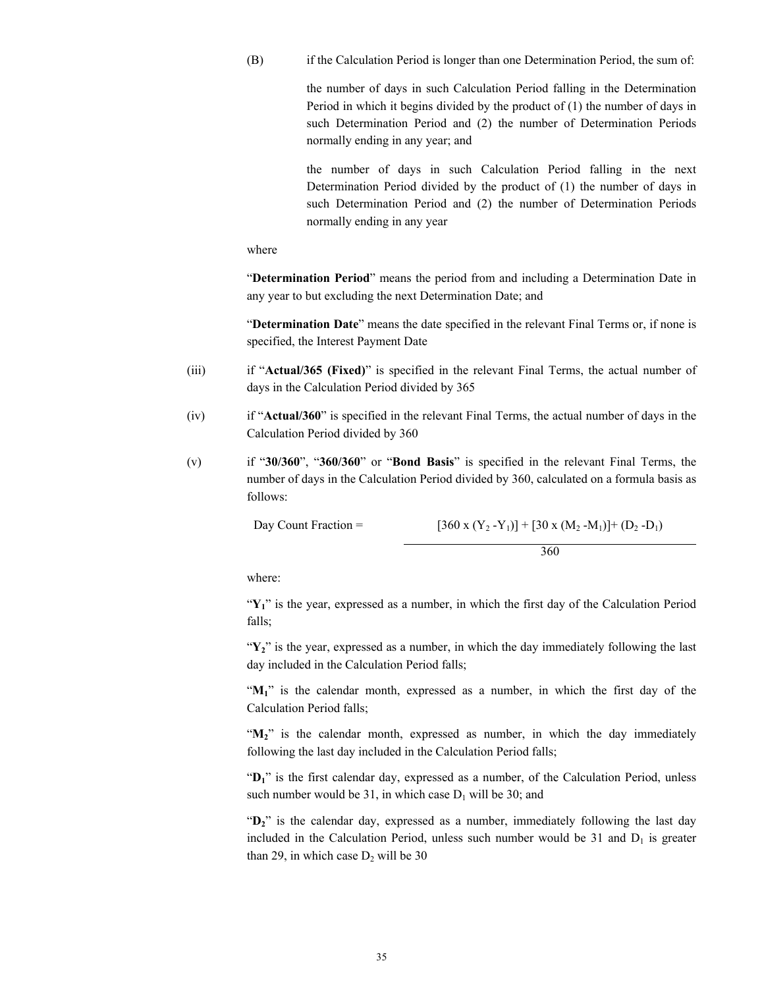(B) if the Calculation Period is longer than one Determination Period, the sum of:

the number of days in such Calculation Period falling in the Determination Period in which it begins divided by the product of (1) the number of days in such Determination Period and (2) the number of Determination Periods normally ending in any year; and

the number of days in such Calculation Period falling in the next Determination Period divided by the product of (1) the number of days in such Determination Period and (2) the number of Determination Periods normally ending in any year

where

"**Determination Period**" means the period from and including a Determination Date in any year to but excluding the next Determination Date; and

"**Determination Date**" means the date specified in the relevant Final Terms or, if none is specified, the Interest Payment Date

- (iii) if "**Actual/365 (Fixed)**" is specified in the relevant Final Terms, the actual number of days in the Calculation Period divided by 365
- (iv) if "**Actual/360**" is specified in the relevant Final Terms, the actual number of days in the Calculation Period divided by 360
- (v) if "**30/360**", "**360/360**" or "**Bond Basis**" is specified in the relevant Final Terms, the number of days in the Calculation Period divided by 360, calculated on a formula basis as follows:

Day Count Fraction =  $[360 \times (Y_2 - Y_1)] + [30 \times (M_2 - M_1)] + (D_2 - D_1)$ 

360

where:

"Y<sub>1</sub>" is the year, expressed as a number, in which the first day of the Calculation Period falls;

 $\mathbf{Y}_2$ " is the year, expressed as a number, in which the day immediately following the last day included in the Calculation Period falls;

"**M1**" is the calendar month, expressed as a number, in which the first day of the Calculation Period falls;

"M<sub>2</sub>" is the calendar month, expressed as number, in which the day immediately following the last day included in the Calculation Period falls;

"**D1**" is the first calendar day, expressed as a number, of the Calculation Period, unless such number would be 31, in which case  $D_1$  will be 30; and

"D<sub>2</sub>" is the calendar day, expressed as a number, immediately following the last day included in the Calculation Period, unless such number would be  $31$  and  $D_1$  is greater than 29, in which case  $D_2$  will be 30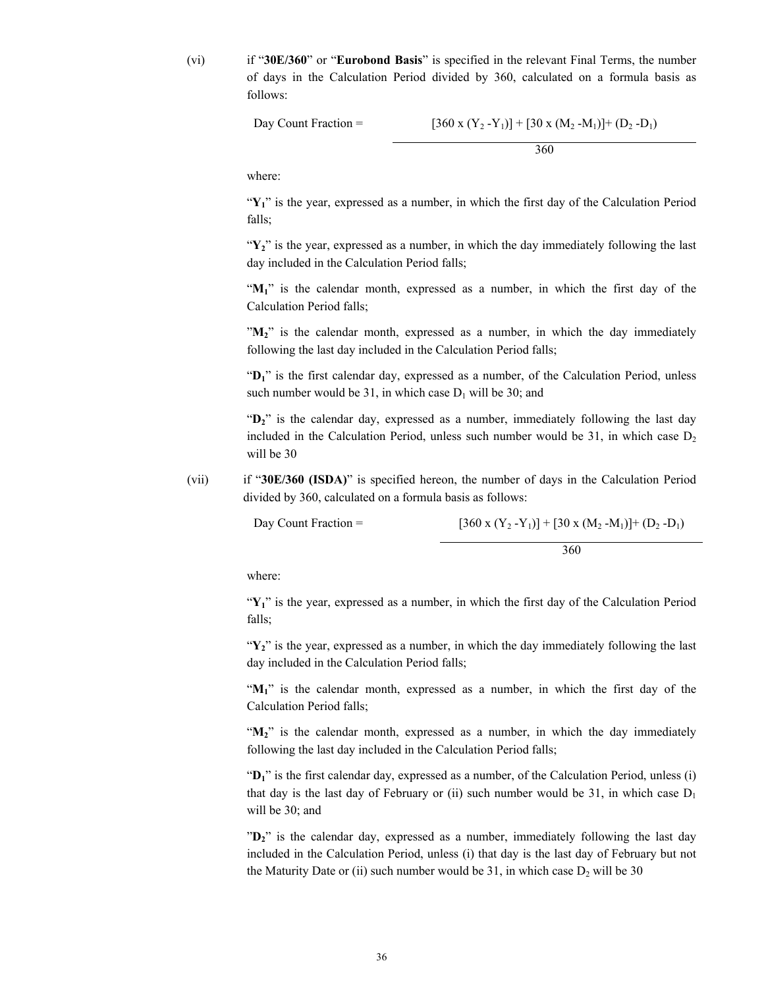(vi) if "**30E/360**" or "**Eurobond Basis**" is specified in the relevant Final Terms, the number of days in the Calculation Period divided by 360, calculated on a formula basis as follows:

Day Count Fraction = 
$$
[360 \times (Y_2 - Y_1)] + [30 \times (M_2 - M_1)] + (D_2 - D_1)
$$

360

where:

" $Y_1$ " is the year, expressed as a number, in which the first day of the Calculation Period falls;

"Y<sub>2</sub>" is the year, expressed as a number, in which the day immediately following the last day included in the Calculation Period falls;

"M<sub>1</sub>" is the calendar month, expressed as a number, in which the first day of the Calculation Period falls;

"**M2**" is the calendar month, expressed as a number, in which the day immediately following the last day included in the Calculation Period falls;

"**D1**" is the first calendar day, expressed as a number, of the Calculation Period, unless such number would be 31, in which case  $D_1$  will be 30; and

"D<sub>2</sub>" is the calendar day, expressed as a number, immediately following the last day included in the Calculation Period, unless such number would be  $31$ , in which case  $D<sub>2</sub>$ will be 30

(vii) if "**30E/360 (ISDA)**" is specified hereon, the number of days in the Calculation Period divided by 360, calculated on a formula basis as follows:

Day Count Fraction =  $[360 \times (Y_2 - Y_1)] + [30 \times (M_2 - M_1)] + (D_2 - D_1)$ 

360

where:

"Y<sub>1</sub>" is the year, expressed as a number, in which the first day of the Calculation Period falls;

"Y<sub>2</sub>" is the year, expressed as a number, in which the day immediately following the last day included in the Calculation Period falls;

"**M1**" is the calendar month, expressed as a number, in which the first day of the Calculation Period falls;

"M<sub>2</sub>" is the calendar month, expressed as a number, in which the day immediately following the last day included in the Calculation Period falls;

"D<sub>1</sub>" is the first calendar day, expressed as a number, of the Calculation Period, unless (i) that day is the last day of February or (ii) such number would be 31, in which case  $D_1$ will be 30; and

"**D2**" is the calendar day, expressed as a number, immediately following the last day included in the Calculation Period, unless (i) that day is the last day of February but not the Maturity Date or (ii) such number would be 31, in which case  $D_2$  will be 30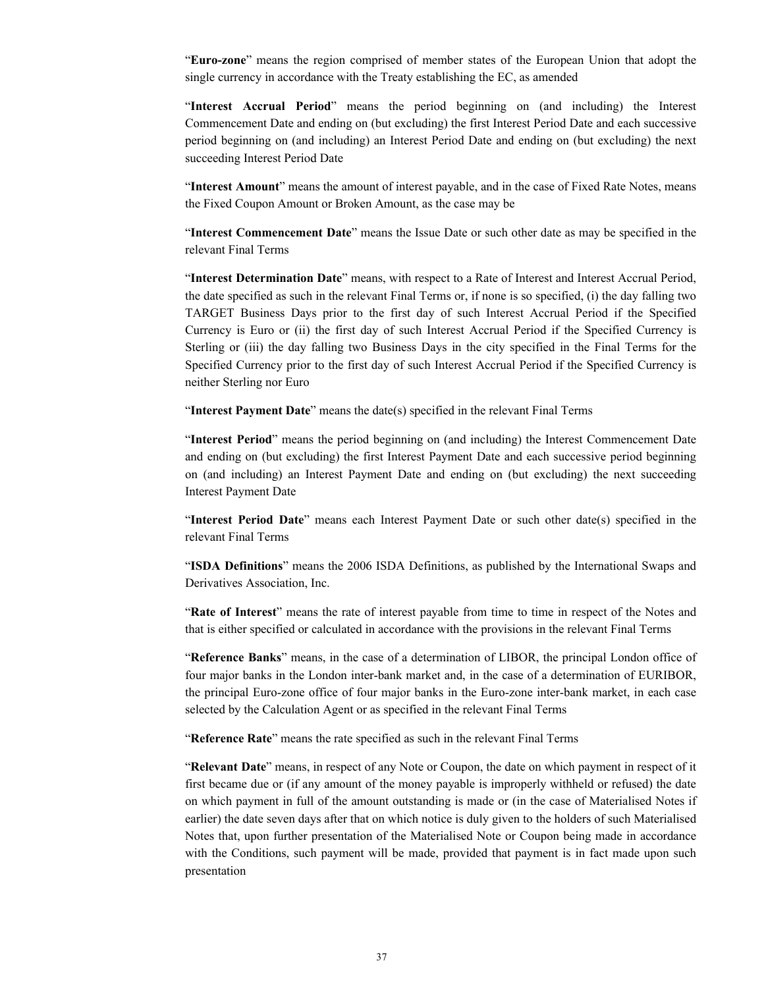"**Euro-zone**" means the region comprised of member states of the European Union that adopt the single currency in accordance with the Treaty establishing the EC, as amended

"**Interest Accrual Period**" means the period beginning on (and including) the Interest Commencement Date and ending on (but excluding) the first Interest Period Date and each successive period beginning on (and including) an Interest Period Date and ending on (but excluding) the next succeeding Interest Period Date

"**Interest Amount**" means the amount of interest payable, and in the case of Fixed Rate Notes, means the Fixed Coupon Amount or Broken Amount, as the case may be

"**Interest Commencement Date**" means the Issue Date or such other date as may be specified in the relevant Final Terms

"**Interest Determination Date**" means, with respect to a Rate of Interest and Interest Accrual Period, the date specified as such in the relevant Final Terms or, if none is so specified, (i) the day falling two TARGET Business Days prior to the first day of such Interest Accrual Period if the Specified Currency is Euro or (ii) the first day of such Interest Accrual Period if the Specified Currency is Sterling or (iii) the day falling two Business Days in the city specified in the Final Terms for the Specified Currency prior to the first day of such Interest Accrual Period if the Specified Currency is neither Sterling nor Euro

"**Interest Payment Date**" means the date(s) specified in the relevant Final Terms

"**Interest Period**" means the period beginning on (and including) the Interest Commencement Date and ending on (but excluding) the first Interest Payment Date and each successive period beginning on (and including) an Interest Payment Date and ending on (but excluding) the next succeeding Interest Payment Date

"**Interest Period Date**" means each Interest Payment Date or such other date(s) specified in the relevant Final Terms

"**ISDA Definitions**" means the 2006 ISDA Definitions, as published by the International Swaps and Derivatives Association, Inc.

"**Rate of Interest**" means the rate of interest payable from time to time in respect of the Notes and that is either specified or calculated in accordance with the provisions in the relevant Final Terms

"**Reference Banks**" means, in the case of a determination of LIBOR, the principal London office of four major banks in the London inter-bank market and, in the case of a determination of EURIBOR, the principal Euro-zone office of four major banks in the Euro-zone inter-bank market, in each case selected by the Calculation Agent or as specified in the relevant Final Terms

"**Reference Rate**" means the rate specified as such in the relevant Final Terms

"**Relevant Date**" means, in respect of any Note or Coupon, the date on which payment in respect of it first became due or (if any amount of the money payable is improperly withheld or refused) the date on which payment in full of the amount outstanding is made or (in the case of Materialised Notes if earlier) the date seven days after that on which notice is duly given to the holders of such Materialised Notes that, upon further presentation of the Materialised Note or Coupon being made in accordance with the Conditions, such payment will be made, provided that payment is in fact made upon such presentation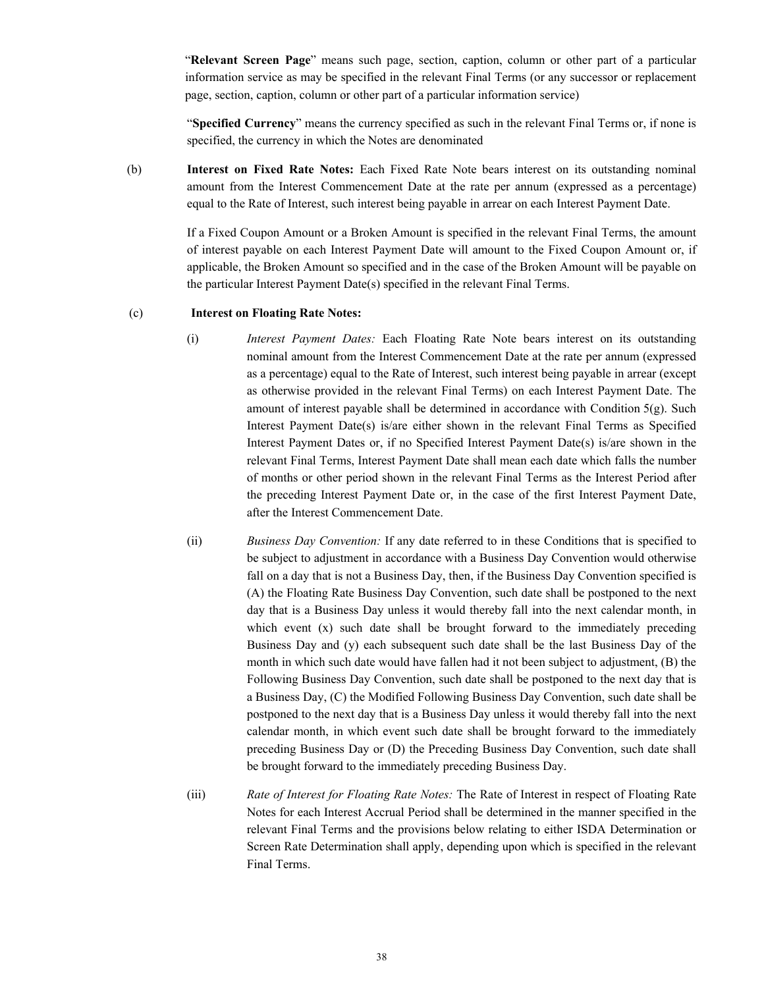"**Relevant Screen Page**" means such page, section, caption, column or other part of a particular information service as may be specified in the relevant Final Terms (or any successor or replacement page, section, caption, column or other part of a particular information service)

"**Specified Currency**" means the currency specified as such in the relevant Final Terms or, if none is specified, the currency in which the Notes are denominated

(b) **Interest on Fixed Rate Notes:** Each Fixed Rate Note bears interest on its outstanding nominal amount from the Interest Commencement Date at the rate per annum (expressed as a percentage) equal to the Rate of Interest, such interest being payable in arrear on each Interest Payment Date.

> If a Fixed Coupon Amount or a Broken Amount is specified in the relevant Final Terms, the amount of interest payable on each Interest Payment Date will amount to the Fixed Coupon Amount or, if applicable, the Broken Amount so specified and in the case of the Broken Amount will be payable on the particular Interest Payment Date(s) specified in the relevant Final Terms.

### (c) **Interest on Floating Rate Notes:**

- (i) *Interest Payment Dates:* Each Floating Rate Note bears interest on its outstanding nominal amount from the Interest Commencement Date at the rate per annum (expressed as a percentage) equal to the Rate of Interest, such interest being payable in arrear (except as otherwise provided in the relevant Final Terms) on each Interest Payment Date. The amount of interest payable shall be determined in accordance with Condition 5(g). Such Interest Payment Date(s) is/are either shown in the relevant Final Terms as Specified Interest Payment Dates or, if no Specified Interest Payment Date(s) is/are shown in the relevant Final Terms, Interest Payment Date shall mean each date which falls the number of months or other period shown in the relevant Final Terms as the Interest Period after the preceding Interest Payment Date or, in the case of the first Interest Payment Date, after the Interest Commencement Date.
- (ii) *Business Day Convention:* If any date referred to in these Conditions that is specified to be subject to adjustment in accordance with a Business Day Convention would otherwise fall on a day that is not a Business Day, then, if the Business Day Convention specified is (A) the Floating Rate Business Day Convention, such date shall be postponed to the next day that is a Business Day unless it would thereby fall into the next calendar month, in which event (x) such date shall be brought forward to the immediately preceding Business Day and (y) each subsequent such date shall be the last Business Day of the month in which such date would have fallen had it not been subject to adjustment, (B) the Following Business Day Convention, such date shall be postponed to the next day that is a Business Day, (C) the Modified Following Business Day Convention, such date shall be postponed to the next day that is a Business Day unless it would thereby fall into the next calendar month, in which event such date shall be brought forward to the immediately preceding Business Day or (D) the Preceding Business Day Convention, such date shall be brought forward to the immediately preceding Business Day.
- (iii) *Rate of Interest for Floating Rate Notes:* The Rate of Interest in respect of Floating Rate Notes for each Interest Accrual Period shall be determined in the manner specified in the relevant Final Terms and the provisions below relating to either ISDA Determination or Screen Rate Determination shall apply, depending upon which is specified in the relevant Final Terms.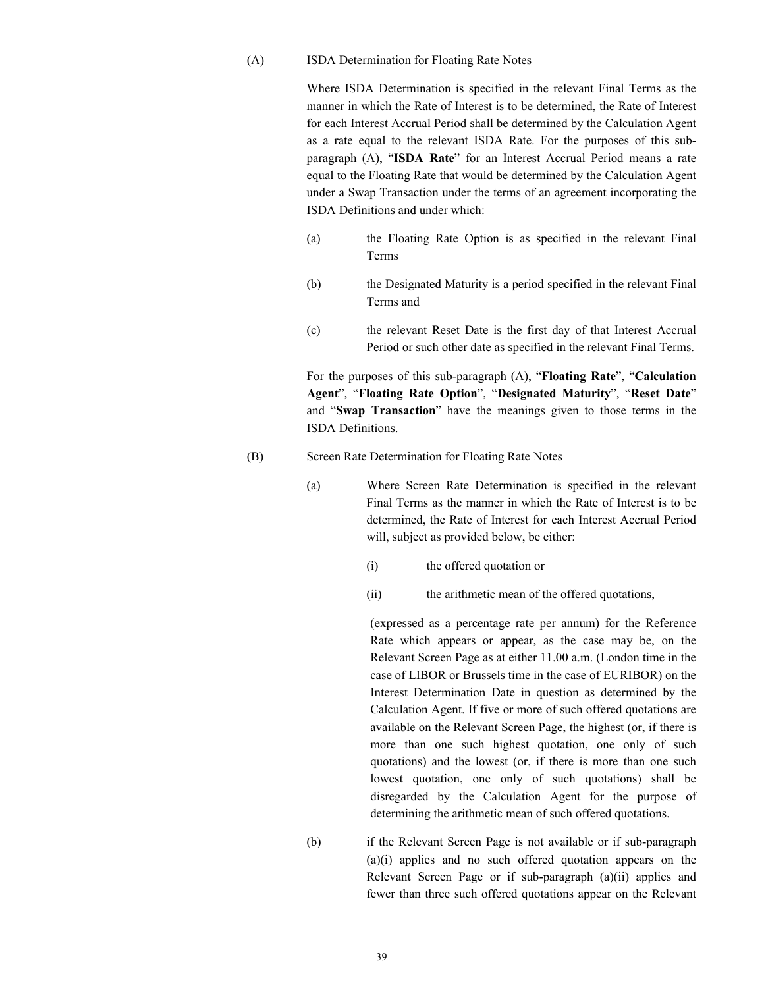### (A) ISDA Determination for Floating Rate Notes

Where ISDA Determination is specified in the relevant Final Terms as the manner in which the Rate of Interest is to be determined, the Rate of Interest for each Interest Accrual Period shall be determined by the Calculation Agent as a rate equal to the relevant ISDA Rate. For the purposes of this subparagraph (A), "**ISDA Rate**" for an Interest Accrual Period means a rate equal to the Floating Rate that would be determined by the Calculation Agent under a Swap Transaction under the terms of an agreement incorporating the ISDA Definitions and under which:

- (a) the Floating Rate Option is as specified in the relevant Final Terms
- (b) the Designated Maturity is a period specified in the relevant Final Terms and
- (c) the relevant Reset Date is the first day of that Interest Accrual Period or such other date as specified in the relevant Final Terms.

For the purposes of this sub-paragraph (A), "**Floating Rate**", "**Calculation Agent**", "**Floating Rate Option**", "**Designated Maturity**", "**Reset Date**" and "**Swap Transaction**" have the meanings given to those terms in the ISDA Definitions.

#### (B) Screen Rate Determination for Floating Rate Notes

- (a) Where Screen Rate Determination is specified in the relevant Final Terms as the manner in which the Rate of Interest is to be determined, the Rate of Interest for each Interest Accrual Period will, subject as provided below, be either:
	- (i) the offered quotation or
	- (ii) the arithmetic mean of the offered quotations,

(expressed as a percentage rate per annum) for the Reference Rate which appears or appear, as the case may be, on the Relevant Screen Page as at either 11.00 a.m. (London time in the case of LIBOR or Brussels time in the case of EURIBOR) on the Interest Determination Date in question as determined by the Calculation Agent. If five or more of such offered quotations are available on the Relevant Screen Page, the highest (or, if there is more than one such highest quotation, one only of such quotations) and the lowest (or, if there is more than one such lowest quotation, one only of such quotations) shall be disregarded by the Calculation Agent for the purpose of determining the arithmetic mean of such offered quotations.

(b) if the Relevant Screen Page is not available or if sub-paragraph (a)(i) applies and no such offered quotation appears on the Relevant Screen Page or if sub-paragraph (a)(ii) applies and fewer than three such offered quotations appear on the Relevant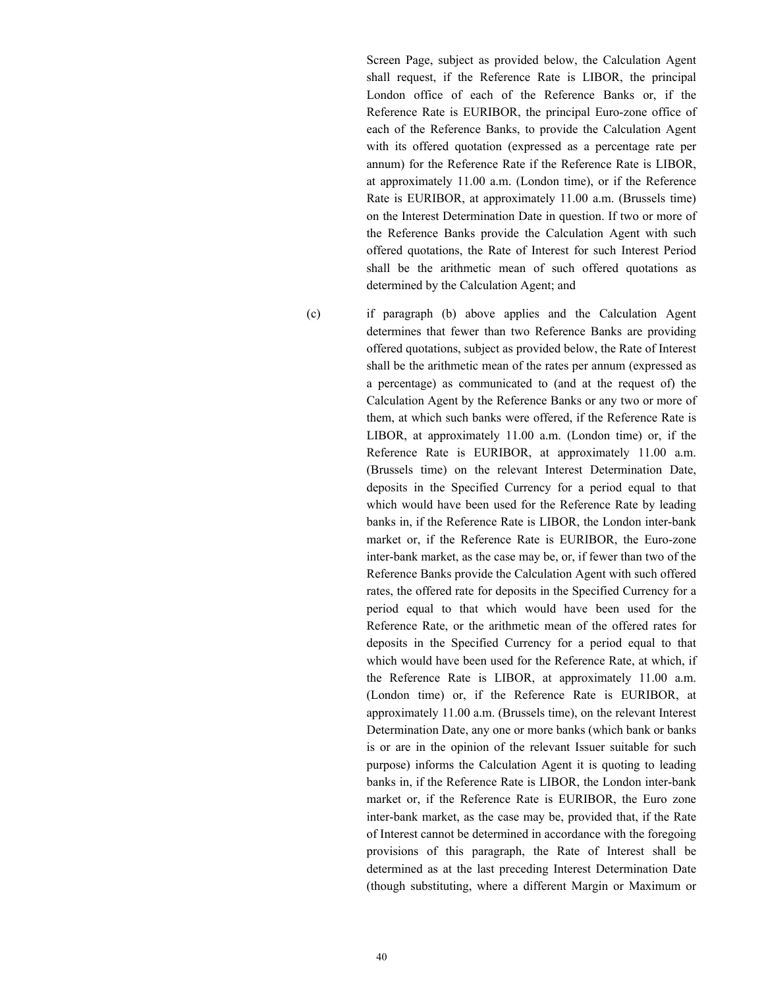Screen Page, subject as provided below, the Calculation Agent shall request, if the Reference Rate is LIBOR, the principal London office of each of the Reference Banks or, if the Reference Rate is EURIBOR, the principal Euro-zone office of each of the Reference Banks, to provide the Calculation Agent with its offered quotation (expressed as a percentage rate per annum) for the Reference Rate if the Reference Rate is LIBOR, at approximately 11.00 a.m. (London time), or if the Reference Rate is EURIBOR, at approximately 11.00 a.m. (Brussels time) on the Interest Determination Date in question. If two or more of the Reference Banks provide the Calculation Agent with such offered quotations, the Rate of Interest for such Interest Period shall be the arithmetic mean of such offered quotations as determined by the Calculation Agent; and

(c) if paragraph (b) above applies and the Calculation Agent determines that fewer than two Reference Banks are providing offered quotations, subject as provided below, the Rate of Interest shall be the arithmetic mean of the rates per annum (expressed as a percentage) as communicated to (and at the request of) the Calculation Agent by the Reference Banks or any two or more of them, at which such banks were offered, if the Reference Rate is LIBOR, at approximately 11.00 a.m. (London time) or, if the Reference Rate is EURIBOR, at approximately 11.00 a.m. (Brussels time) on the relevant Interest Determination Date, deposits in the Specified Currency for a period equal to that which would have been used for the Reference Rate by leading banks in, if the Reference Rate is LIBOR, the London inter-bank market or, if the Reference Rate is EURIBOR, the Euro-zone inter-bank market, as the case may be, or, if fewer than two of the Reference Banks provide the Calculation Agent with such offered rates, the offered rate for deposits in the Specified Currency for a period equal to that which would have been used for the Reference Rate, or the arithmetic mean of the offered rates for deposits in the Specified Currency for a period equal to that which would have been used for the Reference Rate, at which, if the Reference Rate is LIBOR, at approximately 11.00 a.m. (London time) or, if the Reference Rate is EURIBOR, at approximately 11.00 a.m. (Brussels time), on the relevant Interest Determination Date, any one or more banks (which bank or banks is or are in the opinion of the relevant Issuer suitable for such purpose) informs the Calculation Agent it is quoting to leading banks in, if the Reference Rate is LIBOR, the London inter-bank market or, if the Reference Rate is EURIBOR, the Euro zone inter-bank market, as the case may be, provided that, if the Rate of Interest cannot be determined in accordance with the foregoing provisions of this paragraph, the Rate of Interest shall be determined as at the last preceding Interest Determination Date (though substituting, where a different Margin or Maximum or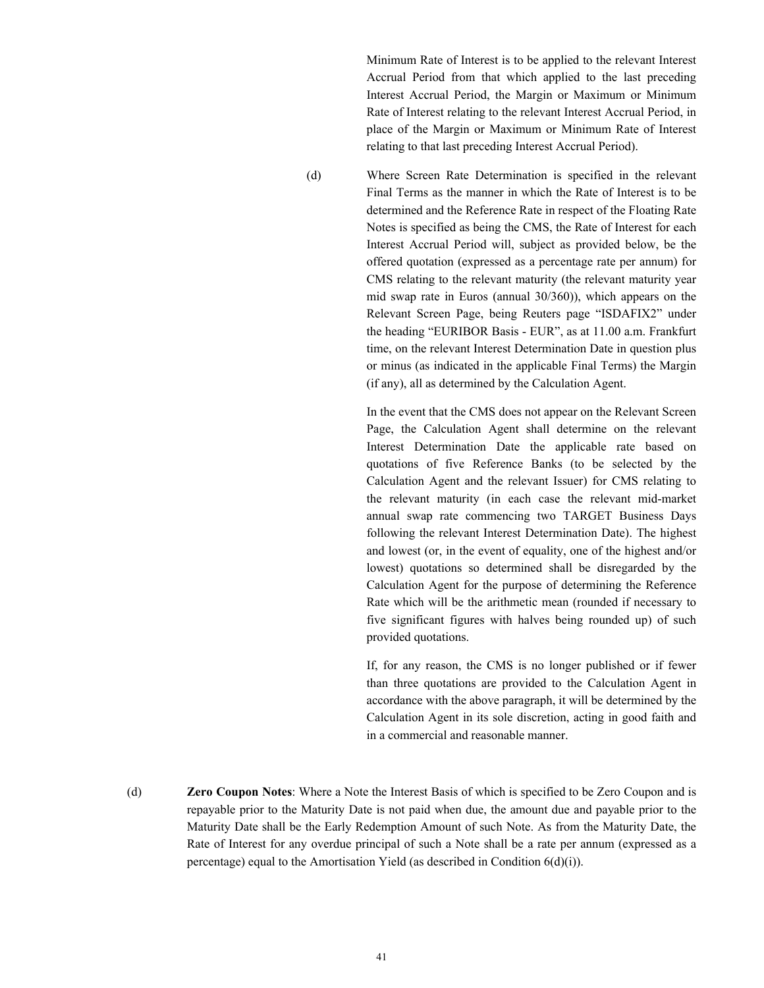Minimum Rate of Interest is to be applied to the relevant Interest Accrual Period from that which applied to the last preceding Interest Accrual Period, the Margin or Maximum or Minimum Rate of Interest relating to the relevant Interest Accrual Period, in place of the Margin or Maximum or Minimum Rate of Interest relating to that last preceding Interest Accrual Period).

(d) Where Screen Rate Determination is specified in the relevant Final Terms as the manner in which the Rate of Interest is to be determined and the Reference Rate in respect of the Floating Rate Notes is specified as being the CMS, the Rate of Interest for each Interest Accrual Period will, subject as provided below, be the offered quotation (expressed as a percentage rate per annum) for CMS relating to the relevant maturity (the relevant maturity year mid swap rate in Euros (annual 30/360)), which appears on the Relevant Screen Page, being Reuters page "ISDAFIX2" under the heading "EURIBOR Basis - EUR", as at 11.00 a.m. Frankfurt time, on the relevant Interest Determination Date in question plus or minus (as indicated in the applicable Final Terms) the Margin (if any), all as determined by the Calculation Agent.

> In the event that the CMS does not appear on the Relevant Screen Page, the Calculation Agent shall determine on the relevant Interest Determination Date the applicable rate based on quotations of five Reference Banks (to be selected by the Calculation Agent and the relevant Issuer) for CMS relating to the relevant maturity (in each case the relevant mid-market annual swap rate commencing two TARGET Business Days following the relevant Interest Determination Date). The highest and lowest (or, in the event of equality, one of the highest and/or lowest) quotations so determined shall be disregarded by the Calculation Agent for the purpose of determining the Reference Rate which will be the arithmetic mean (rounded if necessary to five significant figures with halves being rounded up) of such provided quotations.

> If, for any reason, the CMS is no longer published or if fewer than three quotations are provided to the Calculation Agent in accordance with the above paragraph, it will be determined by the Calculation Agent in its sole discretion, acting in good faith and in a commercial and reasonable manner.

(d) **Zero Coupon Notes**: Where a Note the Interest Basis of which is specified to be Zero Coupon and is repayable prior to the Maturity Date is not paid when due, the amount due and payable prior to the Maturity Date shall be the Early Redemption Amount of such Note. As from the Maturity Date, the Rate of Interest for any overdue principal of such a Note shall be a rate per annum (expressed as a percentage) equal to the Amortisation Yield (as described in Condition 6(d)(i)).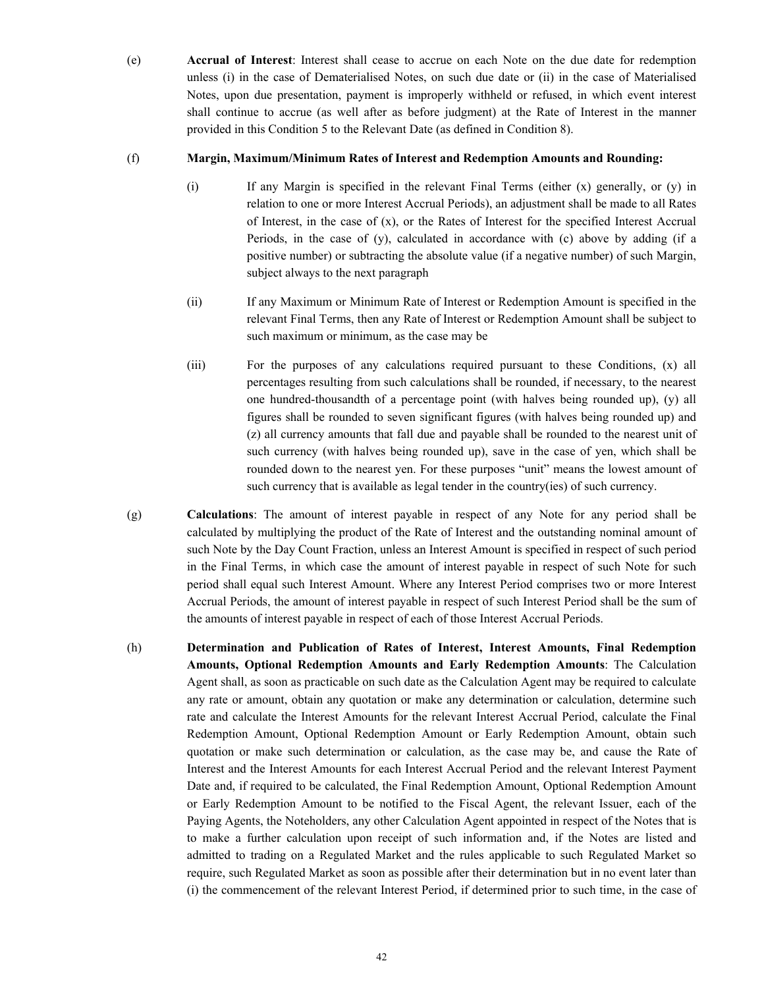(e) **Accrual of Interest**: Interest shall cease to accrue on each Note on the due date for redemption unless (i) in the case of Dematerialised Notes, on such due date or (ii) in the case of Materialised Notes, upon due presentation, payment is improperly withheld or refused, in which event interest shall continue to accrue (as well after as before judgment) at the Rate of Interest in the manner provided in this Condition 5 to the Relevant Date (as defined in Condition 8).

# (f) **Margin, Maximum/Minimum Rates of Interest and Redemption Amounts and Rounding:**

- (i) If any Margin is specified in the relevant Final Terms (either (x) generally, or (y) in relation to one or more Interest Accrual Periods), an adjustment shall be made to all Rates of Interest, in the case of  $(x)$ , or the Rates of Interest for the specified Interest Accrual Periods, in the case of (y), calculated in accordance with (c) above by adding (if a positive number) or subtracting the absolute value (if a negative number) of such Margin, subject always to the next paragraph
- (ii) If any Maximum or Minimum Rate of Interest or Redemption Amount is specified in the relevant Final Terms, then any Rate of Interest or Redemption Amount shall be subject to such maximum or minimum, as the case may be
- (iii) For the purposes of any calculations required pursuant to these Conditions, (x) all percentages resulting from such calculations shall be rounded, if necessary, to the nearest one hundred-thousandth of a percentage point (with halves being rounded up), (y) all figures shall be rounded to seven significant figures (with halves being rounded up) and (z) all currency amounts that fall due and payable shall be rounded to the nearest unit of such currency (with halves being rounded up), save in the case of yen, which shall be rounded down to the nearest yen. For these purposes "unit" means the lowest amount of such currency that is available as legal tender in the country(ies) of such currency.
- (g) **Calculations**: The amount of interest payable in respect of any Note for any period shall be calculated by multiplying the product of the Rate of Interest and the outstanding nominal amount of such Note by the Day Count Fraction, unless an Interest Amount is specified in respect of such period in the Final Terms, in which case the amount of interest payable in respect of such Note for such period shall equal such Interest Amount. Where any Interest Period comprises two or more Interest Accrual Periods, the amount of interest payable in respect of such Interest Period shall be the sum of the amounts of interest payable in respect of each of those Interest Accrual Periods.
- (h) **Determination and Publication of Rates of Interest, Interest Amounts, Final Redemption Amounts, Optional Redemption Amounts and Early Redemption Amounts**: The Calculation Agent shall, as soon as practicable on such date as the Calculation Agent may be required to calculate any rate or amount, obtain any quotation or make any determination or calculation, determine such rate and calculate the Interest Amounts for the relevant Interest Accrual Period, calculate the Final Redemption Amount, Optional Redemption Amount or Early Redemption Amount, obtain such quotation or make such determination or calculation, as the case may be, and cause the Rate of Interest and the Interest Amounts for each Interest Accrual Period and the relevant Interest Payment Date and, if required to be calculated, the Final Redemption Amount, Optional Redemption Amount or Early Redemption Amount to be notified to the Fiscal Agent, the relevant Issuer, each of the Paying Agents, the Noteholders, any other Calculation Agent appointed in respect of the Notes that is to make a further calculation upon receipt of such information and, if the Notes are listed and admitted to trading on a Regulated Market and the rules applicable to such Regulated Market so require, such Regulated Market as soon as possible after their determination but in no event later than (i) the commencement of the relevant Interest Period, if determined prior to such time, in the case of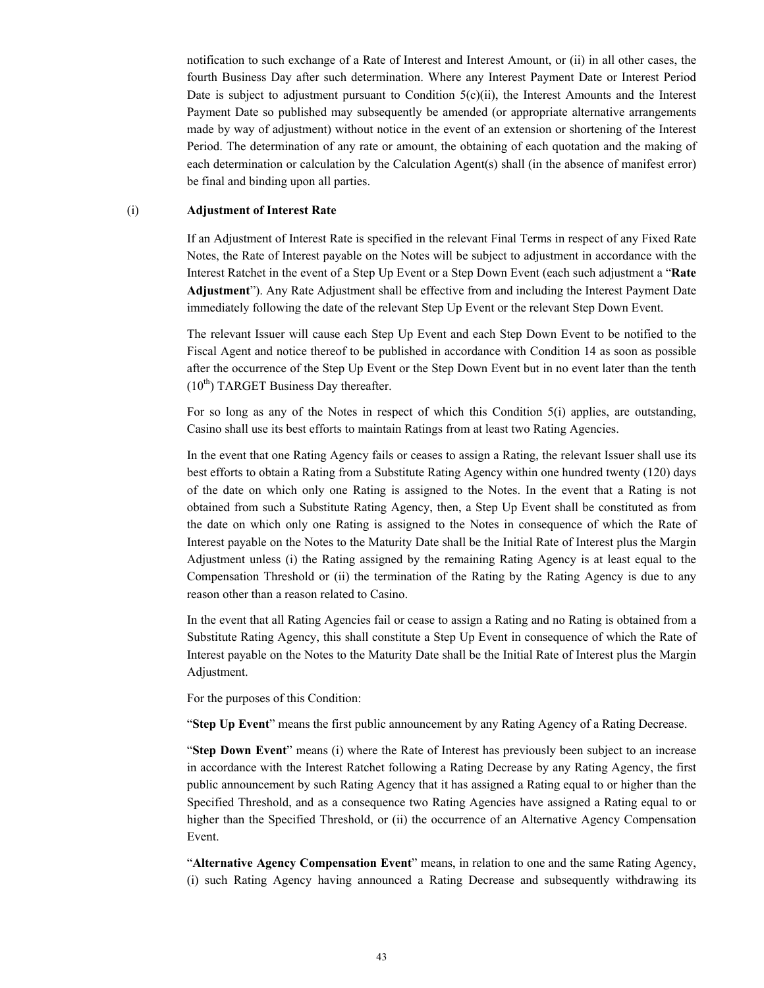notification to such exchange of a Rate of Interest and Interest Amount, or (ii) in all other cases, the fourth Business Day after such determination. Where any Interest Payment Date or Interest Period Date is subject to adjustment pursuant to Condition  $5(c)(ii)$ , the Interest Amounts and the Interest Payment Date so published may subsequently be amended (or appropriate alternative arrangements made by way of adjustment) without notice in the event of an extension or shortening of the Interest Period. The determination of any rate or amount, the obtaining of each quotation and the making of each determination or calculation by the Calculation Agent(s) shall (in the absence of manifest error) be final and binding upon all parties.

#### (i) **Adjustment of Interest Rate**

If an Adjustment of Interest Rate is specified in the relevant Final Terms in respect of any Fixed Rate Notes, the Rate of Interest payable on the Notes will be subject to adjustment in accordance with the Interest Ratchet in the event of a Step Up Event or a Step Down Event (each such adjustment a "**Rate Adjustment**"). Any Rate Adjustment shall be effective from and including the Interest Payment Date immediately following the date of the relevant Step Up Event or the relevant Step Down Event.

The relevant Issuer will cause each Step Up Event and each Step Down Event to be notified to the Fiscal Agent and notice thereof to be published in accordance with Condition 14 as soon as possible after the occurrence of the Step Up Event or the Step Down Event but in no event later than the tenth  $(10<sup>th</sup>)$  TARGET Business Day thereafter.

For so long as any of the Notes in respect of which this Condition 5(i) applies, are outstanding, Casino shall use its best efforts to maintain Ratings from at least two Rating Agencies.

In the event that one Rating Agency fails or ceases to assign a Rating, the relevant Issuer shall use its best efforts to obtain a Rating from a Substitute Rating Agency within one hundred twenty (120) days of the date on which only one Rating is assigned to the Notes. In the event that a Rating is not obtained from such a Substitute Rating Agency, then, a Step Up Event shall be constituted as from the date on which only one Rating is assigned to the Notes in consequence of which the Rate of Interest payable on the Notes to the Maturity Date shall be the Initial Rate of Interest plus the Margin Adjustment unless (i) the Rating assigned by the remaining Rating Agency is at least equal to the Compensation Threshold or (ii) the termination of the Rating by the Rating Agency is due to any reason other than a reason related to Casino.

In the event that all Rating Agencies fail or cease to assign a Rating and no Rating is obtained from a Substitute Rating Agency, this shall constitute a Step Up Event in consequence of which the Rate of Interest payable on the Notes to the Maturity Date shall be the Initial Rate of Interest plus the Margin Adjustment.

For the purposes of this Condition:

"**Step Up Event**" means the first public announcement by any Rating Agency of a Rating Decrease.

"**Step Down Event**" means (i) where the Rate of Interest has previously been subject to an increase in accordance with the Interest Ratchet following a Rating Decrease by any Rating Agency, the first public announcement by such Rating Agency that it has assigned a Rating equal to or higher than the Specified Threshold, and as a consequence two Rating Agencies have assigned a Rating equal to or higher than the Specified Threshold, or (ii) the occurrence of an Alternative Agency Compensation Event.

"**Alternative Agency Compensation Event**" means, in relation to one and the same Rating Agency, (i) such Rating Agency having announced a Rating Decrease and subsequently withdrawing its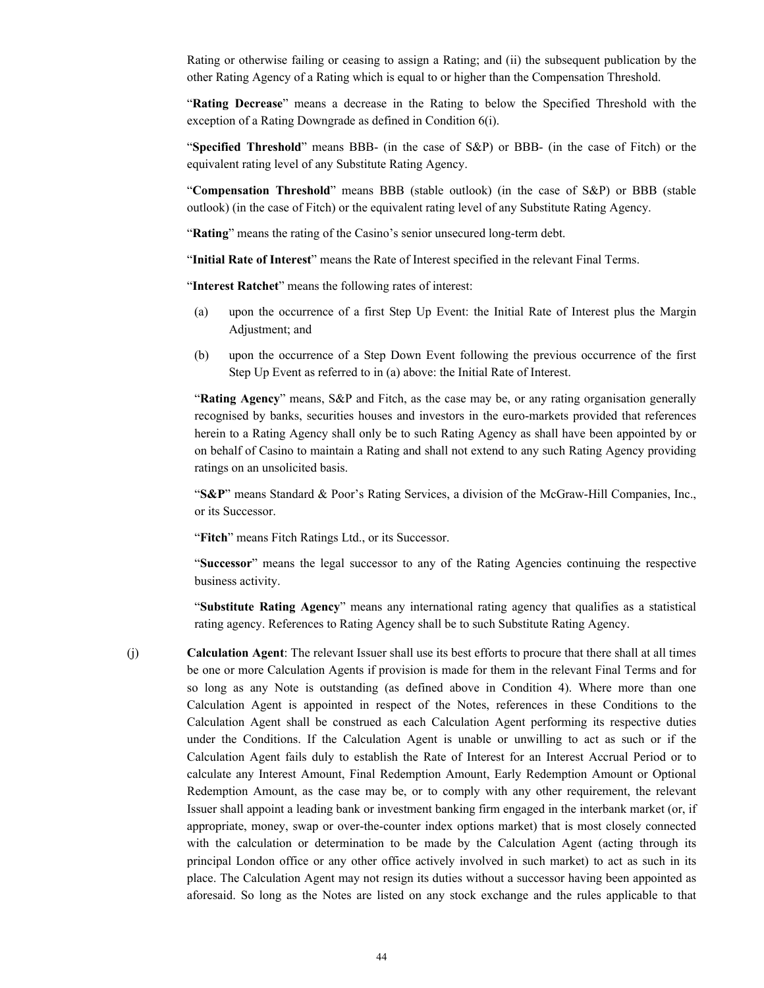Rating or otherwise failing or ceasing to assign a Rating; and (ii) the subsequent publication by the other Rating Agency of a Rating which is equal to or higher than the Compensation Threshold.

"**Rating Decrease**" means a decrease in the Rating to below the Specified Threshold with the exception of a Rating Downgrade as defined in Condition 6(i).

"**Specified Threshold**" means BBB- (in the case of S&P) or BBB- (in the case of Fitch) or the equivalent rating level of any Substitute Rating Agency.

"**Compensation Threshold**" means BBB (stable outlook) (in the case of S&P) or BBB (stable outlook) (in the case of Fitch) or the equivalent rating level of any Substitute Rating Agency.

"Rating" means the rating of the Casino's senior unsecured long-term debt.

"**Initial Rate of Interest**" means the Rate of Interest specified in the relevant Final Terms.

"**Interest Ratchet**" means the following rates of interest:

- (a) upon the occurrence of a first Step Up Event: the Initial Rate of Interest plus the Margin Adjustment; and
- (b) upon the occurrence of a Step Down Event following the previous occurrence of the first Step Up Event as referred to in (a) above: the Initial Rate of Interest.

"**Rating Agency**" means, S&P and Fitch, as the case may be, or any rating organisation generally recognised by banks, securities houses and investors in the euro-markets provided that references herein to a Rating Agency shall only be to such Rating Agency as shall have been appointed by or on behalf of Casino to maintain a Rating and shall not extend to any such Rating Agency providing ratings on an unsolicited basis.

"**S&P**" means Standard & Poor's Rating Services, a division of the McGraw-Hill Companies, Inc., or its Successor.

"**Fitch**" means Fitch Ratings Ltd., or its Successor.

"**Successor**" means the legal successor to any of the Rating Agencies continuing the respective business activity.

"**Substitute Rating Agency**" means any international rating agency that qualifies as a statistical rating agency. References to Rating Agency shall be to such Substitute Rating Agency.

(j) **Calculation Agent**: The relevant Issuer shall use its best efforts to procure that there shall at all times be one or more Calculation Agents if provision is made for them in the relevant Final Terms and for so long as any Note is outstanding (as defined above in Condition 4). Where more than one Calculation Agent is appointed in respect of the Notes, references in these Conditions to the Calculation Agent shall be construed as each Calculation Agent performing its respective duties under the Conditions. If the Calculation Agent is unable or unwilling to act as such or if the Calculation Agent fails duly to establish the Rate of Interest for an Interest Accrual Period or to calculate any Interest Amount, Final Redemption Amount, Early Redemption Amount or Optional Redemption Amount, as the case may be, or to comply with any other requirement, the relevant Issuer shall appoint a leading bank or investment banking firm engaged in the interbank market (or, if appropriate, money, swap or over-the-counter index options market) that is most closely connected with the calculation or determination to be made by the Calculation Agent (acting through its principal London office or any other office actively involved in such market) to act as such in its place. The Calculation Agent may not resign its duties without a successor having been appointed as aforesaid. So long as the Notes are listed on any stock exchange and the rules applicable to that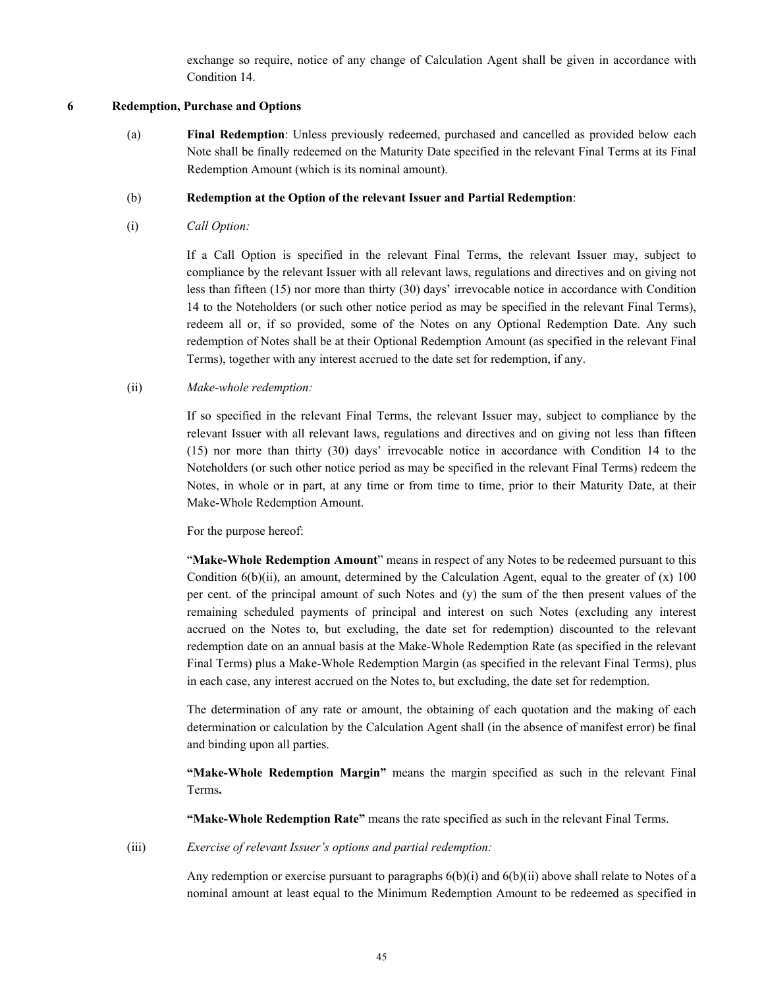exchange so require, notice of any change of Calculation Agent shall be given in accordance with Condition 14.

### **6 Redemption, Purchase and Options**

(a) **Final Redemption**: Unless previously redeemed, purchased and cancelled as provided below each Note shall be finally redeemed on the Maturity Date specified in the relevant Final Terms at its Final Redemption Amount (which is its nominal amount).

### (b) **Redemption at the Option of the relevant Issuer and Partial Redemption**:

(i) *Call Option:*

If a Call Option is specified in the relevant Final Terms, the relevant Issuer may, subject to compliance by the relevant Issuer with all relevant laws, regulations and directives and on giving not less than fifteen (15) nor more than thirty (30) days' irrevocable notice in accordance with Condition 14 to the Noteholders (or such other notice period as may be specified in the relevant Final Terms), redeem all or, if so provided, some of the Notes on any Optional Redemption Date. Any such redemption of Notes shall be at their Optional Redemption Amount (as specified in the relevant Final Terms), together with any interest accrued to the date set for redemption, if any.

### (ii) *Make-whole redemption:*

If so specified in the relevant Final Terms, the relevant Issuer may, subject to compliance by the relevant Issuer with all relevant laws, regulations and directives and on giving not less than fifteen (15) nor more than thirty (30) days' irrevocable notice in accordance with Condition 14 to the Noteholders (or such other notice period as may be specified in the relevant Final Terms) redeem the Notes, in whole or in part, at any time or from time to time, prior to their Maturity Date, at their Make-Whole Redemption Amount.

For the purpose hereof:

"**Make-Whole Redemption Amount**" means in respect of any Notes to be redeemed pursuant to this Condition  $6(b)(ii)$ , an amount, determined by the Calculation Agent, equal to the greater of  $(x)$  100 per cent. of the principal amount of such Notes and (y) the sum of the then present values of the remaining scheduled payments of principal and interest on such Notes (excluding any interest accrued on the Notes to, but excluding, the date set for redemption) discounted to the relevant redemption date on an annual basis at the Make-Whole Redemption Rate (as specified in the relevant Final Terms) plus a Make-Whole Redemption Margin (as specified in the relevant Final Terms), plus in each case, any interest accrued on the Notes to, but excluding, the date set for redemption.

The determination of any rate or amount, the obtaining of each quotation and the making of each determination or calculation by the Calculation Agent shall (in the absence of manifest error) be final and binding upon all parties.

**"Make-Whole Redemption Margin"** means the margin specified as such in the relevant Final Terms**.**

**"Make-Whole Redemption Rate"** means the rate specified as such in the relevant Final Terms.

(iii) *Exercise of relevant Issuer's options and partial redemption:*

Any redemption or exercise pursuant to paragraphs 6(b)(i) and 6(b)(ii) above shall relate to Notes of a nominal amount at least equal to the Minimum Redemption Amount to be redeemed as specified in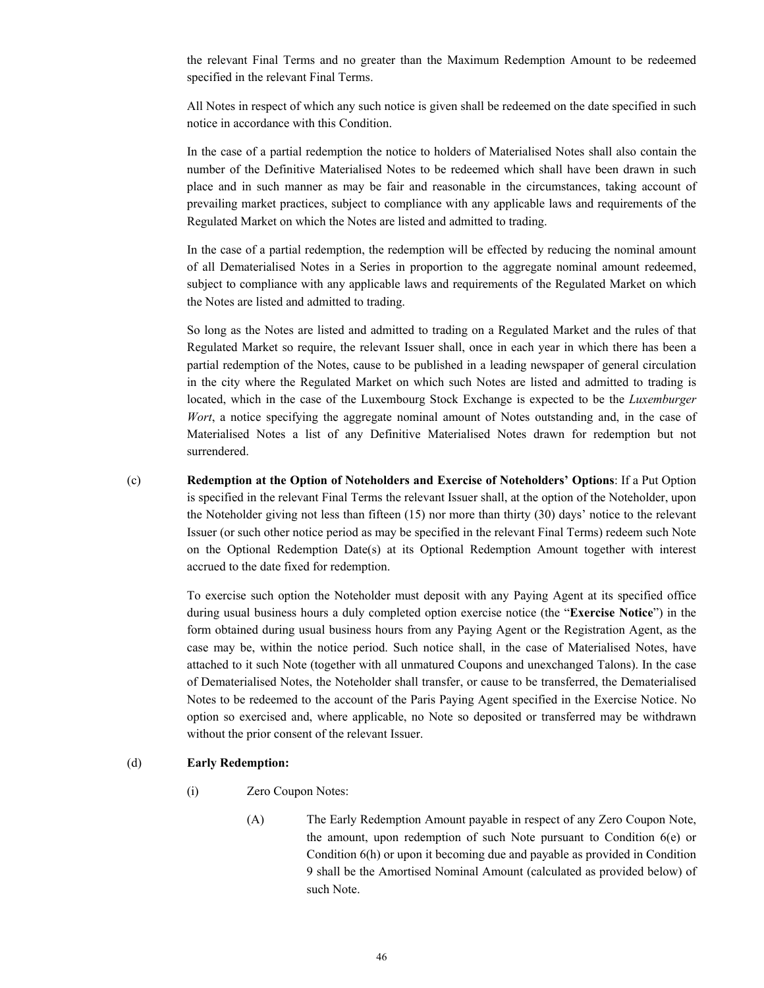the relevant Final Terms and no greater than the Maximum Redemption Amount to be redeemed specified in the relevant Final Terms.

All Notes in respect of which any such notice is given shall be redeemed on the date specified in such notice in accordance with this Condition.

In the case of a partial redemption the notice to holders of Materialised Notes shall also contain the number of the Definitive Materialised Notes to be redeemed which shall have been drawn in such place and in such manner as may be fair and reasonable in the circumstances, taking account of prevailing market practices, subject to compliance with any applicable laws and requirements of the Regulated Market on which the Notes are listed and admitted to trading.

In the case of a partial redemption, the redemption will be effected by reducing the nominal amount of all Dematerialised Notes in a Series in proportion to the aggregate nominal amount redeemed, subject to compliance with any applicable laws and requirements of the Regulated Market on which the Notes are listed and admitted to trading.

So long as the Notes are listed and admitted to trading on a Regulated Market and the rules of that Regulated Market so require, the relevant Issuer shall, once in each year in which there has been a partial redemption of the Notes, cause to be published in a leading newspaper of general circulation in the city where the Regulated Market on which such Notes are listed and admitted to trading is located, which in the case of the Luxembourg Stock Exchange is expected to be the *Luxemburger Wort*, a notice specifying the aggregate nominal amount of Notes outstanding and, in the case of Materialised Notes a list of any Definitive Materialised Notes drawn for redemption but not surrendered.

(c) **Redemption at the Option of Noteholders and Exercise of Noteholders' Options**: If a Put Option is specified in the relevant Final Terms the relevant Issuer shall, at the option of the Noteholder, upon the Noteholder giving not less than fifteen (15) nor more than thirty (30) days' notice to the relevant Issuer (or such other notice period as may be specified in the relevant Final Terms) redeem such Note on the Optional Redemption Date(s) at its Optional Redemption Amount together with interest accrued to the date fixed for redemption.

> To exercise such option the Noteholder must deposit with any Paying Agent at its specified office during usual business hours a duly completed option exercise notice (the "**Exercise Notice**") in the form obtained during usual business hours from any Paying Agent or the Registration Agent, as the case may be, within the notice period. Such notice shall, in the case of Materialised Notes, have attached to it such Note (together with all unmatured Coupons and unexchanged Talons). In the case of Dematerialised Notes, the Noteholder shall transfer, or cause to be transferred, the Dematerialised Notes to be redeemed to the account of the Paris Paying Agent specified in the Exercise Notice. No option so exercised and, where applicable, no Note so deposited or transferred may be withdrawn without the prior consent of the relevant Issuer.

### (d) **Early Redemption:**

- (i) Zero Coupon Notes:
	- (A) The Early Redemption Amount payable in respect of any Zero Coupon Note, the amount, upon redemption of such Note pursuant to Condition 6(e) or Condition 6(h) or upon it becoming due and payable as provided in Condition 9 shall be the Amortised Nominal Amount (calculated as provided below) of such Note.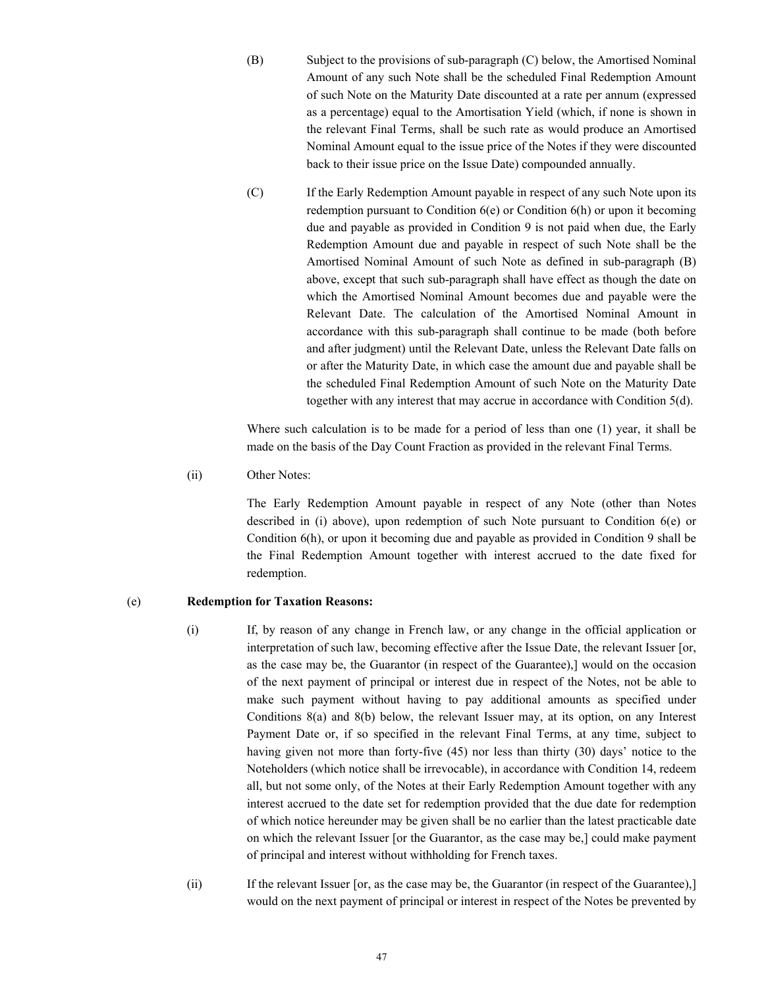- (B) Subject to the provisions of sub-paragraph (C) below, the Amortised Nominal Amount of any such Note shall be the scheduled Final Redemption Amount of such Note on the Maturity Date discounted at a rate per annum (expressed as a percentage) equal to the Amortisation Yield (which, if none is shown in the relevant Final Terms, shall be such rate as would produce an Amortised Nominal Amount equal to the issue price of the Notes if they were discounted back to their issue price on the Issue Date) compounded annually.
- (C) If the Early Redemption Amount payable in respect of any such Note upon its redemption pursuant to Condition 6(e) or Condition 6(h) or upon it becoming due and payable as provided in Condition 9 is not paid when due, the Early Redemption Amount due and payable in respect of such Note shall be the Amortised Nominal Amount of such Note as defined in sub-paragraph (B) above, except that such sub-paragraph shall have effect as though the date on which the Amortised Nominal Amount becomes due and payable were the Relevant Date. The calculation of the Amortised Nominal Amount in accordance with this sub-paragraph shall continue to be made (both before and after judgment) until the Relevant Date, unless the Relevant Date falls on or after the Maturity Date, in which case the amount due and payable shall be the scheduled Final Redemption Amount of such Note on the Maturity Date together with any interest that may accrue in accordance with Condition 5(d).

Where such calculation is to be made for a period of less than one (1) year, it shall be made on the basis of the Day Count Fraction as provided in the relevant Final Terms.

(ii) Other Notes:

The Early Redemption Amount payable in respect of any Note (other than Notes described in (i) above), upon redemption of such Note pursuant to Condition 6(e) or Condition 6(h), or upon it becoming due and payable as provided in Condition 9 shall be the Final Redemption Amount together with interest accrued to the date fixed for redemption.

## (e) **Redemption for Taxation Reasons:**

- (i) If, by reason of any change in French law, or any change in the official application or interpretation of such law, becoming effective after the Issue Date, the relevant Issuer [or, as the case may be, the Guarantor (in respect of the Guarantee),] would on the occasion of the next payment of principal or interest due in respect of the Notes, not be able to make such payment without having to pay additional amounts as specified under Conditions 8(a) and 8(b) below, the relevant Issuer may, at its option, on any Interest Payment Date or, if so specified in the relevant Final Terms, at any time, subject to having given not more than forty-five (45) nor less than thirty (30) days' notice to the Noteholders (which notice shall be irrevocable), in accordance with Condition 14, redeem all, but not some only, of the Notes at their Early Redemption Amount together with any interest accrued to the date set for redemption provided that the due date for redemption of which notice hereunder may be given shall be no earlier than the latest practicable date on which the relevant Issuer [or the Guarantor, as the case may be,] could make payment of principal and interest without withholding for French taxes.
- (ii) If the relevant Issuer [or, as the case may be, the Guarantor (in respect of the Guarantee),] would on the next payment of principal or interest in respect of the Notes be prevented by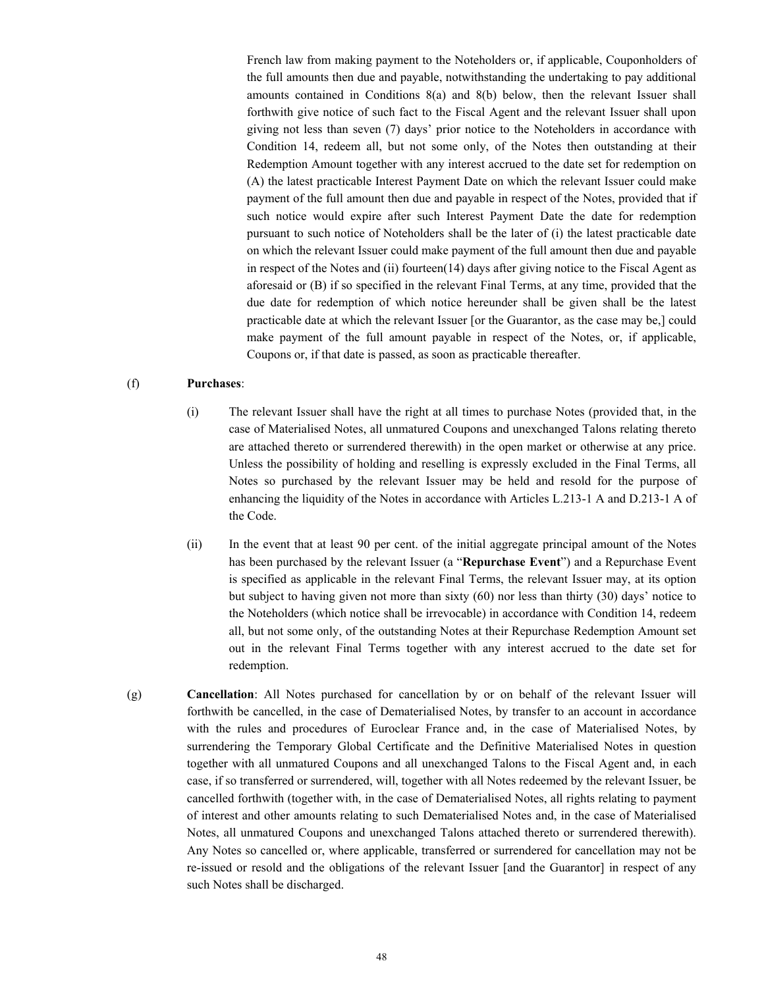French law from making payment to the Noteholders or, if applicable, Couponholders of the full amounts then due and payable, notwithstanding the undertaking to pay additional amounts contained in Conditions  $8(a)$  and  $8(b)$  below, then the relevant Issuer shall forthwith give notice of such fact to the Fiscal Agent and the relevant Issuer shall upon giving not less than seven (7) days' prior notice to the Noteholders in accordance with Condition 14, redeem all, but not some only, of the Notes then outstanding at their Redemption Amount together with any interest accrued to the date set for redemption on (A) the latest practicable Interest Payment Date on which the relevant Issuer could make payment of the full amount then due and payable in respect of the Notes, provided that if such notice would expire after such Interest Payment Date the date for redemption pursuant to such notice of Noteholders shall be the later of (i) the latest practicable date on which the relevant Issuer could make payment of the full amount then due and payable in respect of the Notes and (ii) fourteen(14) days after giving notice to the Fiscal Agent as aforesaid or (B) if so specified in the relevant Final Terms, at any time, provided that the due date for redemption of which notice hereunder shall be given shall be the latest practicable date at which the relevant Issuer [or the Guarantor, as the case may be,] could make payment of the full amount payable in respect of the Notes, or, if applicable, Coupons or, if that date is passed, as soon as practicable thereafter.

### (f) **Purchases**:

- (i) The relevant Issuer shall have the right at all times to purchase Notes (provided that, in the case of Materialised Notes, all unmatured Coupons and unexchanged Talons relating thereto are attached thereto or surrendered therewith) in the open market or otherwise at any price. Unless the possibility of holding and reselling is expressly excluded in the Final Terms, all Notes so purchased by the relevant Issuer may be held and resold for the purpose of enhancing the liquidity of the Notes in accordance with Articles L.213-1 A and D.213-1 A of the Code.
- (ii) In the event that at least 90 per cent. of the initial aggregate principal amount of the Notes has been purchased by the relevant Issuer (a "**Repurchase Event**") and a Repurchase Event is specified as applicable in the relevant Final Terms, the relevant Issuer may, at its option but subject to having given not more than sixty (60) nor less than thirty (30) days' notice to the Noteholders (which notice shall be irrevocable) in accordance with Condition 14, redeem all, but not some only, of the outstanding Notes at their Repurchase Redemption Amount set out in the relevant Final Terms together with any interest accrued to the date set for redemption.
- (g) **Cancellation**: All Notes purchased for cancellation by or on behalf of the relevant Issuer will forthwith be cancelled, in the case of Dematerialised Notes, by transfer to an account in accordance with the rules and procedures of Euroclear France and, in the case of Materialised Notes, by surrendering the Temporary Global Certificate and the Definitive Materialised Notes in question together with all unmatured Coupons and all unexchanged Talons to the Fiscal Agent and, in each case, if so transferred or surrendered, will, together with all Notes redeemed by the relevant Issuer, be cancelled forthwith (together with, in the case of Dematerialised Notes, all rights relating to payment of interest and other amounts relating to such Dematerialised Notes and, in the case of Materialised Notes, all unmatured Coupons and unexchanged Talons attached thereto or surrendered therewith). Any Notes so cancelled or, where applicable, transferred or surrendered for cancellation may not be re-issued or resold and the obligations of the relevant Issuer [and the Guarantor] in respect of any such Notes shall be discharged.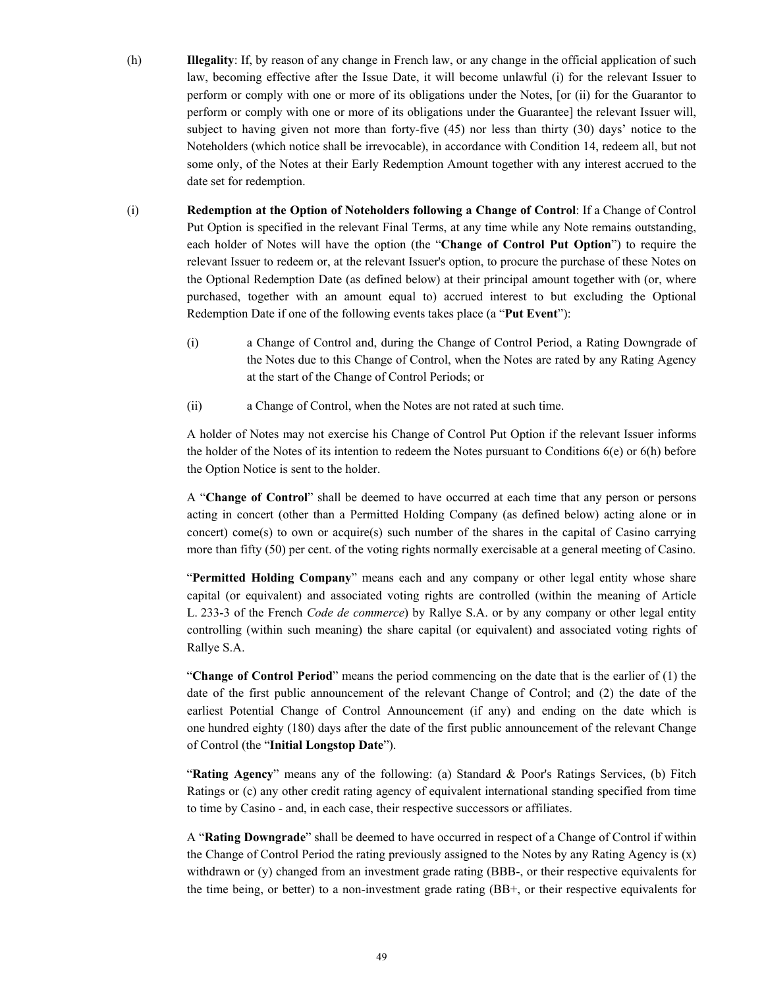- (h) **Illegality**: If, by reason of any change in French law, or any change in the official application of such law, becoming effective after the Issue Date, it will become unlawful (i) for the relevant Issuer to perform or comply with one or more of its obligations under the Notes, [or (ii) for the Guarantor to perform or comply with one or more of its obligations under the Guarantee] the relevant Issuer will, subject to having given not more than forty-five (45) nor less than thirty (30) days' notice to the Noteholders (which notice shall be irrevocable), in accordance with Condition 14, redeem all, but not some only, of the Notes at their Early Redemption Amount together with any interest accrued to the date set for redemption.
- (i) **Redemption at the Option of Noteholders following a Change of Control**: If a Change of Control Put Option is specified in the relevant Final Terms, at any time while any Note remains outstanding, each holder of Notes will have the option (the "**Change of Control Put Option**") to require the relevant Issuer to redeem or, at the relevant Issuer's option, to procure the purchase of these Notes on the Optional Redemption Date (as defined below) at their principal amount together with (or, where purchased, together with an amount equal to) accrued interest to but excluding the Optional Redemption Date if one of the following events takes place (a "**Put Event**"):
	- (i) a Change of Control and, during the Change of Control Period, a Rating Downgrade of the Notes due to this Change of Control, when the Notes are rated by any Rating Agency at the start of the Change of Control Periods; or
	- (ii) a Change of Control, when the Notes are not rated at such time.

A holder of Notes may not exercise his Change of Control Put Option if the relevant Issuer informs the holder of the Notes of its intention to redeem the Notes pursuant to Conditions  $6(e)$  or  $6(h)$  before the Option Notice is sent to the holder.

A "**Change of Control**" shall be deemed to have occurred at each time that any person or persons acting in concert (other than a Permitted Holding Company (as defined below) acting alone or in concert) come(s) to own or acquire(s) such number of the shares in the capital of Casino carrying more than fifty (50) per cent. of the voting rights normally exercisable at a general meeting of Casino.

"**Permitted Holding Company**" means each and any company or other legal entity whose share capital (or equivalent) and associated voting rights are controlled (within the meaning of Article L. 233-3 of the French *Code de commerce*) by Rallye S.A. or by any company or other legal entity controlling (within such meaning) the share capital (or equivalent) and associated voting rights of Rallye S.A.

"**Change of Control Period**" means the period commencing on the date that is the earlier of (1) the date of the first public announcement of the relevant Change of Control; and (2) the date of the earliest Potential Change of Control Announcement (if any) and ending on the date which is one hundred eighty (180) days after the date of the first public announcement of the relevant Change of Control (the "**Initial Longstop Date**").

"**Rating Agency**" means any of the following: (a) Standard & Poor's Ratings Services, (b) Fitch Ratings or (c) any other credit rating agency of equivalent international standing specified from time to time by Casino - and, in each case, their respective successors or affiliates.

A "**Rating Downgrade**" shall be deemed to have occurred in respect of a Change of Control if within the Change of Control Period the rating previously assigned to the Notes by any Rating Agency is  $(x)$ withdrawn or (y) changed from an investment grade rating (BBB-, or their respective equivalents for the time being, or better) to a non-investment grade rating (BB+, or their respective equivalents for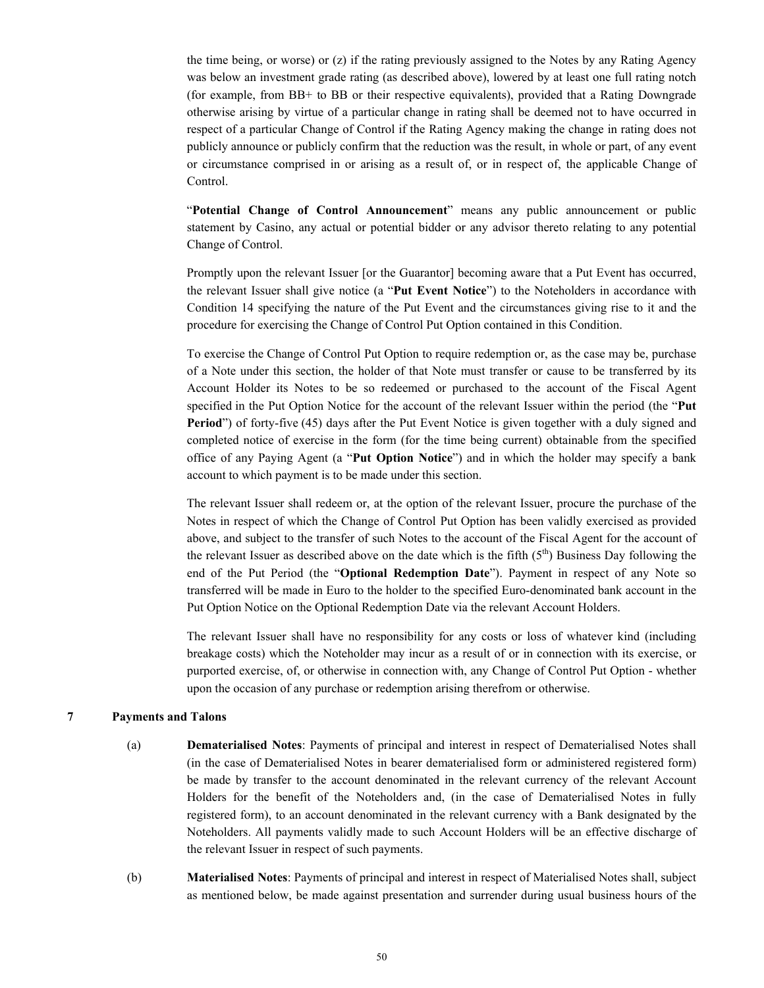the time being, or worse) or  $(z)$  if the rating previously assigned to the Notes by any Rating Agency was below an investment grade rating (as described above), lowered by at least one full rating notch (for example, from BB+ to BB or their respective equivalents), provided that a Rating Downgrade otherwise arising by virtue of a particular change in rating shall be deemed not to have occurred in respect of a particular Change of Control if the Rating Agency making the change in rating does not publicly announce or publicly confirm that the reduction was the result, in whole or part, of any event or circumstance comprised in or arising as a result of, or in respect of, the applicable Change of Control.

"**Potential Change of Control Announcement**" means any public announcement or public statement by Casino, any actual or potential bidder or any advisor thereto relating to any potential Change of Control.

Promptly upon the relevant Issuer [or the Guarantor] becoming aware that a Put Event has occurred, the relevant Issuer shall give notice (a "**Put Event Notice**") to the Noteholders in accordance with Condition 14 specifying the nature of the Put Event and the circumstances giving rise to it and the procedure for exercising the Change of Control Put Option contained in this Condition.

To exercise the Change of Control Put Option to require redemption or, as the case may be, purchase of a Note under this section, the holder of that Note must transfer or cause to be transferred by its Account Holder its Notes to be so redeemed or purchased to the account of the Fiscal Agent specified in the Put Option Notice for the account of the relevant Issuer within the period (the "**Put Period**") of forty-five (45) days after the Put Event Notice is given together with a duly signed and completed notice of exercise in the form (for the time being current) obtainable from the specified office of any Paying Agent (a "**Put Option Notice**") and in which the holder may specify a bank account to which payment is to be made under this section.

The relevant Issuer shall redeem or, at the option of the relevant Issuer, procure the purchase of the Notes in respect of which the Change of Control Put Option has been validly exercised as provided above, and subject to the transfer of such Notes to the account of the Fiscal Agent for the account of the relevant Issuer as described above on the date which is the fifth  $(5<sup>th</sup>)$  Business Day following the end of the Put Period (the "**Optional Redemption Date**"). Payment in respect of any Note so transferred will be made in Euro to the holder to the specified Euro-denominated bank account in the Put Option Notice on the Optional Redemption Date via the relevant Account Holders.

The relevant Issuer shall have no responsibility for any costs or loss of whatever kind (including breakage costs) which the Noteholder may incur as a result of or in connection with its exercise, or purported exercise, of, or otherwise in connection with, any Change of Control Put Option - whether upon the occasion of any purchase or redemption arising therefrom or otherwise.

#### **7 Payments and Talons**

- (a) **Dematerialised Notes**: Payments of principal and interest in respect of Dematerialised Notes shall (in the case of Dematerialised Notes in bearer dematerialised form or administered registered form) be made by transfer to the account denominated in the relevant currency of the relevant Account Holders for the benefit of the Noteholders and, (in the case of Dematerialised Notes in fully registered form), to an account denominated in the relevant currency with a Bank designated by the Noteholders. All payments validly made to such Account Holders will be an effective discharge of the relevant Issuer in respect of such payments.
- (b) **Materialised Notes**: Payments of principal and interest in respect of Materialised Notes shall, subject as mentioned below, be made against presentation and surrender during usual business hours of the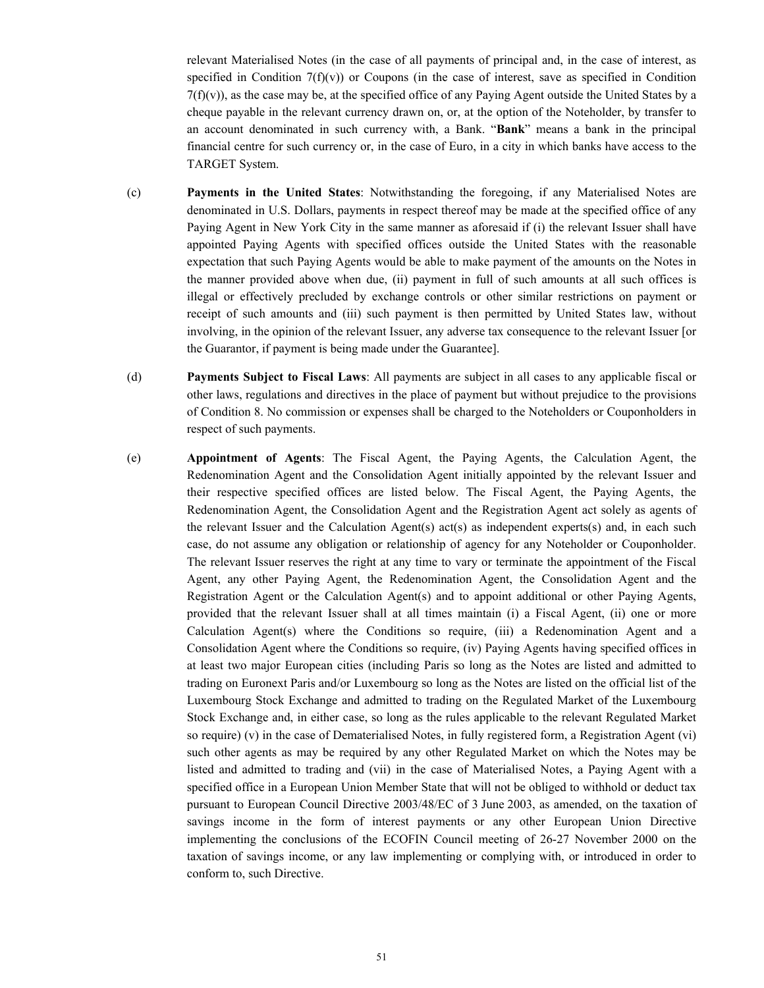relevant Materialised Notes (in the case of all payments of principal and, in the case of interest, as specified in Condition  $7(f)(v)$  or Coupons (in the case of interest, save as specified in Condition  $7(f)(v)$ ), as the case may be, at the specified office of any Paying Agent outside the United States by a cheque payable in the relevant currency drawn on, or, at the option of the Noteholder, by transfer to an account denominated in such currency with, a Bank. "**Bank**" means a bank in the principal financial centre for such currency or, in the case of Euro, in a city in which banks have access to the TARGET System.

- (c) **Payments in the United States**: Notwithstanding the foregoing, if any Materialised Notes are denominated in U.S. Dollars, payments in respect thereof may be made at the specified office of any Paying Agent in New York City in the same manner as aforesaid if (i) the relevant Issuer shall have appointed Paying Agents with specified offices outside the United States with the reasonable expectation that such Paying Agents would be able to make payment of the amounts on the Notes in the manner provided above when due, (ii) payment in full of such amounts at all such offices is illegal or effectively precluded by exchange controls or other similar restrictions on payment or receipt of such amounts and (iii) such payment is then permitted by United States law, without involving, in the opinion of the relevant Issuer, any adverse tax consequence to the relevant Issuer [or the Guarantor, if payment is being made under the Guarantee].
- (d) **Payments Subject to Fiscal Laws**: All payments are subject in all cases to any applicable fiscal or other laws, regulations and directives in the place of payment but without prejudice to the provisions of Condition 8. No commission or expenses shall be charged to the Noteholders or Couponholders in respect of such payments.
- (e) **Appointment of Agents**: The Fiscal Agent, the Paying Agents, the Calculation Agent, the Redenomination Agent and the Consolidation Agent initially appointed by the relevant Issuer and their respective specified offices are listed below. The Fiscal Agent, the Paying Agents, the Redenomination Agent, the Consolidation Agent and the Registration Agent act solely as agents of the relevant Issuer and the Calculation Agent(s) act(s) as independent experts(s) and, in each such case, do not assume any obligation or relationship of agency for any Noteholder or Couponholder. The relevant Issuer reserves the right at any time to vary or terminate the appointment of the Fiscal Agent, any other Paying Agent, the Redenomination Agent, the Consolidation Agent and the Registration Agent or the Calculation Agent(s) and to appoint additional or other Paying Agents, provided that the relevant Issuer shall at all times maintain (i) a Fiscal Agent, (ii) one or more Calculation Agent(s) where the Conditions so require, (iii) a Redenomination Agent and a Consolidation Agent where the Conditions so require, (iv) Paying Agents having specified offices in at least two major European cities (including Paris so long as the Notes are listed and admitted to trading on Euronext Paris and/or Luxembourg so long as the Notes are listed on the official list of the Luxembourg Stock Exchange and admitted to trading on the Regulated Market of the Luxembourg Stock Exchange and, in either case, so long as the rules applicable to the relevant Regulated Market so require) (v) in the case of Dematerialised Notes, in fully registered form, a Registration Agent (vi) such other agents as may be required by any other Regulated Market on which the Notes may be listed and admitted to trading and (vii) in the case of Materialised Notes, a Paying Agent with a specified office in a European Union Member State that will not be obliged to withhold or deduct tax pursuant to European Council Directive 2003/48/EC of 3 June 2003, as amended, on the taxation of savings income in the form of interest payments or any other European Union Directive implementing the conclusions of the ECOFIN Council meeting of 26-27 November 2000 on the taxation of savings income, or any law implementing or complying with, or introduced in order to conform to, such Directive.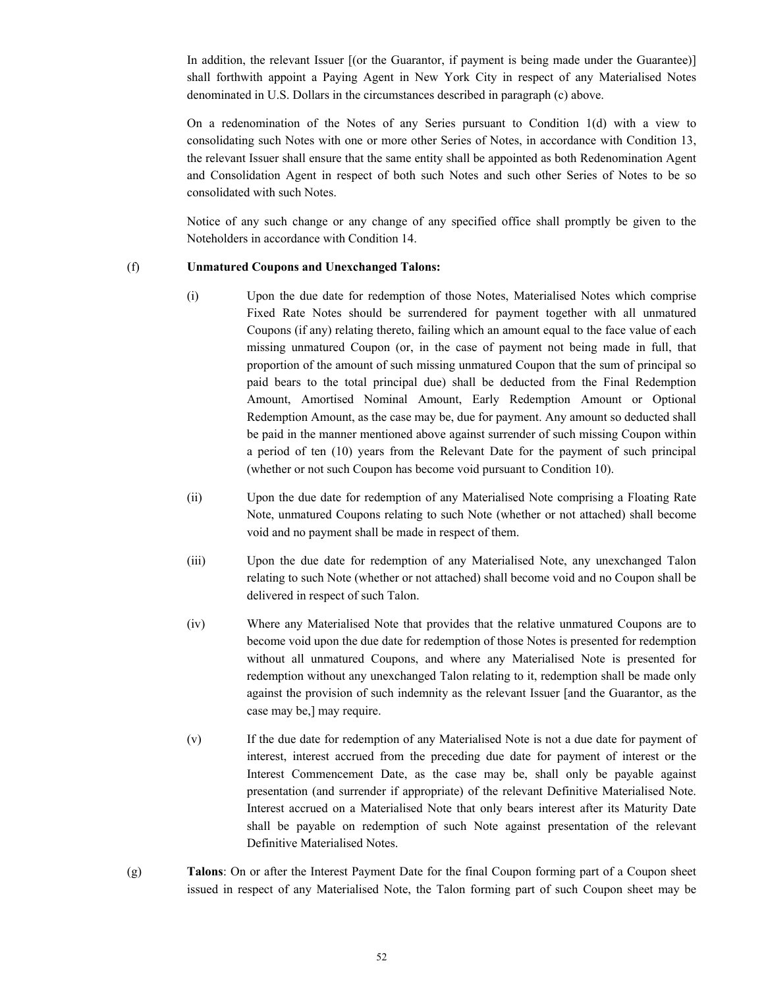In addition, the relevant Issuer [(or the Guarantor, if payment is being made under the Guarantee)] shall forthwith appoint a Paying Agent in New York City in respect of any Materialised Notes denominated in U.S. Dollars in the circumstances described in paragraph (c) above.

On a redenomination of the Notes of any Series pursuant to Condition 1(d) with a view to consolidating such Notes with one or more other Series of Notes, in accordance with Condition 13, the relevant Issuer shall ensure that the same entity shall be appointed as both Redenomination Agent and Consolidation Agent in respect of both such Notes and such other Series of Notes to be so consolidated with such Notes.

Notice of any such change or any change of any specified office shall promptly be given to the Noteholders in accordance with Condition 14.

### (f) **Unmatured Coupons and Unexchanged Talons:**

- (i) Upon the due date for redemption of those Notes, Materialised Notes which comprise Fixed Rate Notes should be surrendered for payment together with all unmatured Coupons (if any) relating thereto, failing which an amount equal to the face value of each missing unmatured Coupon (or, in the case of payment not being made in full, that proportion of the amount of such missing unmatured Coupon that the sum of principal so paid bears to the total principal due) shall be deducted from the Final Redemption Amount, Amortised Nominal Amount, Early Redemption Amount or Optional Redemption Amount, as the case may be, due for payment. Any amount so deducted shall be paid in the manner mentioned above against surrender of such missing Coupon within a period of ten (10) years from the Relevant Date for the payment of such principal (whether or not such Coupon has become void pursuant to Condition 10).
- (ii) Upon the due date for redemption of any Materialised Note comprising a Floating Rate Note, unmatured Coupons relating to such Note (whether or not attached) shall become void and no payment shall be made in respect of them.
- (iii) Upon the due date for redemption of any Materialised Note, any unexchanged Talon relating to such Note (whether or not attached) shall become void and no Coupon shall be delivered in respect of such Talon.
- (iv) Where any Materialised Note that provides that the relative unmatured Coupons are to become void upon the due date for redemption of those Notes is presented for redemption without all unmatured Coupons, and where any Materialised Note is presented for redemption without any unexchanged Talon relating to it, redemption shall be made only against the provision of such indemnity as the relevant Issuer [and the Guarantor, as the case may be,] may require.
- (v) If the due date for redemption of any Materialised Note is not a due date for payment of interest, interest accrued from the preceding due date for payment of interest or the Interest Commencement Date, as the case may be, shall only be payable against presentation (and surrender if appropriate) of the relevant Definitive Materialised Note. Interest accrued on a Materialised Note that only bears interest after its Maturity Date shall be payable on redemption of such Note against presentation of the relevant Definitive Materialised Notes.
- (g) **Talons**: On or after the Interest Payment Date for the final Coupon forming part of a Coupon sheet issued in respect of any Materialised Note, the Talon forming part of such Coupon sheet may be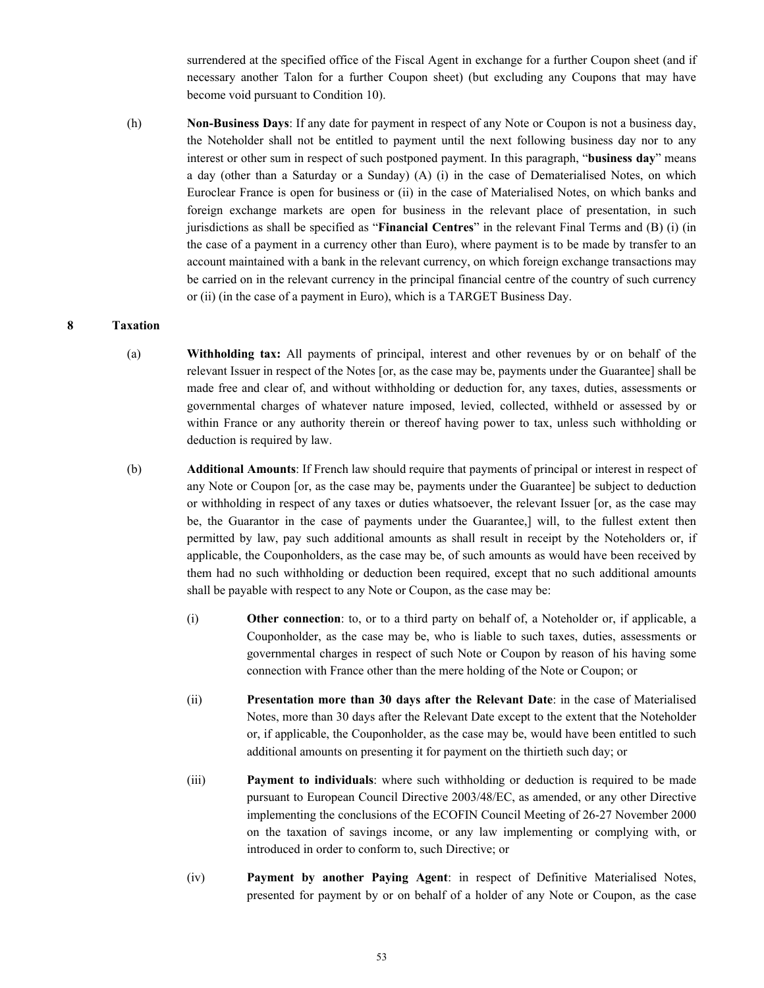surrendered at the specified office of the Fiscal Agent in exchange for a further Coupon sheet (and if necessary another Talon for a further Coupon sheet) (but excluding any Coupons that may have become void pursuant to Condition 10).

(h) **Non-Business Days**: If any date for payment in respect of any Note or Coupon is not a business day, the Noteholder shall not be entitled to payment until the next following business day nor to any interest or other sum in respect of such postponed payment. In this paragraph, "**business day**" means a day (other than a Saturday or a Sunday) (A) (i) in the case of Dematerialised Notes, on which Euroclear France is open for business or (ii) in the case of Materialised Notes, on which banks and foreign exchange markets are open for business in the relevant place of presentation, in such jurisdictions as shall be specified as "**Financial Centres**" in the relevant Final Terms and (B) (i) (in the case of a payment in a currency other than Euro), where payment is to be made by transfer to an account maintained with a bank in the relevant currency, on which foreign exchange transactions may be carried on in the relevant currency in the principal financial centre of the country of such currency or (ii) (in the case of a payment in Euro), which is a TARGET Business Day.

#### **8 Taxation**

- (a) **Withholding tax:** All payments of principal, interest and other revenues by or on behalf of the relevant Issuer in respect of the Notes [or, as the case may be, payments under the Guarantee] shall be made free and clear of, and without withholding or deduction for, any taxes, duties, assessments or governmental charges of whatever nature imposed, levied, collected, withheld or assessed by or within France or any authority therein or thereof having power to tax, unless such withholding or deduction is required by law.
- (b) **Additional Amounts**: If French law should require that payments of principal or interest in respect of any Note or Coupon [or, as the case may be, payments under the Guarantee] be subject to deduction or withholding in respect of any taxes or duties whatsoever, the relevant Issuer [or, as the case may be, the Guarantor in the case of payments under the Guarantee,] will, to the fullest extent then permitted by law, pay such additional amounts as shall result in receipt by the Noteholders or, if applicable, the Couponholders, as the case may be, of such amounts as would have been received by them had no such withholding or deduction been required, except that no such additional amounts shall be payable with respect to any Note or Coupon, as the case may be:
	- (i) **Other connection**: to, or to a third party on behalf of, a Noteholder or, if applicable, a Couponholder, as the case may be, who is liable to such taxes, duties, assessments or governmental charges in respect of such Note or Coupon by reason of his having some connection with France other than the mere holding of the Note or Coupon; or
	- (ii) **Presentation more than 30 days after the Relevant Date**: in the case of Materialised Notes, more than 30 days after the Relevant Date except to the extent that the Noteholder or, if applicable, the Couponholder, as the case may be, would have been entitled to such additional amounts on presenting it for payment on the thirtieth such day; or
	- (iii) **Payment to individuals**: where such withholding or deduction is required to be made pursuant to European Council Directive 2003/48/EC, as amended, or any other Directive implementing the conclusions of the ECOFIN Council Meeting of 26-27 November 2000 on the taxation of savings income, or any law implementing or complying with, or introduced in order to conform to, such Directive; or
	- (iv) **Payment by another Paying Agent**: in respect of Definitive Materialised Notes, presented for payment by or on behalf of a holder of any Note or Coupon, as the case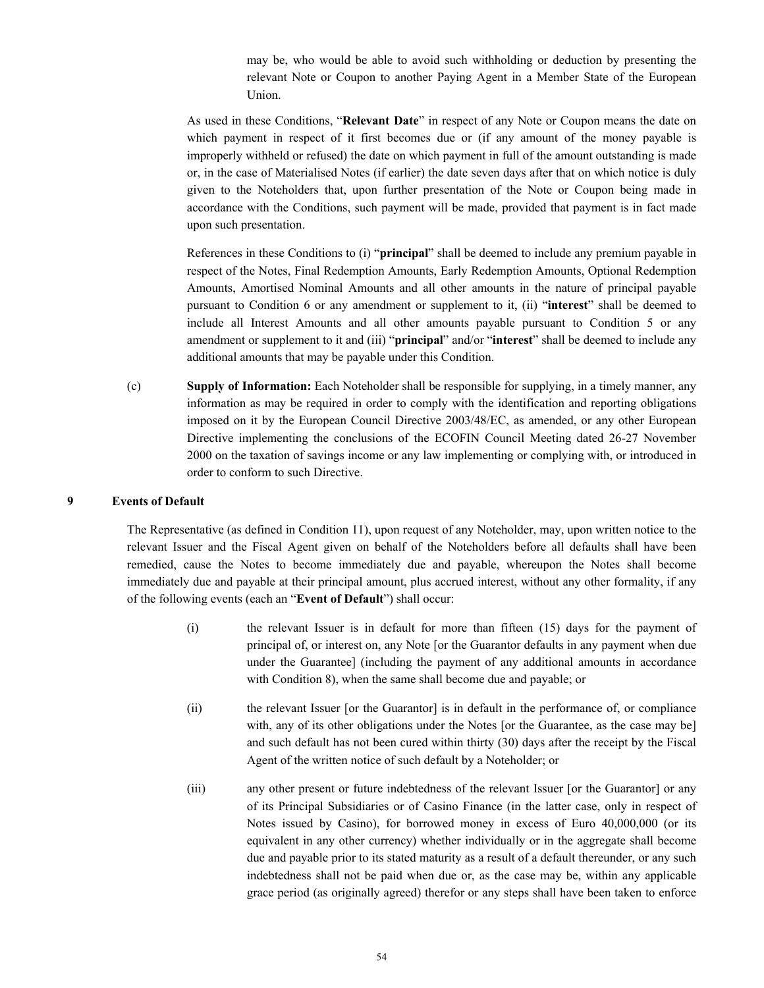may be, who would be able to avoid such withholding or deduction by presenting the relevant Note or Coupon to another Paying Agent in a Member State of the European Union.

As used in these Conditions, "**Relevant Date**" in respect of any Note or Coupon means the date on which payment in respect of it first becomes due or (if any amount of the money payable is improperly withheld or refused) the date on which payment in full of the amount outstanding is made or, in the case of Materialised Notes (if earlier) the date seven days after that on which notice is duly given to the Noteholders that, upon further presentation of the Note or Coupon being made in accordance with the Conditions, such payment will be made, provided that payment is in fact made upon such presentation.

References in these Conditions to (i) "**principal**" shall be deemed to include any premium payable in respect of the Notes, Final Redemption Amounts, Early Redemption Amounts, Optional Redemption Amounts, Amortised Nominal Amounts and all other amounts in the nature of principal payable pursuant to Condition 6 or any amendment or supplement to it, (ii) "**interest**" shall be deemed to include all Interest Amounts and all other amounts payable pursuant to Condition 5 or any amendment or supplement to it and (iii) "**principal**" and/or "**interest**" shall be deemed to include any additional amounts that may be payable under this Condition.

(c) **Supply of Information:** Each Noteholder shall be responsible for supplying, in a timely manner, any information as may be required in order to comply with the identification and reporting obligations imposed on it by the European Council Directive 2003/48/EC, as amended, or any other European Directive implementing the conclusions of the ECOFIN Council Meeting dated 26-27 November 2000 on the taxation of savings income or any law implementing or complying with, or introduced in order to conform to such Directive.

#### **9 Events of Default**

The Representative (as defined in Condition 11), upon request of any Noteholder, may, upon written notice to the relevant Issuer and the Fiscal Agent given on behalf of the Noteholders before all defaults shall have been remedied, cause the Notes to become immediately due and payable, whereupon the Notes shall become immediately due and payable at their principal amount, plus accrued interest, without any other formality, if any of the following events (each an "**Event of Default**") shall occur:

- (i) the relevant Issuer is in default for more than fifteen (15) days for the payment of principal of, or interest on, any Note [or the Guarantor defaults in any payment when due under the Guarantee] (including the payment of any additional amounts in accordance with Condition 8), when the same shall become due and payable; or
- (ii) the relevant Issuer [or the Guarantor] is in default in the performance of, or compliance with, any of its other obligations under the Notes [or the Guarantee, as the case may be] and such default has not been cured within thirty (30) days after the receipt by the Fiscal Agent of the written notice of such default by a Noteholder; or
- (iii) any other present or future indebtedness of the relevant Issuer [or the Guarantor] or any of its Principal Subsidiaries or of Casino Finance (in the latter case, only in respect of Notes issued by Casino), for borrowed money in excess of Euro 40,000,000 (or its equivalent in any other currency) whether individually or in the aggregate shall become due and payable prior to its stated maturity as a result of a default thereunder, or any such indebtedness shall not be paid when due or, as the case may be, within any applicable grace period (as originally agreed) therefor or any steps shall have been taken to enforce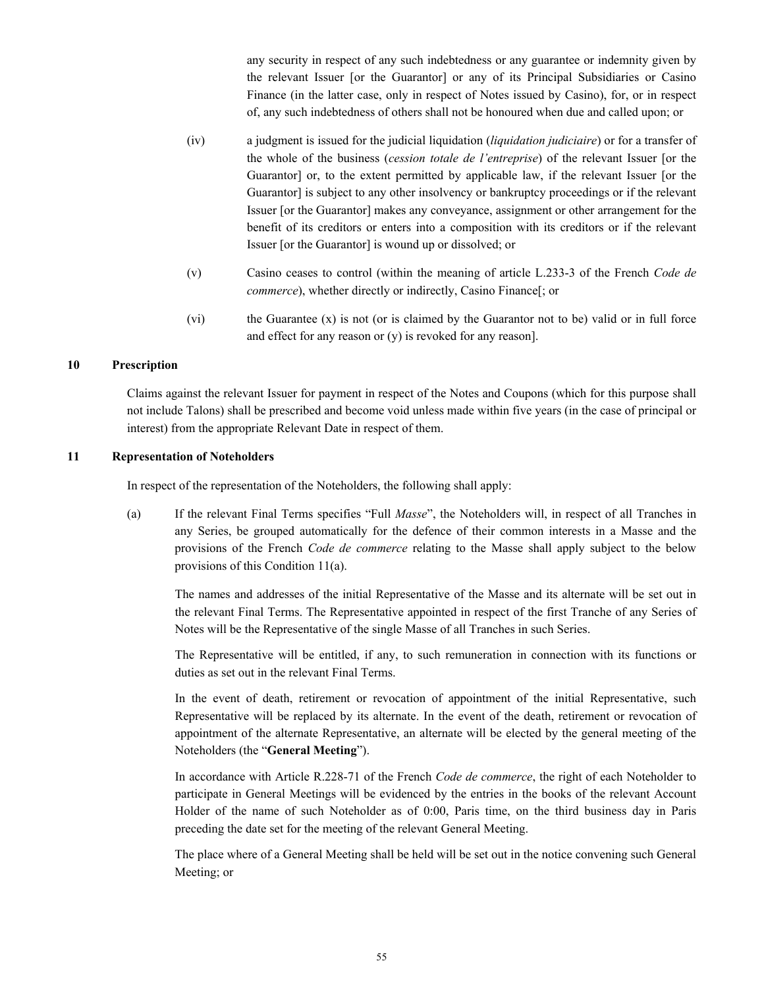any security in respect of any such indebtedness or any guarantee or indemnity given by the relevant Issuer [or the Guarantor] or any of its Principal Subsidiaries or Casino Finance (in the latter case, only in respect of Notes issued by Casino), for, or in respect of, any such indebtedness of others shall not be honoured when due and called upon; or

- (iv) a judgment is issued for the judicial liquidation (*liquidation judiciaire*) or for a transfer of the whole of the business (*cession totale de l'entreprise*) of the relevant Issuer [or the Guarantor] or, to the extent permitted by applicable law, if the relevant Issuer [or the Guarantor] is subject to any other insolvency or bankruptcy proceedings or if the relevant Issuer [or the Guarantor] makes any conveyance, assignment or other arrangement for the benefit of its creditors or enters into a composition with its creditors or if the relevant Issuer [or the Guarantor] is wound up or dissolved; or
- (v) Casino ceases to control (within the meaning of article L.233-3 of the French *Code de commerce*), whether directly or indirectly, Casino Finance[; or
- (vi) the Guarantee (x) is not (or is claimed by the Guarantor not to be) valid or in full force and effect for any reason or (y) is revoked for any reason].

## **10 Prescription**

Claims against the relevant Issuer for payment in respect of the Notes and Coupons (which for this purpose shall not include Talons) shall be prescribed and become void unless made within five years (in the case of principal or interest) from the appropriate Relevant Date in respect of them.

## **11 Representation of Noteholders**

In respect of the representation of the Noteholders, the following shall apply:

(a) If the relevant Final Terms specifies "Full *Masse*", the Noteholders will, in respect of all Tranches in any Series, be grouped automatically for the defence of their common interests in a Masse and the provisions of the French *Code de commerce* relating to the Masse shall apply subject to the below provisions of this Condition 11(a).

The names and addresses of the initial Representative of the Masse and its alternate will be set out in the relevant Final Terms. The Representative appointed in respect of the first Tranche of any Series of Notes will be the Representative of the single Masse of all Tranches in such Series.

The Representative will be entitled, if any, to such remuneration in connection with its functions or duties as set out in the relevant Final Terms.

In the event of death, retirement or revocation of appointment of the initial Representative, such Representative will be replaced by its alternate. In the event of the death, retirement or revocation of appointment of the alternate Representative, an alternate will be elected by the general meeting of the Noteholders (the "**General Meeting**").

In accordance with Article R.228-71 of the French *Code de commerce*, the right of each Noteholder to participate in General Meetings will be evidenced by the entries in the books of the relevant Account Holder of the name of such Noteholder as of 0:00, Paris time, on the third business day in Paris preceding the date set for the meeting of the relevant General Meeting.

The place where of a General Meeting shall be held will be set out in the notice convening such General Meeting; or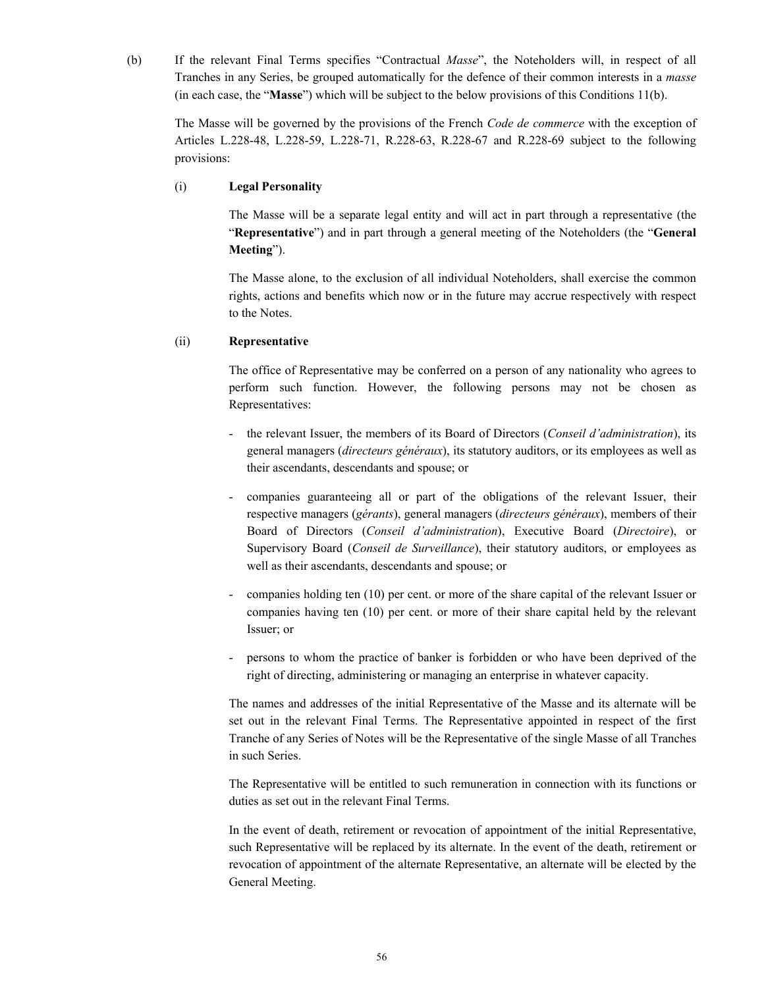(b) If the relevant Final Terms specifies "Contractual *Masse*", the Noteholders will, in respect of all Tranches in any Series, be grouped automatically for the defence of their common interests in a *masse* (in each case, the "**Masse**") which will be subject to the below provisions of this Conditions 11(b).

The Masse will be governed by the provisions of the French *Code de commerce* with the exception of Articles L.228-48, L.228-59, L.228-71, R.228-63, R.228-67 and R.228-69 subject to the following provisions:

### (i) **Legal Personality**

The Masse will be a separate legal entity and will act in part through a representative (the "**Representative**") and in part through a general meeting of the Noteholders (the "**General Meeting**").

The Masse alone, to the exclusion of all individual Noteholders, shall exercise the common rights, actions and benefits which now or in the future may accrue respectively with respect to the Notes.

### (ii) **Representative**

The office of Representative may be conferred on a person of any nationality who agrees to perform such function. However, the following persons may not be chosen as Representatives:

- the relevant Issuer, the members of its Board of Directors (*Conseil d'administration*), its general managers (*directeurs généraux*), its statutory auditors, or its employees as well as their ascendants, descendants and spouse; or
- companies guaranteeing all or part of the obligations of the relevant Issuer, their respective managers (*gérants*), general managers (*directeurs généraux*), members of their Board of Directors (*Conseil d'administration*), Executive Board (*Directoire*), or Supervisory Board (*Conseil de Surveillance*), their statutory auditors, or employees as well as their ascendants, descendants and spouse; or
- companies holding ten (10) per cent. or more of the share capital of the relevant Issuer or companies having ten (10) per cent. or more of their share capital held by the relevant Issuer; or
- persons to whom the practice of banker is forbidden or who have been deprived of the right of directing, administering or managing an enterprise in whatever capacity.

The names and addresses of the initial Representative of the Masse and its alternate will be set out in the relevant Final Terms. The Representative appointed in respect of the first Tranche of any Series of Notes will be the Representative of the single Masse of all Tranches in such Series.

The Representative will be entitled to such remuneration in connection with its functions or duties as set out in the relevant Final Terms.

In the event of death, retirement or revocation of appointment of the initial Representative, such Representative will be replaced by its alternate. In the event of the death, retirement or revocation of appointment of the alternate Representative, an alternate will be elected by the General Meeting.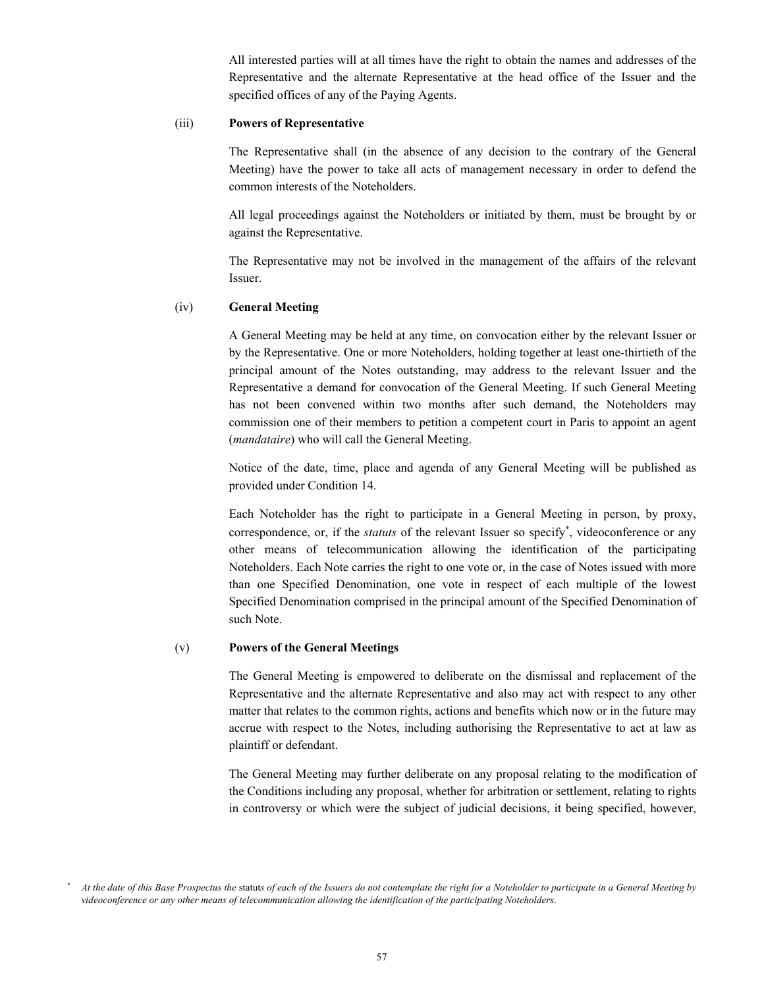All interested parties will at all times have the right to obtain the names and addresses of the Representative and the alternate Representative at the head office of the Issuer and the specified offices of any of the Paying Agents.

### (iii) **Powers of Representative**

The Representative shall (in the absence of any decision to the contrary of the General Meeting) have the power to take all acts of management necessary in order to defend the common interests of the Noteholders.

All legal proceedings against the Noteholders or initiated by them, must be brought by or against the Representative.

The Representative may not be involved in the management of the affairs of the relevant Issuer.

#### (iv) **General Meeting**

A General Meeting may be held at any time, on convocation either by the relevant Issuer or by the Representative. One or more Noteholders, holding together at least one-thirtieth of the principal amount of the Notes outstanding, may address to the relevant Issuer and the Representative a demand for convocation of the General Meeting. If such General Meeting has not been convened within two months after such demand, the Noteholders may commission one of their members to petition a competent court in Paris to appoint an agent (*mandataire*) who will call the General Meeting.

Notice of the date, time, place and agenda of any General Meeting will be published as provided under Condition 14.

Each Noteholder has the right to participate in a General Meeting in person, by proxy, correspondence, or, if the *statuts* of the relevant Issuer so specify , videoconference or any other means of telecommunication allowing the identification of the participating Noteholders. Each Note carries the right to one vote or, in the case of Notes issued with more than one Specified Denomination, one vote in respect of each multiple of the lowest Specified Denomination comprised in the principal amount of the Specified Denomination of such Note.

#### (v) **Powers of the General Meetings**

The General Meeting is empowered to deliberate on the dismissal and replacement of the Representative and the alternate Representative and also may act with respect to any other matter that relates to the common rights, actions and benefits which now or in the future may accrue with respect to the Notes, including authorising the Representative to act at law as plaintiff or defendant.

The General Meeting may further deliberate on any proposal relating to the modification of the Conditions including any proposal, whether for arbitration or settlement, relating to rights in controversy or which were the subject of judicial decisions, it being specified, however,

*At the date of this Base Prospectus the* statut*s of each of the Issuers do not contemplate the right for a Noteholder to participate in a General Meeting by videoconference or any other means of telecommunication allowing the identification of the participating Noteholders*.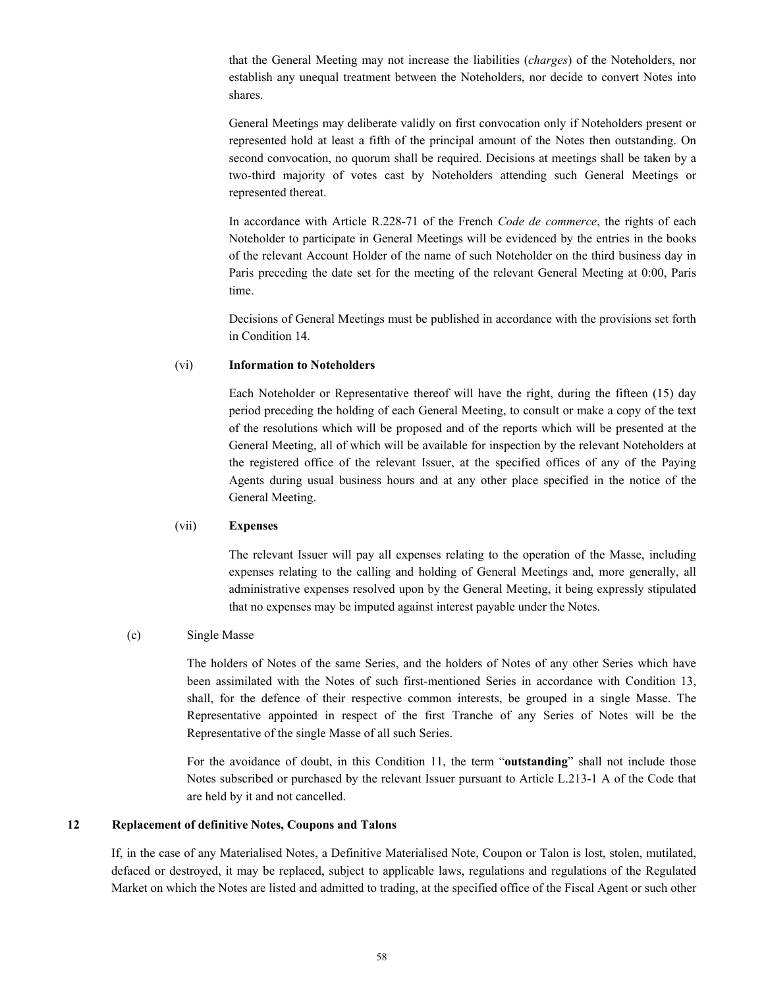that the General Meeting may not increase the liabilities (*charges*) of the Noteholders, nor establish any unequal treatment between the Noteholders, nor decide to convert Notes into shares.

General Meetings may deliberate validly on first convocation only if Noteholders present or represented hold at least a fifth of the principal amount of the Notes then outstanding. On second convocation, no quorum shall be required. Decisions at meetings shall be taken by a two-third majority of votes cast by Noteholders attending such General Meetings or represented thereat.

In accordance with Article R.228-71 of the French *Code de commerce*, the rights of each Noteholder to participate in General Meetings will be evidenced by the entries in the books of the relevant Account Holder of the name of such Noteholder on the third business day in Paris preceding the date set for the meeting of the relevant General Meeting at 0:00, Paris time.

Decisions of General Meetings must be published in accordance with the provisions set forth in Condition 14.

### (vi) **Information to Noteholders**

Each Noteholder or Representative thereof will have the right, during the fifteen (15) day period preceding the holding of each General Meeting, to consult or make a copy of the text of the resolutions which will be proposed and of the reports which will be presented at the General Meeting, all of which will be available for inspection by the relevant Noteholders at the registered office of the relevant Issuer, at the specified offices of any of the Paying Agents during usual business hours and at any other place specified in the notice of the General Meeting.

### (vii) **Expenses**

The relevant Issuer will pay all expenses relating to the operation of the Masse, including expenses relating to the calling and holding of General Meetings and, more generally, all administrative expenses resolved upon by the General Meeting, it being expressly stipulated that no expenses may be imputed against interest payable under the Notes.

#### (c) Single Masse

The holders of Notes of the same Series, and the holders of Notes of any other Series which have been assimilated with the Notes of such first-mentioned Series in accordance with Condition 13, shall, for the defence of their respective common interests, be grouped in a single Masse. The Representative appointed in respect of the first Tranche of any Series of Notes will be the Representative of the single Masse of all such Series.

For the avoidance of doubt, in this Condition 11, the term "**outstanding**" shall not include those Notes subscribed or purchased by the relevant Issuer pursuant to Article L.213-1 A of the Code that are held by it and not cancelled.

## **12 Replacement of definitive Notes, Coupons and Talons**

If, in the case of any Materialised Notes, a Definitive Materialised Note, Coupon or Talon is lost, stolen, mutilated, defaced or destroyed, it may be replaced, subject to applicable laws, regulations and regulations of the Regulated Market on which the Notes are listed and admitted to trading, at the specified office of the Fiscal Agent or such other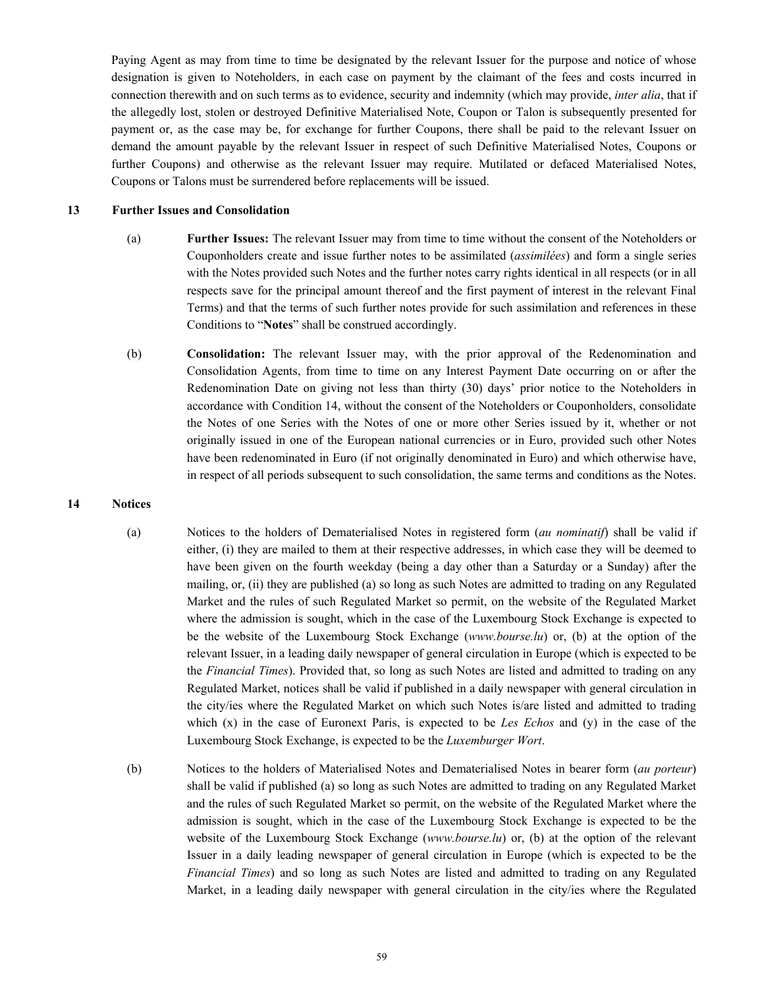Paying Agent as may from time to time be designated by the relevant Issuer for the purpose and notice of whose designation is given to Noteholders, in each case on payment by the claimant of the fees and costs incurred in connection therewith and on such terms as to evidence, security and indemnity (which may provide, *inter alia*, that if the allegedly lost, stolen or destroyed Definitive Materialised Note, Coupon or Talon is subsequently presented for payment or, as the case may be, for exchange for further Coupons, there shall be paid to the relevant Issuer on demand the amount payable by the relevant Issuer in respect of such Definitive Materialised Notes, Coupons or further Coupons) and otherwise as the relevant Issuer may require. Mutilated or defaced Materialised Notes, Coupons or Talons must be surrendered before replacements will be issued.

#### **13 Further Issues and Consolidation**

- (a) **Further Issues:** The relevant Issuer may from time to time without the consent of the Noteholders or Couponholders create and issue further notes to be assimilated (*assimilées*) and form a single series with the Notes provided such Notes and the further notes carry rights identical in all respects (or in all respects save for the principal amount thereof and the first payment of interest in the relevant Final Terms) and that the terms of such further notes provide for such assimilation and references in these Conditions to "**Notes**" shall be construed accordingly.
- (b) **Consolidation:** The relevant Issuer may, with the prior approval of the Redenomination and Consolidation Agents, from time to time on any Interest Payment Date occurring on or after the Redenomination Date on giving not less than thirty (30) days' prior notice to the Noteholders in accordance with Condition 14, without the consent of the Noteholders or Couponholders, consolidate the Notes of one Series with the Notes of one or more other Series issued by it, whether or not originally issued in one of the European national currencies or in Euro, provided such other Notes have been redenominated in Euro (if not originally denominated in Euro) and which otherwise have, in respect of all periods subsequent to such consolidation, the same terms and conditions as the Notes.

## **14 Notices**

- (a) Notices to the holders of Dematerialised Notes in registered form (*au nominatif*) shall be valid if either, (i) they are mailed to them at their respective addresses, in which case they will be deemed to have been given on the fourth weekday (being a day other than a Saturday or a Sunday) after the mailing, or, (ii) they are published (a) so long as such Notes are admitted to trading on any Regulated Market and the rules of such Regulated Market so permit, on the website of the Regulated Market where the admission is sought, which in the case of the Luxembourg Stock Exchange is expected to be the website of the Luxembourg Stock Exchange (*www.bourse.lu*) or, (b) at the option of the relevant Issuer, in a leading daily newspaper of general circulation in Europe (which is expected to be the *Financial Times*). Provided that, so long as such Notes are listed and admitted to trading on any Regulated Market, notices shall be valid if published in a daily newspaper with general circulation in the city/ies where the Regulated Market on which such Notes is/are listed and admitted to trading which (x) in the case of Euronext Paris, is expected to be *Les Echos* and (y) in the case of the Luxembourg Stock Exchange, is expected to be the *Luxemburger Wort*.
- (b) Notices to the holders of Materialised Notes and Dematerialised Notes in bearer form (*au porteur*) shall be valid if published (a) so long as such Notes are admitted to trading on any Regulated Market and the rules of such Regulated Market so permit, on the website of the Regulated Market where the admission is sought, which in the case of the Luxembourg Stock Exchange is expected to be the website of the Luxembourg Stock Exchange (*www.bourse.lu*) or, (b) at the option of the relevant Issuer in a daily leading newspaper of general circulation in Europe (which is expected to be the *Financial Times*) and so long as such Notes are listed and admitted to trading on any Regulated Market, in a leading daily newspaper with general circulation in the city/ies where the Regulated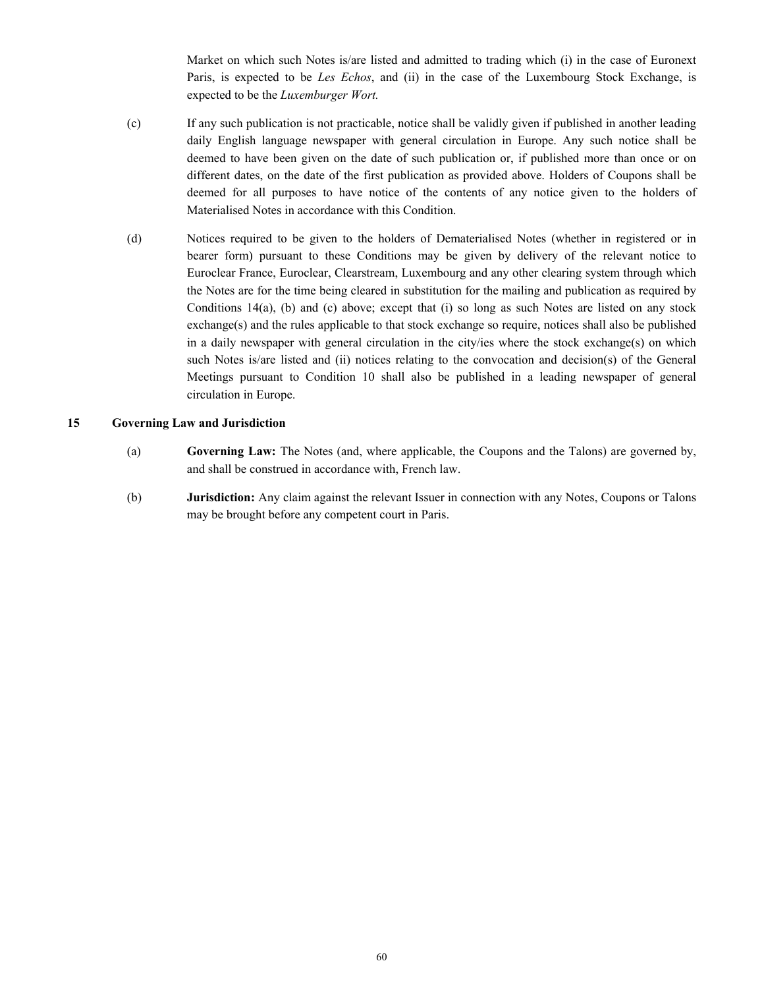Market on which such Notes is/are listed and admitted to trading which (i) in the case of Euronext Paris, is expected to be *Les Echos*, and (ii) in the case of the Luxembourg Stock Exchange, is expected to be the *Luxemburger Wort.*

- (c) If any such publication is not practicable, notice shall be validly given if published in another leading daily English language newspaper with general circulation in Europe. Any such notice shall be deemed to have been given on the date of such publication or, if published more than once or on different dates, on the date of the first publication as provided above. Holders of Coupons shall be deemed for all purposes to have notice of the contents of any notice given to the holders of Materialised Notes in accordance with this Condition.
- (d) Notices required to be given to the holders of Dematerialised Notes (whether in registered or in bearer form) pursuant to these Conditions may be given by delivery of the relevant notice to Euroclear France, Euroclear, Clearstream, Luxembourg and any other clearing system through which the Notes are for the time being cleared in substitution for the mailing and publication as required by Conditions 14(a), (b) and (c) above; except that (i) so long as such Notes are listed on any stock exchange(s) and the rules applicable to that stock exchange so require, notices shall also be published in a daily newspaper with general circulation in the city/ies where the stock exchange(s) on which such Notes is/are listed and (ii) notices relating to the convocation and decision(s) of the General Meetings pursuant to Condition 10 shall also be published in a leading newspaper of general circulation in Europe.

### **15 Governing Law and Jurisdiction**

- (a) **Governing Law:** The Notes (and, where applicable, the Coupons and the Talons) are governed by, and shall be construed in accordance with, French law.
- (b) **Jurisdiction:** Any claim against the relevant Issuer in connection with any Notes, Coupons or Talons may be brought before any competent court in Paris.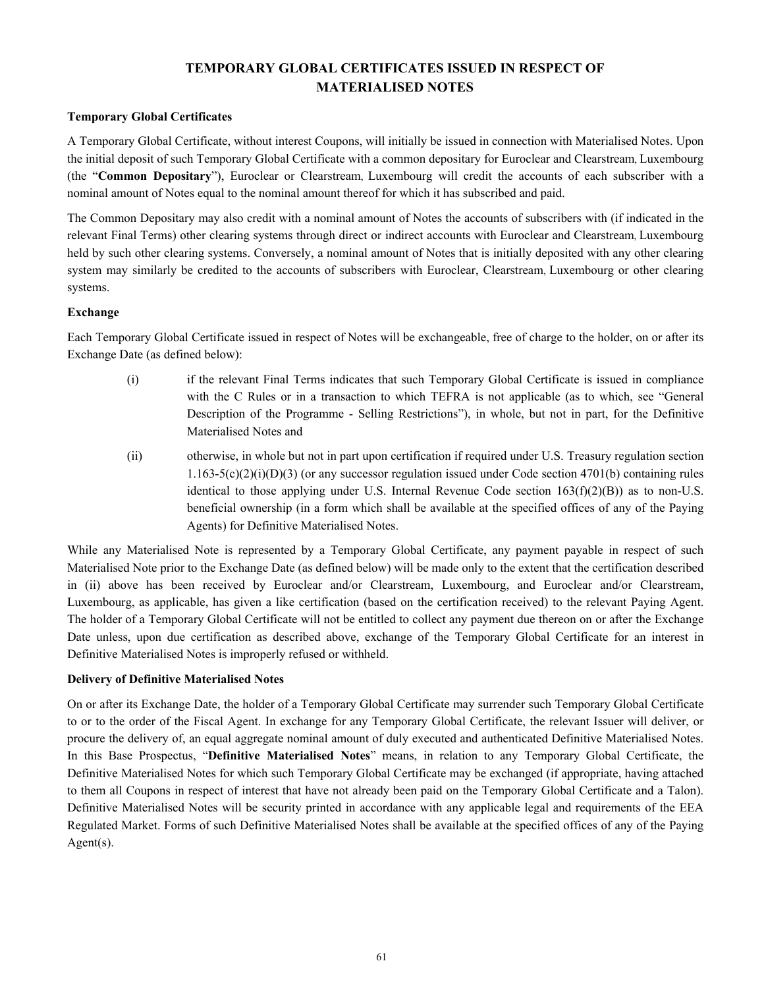# **TEMPORARY GLOBAL CERTIFICATES ISSUED IN RESPECT OF MATERIALISED NOTES**

# **Temporary Global Certificates**

A Temporary Global Certificate, without interest Coupons, will initially be issued in connection with Materialised Notes. Upon the initial deposit of such Temporary Global Certificate with a common depositary for Euroclear and Clearstream, Luxembourg (the "**Common Depositary**"), Euroclear or Clearstream, Luxembourg will credit the accounts of each subscriber with a nominal amount of Notes equal to the nominal amount thereof for which it has subscribed and paid.

The Common Depositary may also credit with a nominal amount of Notes the accounts of subscribers with (if indicated in the relevant Final Terms) other clearing systems through direct or indirect accounts with Euroclear and Clearstream, Luxembourg held by such other clearing systems. Conversely, a nominal amount of Notes that is initially deposited with any other clearing system may similarly be credited to the accounts of subscribers with Euroclear, Clearstream, Luxembourg or other clearing systems.

## **Exchange**

Each Temporary Global Certificate issued in respect of Notes will be exchangeable, free of charge to the holder, on or after its Exchange Date (as defined below):

- (i) if the relevant Final Terms indicates that such Temporary Global Certificate is issued in compliance with the C Rules or in a transaction to which TEFRA is not applicable (as to which, see "General Description of the Programme - Selling Restrictions"), in whole, but not in part, for the Definitive Materialised Notes and
- (ii) otherwise, in whole but not in part upon certification if required under U.S. Treasury regulation section  $1.163-5(c)(2)(i)(D)(3)$  (or any successor regulation issued under Code section 4701(b) containing rules identical to those applying under U.S. Internal Revenue Code section  $163(f)(2)(B)$ ) as to non-U.S. beneficial ownership (in a form which shall be available at the specified offices of any of the Paying Agents) for Definitive Materialised Notes.

While any Materialised Note is represented by a Temporary Global Certificate, any payment payable in respect of such Materialised Note prior to the Exchange Date (as defined below) will be made only to the extent that the certification described in (ii) above has been received by Euroclear and/or Clearstream, Luxembourg, and Euroclear and/or Clearstream, Luxembourg, as applicable, has given a like certification (based on the certification received) to the relevant Paying Agent. The holder of a Temporary Global Certificate will not be entitled to collect any payment due thereon on or after the Exchange Date unless, upon due certification as described above, exchange of the Temporary Global Certificate for an interest in Definitive Materialised Notes is improperly refused or withheld.

## **Delivery of Definitive Materialised Notes**

On or after its Exchange Date, the holder of a Temporary Global Certificate may surrender such Temporary Global Certificate to or to the order of the Fiscal Agent. In exchange for any Temporary Global Certificate, the relevant Issuer will deliver, or procure the delivery of, an equal aggregate nominal amount of duly executed and authenticated Definitive Materialised Notes. In this Base Prospectus, "**Definitive Materialised Notes**" means, in relation to any Temporary Global Certificate, the Definitive Materialised Notes for which such Temporary Global Certificate may be exchanged (if appropriate, having attached to them all Coupons in respect of interest that have not already been paid on the Temporary Global Certificate and a Talon). Definitive Materialised Notes will be security printed in accordance with any applicable legal and requirements of the EEA Regulated Market. Forms of such Definitive Materialised Notes shall be available at the specified offices of any of the Paying Agent(s).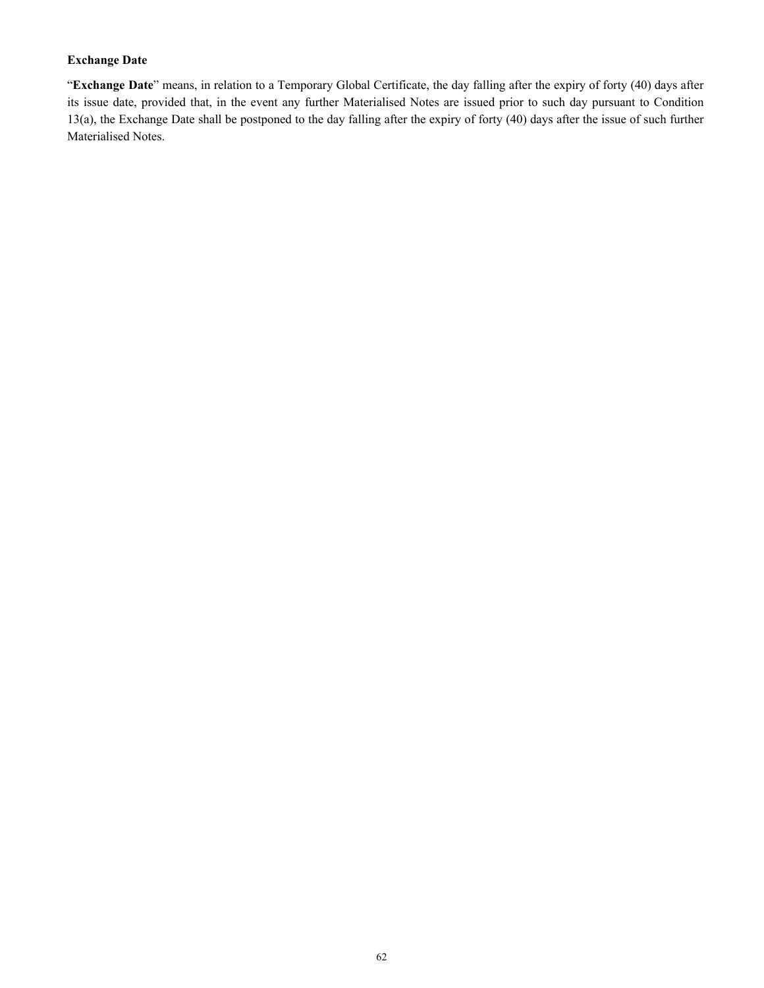## **Exchange Date**

"**Exchange Date**" means, in relation to a Temporary Global Certificate, the day falling after the expiry of forty (40) days after its issue date, provided that, in the event any further Materialised Notes are issued prior to such day pursuant to Condition 13(a), the Exchange Date shall be postponed to the day falling after the expiry of forty (40) days after the issue of such further Materialised Notes.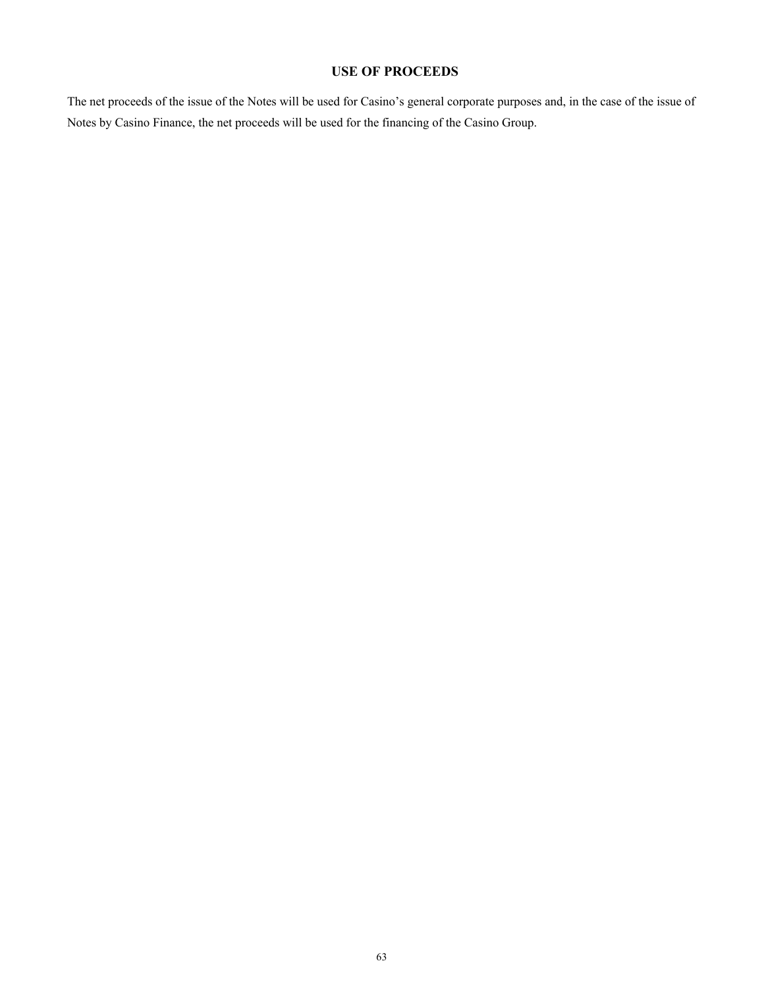# **USE OF PROCEEDS**

The net proceeds of the issue of the Notes will be used for Casino's general corporate purposes and, in the case of the issue of Notes by Casino Finance, the net proceeds will be used for the financing of the Casino Group.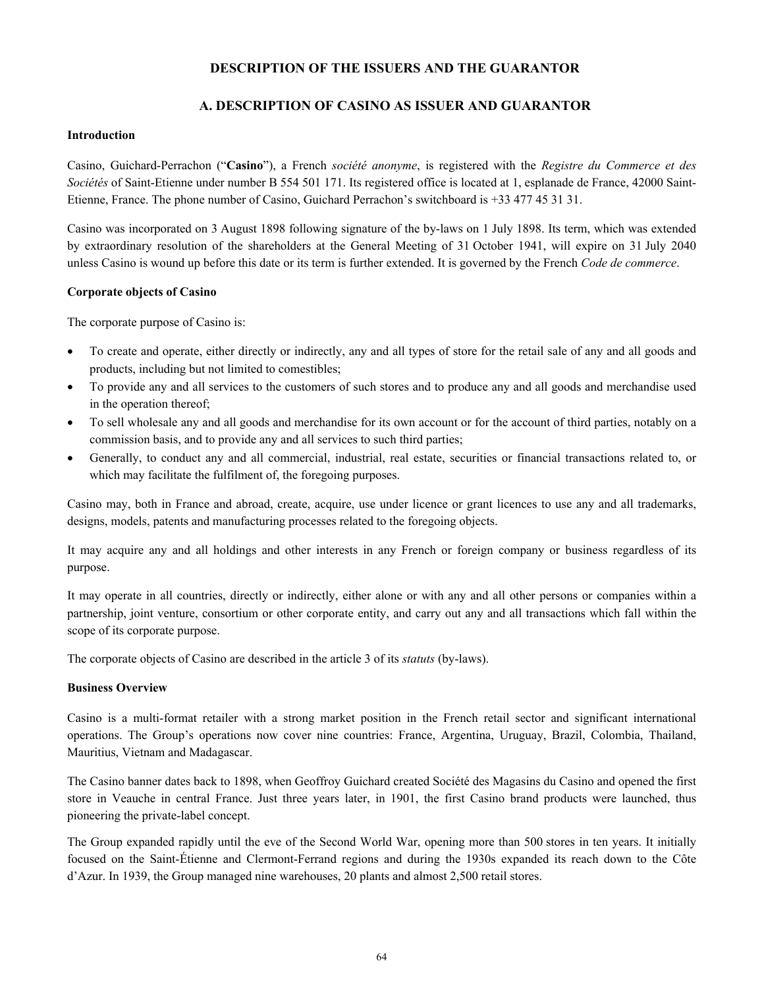# **DESCRIPTION OF THE ISSUERS AND THE GUARANTOR**

# **A. DESCRIPTION OF CASINO AS ISSUER AND GUARANTOR**

### **Introduction**

Casino, Guichard-Perrachon ("**Casino**"), a French *société anonyme*, is registered with the *Registre du Commerce et des Sociétés* of Saint-Etienne under number B 554 501 171. Its registered office is located at 1, esplanade de France, 42000 Saint-Etienne, France. The phone number of Casino, Guichard Perrachon's switchboard is +33 477 45 31 31.

Casino was incorporated on 3 August 1898 following signature of the by-laws on 1 July 1898. Its term, which was extended by extraordinary resolution of the shareholders at the General Meeting of 31 October 1941, will expire on 31 July 2040 unless Casino is wound up before this date or its term is further extended. It is governed by the French *Code de commerce*.

### **Corporate objects of Casino**

The corporate purpose of Casino is:

- To create and operate, either directly or indirectly, any and all types of store for the retail sale of any and all goods and products, including but not limited to comestibles;
- To provide any and all services to the customers of such stores and to produce any and all goods and merchandise used in the operation thereof;
- To sell wholesale any and all goods and merchandise for its own account or for the account of third parties, notably on a commission basis, and to provide any and all services to such third parties;
- Generally, to conduct any and all commercial, industrial, real estate, securities or financial transactions related to, or which may facilitate the fulfilment of, the foregoing purposes.

Casino may, both in France and abroad, create, acquire, use under licence or grant licences to use any and all trademarks, designs, models, patents and manufacturing processes related to the foregoing objects.

It may acquire any and all holdings and other interests in any French or foreign company or business regardless of its purpose.

It may operate in all countries, directly or indirectly, either alone or with any and all other persons or companies within a partnership, joint venture, consortium or other corporate entity, and carry out any and all transactions which fall within the scope of its corporate purpose.

The corporate objects of Casino are described in the article 3 of its *statuts* (by-laws).

## **Business Overview**

Casino is a multi-format retailer with a strong market position in the French retail sector and significant international operations. The Group's operations now cover nine countries: France, Argentina, Uruguay, Brazil, Colombia, Thailand, Mauritius, Vietnam and Madagascar.

The Casino banner dates back to 1898, when Geoffroy Guichard created Société des Magasins du Casino and opened the first store in Veauche in central France. Just three years later, in 1901, the first Casino brand products were launched, thus pioneering the private-label concept.

The Group expanded rapidly until the eve of the Second World War, opening more than 500 stores in ten years. It initially focused on the Saint-Étienne and Clermont-Ferrand regions and during the 1930s expanded its reach down to the Côte d'Azur. In 1939, the Group managed nine warehouses, 20 plants and almost 2,500 retail stores.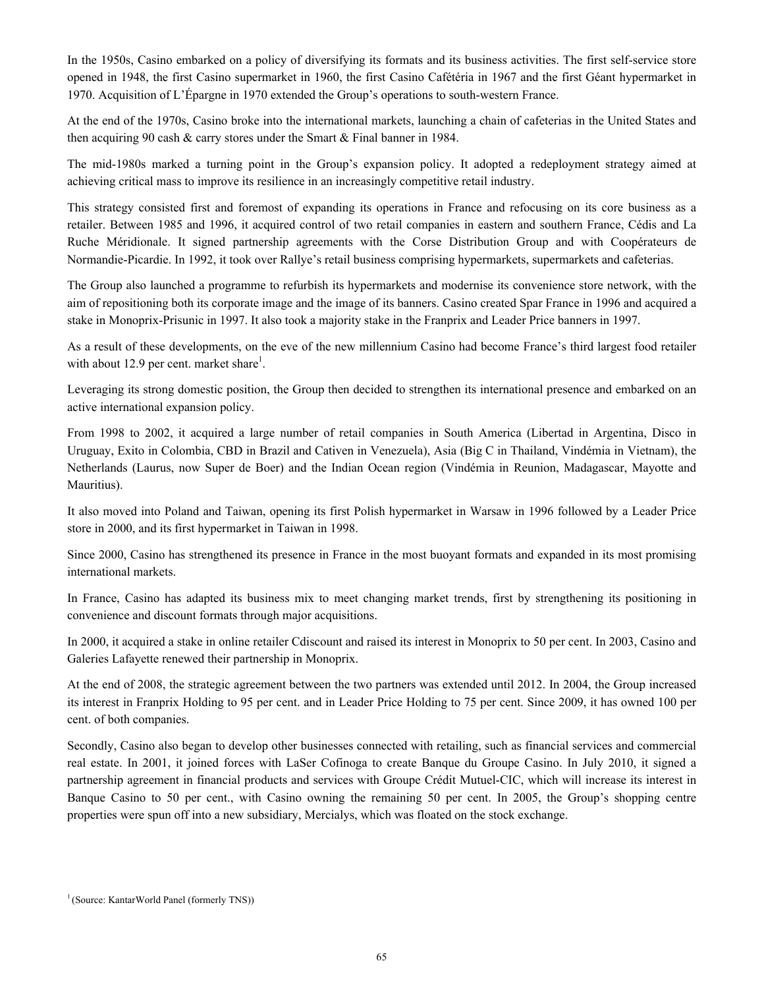In the 1950s, Casino embarked on a policy of diversifying its formats and its business activities. The first self-service store opened in 1948, the first Casino supermarket in 1960, the first Casino Cafétéria in 1967 and the first Géant hypermarket in 1970. Acquisition of L'Épargne in 1970 extended the Group's operations to south-western France.

At the end of the 1970s, Casino broke into the international markets, launching a chain of cafeterias in the United States and then acquiring 90 cash & carry stores under the Smart & Final banner in 1984.

The mid-1980s marked a turning point in the Group's expansion policy. It adopted a redeployment strategy aimed at achieving critical mass to improve its resilience in an increasingly competitive retail industry.

This strategy consisted first and foremost of expanding its operations in France and refocusing on its core business as a retailer. Between 1985 and 1996, it acquired control of two retail companies in eastern and southern France, Cédis and La Ruche Méridionale. It signed partnership agreements with the Corse Distribution Group and with Coopérateurs de Normandie-Picardie. In 1992, it took over Rallye's retail business comprising hypermarkets, supermarkets and cafeterias.

The Group also launched a programme to refurbish its hypermarkets and modernise its convenience store network, with the aim of repositioning both its corporate image and the image of its banners. Casino created Spar France in 1996 and acquired a stake in Monoprix-Prisunic in 1997. It also took a majority stake in the Franprix and Leader Price banners in 1997.

As a result of these developments, on the eve of the new millennium Casino had become France's third largest food retailer with about 12.9 per cent. market share<sup>1</sup>.

Leveraging its strong domestic position, the Group then decided to strengthen its international presence and embarked on an active international expansion policy.

From 1998 to 2002, it acquired a large number of retail companies in South America (Libertad in Argentina, Disco in Uruguay, Exito in Colombia, CBD in Brazil and Cativen in Venezuela), Asia (Big C in Thailand, Vindémia in Vietnam), the Netherlands (Laurus, now Super de Boer) and the Indian Ocean region (Vindémia in Reunion, Madagascar, Mayotte and Mauritius).

It also moved into Poland and Taiwan, opening its first Polish hypermarket in Warsaw in 1996 followed by a Leader Price store in 2000, and its first hypermarket in Taiwan in 1998.

Since 2000, Casino has strengthened its presence in France in the most buoyant formats and expanded in its most promising international markets.

In France, Casino has adapted its business mix to meet changing market trends, first by strengthening its positioning in convenience and discount formats through major acquisitions.

In 2000, it acquired a stake in online retailer Cdiscount and raised its interest in Monoprix to 50 per cent. In 2003, Casino and Galeries Lafayette renewed their partnership in Monoprix.

At the end of 2008, the strategic agreement between the two partners was extended until 2012. In 2004, the Group increased its interest in Franprix Holding to 95 per cent. and in Leader Price Holding to 75 per cent. Since 2009, it has owned 100 per cent. of both companies.

Secondly, Casino also began to develop other businesses connected with retailing, such as financial services and commercial real estate. In 2001, it joined forces with LaSer Cofinoga to create Banque du Groupe Casino. In July 2010, it signed a partnership agreement in financial products and services with Groupe Crédit Mutuel-CIC, which will increase its interest in Banque Casino to 50 per cent., with Casino owning the remaining 50 per cent. In 2005, the Group's shopping centre properties were spun off into a new subsidiary, Mercialys, which was floated on the stock exchange.

<sup>&</sup>lt;sup>1</sup> (Source: KantarWorld Panel (formerly TNS))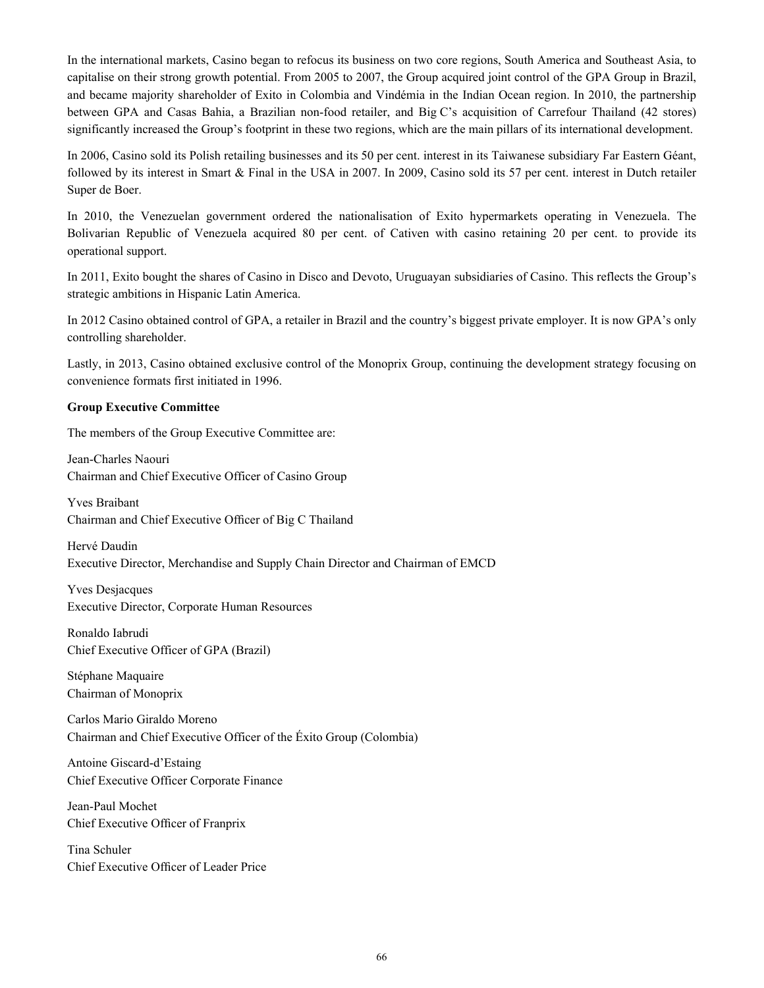In the international markets, Casino began to refocus its business on two core regions, South America and Southeast Asia, to capitalise on their strong growth potential. From 2005 to 2007, the Group acquired joint control of the GPA Group in Brazil, and became majority shareholder of Exito in Colombia and Vindémia in the Indian Ocean region. In 2010, the partnership between GPA and Casas Bahia, a Brazilian non-food retailer, and Big C's acquisition of Carrefour Thailand (42 stores) significantly increased the Group's footprint in these two regions, which are the main pillars of its international development.

In 2006, Casino sold its Polish retailing businesses and its 50 per cent. interest in its Taiwanese subsidiary Far Eastern Géant, followed by its interest in Smart & Final in the USA in 2007. In 2009, Casino sold its 57 per cent. interest in Dutch retailer Super de Boer.

In 2010, the Venezuelan government ordered the nationalisation of Exito hypermarkets operating in Venezuela. The Bolivarian Republic of Venezuela acquired 80 per cent. of Cativen with casino retaining 20 per cent. to provide its operational support.

In 2011, Exito bought the shares of Casino in Disco and Devoto, Uruguayan subsidiaries of Casino. This reflects the Group's strategic ambitions in Hispanic Latin America.

In 2012 Casino obtained control of GPA, a retailer in Brazil and the country's biggest private employer. It is now GPA's only controlling shareholder.

Lastly, in 2013, Casino obtained exclusive control of the Monoprix Group, continuing the development strategy focusing on convenience formats first initiated in 1996.

### **Group Executive Committee**

The members of the Group Executive Committee are:

Jean-Charles Naouri Chairman and Chief Executive Officer of Casino Group

Yves Braibant Chairman and Chief Executive Officer of Big C Thailand

Hervé Daudin Executive Director, Merchandise and Supply Chain Director and Chairman of EMCD

Yves Desjacques Executive Director, Corporate Human Resources

Ronaldo Iabrudi Chief Executive Officer of GPA (Brazil)

Stéphane Maquaire Chairman of Monoprix

Carlos Mario Giraldo Moreno Chairman and Chief Executive Officer of the Éxito Group (Colombia)

Antoine Giscard-d'Estaing Chief Executive Officer Corporate Finance

Jean-Paul Mochet Chief Executive Officer of Franprix

Tina Schuler Chief Executive Officer of Leader Price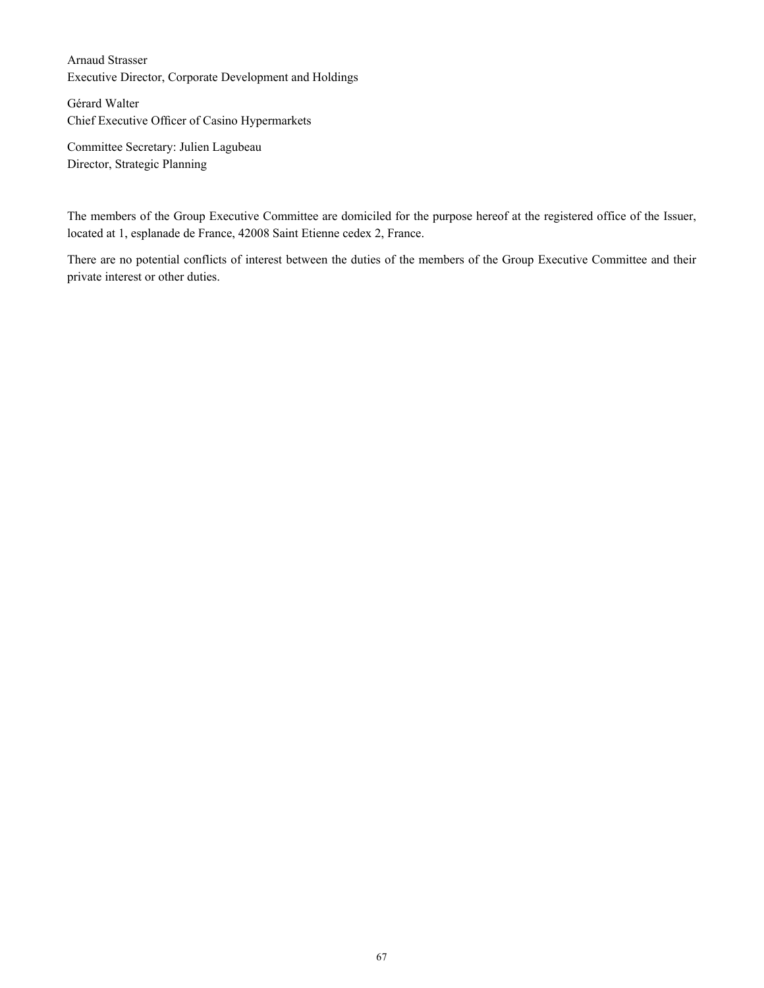Arnaud Strasser Executive Director, Corporate Development and Holdings

Gérard Walter Chief Executive Officer of Casino Hypermarkets

Committee Secretary: Julien Lagubeau Director, Strategic Planning

The members of the Group Executive Committee are domiciled for the purpose hereof at the registered office of the Issuer, located at 1, esplanade de France, 42008 Saint Etienne cedex 2, France.

There are no potential conflicts of interest between the duties of the members of the Group Executive Committee and their private interest or other duties.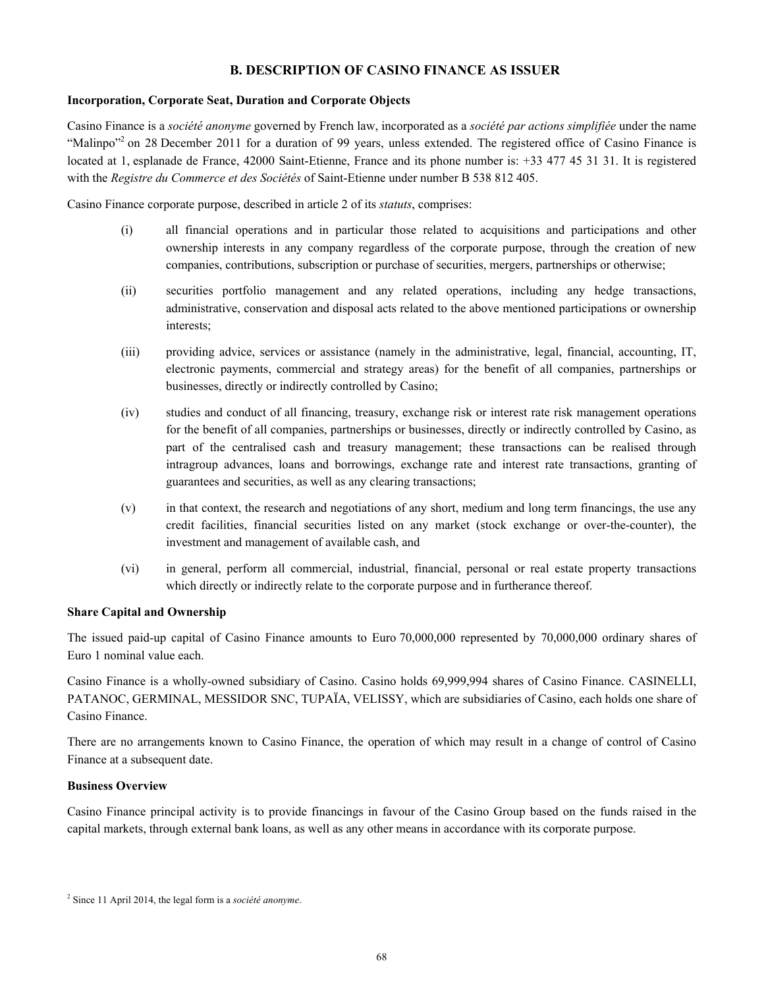# **B. DESCRIPTION OF CASINO FINANCE AS ISSUER**

# **Incorporation, Corporate Seat, Duration and Corporate Objects**

Casino Finance is a *société anonyme* governed by French law, incorporated as a *société par actions simplifiée* under the name "Malinpo"<sup>2</sup> on 28 December 2011 for a duration of 99 years, unless extended. The registered office of Casino Finance is located at 1, esplanade de France, 42000 Saint-Etienne, France and its phone number is: +33 477 45 31 31. It is registered with the *Registre du Commerce et des Sociétés* of Saint-Etienne under number B 538 812 405.

Casino Finance corporate purpose, described in article 2 of its *statuts*, comprises:

- (i) all financial operations and in particular those related to acquisitions and participations and other ownership interests in any company regardless of the corporate purpose, through the creation of new companies, contributions, subscription or purchase of securities, mergers, partnerships or otherwise;
- (ii) securities portfolio management and any related operations, including any hedge transactions, administrative, conservation and disposal acts related to the above mentioned participations or ownership interests;
- (iii) providing advice, services or assistance (namely in the administrative, legal, financial, accounting, IT, electronic payments, commercial and strategy areas) for the benefit of all companies, partnerships or businesses, directly or indirectly controlled by Casino;
- (iv) studies and conduct of all financing, treasury, exchange risk or interest rate risk management operations for the benefit of all companies, partnerships or businesses, directly or indirectly controlled by Casino, as part of the centralised cash and treasury management; these transactions can be realised through intragroup advances, loans and borrowings, exchange rate and interest rate transactions, granting of guarantees and securities, as well as any clearing transactions;
- (v) in that context, the research and negotiations of any short, medium and long term financings, the use any credit facilities, financial securities listed on any market (stock exchange or over-the-counter), the investment and management of available cash, and
- (vi) in general, perform all commercial, industrial, financial, personal or real estate property transactions which directly or indirectly relate to the corporate purpose and in furtherance thereof.

## **Share Capital and Ownership**

The issued paid-up capital of Casino Finance amounts to Euro 70,000,000 represented by 70,000,000 ordinary shares of Euro 1 nominal value each.

Casino Finance is a wholly-owned subsidiary of Casino. Casino holds 69,999,994 shares of Casino Finance. CASINELLI, PATANOC, GERMINAL, MESSIDOR SNC, TUPAÏA, VELISSY, which are subsidiaries of Casino, each holds one share of Casino Finance.

There are no arrangements known to Casino Finance, the operation of which may result in a change of control of Casino Finance at a subsequent date.

## **Business Overview**

Casino Finance principal activity is to provide financings in favour of the Casino Group based on the funds raised in the capital markets, through external bank loans, as well as any other means in accordance with its corporate purpose.

<sup>2</sup> Since 11 April 2014, the legal form is a *société anonyme*.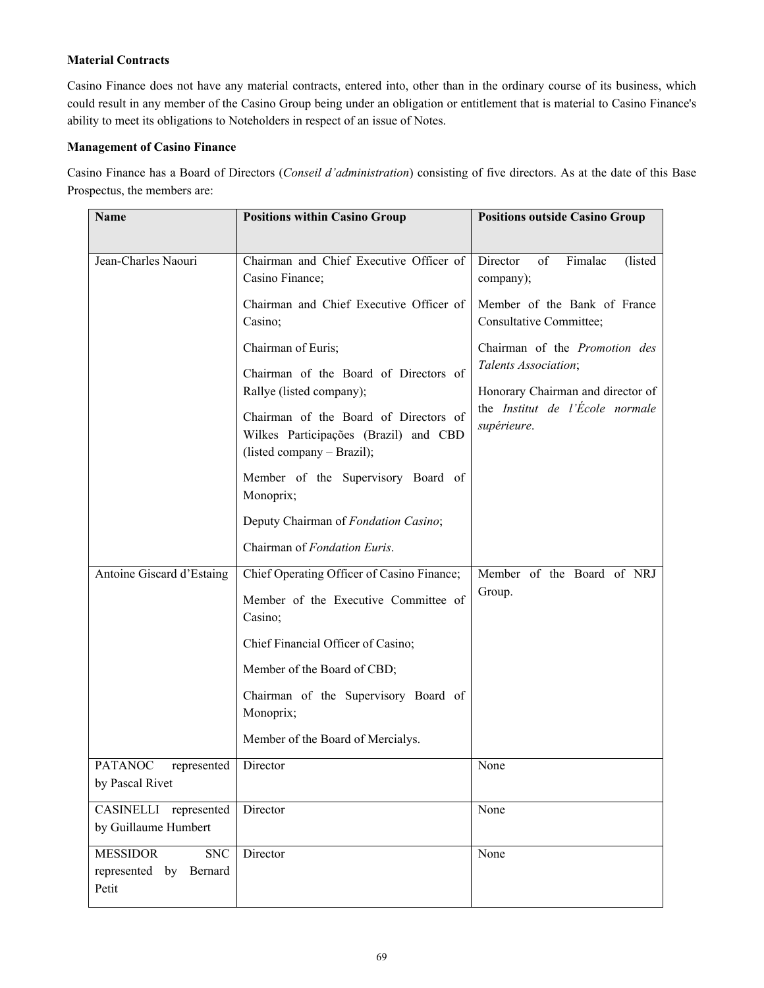# **Material Contracts**

Casino Finance does not have any material contracts, entered into, other than in the ordinary course of its business, which could result in any member of the Casino Group being under an obligation or entitlement that is material to Casino Finance's ability to meet its obligations to Noteholders in respect of an issue of Notes.

# **Management of Casino Finance**

Casino Finance has a Board of Directors (*Conseil d'administration*) consisting of five directors. As at the date of this Base Prospectus, the members are:

| Name                                                             | <b>Positions within Casino Group</b>                                                                         | <b>Positions outside Casino Group</b>                                                      |
|------------------------------------------------------------------|--------------------------------------------------------------------------------------------------------------|--------------------------------------------------------------------------------------------|
|                                                                  |                                                                                                              |                                                                                            |
| Jean-Charles Naouri                                              | Chairman and Chief Executive Officer of<br>Casino Finance;                                                   | Director<br>of<br>Fimalac<br>(listed)<br>company);                                         |
|                                                                  | Chairman and Chief Executive Officer of<br>Casino;                                                           | Member of the Bank of France<br>Consultative Committee;                                    |
|                                                                  | Chairman of Euris;                                                                                           | Chairman of the Promotion des<br>Talents Association;                                      |
|                                                                  | Chairman of the Board of Directors of<br>Rallye (listed company);                                            | Honorary Chairman and director of<br>the <i>Institut</i> de l'École normale<br>supérieure. |
|                                                                  | Chairman of the Board of Directors of<br>Wilkes Participações (Brazil) and CBD<br>(listed company - Brazil); |                                                                                            |
|                                                                  | Member of the Supervisory Board of<br>Monoprix;                                                              |                                                                                            |
|                                                                  | Deputy Chairman of Fondation Casino;                                                                         |                                                                                            |
|                                                                  | Chairman of Fondation Euris.                                                                                 |                                                                                            |
| Antoine Giscard d'Estaing                                        | Chief Operating Officer of Casino Finance;                                                                   | Member of the Board of NRJ                                                                 |
|                                                                  | Member of the Executive Committee of<br>Casino;                                                              | Group.                                                                                     |
|                                                                  | Chief Financial Officer of Casino;                                                                           |                                                                                            |
|                                                                  | Member of the Board of CBD;                                                                                  |                                                                                            |
|                                                                  | Chairman of the Supervisory Board of<br>Monoprix;                                                            |                                                                                            |
|                                                                  | Member of the Board of Mercialys.                                                                            |                                                                                            |
| PATANOC represented<br>by Pascal Rivet                           | Director                                                                                                     | None                                                                                       |
| CASINELLI represented<br>by Guillaume Humbert                    | Director                                                                                                     | None                                                                                       |
| <b>MESSIDOR</b><br><b>SNC</b><br>represented by Bernard<br>Petit | Director                                                                                                     | None                                                                                       |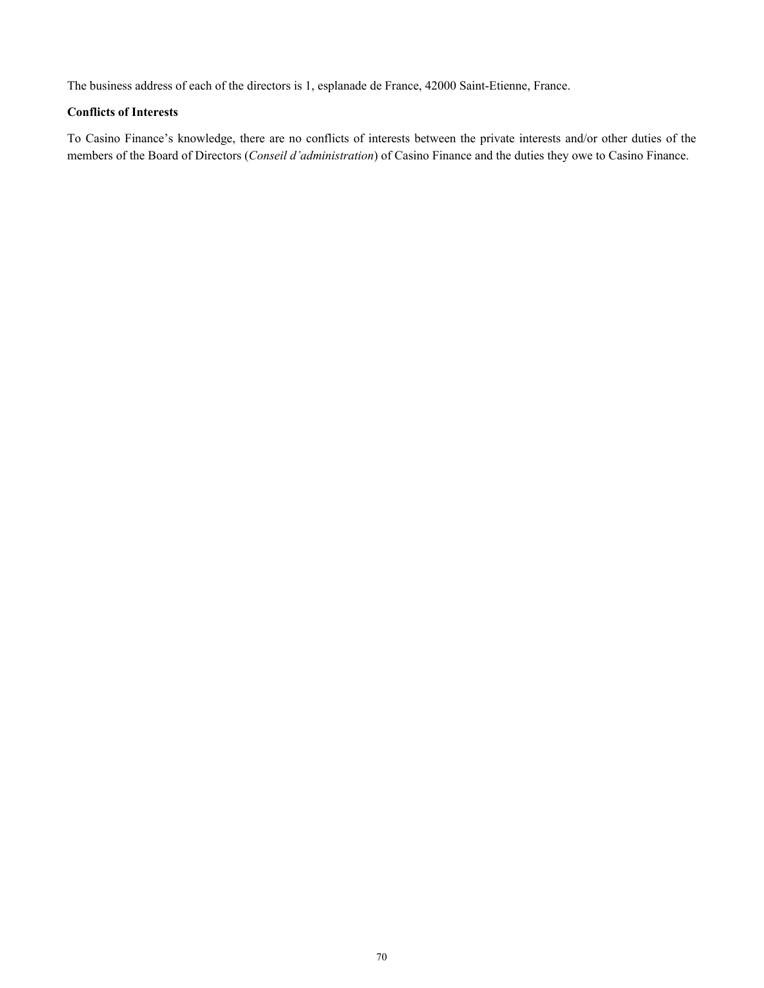The business address of each of the directors is 1, esplanade de France, 42000 Saint-Etienne, France.

# **Conflicts of Interests**

To Casino Finance's knowledge, there are no conflicts of interests between the private interests and/or other duties of the members of the Board of Directors (*Conseil d'administration*) of Casino Finance and the duties they owe to Casino Finance.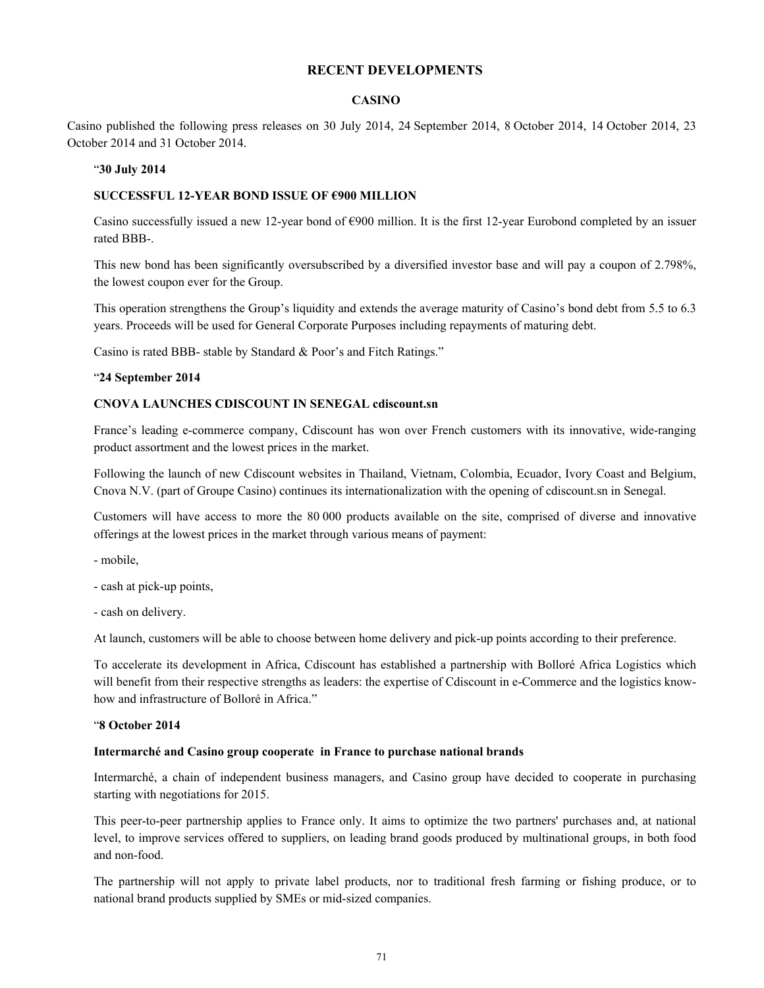# **RECENT DEVELOPMENTS**

### **CASINO**

Casino published the following press releases on 30 July 2014, 24 September 2014, 8 October 2014, 14 October 2014, 23 October 2014 and 31 October 2014.

#### "**30 July 2014**

### **SUCCESSFUL 12-YEAR BOND ISSUE OF €900 MILLION**

Casino successfully issued a new 12-year bond of  $\epsilon$ 900 million. It is the first 12-year Eurobond completed by an issuer rated BBB-.

This new bond has been significantly oversubscribed by a diversified investor base and will pay a coupon of 2.798%, the lowest coupon ever for the Group.

This operation strengthens the Group's liquidity and extends the average maturity of Casino's bond debt from 5.5 to 6.3 years. Proceeds will be used for General Corporate Purposes including repayments of maturing debt.

Casino is rated BBB- stable by Standard & Poor's and Fitch Ratings."

### "**24 September 2014**

### **CNOVA LAUNCHES CDISCOUNT IN SENEGAL cdiscount.sn**

France's leading e-commerce company, Cdiscount has won over French customers with its innovative, wide-ranging product assortment and the lowest prices in the market.

Following the launch of new Cdiscount websites in Thailand, Vietnam, Colombia, Ecuador, Ivory Coast and Belgium, Cnova N.V. (part of Groupe Casino) continues its internationalization with the opening of cdiscount.sn in Senegal.

Customers will have access to more the 80 000 products available on the site, comprised of diverse and innovative offerings at the lowest prices in the market through various means of payment:

- mobile,

- cash at pick-up points,
- cash on delivery.

At launch, customers will be able to choose between home delivery and pick-up points according to their preference.

To accelerate its development in Africa, Cdiscount has established a partnership with Bolloré Africa Logistics which will benefit from their respective strengths as leaders: the expertise of Cdiscount in e-Commerce and the logistics knowhow and infrastructure of Bolloré in Africa."

### "**8 October 2014**

#### **Intermarché and Casino group cooperate in France to purchase national brands**

Intermarché, a chain of independent business managers, and Casino group have decided to cooperate in purchasing starting with negotiations for 2015.

This peer-to-peer partnership applies to France only. It aims to optimize the two partners' purchases and, at national level, to improve services offered to suppliers, on leading brand goods produced by multinational groups, in both food and non-food.

The partnership will not apply to private label products, nor to traditional fresh farming or fishing produce, or to national brand products supplied by SMEs or mid-sized companies.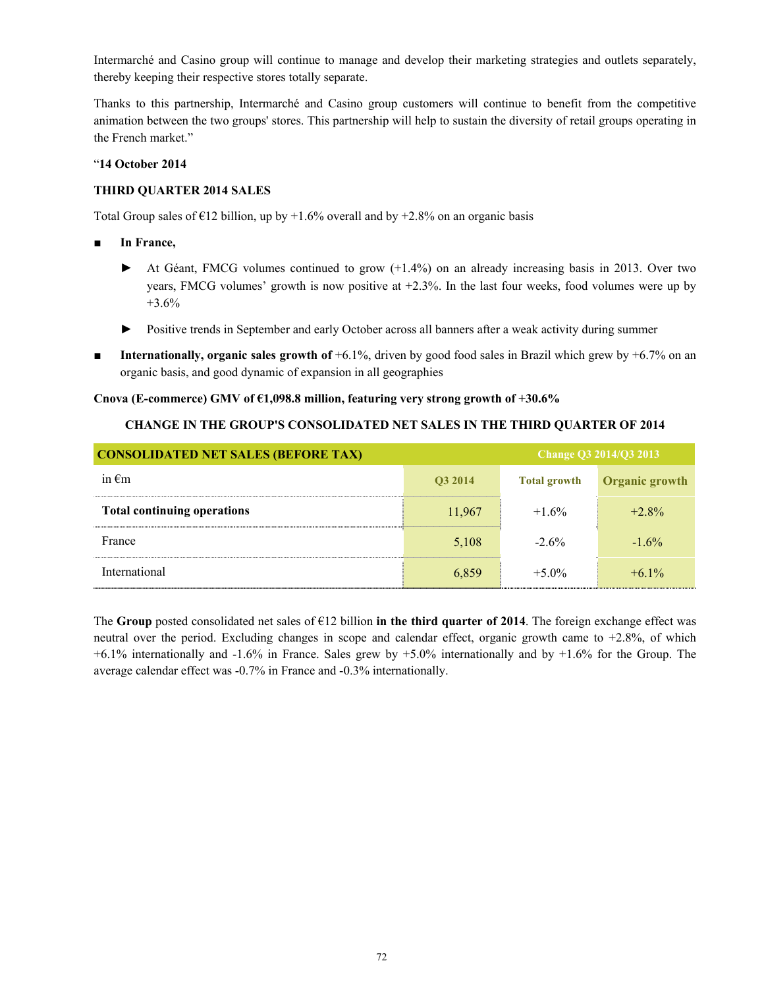Intermarché and Casino group will continue to manage and develop their marketing strategies and outlets separately, thereby keeping their respective stores totally separate.

Thanks to this partnership, Intermarché and Casino group customers will continue to benefit from the competitive animation between the two groups' stores. This partnership will help to sustain the diversity of retail groups operating in the French market."

## "**14 October 2014**

## **THIRD QUARTER 2014 SALES**

Total Group sales of  $\epsilon$ 12 billion, up by +1.6% overall and by +2.8% on an organic basis

- **In France,**
	- ► At Géant, FMCG volumes continued to grow (+1.4%) on an already increasing basis in 2013. Over two years, FMCG volumes' growth is now positive at  $+2.3\%$ . In the last four weeks, food volumes were up by  $+3.6%$
	- ► Positive trends in September and early October across all banners after a weak activity during summer
- **Internationally, organic sales growth of** +6.1%, driven by good food sales in Brazil which grew by +6.7% on an organic basis, and good dynamic of expansion in all geographies

#### **Cnova (E-commerce) GMV of €1,098.8 million, featuring very strong growth of +30.6%**

#### **CHANGE IN THE GROUP'S CONSOLIDATED NET SALES IN THE THIRD QUARTER OF 2014**

| <b>CONSOLIDATED NET SALES (BEFORE TAX)</b> |                |                     | Change Q3 $2014/Q3 2013$ |
|--------------------------------------------|----------------|---------------------|--------------------------|
| in $\epsilon$ m                            | <b>O3 2014</b> | <b>Total growth</b> | <b>Organic growth</b>    |
| <b>Total continuing operations</b>         | 11,967         | $+1.6\%$            | $+2.8\%$                 |
| France                                     | 5,108          | $-2.6\%$            | $-1.6\%$                 |
| International                              | 6,859          | $+5.0\%$            | $+6.1\%$                 |

The **Group** posted consolidated net sales of  $\epsilon$ 12 billion **in the third quarter of 2014**. The foreign exchange effect was neutral over the period. Excluding changes in scope and calendar effect, organic growth came to +2.8%, of which +6.1% internationally and -1.6% in France. Sales grew by +5.0% internationally and by +1.6% for the Group. The average calendar effect was -0.7% in France and -0.3% internationally.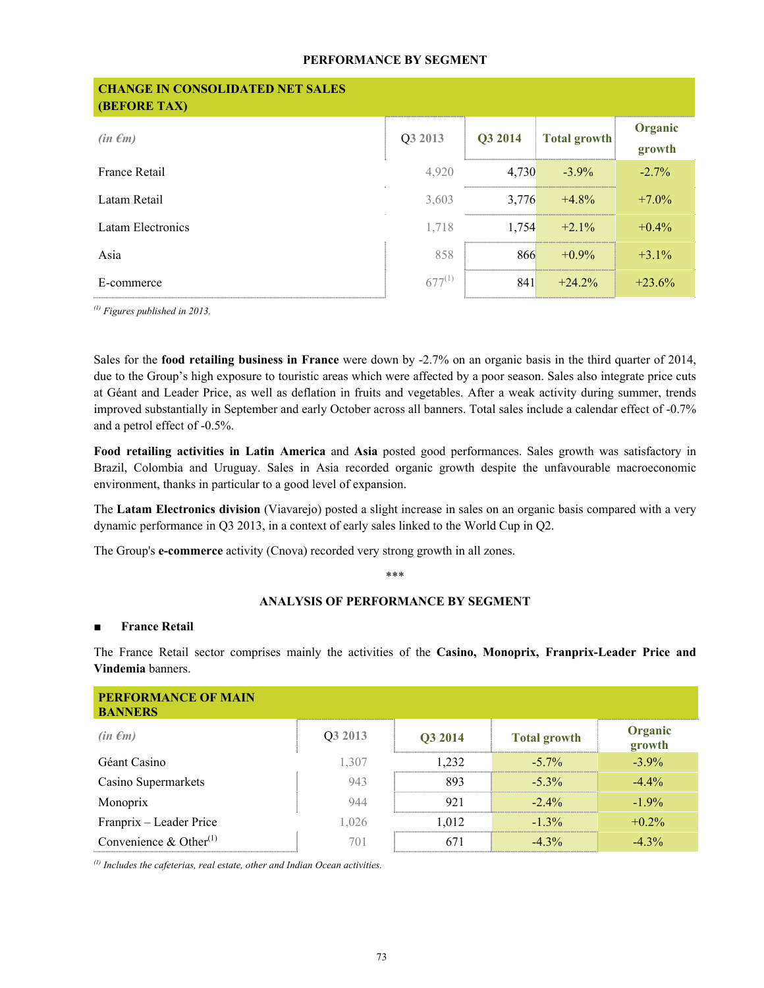## **PERFORMANCE BY SEGMENT**

| <b>CHANGE IN CONSOLIDATED NET SALES</b><br><b>(BEFORE TAX)</b> |             |         |                     |                   |
|----------------------------------------------------------------|-------------|---------|---------------------|-------------------|
| $(in \epsilon m)$                                              | Q3 2013     | Q3 2014 | <b>Total growth</b> | Organic<br>growth |
| France Retail                                                  | 4,920       | 4,730   | $-3.9\%$            | $-2.7\%$          |
| Latam Retail                                                   | 3,603       | 3,776   | $+4.8%$             | $+7.0\%$          |
| Latam Electronics                                              | 1,718       | 1,754   | $+2.1%$             | $+0.4%$           |
| Asia                                                           | 858         | 866     | $+0.9\%$            | $+3.1\%$          |
| E-commerce                                                     | $677^{(1)}$ | 841     | $+24.2%$            | $+23.6%$          |

*(1) Figures published in 2013.*

Sales for the **food retailing business in France** were down by -2.7% on an organic basis in the third quarter of 2014, due to the Group's high exposure to touristic areas which were affected by a poor season. Sales also integrate price cuts at Géant and Leader Price, as well as deflation in fruits and vegetables. After a weak activity during summer, trends improved substantially in September and early October across all banners. Total sales include a calendar effect of -0.7% and a petrol effect of -0.5%.

**Food retailing activities in Latin America** and **Asia** posted good performances. Sales growth was satisfactory in Brazil, Colombia and Uruguay. Sales in Asia recorded organic growth despite the unfavourable macroeconomic environment, thanks in particular to a good level of expansion.

The **Latam Electronics division** (Viavarejo) posted a slight increase in sales on an organic basis compared with a very dynamic performance in Q3 2013, in a context of early sales linked to the World Cup in Q2.

The Group's **e-commerce** activity (Cnova) recorded very strong growth in all zones.

\*\*\*

# **ANALYSIS OF PERFORMANCE BY SEGMENT**

# ■ **France Retail**

The France Retail sector comprises mainly the activities of the **Casino, Monoprix, Franprix-Leader Price and Vindemia** banners.

| <b>PERFORMANCE OF MAIN</b><br><b>BANNERS</b> |                     |                |                     |                   |
|----------------------------------------------|---------------------|----------------|---------------------|-------------------|
| $(in \epsilon m)$                            | O <sub>3</sub> 2013 | <b>O3 2014</b> | <b>Total growth</b> | Organic<br>growth |
| Géant Casino                                 | 1.307               | l 232          | $-5.7\%$            | $-3.9\%$          |
| Casino Supermarkets                          | 943                 | 893            | $-5.3\%$            | $-4.4\%$          |
| Monoprix                                     | 944                 | 921            | $-2.4\%$            | $-1.9\%$          |
| Franprix - Leader Price                      | 1,026               | 1.012          | $-1.3\%$            | $+0.2\%$          |
| Convenience & Other $^{(1)}$                 | 701                 |                | $-4.3\%$            | $-4.3\%$          |

*(1) Includes the cafeterias, real estate, other and Indian Ocean activities.*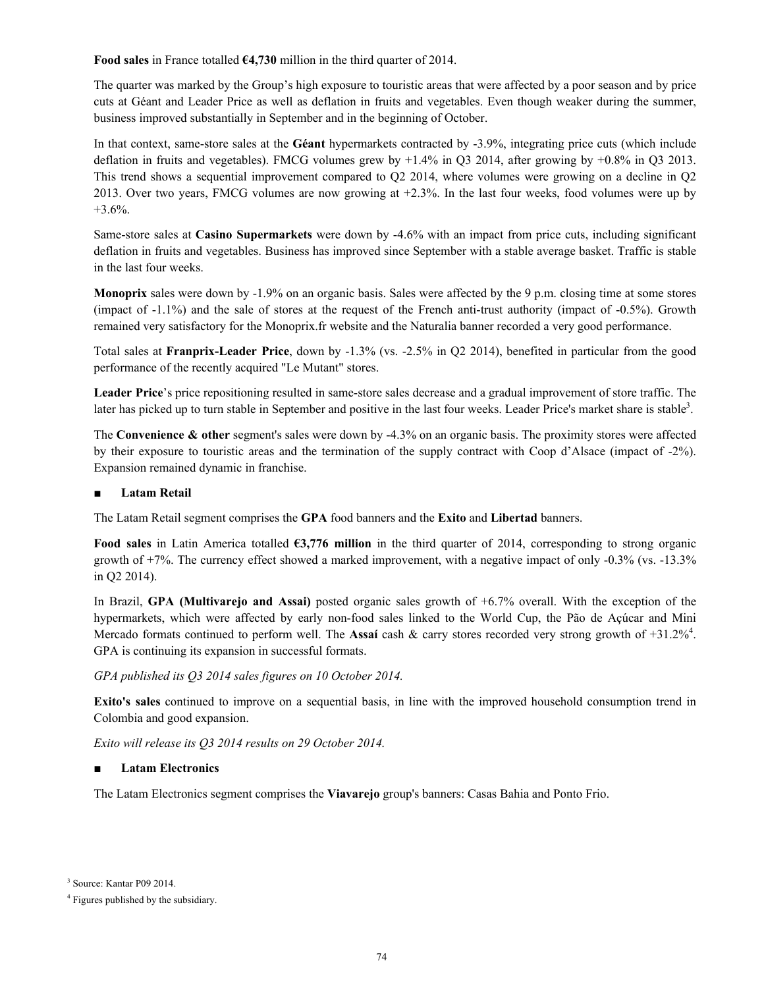**Food sales** in France totalled **€4,730** million in the third quarter of 2014.

The quarter was marked by the Group's high exposure to touristic areas that were affected by a poor season and by price cuts at Géant and Leader Price as well as deflation in fruits and vegetables. Even though weaker during the summer, business improved substantially in September and in the beginning of October.

In that context, same-store sales at the **Géant** hypermarkets contracted by -3.9%, integrating price cuts (which include deflation in fruits and vegetables). FMCG volumes grew by  $+1.4\%$  in O3 2014, after growing by  $+0.8\%$  in O3 2013. This trend shows a sequential improvement compared to Q2 2014, where volumes were growing on a decline in Q2 2013. Over two years, FMCG volumes are now growing at +2.3%. In the last four weeks, food volumes were up by  $+3.6\%$ .

Same-store sales at **Casino Supermarkets** were down by -4.6% with an impact from price cuts, including significant deflation in fruits and vegetables. Business has improved since September with a stable average basket. Traffic is stable in the last four weeks.

**Monoprix** sales were down by -1.9% on an organic basis. Sales were affected by the 9 p.m. closing time at some stores (impact of -1.1%) and the sale of stores at the request of the French anti-trust authority (impact of -0.5%). Growth remained very satisfactory for the Monoprix.fr website and the Naturalia banner recorded a very good performance.

Total sales at **Franprix-Leader Price**, down by -1.3% (vs. -2.5% in Q2 2014), benefited in particular from the good performance of the recently acquired "Le Mutant" stores.

**Leader Price**'s price repositioning resulted in same-store sales decrease and a gradual improvement of store traffic. The later has picked up to turn stable in September and positive in the last four weeks. Leader Price's market share is stable<sup>3</sup>.

The **Convenience & other** segment's sales were down by -4.3% on an organic basis. The proximity stores were affected by their exposure to touristic areas and the termination of the supply contract with Coop d'Alsace (impact of -2%). Expansion remained dynamic in franchise.

# **Latam Retail**

The Latam Retail segment comprises the **GPA** food banners and the **Exito** and **Libertad** banners.

**Food sales** in Latin America totalled **€3,776 million** in the third quarter of 2014, corresponding to strong organic growth of +7%. The currency effect showed a marked improvement, with a negative impact of only -0.3% (vs. -13.3% in Q2 2014).

In Brazil, **GPA (Multivarejo and Assai)** posted organic sales growth of +6.7% overall. With the exception of the hypermarkets, which were affected by early non-food sales linked to the World Cup, the Pão de Açúcar and Mini Mercado formats continued to perform well. The Assaí cash  $\&$  carry stores recorded very strong growth of  $+31.2\%$ <sup>4</sup>. GPA is continuing its expansion in successful formats.

# *GPA published its Q3 2014 sales figures on 10 October 2014.*

**Exito's sales** continued to improve on a sequential basis, in line with the improved household consumption trend in Colombia and good expansion.

*Exito will release its Q3 2014 results on 29 October 2014.*

# ■ **Latam Electronics**

The Latam Electronics segment comprises the **Viavarejo** group's banners: Casas Bahia and Ponto Frio.

<sup>3</sup> Source: Kantar P09 2014.

<sup>4</sup> Figures published by the subsidiary.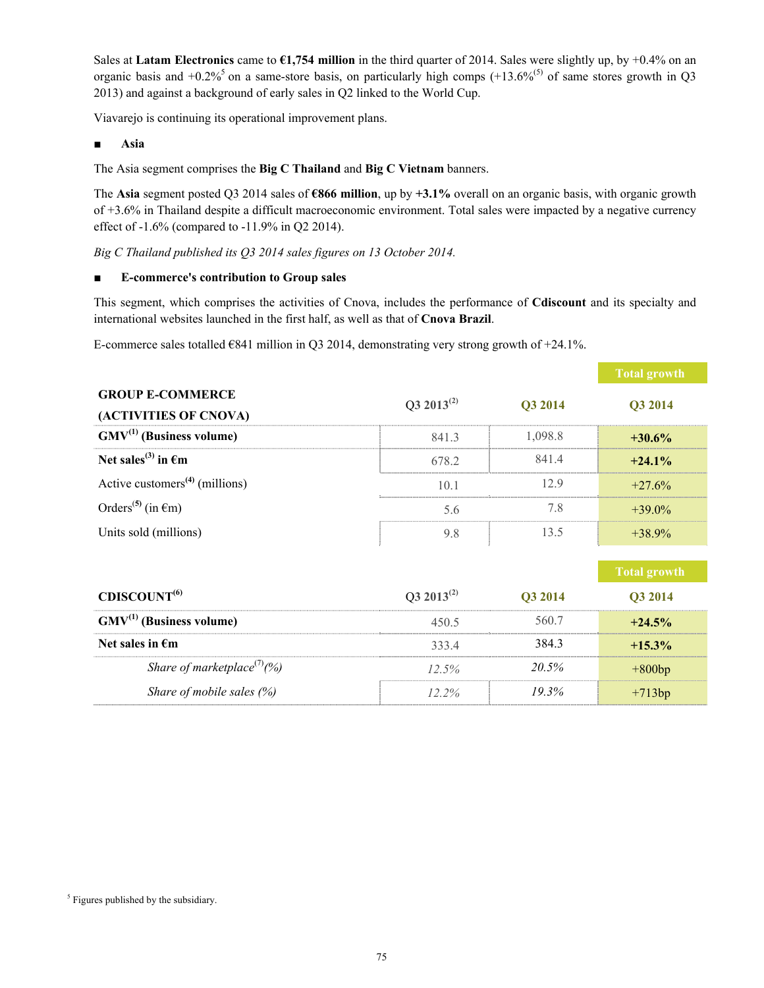Sales at **Latam Electronics** came to  $\epsilon$ 1,754 million in the third quarter of 2014. Sales were slightly up, by +0.4% on an organic basis and  $+0.2\%$ <sup>5</sup> on a same-store basis, on particularly high comps  $(+13.6\%$ <sup>(5)</sup> of same stores growth in Q3 2013) and against a background of early sales in Q2 linked to the World Cup.

Viavarejo is continuing its operational improvement plans.

■ **Asia**

The Asia segment comprises the **Big C Thailand** and **Big C Vietnam** banners.

The **Asia** segment posted Q3 2014 sales of **€866 million**, up by **+3.1%** overall on an organic basis, with organic growth of +3.6% in Thailand despite a difficult macroeconomic environment. Total sales were impacted by a negative currency effect of -1.6% (compared to -11.9% in Q2 2014).

*Big C Thailand published its Q3 2014 sales figures on 13 October 2014.*

# ■ **E-commerce's contribution to Group sales**

This segment, which comprises the activities of Cnova, includes the performance of **Cdiscount** and its specialty and international websites launched in the first half, as well as that of **Cnova Brazil**.

E-commerce sales totalled  $\epsilon$ 841 million in Q3 2014, demonstrating very strong growth of +24.1%.

|                                            |                        |         | <b>Total growth</b> |
|--------------------------------------------|------------------------|---------|---------------------|
| <b>GROUP E-COMMERCE</b>                    | Q3 2013 <sup>(2)</sup> | Q3 2014 | Q3 2014             |
| (ACTIVITIES OF CNOVA)                      |                        |         |                     |
| $GMV^{(1)}$ (Business volume)              | 841.3                  | 1,098.8 | $+30.6\%$           |
| Net sales <sup>(3)</sup> in $\epsilon$ m   | 678.2                  | 841.4   | $+24.1%$            |
| Active customers <sup>(4)</sup> (millions) | 10.1                   | 12.9    | $+27.6%$            |
| Orders <sup>(5)</sup> (in $\epsilon$ m)    | 5.6                    | 7.8     | $+39.0\%$           |
| Units sold (millions)                      | 9.8                    | 13.5    | $+38.9\%$           |
|                                            |                        |         |                     |
|                                            |                        |         | <b>Total growth</b> |
| CDISCOUNT <sup>(6)</sup>                   | $Q3 2013^{(2)}$        | Q3 2014 | Q3 2014             |
| $GMV^{(1)}$ (Business volume)              | 450.5                  | 560.7   | $+24.5%$            |
| Net sales in $\epsilon$ m                  | 333.4                  | 384.3   | $+15.3\%$           |
| Share of marketplace <sup>(7)</sup> (%)    | 12.5%                  | 20.5%   | $+800bp$            |
| Share of mobile sales $(\%)$               | $12.2\%$               | 19.3%   | $+713bp$            |
|                                            |                        |         |                     |

<sup>&</sup>lt;sup>5</sup> Figures published by the subsidiary.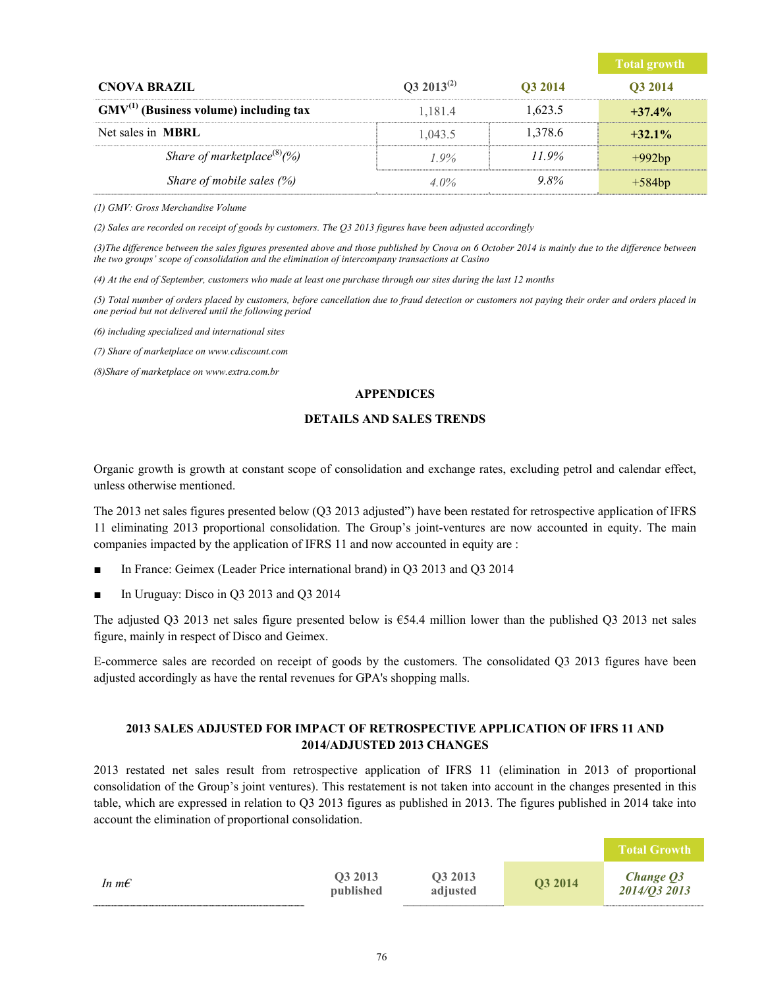|                                             |                 |          | Total growth   |
|---------------------------------------------|-----------------|----------|----------------|
| <b>CNOVA BRAZIL</b>                         | $Q3 2013^{(2)}$ | O3 2014  | <b>O3 2014</b> |
| $GMV^{(1)}$ (Business volume) including tax | 1.181.4         | 1.623.5  | $+37.4%$       |
| Net sales in <b>MBRL</b>                    | 1.043.5         | 1.378.6  | $+32.1\%$      |
| Share of marketplace <sup>(8)</sup> (%)     | $1.9\%$         | $11.9\%$ | $+992bp$       |
| Share of mobile sales $(\%)$                | $4.0\%$         | 9.8%     | $+584bp$       |

*(1) GMV: Gross Merchandise Volume*

*(2) Sales are recorded on receipt of goods by customers. The Q3 2013 figures have been adjusted accordingly*

(3) The difference between the sales figures presented above and those published by Cnova on 6 October 2014 is mainly due to the difference between *the two groups' scope of consolidation and the elimination of intercompany transactions at Casino*

*(4) At the end of September, customers who made at least one purchase through our sites during the last 12 months*

*(5) Total number of orders placed by customers, before cancellation due to fraud detection or customers not paying their order and orders placed in one period but not delivered until the following period*

*(6) including specialized and international sites*

*(7) Share of marketplace on www.cdiscount.com*

*(8)Share of marketplace on www.extra.com.br*

#### **APPENDICES**

### **DETAILS AND SALES TRENDS**

Organic growth is growth at constant scope of consolidation and exchange rates, excluding petrol and calendar effect, unless otherwise mentioned.

The 2013 net sales figures presented below (Q3 2013 adjusted") have been restated for retrospective application of IFRS 11 eliminating 2013 proportional consolidation. The Group's joint-ventures are now accounted in equity. The main companies impacted by the application of IFRS 11 and now accounted in equity are :

- In France: Geimex (Leader Price international brand) in Q3 2013 and Q3 2014
- In Uruguay: Disco in  $Q3$  2013 and  $Q3$  2014

The adjusted Q3 2013 net sales figure presented below is €54.4 million lower than the published Q3 2013 net sales figure, mainly in respect of Disco and Geimex.

E-commerce sales are recorded on receipt of goods by the customers. The consolidated Q3 2013 figures have been adjusted accordingly as have the rental revenues for GPA's shopping malls.

# **2013 SALES ADJUSTED FOR IMPACT OF RETROSPECTIVE APPLICATION OF IFRS 11 AND 2014/ADJUSTED 2013 CHANGES**

2013 restated net sales result from retrospective application of IFRS 11 (elimination in 2013 of proportional consolidation of the Group's joint ventures). This restatement is not taken into account in the changes presented in this table, which are expressed in relation to Q3 2013 figures as published in 2013. The figures published in 2014 take into account the elimination of proportional consolidation.

|                |                      |                     |         | <b>Total Growth</b>       |
|----------------|----------------------|---------------------|---------|---------------------------|
| In $m\epsilon$ | Q3 2013<br>published | Q3 2013<br>adjusted | Q3 2014 | Change Q3<br>2014/03 2013 |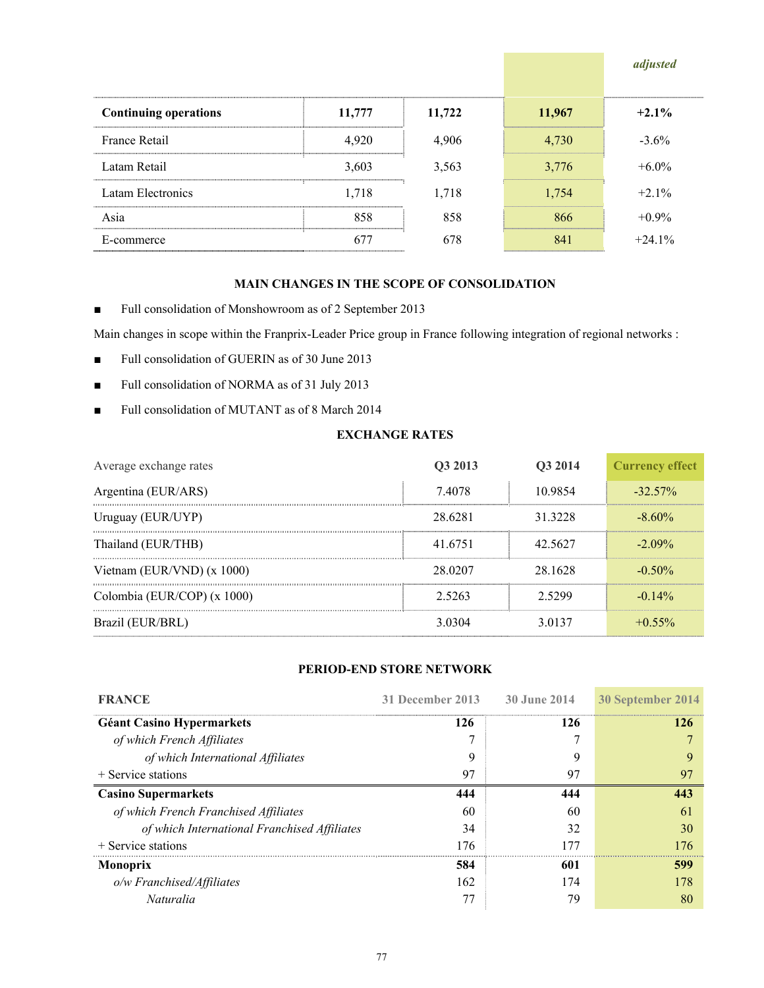|                              |        |        |        | adjusted |
|------------------------------|--------|--------|--------|----------|
| <b>Continuing operations</b> | 11,777 | 11,722 | 11,967 | $+2.1%$  |
| France Retail                | 4,920  | 4,906  | 4,730  | $-3.6\%$ |
| Latam Retail                 | 3,603  | 3,563  | 3,776  | $+6.0\%$ |
| Latam Electronics            | 1,718  | 1,718  | 1.754  | $+2.1%$  |
| Asia                         | 858    | 858    | 866    | $+0.9\%$ |
| E-commerce                   |        | 678    |        | $+241%$  |

# **MAIN CHANGES IN THE SCOPE OF CONSOLIDATION**

■ Full consolidation of Monshowroom as of 2 September 2013

Main changes in scope within the Franprix-Leader Price group in France following integration of regional networks :

- Full consolidation of GUERIN as of 30 June 2013
- Full consolidation of NORMA as of 31 July 2013
- Full consolidation of MUTANT as of 8 March 2014

# **EXCHANGE RATES**

| Average exchange rates       | O <sub>3</sub> 2013 | O3 2014 | <b>Currency effect</b> |
|------------------------------|---------------------|---------|------------------------|
| Argentina (EUR/ARS)          | 74078               | 10 9854 | $-32.57\%$             |
| Uruguay (EUR/UYP)            | 28 6281             | 31 3228 | $-8.60\%$              |
| Thailand (EUR/THB)           | 41.6751             | 42.5627 | $-2.09\%$              |
| Vietnam (EUR/VND) $(x 1000)$ | 28 0207             | 28 1628 | $-0.50\%$              |
| Colombia (EUR/COP) (x 1000)  | 2.5263              | 2.5299  | $-0.14\%$              |
| Brazil (EUR/BRL)             | 3.0304              | 3.0137  | $+0.55\%$              |

# **PERIOD-END STORE NETWORK**

| <b>FRANCE</b>                                | 31 December 2013 | 30 June 2014 | 30 September 2014 |
|----------------------------------------------|------------------|--------------|-------------------|
| <b>Géant Casino Hypermarkets</b>             | 126              | 126          | 126               |
| of which French Affiliates                   |                  |              |                   |
| of which International Affiliates            | 9                |              |                   |
| $+$ Service stations                         | 97               | 97           |                   |
| <b>Casino Supermarkets</b>                   | 444              | 444          | 443               |
| of which French Franchised Affiliates        | 60               | 60           | 61                |
| of which International Franchised Affiliates | 34               | 32           | 30                |
| $+$ Service stations                         | 176              | 177          | 176               |
| <b>Monoprix</b>                              | 584              | 601          | 599               |
| o/w Franchised/Affiliates                    | 162              | 174          | 178               |
| <i>Naturalia</i>                             |                  | 79           | 80                |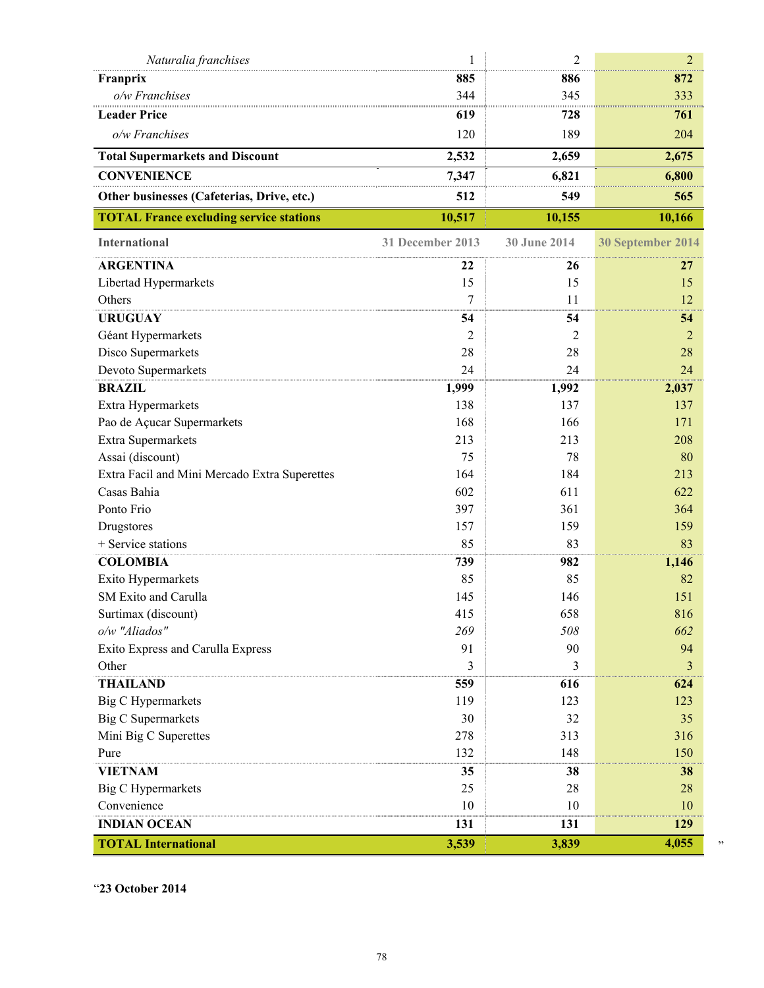| Naturalia franchises                           | 1                | $\overline{2}$ | $\overline{2}$    |
|------------------------------------------------|------------------|----------------|-------------------|
| Franprix                                       | 885              | 886            | 872               |
| o/w Franchises                                 | 344              | 345            | 333               |
| <b>Leader Price</b>                            | 619              | 728            | 761               |
| o/w Franchises                                 | 120              | 189            | 204               |
| <b>Total Supermarkets and Discount</b>         | 2,532            | 2,659          | 2,675             |
| <b>CONVENIENCE</b>                             | 7,347            | 6,821          | 6,800             |
| Other businesses (Cafeterias, Drive, etc.)     | 512              | 549            | 565               |
| <b>TOTAL France excluding service stations</b> | 10,517           | 10,155         | 10,166            |
| <b>International</b>                           | 31 December 2013 | 30 June 2014   | 30 September 2014 |
| <b>ARGENTINA</b>                               | 22               | 26             | 27                |
| Libertad Hypermarkets                          | 15               | 15             | 15                |
| Others                                         | 7                | 11             | 12                |
| <b>URUGUAY</b>                                 | 54               | 54             | 54                |
| Géant Hypermarkets                             | 2                | 2              | $\overline{2}$    |
| Disco Supermarkets                             | 28               | 28             | 28                |
| Devoto Supermarkets                            | 24               | 24             | 24                |
| <b>BRAZIL</b>                                  | 1,999            | 1,992          | 2,037             |
| Extra Hypermarkets                             | 138              | 137            | 137               |
| Pao de Açucar Supermarkets                     | 168              | 166            | 171               |
| Extra Supermarkets                             | 213              | 213            | 208               |
| Assai (discount)                               | 75               | 78             | 80                |
| Extra Facil and Mini Mercado Extra Superettes  | 164              | 184            | 213               |
| Casas Bahia                                    | 602              | 611            | 622               |
| Ponto Frio                                     | 397              | 361            | 364               |
| Drugstores                                     | 157              | 159            | 159               |
| + Service stations                             | 85               | 83             | 83                |
| <b>COLOMBIA</b>                                | 739              | 982            | 1,146             |
| Exito Hypermarkets                             | 85               | 85             | 82                |
| SM Exito and Carulla                           | 145              | 146            | 151               |
| Surtimax (discount)                            | 415              | 658            | 816               |
| o/w "Aliados"                                  | 269              | 508            | 662               |
| Exito Express and Carulla Express              | 91               | 90             | 94                |
| Other                                          | 3                | 3              | 3                 |
| <b>THAILAND</b>                                | 559              | 616            | 624               |
| <b>Big C Hypermarkets</b>                      | 119              | 123            | 123               |
| <b>Big C Supermarkets</b>                      | 30               | 32             | 35                |
| Mini Big C Superettes                          | 278              | 313            | 316               |
| Pure                                           | 132              | 148            | 150               |
| <b>VIETNAM</b>                                 | 35               | 38             | 38                |
| <b>Big C Hypermarkets</b>                      | 25               | 28             | 28                |
| Convenience                                    | 10               | 10             | 10                |
| <b>INDIAN OCEAN</b>                            | 131              | 131            | 129               |
| <b>TOTAL International</b>                     | 3,539            | 3,839          | 4,055             |

"**23 October 2014**

"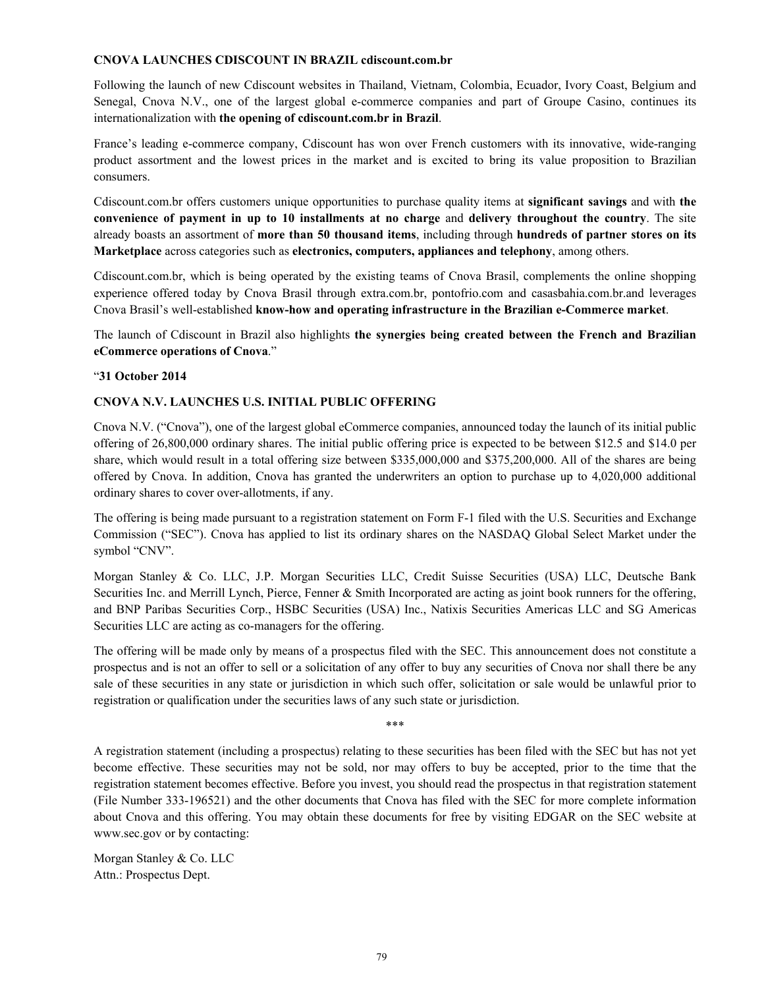#### **CNOVA LAUNCHES CDISCOUNT IN BRAZIL cdiscount.com.br**

Following the launch of new Cdiscount websites in Thailand, Vietnam, Colombia, Ecuador, Ivory Coast, Belgium and Senegal, Cnova N.V., one of the largest global e-commerce companies and part of Groupe Casino, continues its internationalization with **the opening of cdiscount.com.br in Brazil**.

France's leading e-commerce company, Cdiscount has won over French customers with its innovative, wide-ranging product assortment and the lowest prices in the market and is excited to bring its value proposition to Brazilian consumers.

Cdiscount.com.br offers customers unique opportunities to purchase quality items at **significant savings** and with **the convenience of payment in up to 10 installments at no charge** and **delivery throughout the country**. The site already boasts an assortment of **more than 50 thousand items**, including through **hundreds of partner stores on its Marketplace** across categories such as **electronics, computers, appliances and telephony**, among others.

Cdiscount.com.br, which is being operated by the existing teams of Cnova Brasil, complements the online shopping experience offered today by Cnova Brasil through extra.com.br, pontofrio.com and casasbahia.com.br.and leverages Cnova Brasil's well-established **know-how and operating infrastructure in the Brazilian e-Commerce market**.

The launch of Cdiscount in Brazil also highlights **the synergies being created between the French and Brazilian eCommerce operations of Cnova**."

# "**31 October 2014**

# **CNOVA N.V. LAUNCHES U.S. INITIAL PUBLIC OFFERING**

Cnova N.V. ("Cnova"), one of the largest global eCommerce companies, announced today the launch of its initial public offering of 26,800,000 ordinary shares. The initial public offering price is expected to be between \$12.5 and \$14.0 per share, which would result in a total offering size between \$335,000,000 and \$375,200,000. All of the shares are being offered by Cnova. In addition, Cnova has granted the underwriters an option to purchase up to 4,020,000 additional ordinary shares to cover over-allotments, if any.

The offering is being made pursuant to a registration statement on Form F-1 filed with the U.S. Securities and Exchange Commission ("SEC"). Cnova has applied to list its ordinary shares on the NASDAQ Global Select Market under the symbol "CNV".

Morgan Stanley & Co. LLC, J.P. Morgan Securities LLC, Credit Suisse Securities (USA) LLC, Deutsche Bank Securities Inc. and Merrill Lynch, Pierce, Fenner & Smith Incorporated are acting as joint book runners for the offering, and BNP Paribas Securities Corp., HSBC Securities (USA) Inc., Natixis Securities Americas LLC and SG Americas Securities LLC are acting as co-managers for the offering.

The offering will be made only by means of a prospectus filed with the SEC. This announcement does not constitute a prospectus and is not an offer to sell or a solicitation of any offer to buy any securities of Cnova nor shall there be any sale of these securities in any state or jurisdiction in which such offer, solicitation or sale would be unlawful prior to registration or qualification under the securities laws of any such state or jurisdiction.

\*\*\*

A registration statement (including a prospectus) relating to these securities has been filed with the SEC but has not yet become effective. These securities may not be sold, nor may offers to buy be accepted, prior to the time that the registration statement becomes effective. Before you invest, you should read the prospectus in that registration statement (File Number 333-196521) and the other documents that Cnova has filed with the SEC for more complete information about Cnova and this offering. You may obtain these documents for free by visiting EDGAR on the SEC website at www.sec.gov or by contacting:

Morgan Stanley & Co. LLC Attn.: Prospectus Dept.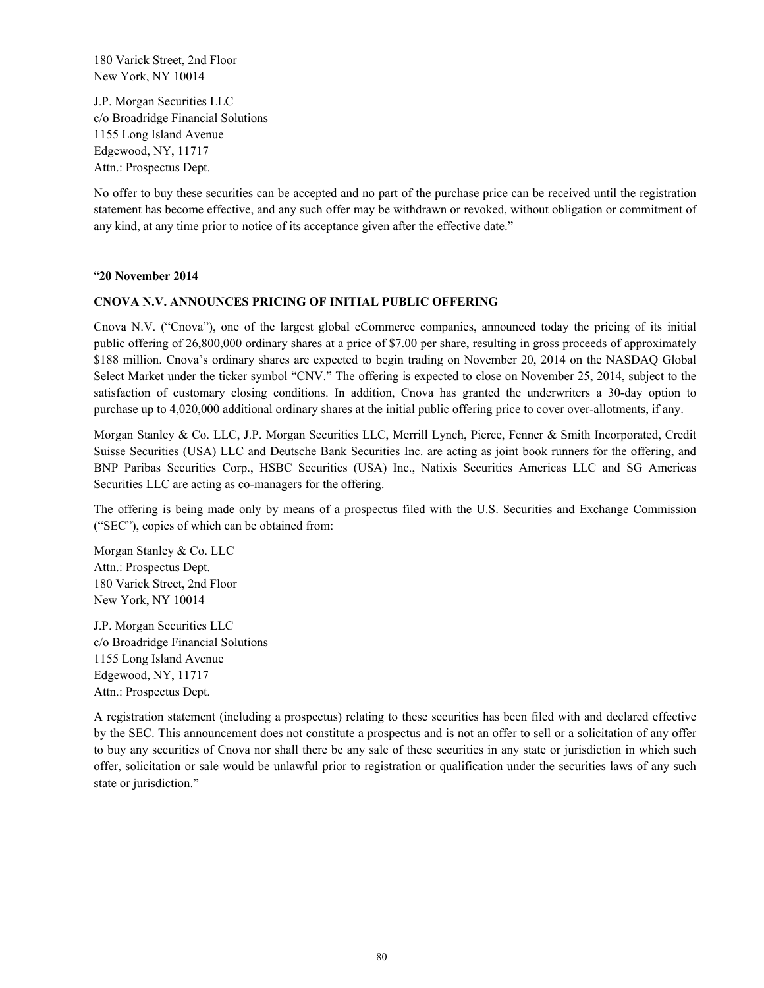180 Varick Street, 2nd Floor New York, NY 10014

J.P. Morgan Securities LLC c/o Broadridge Financial Solutions 1155 Long Island Avenue Edgewood, NY, 11717 Attn.: Prospectus Dept.

No offer to buy these securities can be accepted and no part of the purchase price can be received until the registration statement has become effective, and any such offer may be withdrawn or revoked, without obligation or commitment of any kind, at any time prior to notice of its acceptance given after the effective date."

#### "**20 November 2014**

# **CNOVA N.V. ANNOUNCES PRICING OF INITIAL PUBLIC OFFERING**

Cnova N.V. ("Cnova"), one of the largest global eCommerce companies, announced today the pricing of its initial public offering of 26,800,000 ordinary shares at a price of \$7.00 per share, resulting in gross proceeds of approximately \$188 million. Cnova's ordinary shares are expected to begin trading on November 20, 2014 on the NASDAQ Global Select Market under the ticker symbol "CNV." The offering is expected to close on November 25, 2014, subject to the satisfaction of customary closing conditions. In addition, Cnova has granted the underwriters a 30-day option to purchase up to 4,020,000 additional ordinary shares at the initial public offering price to cover over-allotments, if any.

Morgan Stanley & Co. LLC, J.P. Morgan Securities LLC, Merrill Lynch, Pierce, Fenner & Smith Incorporated, Credit Suisse Securities (USA) LLC and Deutsche Bank Securities Inc. are acting as joint book runners for the offering, and BNP Paribas Securities Corp., HSBC Securities (USA) Inc., Natixis Securities Americas LLC and SG Americas Securities LLC are acting as co-managers for the offering.

The offering is being made only by means of a prospectus filed with the U.S. Securities and Exchange Commission ("SEC"), copies of which can be obtained from:

Morgan Stanley & Co. LLC Attn.: Prospectus Dept. 180 Varick Street, 2nd Floor New York, NY 10014

J.P. Morgan Securities LLC c/o Broadridge Financial Solutions 1155 Long Island Avenue Edgewood, NY, 11717 Attn.: Prospectus Dept.

A registration statement (including a prospectus) relating to these securities has been filed with and declared effective by the SEC. This announcement does not constitute a prospectus and is not an offer to sell or a solicitation of any offer to buy any securities of Cnova nor shall there be any sale of these securities in any state or jurisdiction in which such offer, solicitation or sale would be unlawful prior to registration or qualification under the securities laws of any such state or jurisdiction."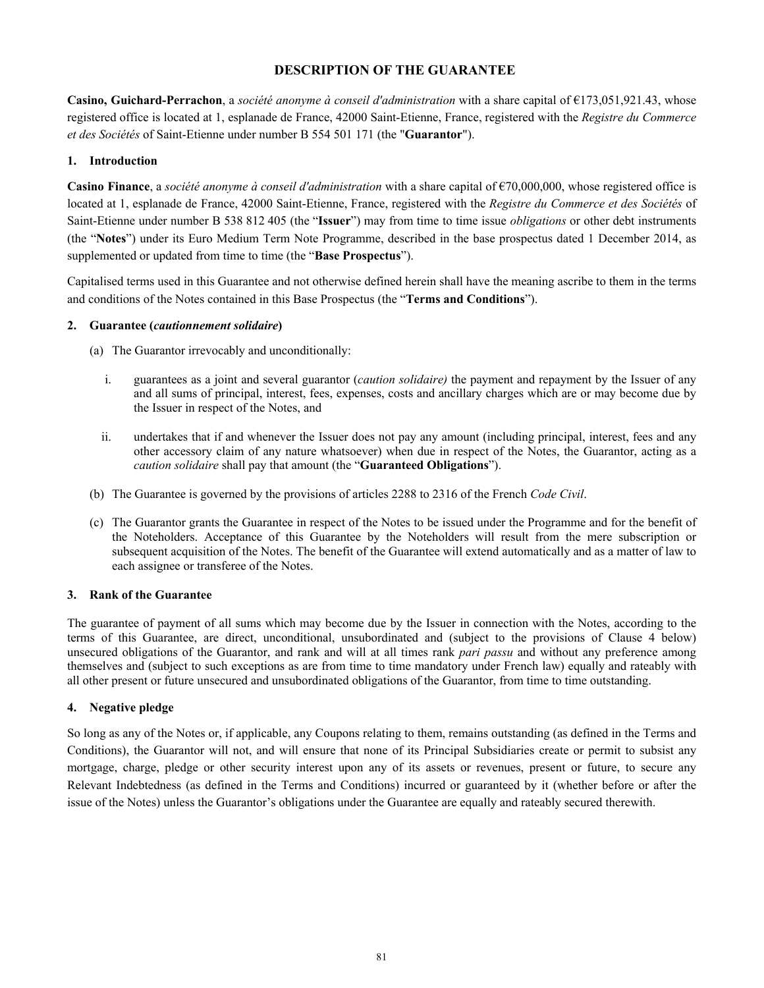# **DESCRIPTION OF THE GUARANTEE**

**Casino, Guichard-Perrachon**, a *société anonyme à conseil d'administration* with a share capital of €173,051,921.43, whose registered office is located at 1, esplanade de France, 42000 Saint-Etienne, France, registered with the *Registre du Commerce et des Sociétés* of Saint-Etienne under number B 554 501 171 (the "**Guarantor**").

# **1. Introduction**

**Casino Finance**, a *société anonyme à conseil d'administration* with a share capital of €70,000,000, whose registered office is located at 1, esplanade de France, 42000 Saint-Etienne, France, registered with the *Registre du Commerce et des Sociétés* of Saint-Etienne under number B 538 812 405 (the "**Issuer**") may from time to time issue *obligations* or other debt instruments (the "**Notes**") under its Euro Medium Term Note Programme, described in the base prospectus dated 1 December 2014, as supplemented or updated from time to time (the "**Base Prospectus**").

Capitalised terms used in this Guarantee and not otherwise defined herein shall have the meaning ascribe to them in the terms and conditions of the Notes contained in this Base Prospectus (the "**Terms and Conditions**").

# **2. Guarantee (***cautionnement solidaire***)**

- (a) The Guarantor irrevocably and unconditionally:
	- i. guarantees as a joint and several guarantor (*caution solidaire)* the payment and repayment by the Issuer of any and all sums of principal, interest, fees, expenses, costs and ancillary charges which are or may become due by the Issuer in respect of the Notes, and
	- ii. undertakes that if and whenever the Issuer does not pay any amount (including principal, interest, fees and any other accessory claim of any nature whatsoever) when due in respect of the Notes, the Guarantor, acting as a *caution solidaire* shall pay that amount (the "**Guaranteed Obligations**").
- (b) The Guarantee is governed by the provisions of articles 2288 to 2316 of the French *Code Civil*.
- (c) The Guarantor grants the Guarantee in respect of the Notes to be issued under the Programme and for the benefit of the Noteholders. Acceptance of this Guarantee by the Noteholders will result from the mere subscription or subsequent acquisition of the Notes. The benefit of the Guarantee will extend automatically and as a matter of law to each assignee or transferee of the Notes.

# **3. Rank of the Guarantee**

The guarantee of payment of all sums which may become due by the Issuer in connection with the Notes, according to the terms of this Guarantee, are direct, unconditional, unsubordinated and (subject to the provisions of Clause 4 below) unsecured obligations of the Guarantor, and rank and will at all times rank *pari passu* and without any preference among themselves and (subject to such exceptions as are from time to time mandatory under French law) equally and rateably with all other present or future unsecured and unsubordinated obligations of the Guarantor, from time to time outstanding.

# **4. Negative pledge**

So long as any of the Notes or, if applicable, any Coupons relating to them, remains outstanding (as defined in the Terms and Conditions), the Guarantor will not, and will ensure that none of its Principal Subsidiaries create or permit to subsist any mortgage, charge, pledge or other security interest upon any of its assets or revenues, present or future, to secure any Relevant Indebtedness (as defined in the Terms and Conditions) incurred or guaranteed by it (whether before or after the issue of the Notes) unless the Guarantor's obligations under the Guarantee are equally and rateably secured therewith.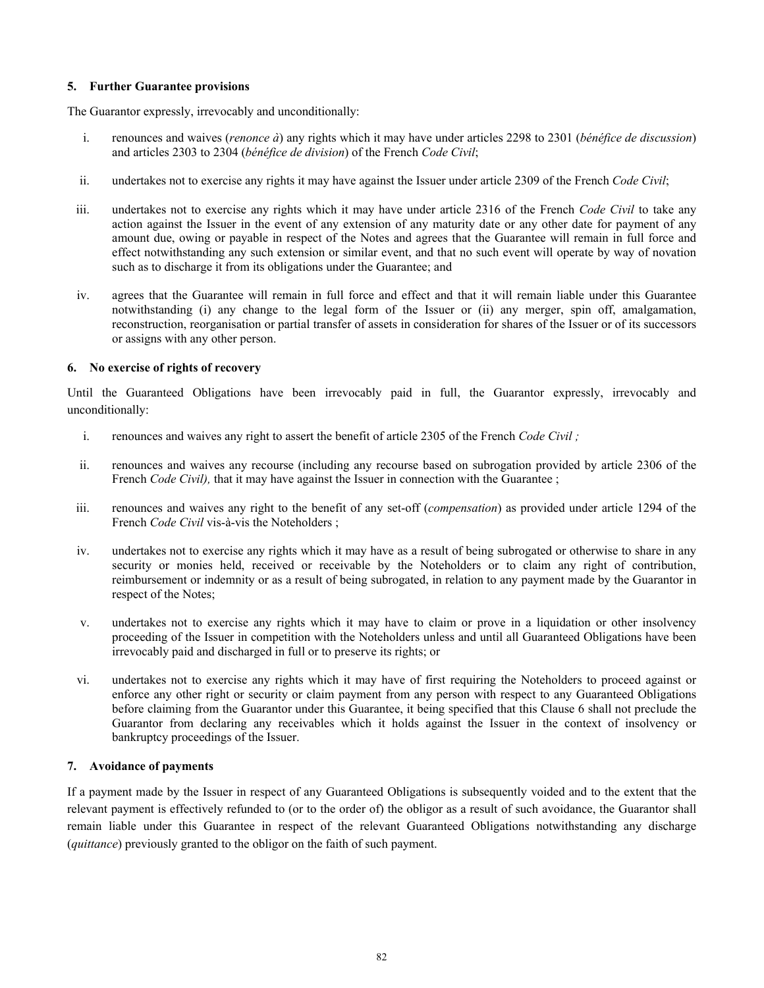# **5. Further Guarantee provisions**

The Guarantor expressly, irrevocably and unconditionally:

- i. renounces and waives (*renonce à*) any rights which it may have under articles 2298 to 2301 (*bénéfice de discussion*) and articles 2303 to 2304 (*bénéfice de division*) of the French *Code Civil*;
- ii. undertakes not to exercise any rights it may have against the Issuer under article 2309 of the French *Code Civil*;
- iii. undertakes not to exercise any rights which it may have under article 2316 of the French *Code Civil* to take any action against the Issuer in the event of any extension of any maturity date or any other date for payment of any amount due, owing or payable in respect of the Notes and agrees that the Guarantee will remain in full force and effect notwithstanding any such extension or similar event, and that no such event will operate by way of novation such as to discharge it from its obligations under the Guarantee; and
- iv. agrees that the Guarantee will remain in full force and effect and that it will remain liable under this Guarantee notwithstanding (i) any change to the legal form of the Issuer or (ii) any merger, spin off, amalgamation, reconstruction, reorganisation or partial transfer of assets in consideration for shares of the Issuer or of its successors or assigns with any other person.

# **6. No exercise of rights of recovery**

Until the Guaranteed Obligations have been irrevocably paid in full, the Guarantor expressly, irrevocably and unconditionally:

- i. renounces and waives any right to assert the benefit of article 2305 of the French *Code Civil ;*
- ii. renounces and waives any recourse (including any recourse based on subrogation provided by article 2306 of the French *Code Civil)*, that it may have against the Issuer in connection with the Guarantee ;
- iii. renounces and waives any right to the benefit of any set-off (*compensation*) as provided under article 1294 of the French *Code Civil* vis-à-vis the Noteholders ;
- iv. undertakes not to exercise any rights which it may have as a result of being subrogated or otherwise to share in any security or monies held, received or receivable by the Noteholders or to claim any right of contribution, reimbursement or indemnity or as a result of being subrogated, in relation to any payment made by the Guarantor in respect of the Notes;
- v. undertakes not to exercise any rights which it may have to claim or prove in a liquidation or other insolvency proceeding of the Issuer in competition with the Noteholders unless and until all Guaranteed Obligations have been irrevocably paid and discharged in full or to preserve its rights; or
- vi. undertakes not to exercise any rights which it may have of first requiring the Noteholders to proceed against or enforce any other right or security or claim payment from any person with respect to any Guaranteed Obligations before claiming from the Guarantor under this Guarantee, it being specified that this Clause 6 shall not preclude the Guarantor from declaring any receivables which it holds against the Issuer in the context of insolvency or bankruptcy proceedings of the Issuer.

#### **7. Avoidance of payments**

If a payment made by the Issuer in respect of any Guaranteed Obligations is subsequently voided and to the extent that the relevant payment is effectively refunded to (or to the order of) the obligor as a result of such avoidance, the Guarantor shall remain liable under this Guarantee in respect of the relevant Guaranteed Obligations notwithstanding any discharge (*quittance*) previously granted to the obligor on the faith of such payment.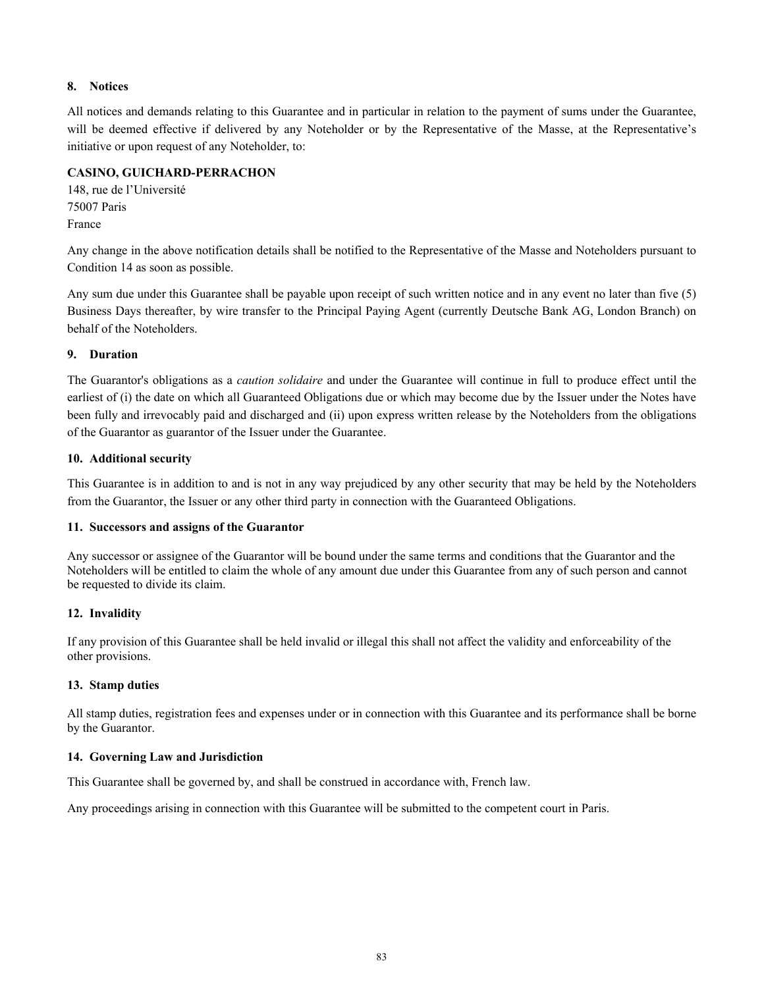# **8. Notices**

All notices and demands relating to this Guarantee and in particular in relation to the payment of sums under the Guarantee, will be deemed effective if delivered by any Noteholder or by the Representative of the Masse, at the Representative's initiative or upon request of any Noteholder, to:

# **CASINO, GUICHARD-PERRACHON**

148, rue de l'Université 75007 Paris France

Any change in the above notification details shall be notified to the Representative of the Masse and Noteholders pursuant to Condition 14 as soon as possible.

Any sum due under this Guarantee shall be payable upon receipt of such written notice and in any event no later than five (5) Business Days thereafter, by wire transfer to the Principal Paying Agent (currently Deutsche Bank AG, London Branch) on behalf of the Noteholders.

# **9. Duration**

The Guarantor's obligations as a *caution solidaire* and under the Guarantee will continue in full to produce effect until the earliest of (i) the date on which all Guaranteed Obligations due or which may become due by the Issuer under the Notes have been fully and irrevocably paid and discharged and (ii) upon express written release by the Noteholders from the obligations of the Guarantor as guarantor of the Issuer under the Guarantee.

# **10. Additional security**

This Guarantee is in addition to and is not in any way prejudiced by any other security that may be held by the Noteholders from the Guarantor, the Issuer or any other third party in connection with the Guaranteed Obligations.

# **11. Successors and assigns of the Guarantor**

Any successor or assignee of the Guarantor will be bound under the same terms and conditions that the Guarantor and the Noteholders will be entitled to claim the whole of any amount due under this Guarantee from any of such person and cannot be requested to divide its claim.

# **12. Invalidity**

If any provision of this Guarantee shall be held invalid or illegal this shall not affect the validity and enforceability of the other provisions.

# **13. Stamp duties**

All stamp duties, registration fees and expenses under or in connection with this Guarantee and its performance shall be borne by the Guarantor.

# **14. Governing Law and Jurisdiction**

This Guarantee shall be governed by, and shall be construed in accordance with, French law.

Any proceedings arising in connection with this Guarantee will be submitted to the competent court in Paris.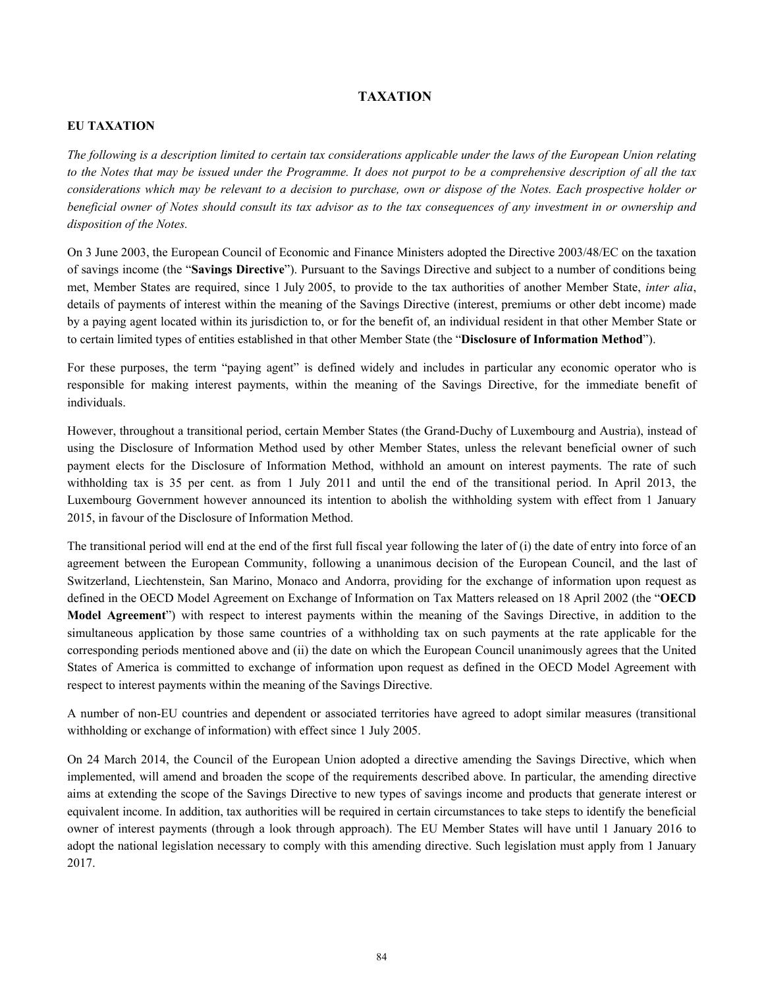# **TAXATION**

# **EU TAXATION**

*The following is a description limited to certain tax considerations applicable under the laws of the European Union relating to the Notes that may be issued under the Programme. It does not purpot to be a comprehensive description of all the tax considerations which may be relevant to a decision to purchase, own or dispose of the Notes. Each prospective holder or beneficial owner of Notes should consult its tax advisor as to the tax consequences of any investment in or ownership and disposition of the Notes.*

On 3 June 2003, the European Council of Economic and Finance Ministers adopted the Directive 2003/48/EC on the taxation of savings income (the "**Savings Directive**"). Pursuant to the Savings Directive and subject to a number of conditions being met, Member States are required, since 1 July 2005, to provide to the tax authorities of another Member State, *inter alia*, details of payments of interest within the meaning of the Savings Directive (interest, premiums or other debt income) made by a paying agent located within its jurisdiction to, or for the benefit of, an individual resident in that other Member State or to certain limited types of entities established in that other Member State (the "**Disclosure of Information Method**").

For these purposes, the term "paying agent" is defined widely and includes in particular any economic operator who is responsible for making interest payments, within the meaning of the Savings Directive, for the immediate benefit of individuals.

However, throughout a transitional period, certain Member States (the Grand-Duchy of Luxembourg and Austria), instead of using the Disclosure of Information Method used by other Member States, unless the relevant beneficial owner of such payment elects for the Disclosure of Information Method, withhold an amount on interest payments. The rate of such withholding tax is 35 per cent. as from 1 July 2011 and until the end of the transitional period. In April 2013, the Luxembourg Government however announced its intention to abolish the withholding system with effect from 1 January 2015, in favour of the Disclosure of Information Method.

The transitional period will end at the end of the first full fiscal year following the later of (i) the date of entry into force of an agreement between the European Community, following a unanimous decision of the European Council, and the last of Switzerland, Liechtenstein, San Marino, Monaco and Andorra, providing for the exchange of information upon request as defined in the OECD Model Agreement on Exchange of Information on Tax Matters released on 18 April 2002 (the "**OECD Model Agreement**") with respect to interest payments within the meaning of the Savings Directive, in addition to the simultaneous application by those same countries of a withholding tax on such payments at the rate applicable for the corresponding periods mentioned above and (ii) the date on which the European Council unanimously agrees that the United States of America is committed to exchange of information upon request as defined in the OECD Model Agreement with respect to interest payments within the meaning of the Savings Directive.

A number of non-EU countries and dependent or associated territories have agreed to adopt similar measures (transitional withholding or exchange of information) with effect since 1 July 2005.

On 24 March 2014, the Council of the European Union adopted a directive amending the Savings Directive, which when implemented, will amend and broaden the scope of the requirements described above. In particular, the amending directive aims at extending the scope of the Savings Directive to new types of savings income and products that generate interest or equivalent income. In addition, tax authorities will be required in certain circumstances to take steps to identify the beneficial owner of interest payments (through a look through approach). The EU Member States will have until 1 January 2016 to adopt the national legislation necessary to comply with this amending directive. Such legislation must apply from 1 January 2017.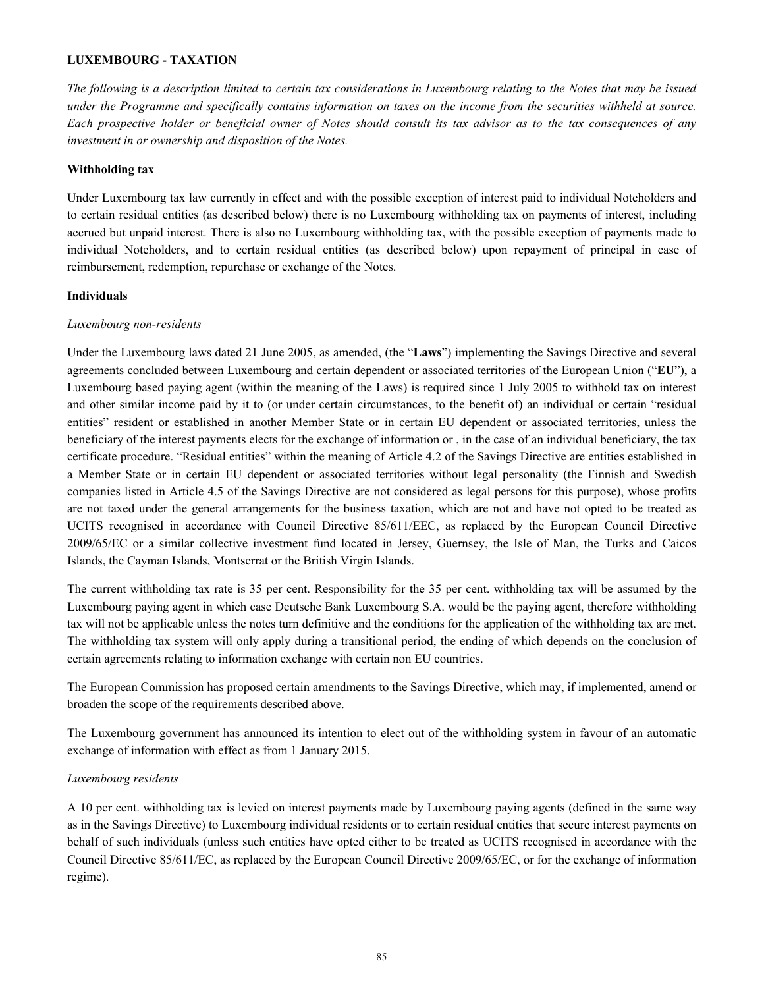#### **LUXEMBOURG - TAXATION**

*The following is a description limited to certain tax considerations in Luxembourg relating to the Notes that may be issued under the Programme and specifically contains information on taxes on the income from the securities withheld at source. Each prospective holder or beneficial owner of Notes should consult its tax advisor as to the tax consequences of any investment in or ownership and disposition of the Notes.*

## **Withholding tax**

Under Luxembourg tax law currently in effect and with the possible exception of interest paid to individual Noteholders and to certain residual entities (as described below) there is no Luxembourg withholding tax on payments of interest, including accrued but unpaid interest. There is also no Luxembourg withholding tax, with the possible exception of payments made to individual Noteholders, and to certain residual entities (as described below) upon repayment of principal in case of reimbursement, redemption, repurchase or exchange of the Notes.

#### **Individuals**

#### *Luxembourg non-residents*

Under the Luxembourg laws dated 21 June 2005, as amended, (the "**Laws**") implementing the Savings Directive and several agreements concluded between Luxembourg and certain dependent or associated territories of the European Union ("**EU**"), a Luxembourg based paying agent (within the meaning of the Laws) is required since 1 July 2005 to withhold tax on interest and other similar income paid by it to (or under certain circumstances, to the benefit of) an individual or certain "residual entities" resident or established in another Member State or in certain EU dependent or associated territories, unless the beneficiary of the interest payments elects for the exchange of information or , in the case of an individual beneficiary, the tax certificate procedure. "Residual entities" within the meaning of Article 4.2 of the Savings Directive are entities established in a Member State or in certain EU dependent or associated territories without legal personality (the Finnish and Swedish companies listed in Article 4.5 of the Savings Directive are not considered as legal persons for this purpose), whose profits are not taxed under the general arrangements for the business taxation, which are not and have not opted to be treated as UCITS recognised in accordance with Council Directive 85/611/EEC, as replaced by the European Council Directive 2009/65/EC or a similar collective investment fund located in Jersey, Guernsey, the Isle of Man, the Turks and Caicos Islands, the Cayman Islands, Montserrat or the British Virgin Islands.

The current withholding tax rate is 35 per cent. Responsibility for the 35 per cent. withholding tax will be assumed by the Luxembourg paying agent in which case Deutsche Bank Luxembourg S.A. would be the paying agent, therefore withholding tax will not be applicable unless the notes turn definitive and the conditions for the application of the withholding tax are met. The withholding tax system will only apply during a transitional period, the ending of which depends on the conclusion of certain agreements relating to information exchange with certain non EU countries.

The European Commission has proposed certain amendments to the Savings Directive, which may, if implemented, amend or broaden the scope of the requirements described above.

The Luxembourg government has announced its intention to elect out of the withholding system in favour of an automatic exchange of information with effect as from 1 January 2015.

# *Luxembourg residents*

A 10 per cent. withholding tax is levied on interest payments made by Luxembourg paying agents (defined in the same way as in the Savings Directive) to Luxembourg individual residents or to certain residual entities that secure interest payments on behalf of such individuals (unless such entities have opted either to be treated as UCITS recognised in accordance with the Council Directive 85/611/EC, as replaced by the European Council Directive 2009/65/EC, or for the exchange of information regime).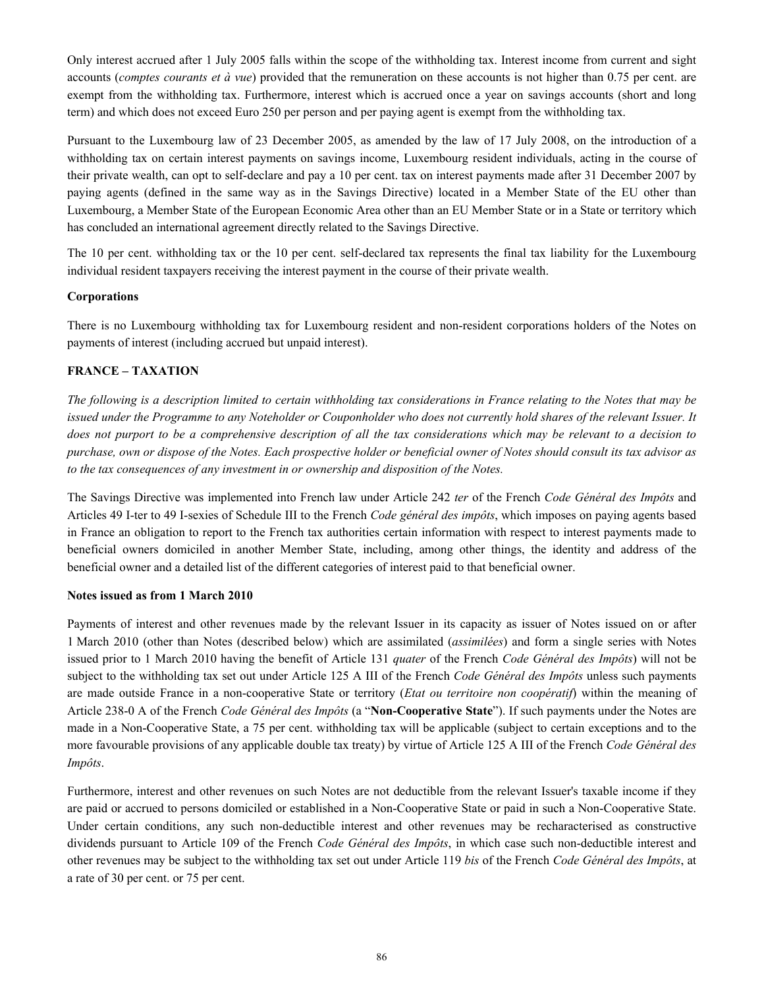Only interest accrued after 1 July 2005 falls within the scope of the withholding tax. Interest income from current and sight accounts (*comptes courants et à vue*) provided that the remuneration on these accounts is not higher than 0.75 per cent. are exempt from the withholding tax. Furthermore, interest which is accrued once a year on savings accounts (short and long term) and which does not exceed Euro 250 per person and per paying agent is exempt from the withholding tax.

Pursuant to the Luxembourg law of 23 December 2005, as amended by the law of 17 July 2008, on the introduction of a withholding tax on certain interest payments on savings income, Luxembourg resident individuals, acting in the course of their private wealth, can opt to self-declare and pay a 10 per cent. tax on interest payments made after 31 December 2007 by paying agents (defined in the same way as in the Savings Directive) located in a Member State of the EU other than Luxembourg, a Member State of the European Economic Area other than an EU Member State or in a State or territory which has concluded an international agreement directly related to the Savings Directive.

The 10 per cent. withholding tax or the 10 per cent. self-declared tax represents the final tax liability for the Luxembourg individual resident taxpayers receiving the interest payment in the course of their private wealth.

#### **Corporations**

There is no Luxembourg withholding tax for Luxembourg resident and non-resident corporations holders of the Notes on payments of interest (including accrued but unpaid interest).

# **FRANCE – TAXATION**

*The following is a description limited to certain withholding tax considerations in France relating to the Notes that may be issued under the Programme to any Noteholder or Couponholder who does not currently hold shares of the relevant Issuer. It does not purport to be a comprehensive description of all the tax considerations which may be relevant to a decision to purchase, own or dispose of the Notes. Each prospective holder or beneficial owner of Notes should consult its tax advisor as to the tax consequences of any investment in or ownership and disposition of the Notes.*

The Savings Directive was implemented into French law under Article 242 *ter* of the French *Code Général des Impôts* and Articles 49 I-ter to 49 I-sexies of Schedule III to the French *Code général des impôts*, which imposes on paying agents based in France an obligation to report to the French tax authorities certain information with respect to interest payments made to beneficial owners domiciled in another Member State, including, among other things, the identity and address of the beneficial owner and a detailed list of the different categories of interest paid to that beneficial owner.

#### **Notes issued as from 1 March 2010**

Payments of interest and other revenues made by the relevant Issuer in its capacity as issuer of Notes issued on or after 1 March 2010 (other than Notes (described below) which are assimilated (*assimilées*) and form a single series with Notes issued prior to 1 March 2010 having the benefit of Article 131 *quater* of the French *Code Général des Impôts*) will not be subject to the withholding tax set out under Article 125 A III of the French *Code Général des Impôts* unless such payments are made outside France in a non-cooperative State or territory (*Etat ou territoire non coopératif*) within the meaning of Article 238-0 A of the French *Code Général des Impôts* (a "**Non-Cooperative State**"). If such payments under the Notes are made in a Non-Cooperative State, a 75 per cent. withholding tax will be applicable (subject to certain exceptions and to the more favourable provisions of any applicable double tax treaty) by virtue of Article 125 A III of the French *Code Général des Impôts*.

Furthermore, interest and other revenues on such Notes are not deductible from the relevant Issuer's taxable income if they are paid or accrued to persons domiciled or established in a Non-Cooperative State or paid in such a Non-Cooperative State. Under certain conditions, any such non-deductible interest and other revenues may be recharacterised as constructive dividends pursuant to Article 109 of the French *Code Général des Impôts*, in which case such non-deductible interest and other revenues may be subject to the withholding tax set out under Article 119 *bis* of the French *Code Général des Impôts*, at a rate of 30 per cent. or 75 per cent.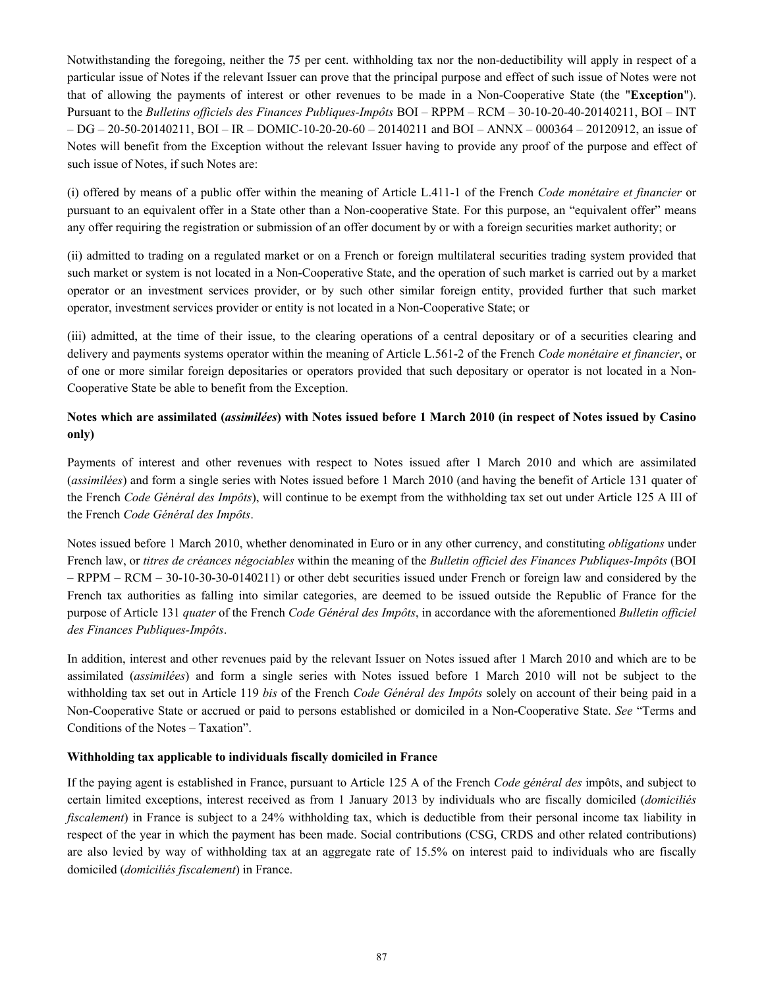Notwithstanding the foregoing, neither the 75 per cent. withholding tax nor the non-deductibility will apply in respect of a particular issue of Notes if the relevant Issuer can prove that the principal purpose and effect of such issue of Notes were not that of allowing the payments of interest or other revenues to be made in a Non-Cooperative State (the "**Exception**"). Pursuant to the *Bulletins officiels des Finances Publiques-Impôts* BOI – RPPM – RCM – 30-10-20-40-20140211, BOI – INT – DG – 20-50-20140211, BOI – IR – DOMIC-10-20-20-60 – 20140211 and BOI – ANNX – 000364 – 20120912, an issue of Notes will benefit from the Exception without the relevant Issuer having to provide any proof of the purpose and effect of such issue of Notes, if such Notes are:

(i) offered by means of a public offer within the meaning of Article L.411-1 of the French *Code monétaire et financier* or pursuant to an equivalent offer in a State other than a Non-cooperative State. For this purpose, an "equivalent offer" means any offer requiring the registration or submission of an offer document by or with a foreign securities market authority; or

(ii) admitted to trading on a regulated market or on a French or foreign multilateral securities trading system provided that such market or system is not located in a Non-Cooperative State, and the operation of such market is carried out by a market operator or an investment services provider, or by such other similar foreign entity, provided further that such market operator, investment services provider or entity is not located in a Non-Cooperative State; or

(iii) admitted, at the time of their issue, to the clearing operations of a central depositary or of a securities clearing and delivery and payments systems operator within the meaning of Article L.561-2 of the French *Code monétaire et financier*, or of one or more similar foreign depositaries or operators provided that such depositary or operator is not located in a Non-Cooperative State be able to benefit from the Exception.

# **Notes which are assimilated (***assimilées***) with Notes issued before 1 March 2010 (in respect of Notes issued by Casino only)**

Payments of interest and other revenues with respect to Notes issued after 1 March 2010 and which are assimilated (*assimilées*) and form a single series with Notes issued before 1 March 2010 (and having the benefit of Article 131 quater of the French *Code Général des Impôts*), will continue to be exempt from the withholding tax set out under Article 125 A III of the French *Code Général des Impôts*.

Notes issued before 1 March 2010, whether denominated in Euro or in any other currency, and constituting *obligations* under French law, or *titres de créances négociables* within the meaning of the *Bulletin officiel des Finances Publiques-Impôts* (BOI – RPPM – RCM – 30-10-30-30-0140211) or other debt securities issued under French or foreign law and considered by the French tax authorities as falling into similar categories, are deemed to be issued outside the Republic of France for the purpose of Article 131 *quater* of the French *Code Général des Impôts*, in accordance with the aforementioned *Bulletin officiel des Finances Publiques-Impôts*.

In addition, interest and other revenues paid by the relevant Issuer on Notes issued after 1 March 2010 and which are to be assimilated (*assimilées*) and form a single series with Notes issued before 1 March 2010 will not be subject to the withholding tax set out in Article 119 *bis* of the French *Code Général des Impôts* solely on account of their being paid in a Non-Cooperative State or accrued or paid to persons established or domiciled in a Non-Cooperative State. *See* "Terms and Conditions of the Notes – Taxation".

# **Withholding tax applicable to individuals fiscally domiciled in France**

If the paying agent is established in France, pursuant to Article 125 A of the French *Code général des* impôts, and subject to certain limited exceptions, interest received as from 1 January 2013 by individuals who are fiscally domiciled (*domiciliés fiscalement*) in France is subject to a 24% withholding tax, which is deductible from their personal income tax liability in respect of the year in which the payment has been made. Social contributions (CSG, CRDS and other related contributions) are also levied by way of withholding tax at an aggregate rate of 15.5% on interest paid to individuals who are fiscally domiciled (*domiciliés fiscalement*) in France.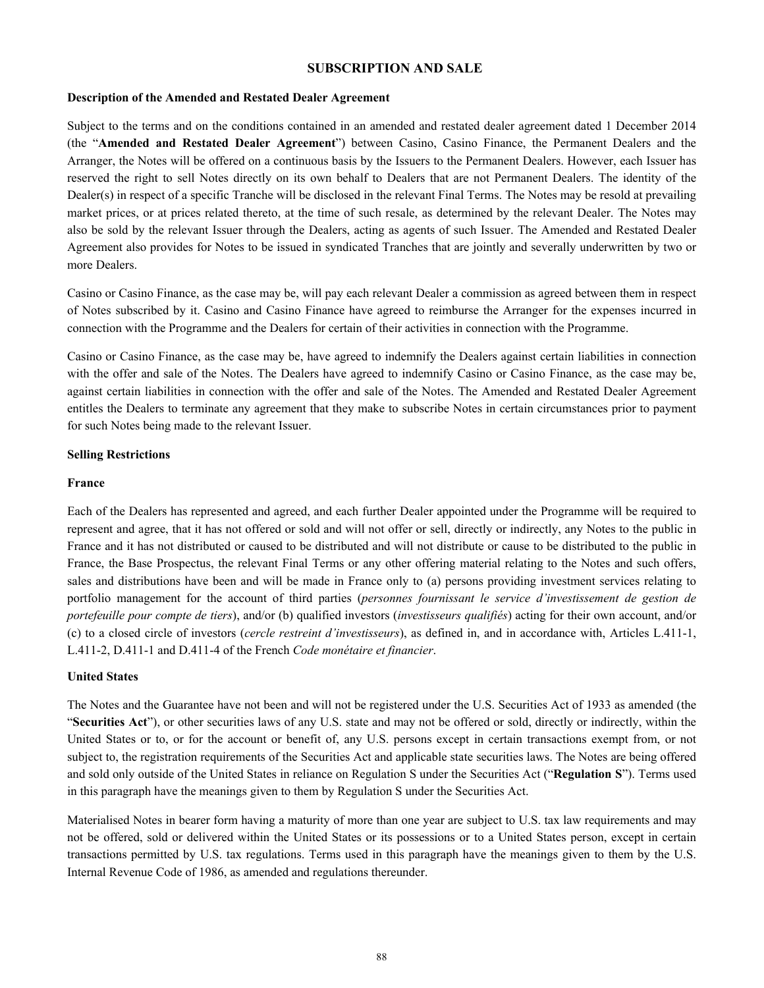# **SUBSCRIPTION AND SALE**

#### **Description of the Amended and Restated Dealer Agreement**

Subject to the terms and on the conditions contained in an amended and restated dealer agreement dated 1 December 2014 (the "**Amended and Restated Dealer Agreement**") between Casino, Casino Finance, the Permanent Dealers and the Arranger, the Notes will be offered on a continuous basis by the Issuers to the Permanent Dealers. However, each Issuer has reserved the right to sell Notes directly on its own behalf to Dealers that are not Permanent Dealers. The identity of the Dealer(s) in respect of a specific Tranche will be disclosed in the relevant Final Terms. The Notes may be resold at prevailing market prices, or at prices related thereto, at the time of such resale, as determined by the relevant Dealer. The Notes may also be sold by the relevant Issuer through the Dealers, acting as agents of such Issuer. The Amended and Restated Dealer Agreement also provides for Notes to be issued in syndicated Tranches that are jointly and severally underwritten by two or more Dealers.

Casino or Casino Finance, as the case may be, will pay each relevant Dealer a commission as agreed between them in respect of Notes subscribed by it. Casino and Casino Finance have agreed to reimburse the Arranger for the expenses incurred in connection with the Programme and the Dealers for certain of their activities in connection with the Programme.

Casino or Casino Finance, as the case may be, have agreed to indemnify the Dealers against certain liabilities in connection with the offer and sale of the Notes. The Dealers have agreed to indemnify Casino or Casino Finance, as the case may be, against certain liabilities in connection with the offer and sale of the Notes. The Amended and Restated Dealer Agreement entitles the Dealers to terminate any agreement that they make to subscribe Notes in certain circumstances prior to payment for such Notes being made to the relevant Issuer.

#### **Selling Restrictions**

#### **France**

Each of the Dealers has represented and agreed, and each further Dealer appointed under the Programme will be required to represent and agree, that it has not offered or sold and will not offer or sell, directly or indirectly, any Notes to the public in France and it has not distributed or caused to be distributed and will not distribute or cause to be distributed to the public in France, the Base Prospectus, the relevant Final Terms or any other offering material relating to the Notes and such offers, sales and distributions have been and will be made in France only to (a) persons providing investment services relating to portfolio management for the account of third parties (*personnes fournissant le service d'investissement de gestion de portefeuille pour compte de tiers*), and/or (b) qualified investors (*investisseurs qualifiés*) acting for their own account, and/or (c) to a closed circle of investors (*cercle restreint d'investisseurs*), as defined in, and in accordance with, Articles L.411-1, L.411-2, D.411-1 and D.411-4 of the French *Code monétaire et financier*.

# **United States**

The Notes and the Guarantee have not been and will not be registered under the U.S. Securities Act of 1933 as amended (the "**Securities Act**"), or other securities laws of any U.S. state and may not be offered or sold, directly or indirectly, within the United States or to, or for the account or benefit of, any U.S. persons except in certain transactions exempt from, or not subject to, the registration requirements of the Securities Act and applicable state securities laws. The Notes are being offered and sold only outside of the United States in reliance on Regulation S under the Securities Act ("**Regulation S**"). Terms used in this paragraph have the meanings given to them by Regulation S under the Securities Act.

Materialised Notes in bearer form having a maturity of more than one year are subject to U.S. tax law requirements and may not be offered, sold or delivered within the United States or its possessions or to a United States person, except in certain transactions permitted by U.S. tax regulations. Terms used in this paragraph have the meanings given to them by the U.S. Internal Revenue Code of 1986, as amended and regulations thereunder.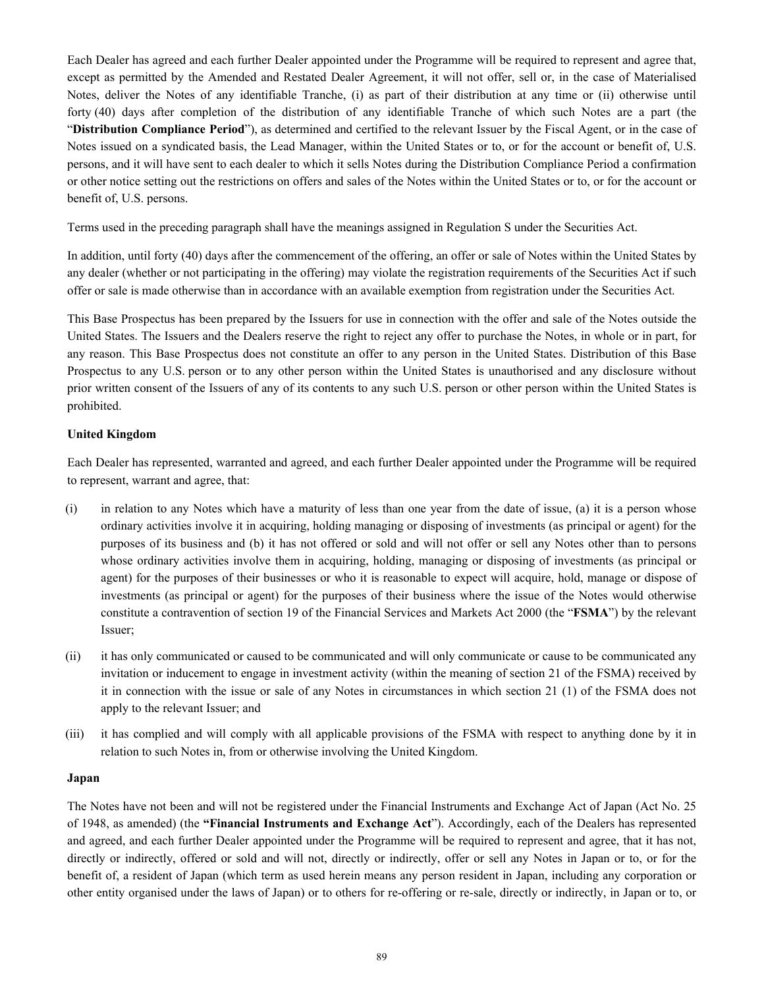Each Dealer has agreed and each further Dealer appointed under the Programme will be required to represent and agree that, except as permitted by the Amended and Restated Dealer Agreement, it will not offer, sell or, in the case of Materialised Notes, deliver the Notes of any identifiable Tranche, (i) as part of their distribution at any time or (ii) otherwise until forty (40) days after completion of the distribution of any identifiable Tranche of which such Notes are a part (the "**Distribution Compliance Period**"), as determined and certified to the relevant Issuer by the Fiscal Agent, or in the case of Notes issued on a syndicated basis, the Lead Manager, within the United States or to, or for the account or benefit of, U.S. persons, and it will have sent to each dealer to which it sells Notes during the Distribution Compliance Period a confirmation or other notice setting out the restrictions on offers and sales of the Notes within the United States or to, or for the account or benefit of, U.S. persons.

Terms used in the preceding paragraph shall have the meanings assigned in Regulation S under the Securities Act.

In addition, until forty (40) days after the commencement of the offering, an offer or sale of Notes within the United States by any dealer (whether or not participating in the offering) may violate the registration requirements of the Securities Act if such offer or sale is made otherwise than in accordance with an available exemption from registration under the Securities Act.

This Base Prospectus has been prepared by the Issuers for use in connection with the offer and sale of the Notes outside the United States. The Issuers and the Dealers reserve the right to reject any offer to purchase the Notes, in whole or in part, for any reason. This Base Prospectus does not constitute an offer to any person in the United States. Distribution of this Base Prospectus to any U.S. person or to any other person within the United States is unauthorised and any disclosure without prior written consent of the Issuers of any of its contents to any such U.S. person or other person within the United States is prohibited.

# **United Kingdom**

Each Dealer has represented, warranted and agreed, and each further Dealer appointed under the Programme will be required to represent, warrant and agree, that:

- (i) in relation to any Notes which have a maturity of less than one year from the date of issue, (a) it is a person whose ordinary activities involve it in acquiring, holding managing or disposing of investments (as principal or agent) for the purposes of its business and (b) it has not offered or sold and will not offer or sell any Notes other than to persons whose ordinary activities involve them in acquiring, holding, managing or disposing of investments (as principal or agent) for the purposes of their businesses or who it is reasonable to expect will acquire, hold, manage or dispose of investments (as principal or agent) for the purposes of their business where the issue of the Notes would otherwise constitute a contravention of section 19 of the Financial Services and Markets Act 2000 (the "**FSMA**") by the relevant Issuer;
- (ii) it has only communicated or caused to be communicated and will only communicate or cause to be communicated any invitation or inducement to engage in investment activity (within the meaning of section 21 of the FSMA) received by it in connection with the issue or sale of any Notes in circumstances in which section 21 (1) of the FSMA does not apply to the relevant Issuer; and
- (iii) it has complied and will comply with all applicable provisions of the FSMA with respect to anything done by it in relation to such Notes in, from or otherwise involving the United Kingdom.

# **Japan**

The Notes have not been and will not be registered under the Financial Instruments and Exchange Act of Japan (Act No. 25 of 1948, as amended) (the **"Financial Instruments and Exchange Act**"). Accordingly, each of the Dealers has represented and agreed, and each further Dealer appointed under the Programme will be required to represent and agree, that it has not, directly or indirectly, offered or sold and will not, directly or indirectly, offer or sell any Notes in Japan or to, or for the benefit of, a resident of Japan (which term as used herein means any person resident in Japan, including any corporation or other entity organised under the laws of Japan) or to others for re-offering or re-sale, directly or indirectly, in Japan or to, or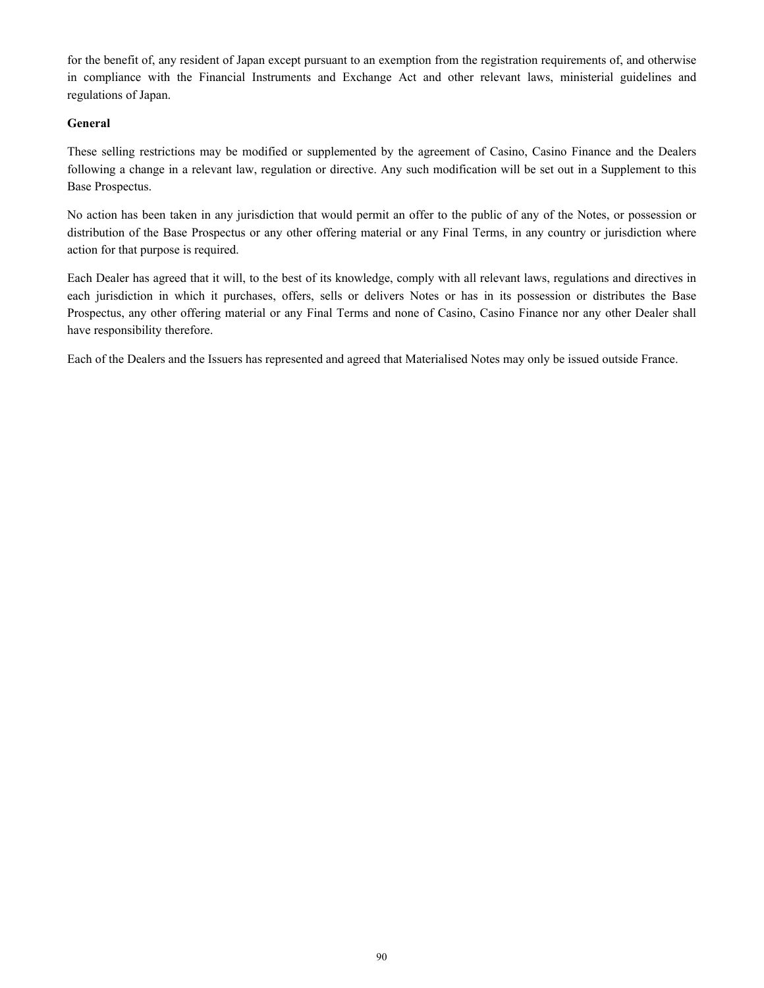for the benefit of, any resident of Japan except pursuant to an exemption from the registration requirements of, and otherwise in compliance with the Financial Instruments and Exchange Act and other relevant laws, ministerial guidelines and regulations of Japan.

# **General**

These selling restrictions may be modified or supplemented by the agreement of Casino, Casino Finance and the Dealers following a change in a relevant law, regulation or directive. Any such modification will be set out in a Supplement to this Base Prospectus.

No action has been taken in any jurisdiction that would permit an offer to the public of any of the Notes, or possession or distribution of the Base Prospectus or any other offering material or any Final Terms, in any country or jurisdiction where action for that purpose is required.

Each Dealer has agreed that it will, to the best of its knowledge, comply with all relevant laws, regulations and directives in each jurisdiction in which it purchases, offers, sells or delivers Notes or has in its possession or distributes the Base Prospectus, any other offering material or any Final Terms and none of Casino, Casino Finance nor any other Dealer shall have responsibility therefore.

Each of the Dealers and the Issuers has represented and agreed that Materialised Notes may only be issued outside France.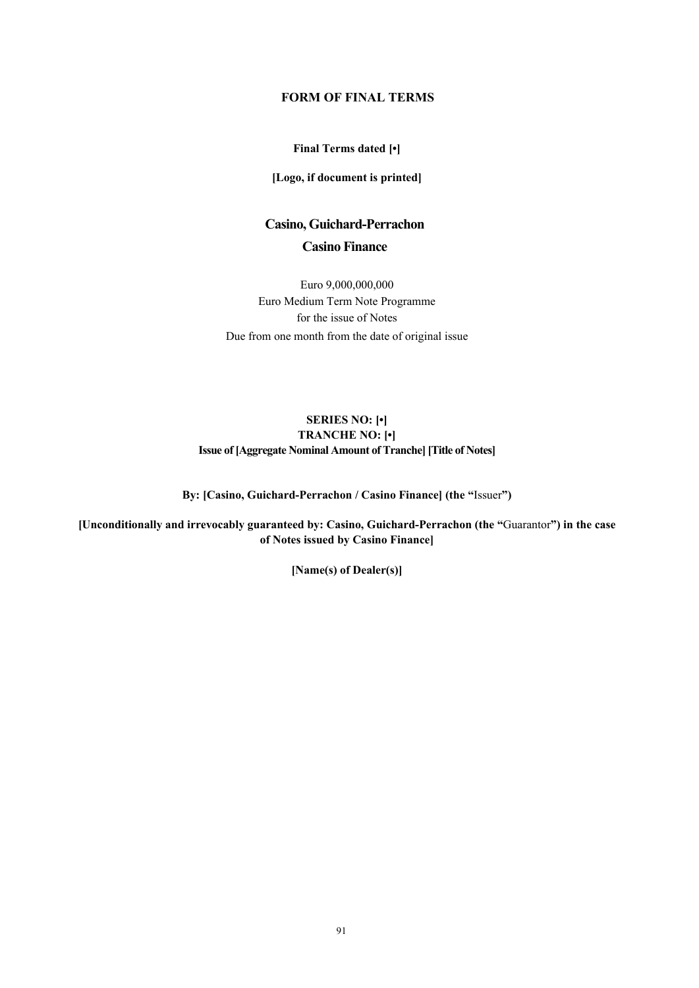# **FORM OF FINAL TERMS**

# **Final Terms dated [•]**

**[Logo, if document is printed]**

# **Casino, Guichard-Perrachon Casino Finance**

Euro 9,000,000,000 Euro Medium Term Note Programme for the issue of Notes Due from one month from the date of original issue

# **SERIES NO: [•] TRANCHE NO: [•] Issue of [Aggregate Nominal Amount of Tranche] [Title of Notes]**

**By: [Casino, Guichard-Perrachon / Casino Finance] (the "**Issuer**")**

**[Unconditionally and irrevocably guaranteed by: Casino, Guichard-Perrachon (the "**Guarantor**") in the case of Notes issued by Casino Finance]**

**[Name(s) of Dealer(s)]**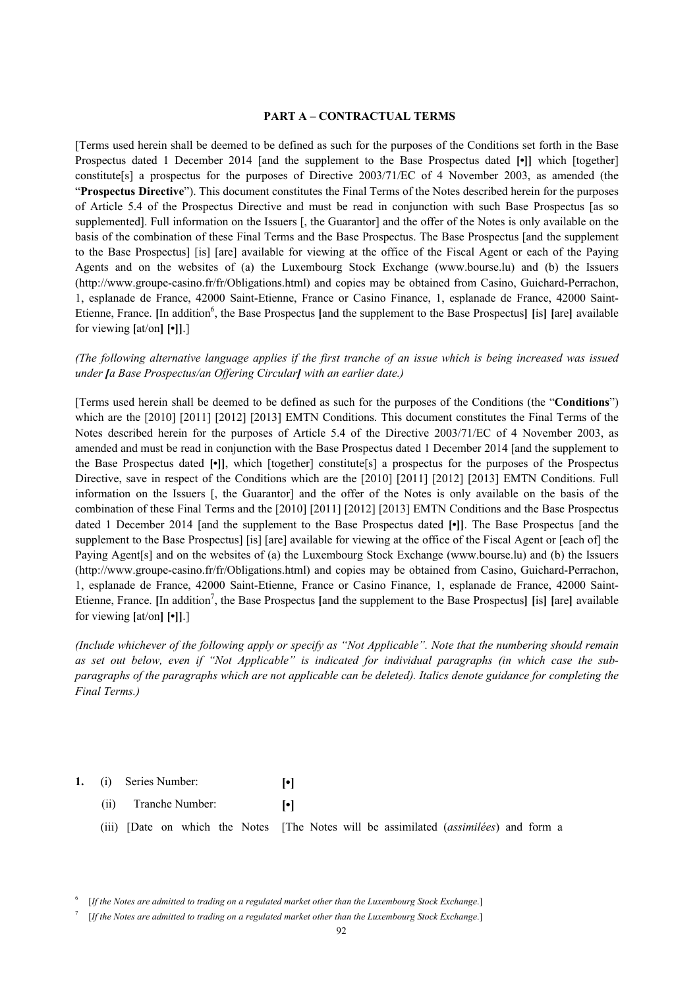## **PART A – CONTRACTUAL TERMS**

[Terms used herein shall be deemed to be defined as such for the purposes of the Conditions set forth in the Base Prospectus dated 1 December 2014 [and the supplement to the Base Prospectus dated **[•]]** which [together] constitute[s] a prospectus for the purposes of Directive 2003/71/EC of 4 November 2003, as amended (the "**Prospectus Directive**"). This document constitutes the Final Terms of the Notes described herein for the purposes of Article 5.4 of the Prospectus Directive and must be read in conjunction with such Base Prospectus [as so supplemented]. Full information on the Issuers [, the Guarantor] and the offer of the Notes is only available on the basis of the combination of these Final Terms and the Base Prospectus. The Base Prospectus [and the supplement to the Base Prospectus] [is] [are] available for viewing at the office of the Fiscal Agent or each of the Paying Agents and on the websites of (a) the Luxembourg Stock Exchange (www.bourse.lu) and (b) the Issuers (http://www.groupe-casino.fr/fr/Obligations.html) and copies may be obtained from Casino, Guichard-Perrachon, 1, esplanade de France, 42000 Saint-Etienne, France or Casino Finance, 1, esplanade de France, 42000 Saint-Etienne, France. [In addition<sup>6</sup>, the Base Prospectus [and the supplement to the Base Prospectus] [is] [are] available for viewing **[**at/on**] [•]]**.]

## *(The following alternative language applies if the first tranche of an issue which is being increased was issued under [a Base Prospectus/an Offering Circular] with an earlier date.)*

[Terms used herein shall be deemed to be defined as such for the purposes of the Conditions (the "**Conditions**") which are the [2010] [2011] [2012] [2013] EMTN Conditions. This document constitutes the Final Terms of the Notes described herein for the purposes of Article 5.4 of the Directive 2003/71/EC of 4 November 2003, as amended and must be read in conjunction with the Base Prospectus dated 1 December 2014 [and the supplement to the Base Prospectus dated **[•]]**, which [together] constitute[s] a prospectus for the purposes of the Prospectus Directive, save in respect of the Conditions which are the [2010] [2011] [2012] [2013] EMTN Conditions. Full information on the Issuers [, the Guarantor] and the offer of the Notes is only available on the basis of the combination of these Final Terms and the [2010] [2011] [2012] [2013] EMTN Conditions and the Base Prospectus dated 1 December 2014 [and the supplement to the Base Prospectus dated **[•]]**. The Base Prospectus [and the supplement to the Base Prospectus] [is] [are] available for viewing at the office of the Fiscal Agent or [each of] the Paying Agent[s] and on the websites of (a) the Luxembourg Stock Exchange (www.bourse.lu) and (b) the Issuers (http://www.groupe-casino.fr/fr/Obligations.html) and copies may be obtained from Casino, Guichard-Perrachon, 1, esplanade de France, 42000 Saint-Etienne, France or Casino Finance, 1, esplanade de France, 42000 Saint-Etienne, France. [In addition<sup>7</sup>, the Base Prospectus [and the supplement to the Base Prospectus] [is] [are] available for viewing **[**at/on**] [•]]**.]

*(Include whichever of the following apply or specify as "Not Applicable". Note that the numbering should remain as set out below, even if "Not Applicable" is indicated for individual paragraphs (in which case the subparagraphs of the paragraphs which are not applicable can be deleted). Italics denote guidance for completing the Final Terms.)*

- **1.** (i) Series Number: **[•]**
	- (ii) Tranche Number: **[•]**
	- (iii) [Date on which the Notes [The Notes will be assimilated (*assimilées*) and form a

7 [*If the Notes are admitted to trading on a regulated market other than the Luxembourg Stock Exchange*.]

<sup>6</sup> [*If the Notes are admitted to trading on a regulated market other than the Luxembourg Stock Exchange*.]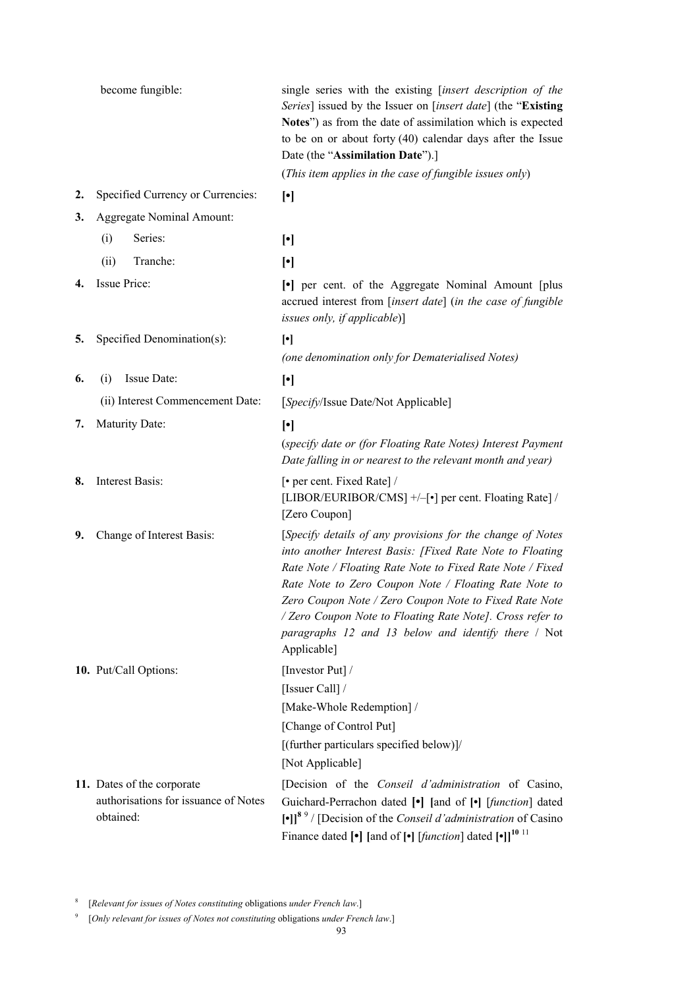|    | become fungible:                                                                | single series with the existing [insert description of the<br>Series] issued by the Issuer on [insert date] (the "Existing<br>Notes") as from the date of assimilation which is expected<br>to be on or about forty $(40)$ calendar days after the Issue<br>Date (the "Assimilation Date").]                                                                                                                                                                                                                                                          |
|----|---------------------------------------------------------------------------------|-------------------------------------------------------------------------------------------------------------------------------------------------------------------------------------------------------------------------------------------------------------------------------------------------------------------------------------------------------------------------------------------------------------------------------------------------------------------------------------------------------------------------------------------------------|
|    |                                                                                 | (This item applies in the case of fungible issues only)                                                                                                                                                                                                                                                                                                                                                                                                                                                                                               |
| 2. | Specified Currency or Currencies:                                               | $[\cdot]$                                                                                                                                                                                                                                                                                                                                                                                                                                                                                                                                             |
| 3. | <b>Aggregate Nominal Amount:</b>                                                |                                                                                                                                                                                                                                                                                                                                                                                                                                                                                                                                                       |
|    | Series:<br>(i)                                                                  | $[\cdot]$                                                                                                                                                                                                                                                                                                                                                                                                                                                                                                                                             |
|    | Tranche:<br>(ii)                                                                | $[\cdot]$                                                                                                                                                                                                                                                                                                                                                                                                                                                                                                                                             |
| 4. | Issue Price:                                                                    | • per cent. of the Aggregate Nominal Amount [plus]<br>accrued interest from [insert date] (in the case of fungible<br>issues only, if applicable)]                                                                                                                                                                                                                                                                                                                                                                                                    |
| 5. | Specified Denomination(s):                                                      | $[\cdot] % \centering \includegraphics[width=0.9\columnwidth]{figures/fig_10.pdf} \caption{The average of the number of~\ref{fig:2016} from the number of~\ref{fig:2016} from the number of~\ref{fig:2016} from the number of~\ref{fig:2016} from the number of~\ref{fig:2016} from the number of~\ref{fig:2016} from the number of~\ref{fig:2016} from the number of~\ref{fig:2016} from the number of~\ref{fig:2016} from the number of~\ref{fig:2016} from the number of~\ref{fig:2016} from the number of~\ref{fig:2016} from the number of~\ref$ |
|    |                                                                                 | (one denomination only for Dematerialised Notes)                                                                                                                                                                                                                                                                                                                                                                                                                                                                                                      |
| 6. | Issue Date:<br>(i)                                                              | $[\cdot]$                                                                                                                                                                                                                                                                                                                                                                                                                                                                                                                                             |
|    | (ii) Interest Commencement Date:                                                | [Specify/Issue Date/Not Applicable]                                                                                                                                                                                                                                                                                                                                                                                                                                                                                                                   |
| 7. | Maturity Date:                                                                  | $\lceil \cdot \rceil$                                                                                                                                                                                                                                                                                                                                                                                                                                                                                                                                 |
|    |                                                                                 | (specify date or (for Floating Rate Notes) Interest Payment<br>Date falling in or nearest to the relevant month and year)                                                                                                                                                                                                                                                                                                                                                                                                                             |
| 8. | Interest Basis:                                                                 | [• per cent. Fixed Rate] /<br>[LIBOR/EURIBOR/CMS] +/-[•] per cent. Floating Rate] /<br>[Zero Coupon]                                                                                                                                                                                                                                                                                                                                                                                                                                                  |
| 9. | Change of Interest Basis:                                                       | [Specify details of any provisions for the change of Notes<br>into another Interest Basis: [Fixed Rate Note to Floating<br>Rate Note / Floating Rate Note to Fixed Rate Note / Fixed<br>Rate Note to Zero Coupon Note / Floating Rate Note to<br>Zero Coupon Note / Zero Coupon Note to Fixed Rate Note<br>/ Zero Coupon Note to Floating Rate Note]. Cross refer to<br>paragraphs 12 and 13 below and identify there / Not<br>Applicable]                                                                                                            |
|    | 10. Put/Call Options:                                                           | [Investor Put] /                                                                                                                                                                                                                                                                                                                                                                                                                                                                                                                                      |
|    |                                                                                 | [Issuer Call] /                                                                                                                                                                                                                                                                                                                                                                                                                                                                                                                                       |
|    |                                                                                 | [Make-Whole Redemption] /                                                                                                                                                                                                                                                                                                                                                                                                                                                                                                                             |
|    |                                                                                 | [Change of Control Put]                                                                                                                                                                                                                                                                                                                                                                                                                                                                                                                               |
|    |                                                                                 | [(further particulars specified below)]/<br>[Not Applicable]                                                                                                                                                                                                                                                                                                                                                                                                                                                                                          |
|    |                                                                                 |                                                                                                                                                                                                                                                                                                                                                                                                                                                                                                                                                       |
|    | 11. Dates of the corporate<br>authorisations for issuance of Notes<br>obtained: | [Decision of the <i>Conseil d'administration</i> of Casino,<br>Guichard-Perrachon dated [•] [and of [•] [function] dated<br>[•]] <sup>89</sup> / [Decision of the <i>Conseil d'administration</i> of Casino<br>Finance dated $[\bullet]$ [and of $[\bullet]$ [ <i>function</i> ] dated $[\bullet]$ ] <sup>10 11</sup>                                                                                                                                                                                                                                 |

<sup>8</sup> [*Relevant for issues of Notes constituting* obligations *under French law*.]

<sup>9</sup> [*Only relevant for issues of Notes not constituting* obligations *under French law*.]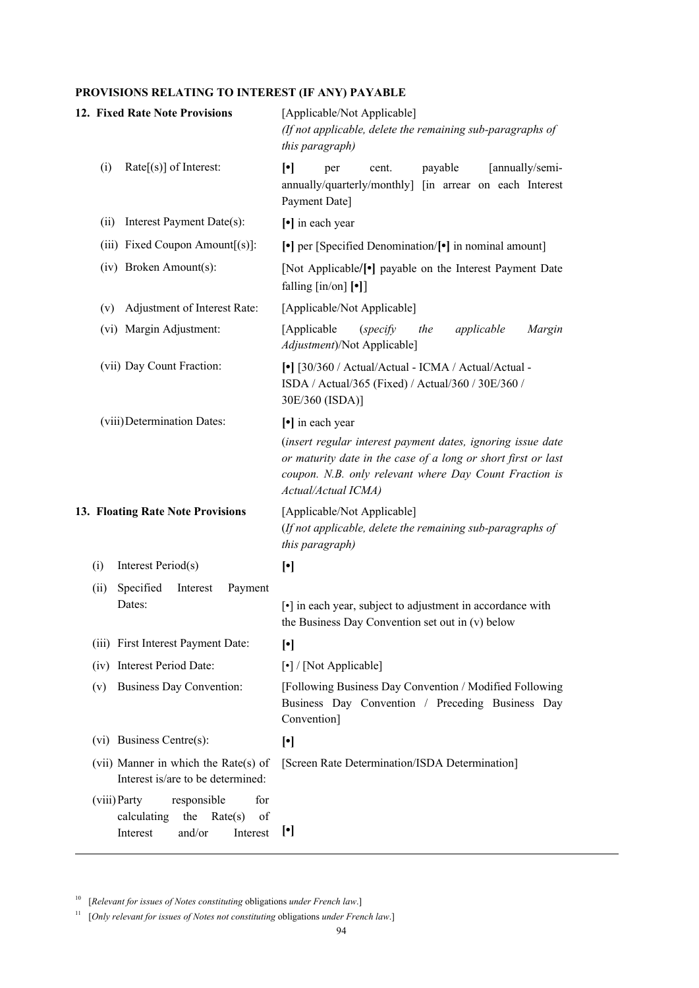# **PROVISIONS RELATING TO INTEREST (IF ANY) PAYABLE**

|      | 12. Fixed Rate Note Provisions                                                                              | [Applicable/Not Applicable]<br>(If not applicable, delete the remaining sub-paragraphs of<br>this paragraph)                                                                                                  |
|------|-------------------------------------------------------------------------------------------------------------|---------------------------------------------------------------------------------------------------------------------------------------------------------------------------------------------------------------|
| (i)  | $Rate[s]$ of Interest:                                                                                      | $\lceil \cdot \rceil$<br>[annually/semi-<br>payable<br>cent.<br>per<br>annually/quarterly/monthly] [in arrear on each Interest<br>Payment Date]                                                               |
| (ii) | Interest Payment Date(s):                                                                                   | [•] in each year                                                                                                                                                                                              |
|      | (iii) Fixed Coupon Amount[(s)]:                                                                             | $\lceil \cdot \rceil$ per [Specified Denomination/ $\lceil \cdot \rceil$ in nominal amount]                                                                                                                   |
|      | (iv) Broken Amount(s):                                                                                      | [Not Applicable/ <sup>[•]</sup> payable on the Interest Payment Date<br>falling $\left[\text{in}/\text{on}\right]$ [ $\bullet$ ]                                                                              |
| (v)  | Adjustment of Interest Rate:                                                                                | [Applicable/Not Applicable]                                                                                                                                                                                   |
|      | (vi) Margin Adjustment:                                                                                     | [Applicable<br>applicable<br>(specify)<br>the<br>Margin<br>Adjustment)/Not Applicable]                                                                                                                        |
|      | (vii) Day Count Fraction:                                                                                   | [•] [30/360 / Actual/Actual - ICMA / Actual/Actual -<br>ISDA / Actual/365 (Fixed) / Actual/360 / 30E/360 /<br>30E/360 (ISDA)]                                                                                 |
|      | (viii) Determination Dates:                                                                                 | [•] in each year                                                                                                                                                                                              |
|      |                                                                                                             | (insert regular interest payment dates, ignoring issue date<br>or maturity date in the case of a long or short first or last<br>coupon. N.B. only relevant where Day Count Fraction is<br>Actual/Actual ICMA) |
|      | 13. Floating Rate Note Provisions                                                                           | [Applicable/Not Applicable]<br>(If not applicable, delete the remaining sub-paragraphs of<br>this paragraph)                                                                                                  |
| (i)  | Interest Period(s)                                                                                          | $[\cdot]$                                                                                                                                                                                                     |
| (ii) | Specified<br>Payment<br>Interest<br>Dates:                                                                  | [•] in each year, subject to adjustment in accordance with<br>the Business Day Convention set out in (v) below                                                                                                |
|      | (iii) First Interest Payment Date:                                                                          | $\lceil \cdot \rceil$                                                                                                                                                                                         |
|      | (iv) Interest Period Date:                                                                                  | [•] / [Not Applicable]                                                                                                                                                                                        |
| (v)  | <b>Business Day Convention:</b>                                                                             | [Following Business Day Convention / Modified Following<br>Business Day Convention / Preceding Business Day<br>Convention]                                                                                    |
|      | (vi) Business Centre(s):                                                                                    | $[\cdot]$                                                                                                                                                                                                     |
|      | (vii) Manner in which the Rate(s) of<br>Interest is/are to be determined:                                   | [Screen Rate Determination/ISDA Determination]                                                                                                                                                                |
|      | for<br>(viii) Party<br>responsible<br>calculating<br>the<br>Rate(s)<br>of<br>Interest<br>Interest<br>and/or | $[\cdot]$                                                                                                                                                                                                     |

<sup>10</sup> [*Relevant for issues of Notes constituting* obligations *under French law*.]

<sup>11</sup> [*Only relevant for issues of Notes not constituting* obligations *under French law*.]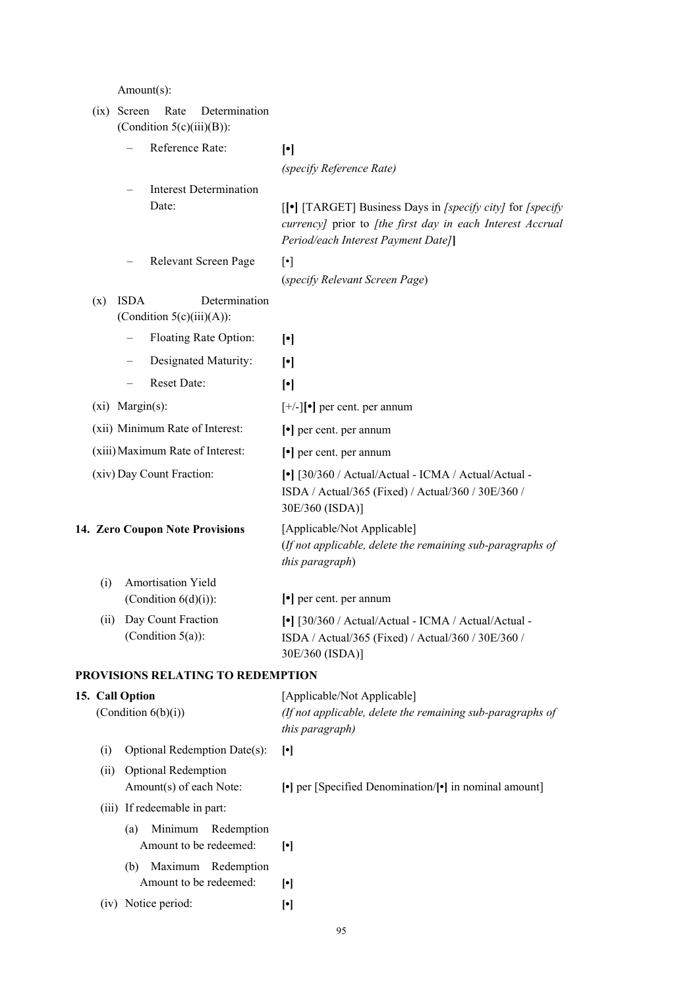Amount(s):

|      | Determination<br>$(ix)$ Screen<br>Rate                       |                                                                                                                                                                                                                                                                                                                                                                                                                                                                                                                                                                                                              |
|------|--------------------------------------------------------------|--------------------------------------------------------------------------------------------------------------------------------------------------------------------------------------------------------------------------------------------------------------------------------------------------------------------------------------------------------------------------------------------------------------------------------------------------------------------------------------------------------------------------------------------------------------------------------------------------------------|
|      | (Condition $5(c)(iii)(B)$ ):                                 |                                                                                                                                                                                                                                                                                                                                                                                                                                                                                                                                                                                                              |
|      | Reference Rate:                                              | $[\cdot] % \centering \includegraphics[width=0.9\columnwidth]{figures/fig_10.pdf} \caption{The graph $\mathcal{N}_1$ is a function of the number of~\textit{N}_1$ and the number of~\textit{N}_2$ is a function of the number of~\textit{N}_1$ (top) and the number of~\textit{N}_2$ (bottom) and the number of~\textit{N}_1$ (bottom) and the number of~\textit{N}_2$ (bottom) and the number of~\textit{N}_1$ (bottom) and the number of~\textit{N}_2$ (bottom) and the number of~\textit{N}_1$ (bottom) and the number of~\textit{N}_2$ (bottom) and the number of~\textit{N}_1$ (bottom) and the number$ |
|      |                                                              | (specify Reference Rate)                                                                                                                                                                                                                                                                                                                                                                                                                                                                                                                                                                                     |
|      | Interest Determination<br>Date:                              | [[•] [TARGET] Business Days in [specify city] for [specify]<br>currency] prior to [the first day in each Interest Accrual<br>Period/each Interest Payment Date]]                                                                                                                                                                                                                                                                                                                                                                                                                                             |
|      | Relevant Screen Page                                         | $[\cdot]$                                                                                                                                                                                                                                                                                                                                                                                                                                                                                                                                                                                                    |
|      |                                                              | (specify Relevant Screen Page)                                                                                                                                                                                                                                                                                                                                                                                                                                                                                                                                                                               |
| (x)  | <b>ISDA</b><br>Determination<br>(Condition $5(c)(iii)(A)$ ): |                                                                                                                                                                                                                                                                                                                                                                                                                                                                                                                                                                                                              |
|      | Floating Rate Option:                                        | $[\cdot]$                                                                                                                                                                                                                                                                                                                                                                                                                                                                                                                                                                                                    |
|      | Designated Maturity:                                         | $[\cdot]$                                                                                                                                                                                                                                                                                                                                                                                                                                                                                                                                                                                                    |
|      | Reset Date:<br>$\qquad \qquad -$                             | $[\cdot]$                                                                                                                                                                                                                                                                                                                                                                                                                                                                                                                                                                                                    |
|      | $(xi)$ Margin $(s)$ :                                        | $[+/$ -][•] per cent. per annum                                                                                                                                                                                                                                                                                                                                                                                                                                                                                                                                                                              |
|      | (xii) Minimum Rate of Interest:                              | $\lceil \cdot \rceil$ per cent. per annum                                                                                                                                                                                                                                                                                                                                                                                                                                                                                                                                                                    |
|      | (xiii) Maximum Rate of Interest:                             | $\lceil \cdot \rceil$ per cent. per annum                                                                                                                                                                                                                                                                                                                                                                                                                                                                                                                                                                    |
|      | (xiv) Day Count Fraction:                                    | [•] [30/360 / Actual/Actual - ICMA / Actual/Actual -<br>ISDA / Actual/365 (Fixed) / Actual/360 / 30E/360 /<br>30E/360 (ISDA)]                                                                                                                                                                                                                                                                                                                                                                                                                                                                                |
|      | 14. Zero Coupon Note Provisions                              | [Applicable/Not Applicable]<br>(If not applicable, delete the remaining sub-paragraphs of<br>this paragraph)                                                                                                                                                                                                                                                                                                                                                                                                                                                                                                 |
| (i)  | Amortisation Yield                                           |                                                                                                                                                                                                                                                                                                                                                                                                                                                                                                                                                                                                              |
|      | (Condition $6(d)(i)$ ):                                      | $\left[\bullet\right]$ per cent. per annum                                                                                                                                                                                                                                                                                                                                                                                                                                                                                                                                                                   |
| (ii) | Day Count Fraction<br>(Condition $5(a)$ ):                   | [•] [30/360 / Actual/Actual - ICMA / Actual/Actual -<br>ISDA / Actual/365 (Fixed) / Actual/360 / 30E/360 /<br>30E/360 (ISDA)]                                                                                                                                                                                                                                                                                                                                                                                                                                                                                |
|      | PROVISIONS RELATING TO REDEMPTION                            |                                                                                                                                                                                                                                                                                                                                                                                                                                                                                                                                                                                                              |
|      | 15. Call Option<br>(Condition $6(b)(i)$ )                    | [Applicable/Not Applicable]<br>(If not applicable, delete the remaining sub-paragraphs of<br>this paragraph)                                                                                                                                                                                                                                                                                                                                                                                                                                                                                                 |
| (i)  | Optional Redemption Date(s):                                 | $[\cdot]$                                                                                                                                                                                                                                                                                                                                                                                                                                                                                                                                                                                                    |
| (ii) | Optional Redemption<br>Amount(s) of each Note:               | [•] per [Specified Denomination/[•] in nominal amount]                                                                                                                                                                                                                                                                                                                                                                                                                                                                                                                                                       |
|      | (iii) If redeemable in part:                                 |                                                                                                                                                                                                                                                                                                                                                                                                                                                                                                                                                                                                              |
|      | Minimum<br>Redemption<br>(a)<br>Amount to be redeemed:       | $[\cdot]$                                                                                                                                                                                                                                                                                                                                                                                                                                                                                                                                                                                                    |
|      | (b) Maximum Redemption<br>Amount to be redeemed:             | $[\cdot]$                                                                                                                                                                                                                                                                                                                                                                                                                                                                                                                                                                                                    |
|      | (iv) Notice period:                                          | $[\cdot]$                                                                                                                                                                                                                                                                                                                                                                                                                                                                                                                                                                                                    |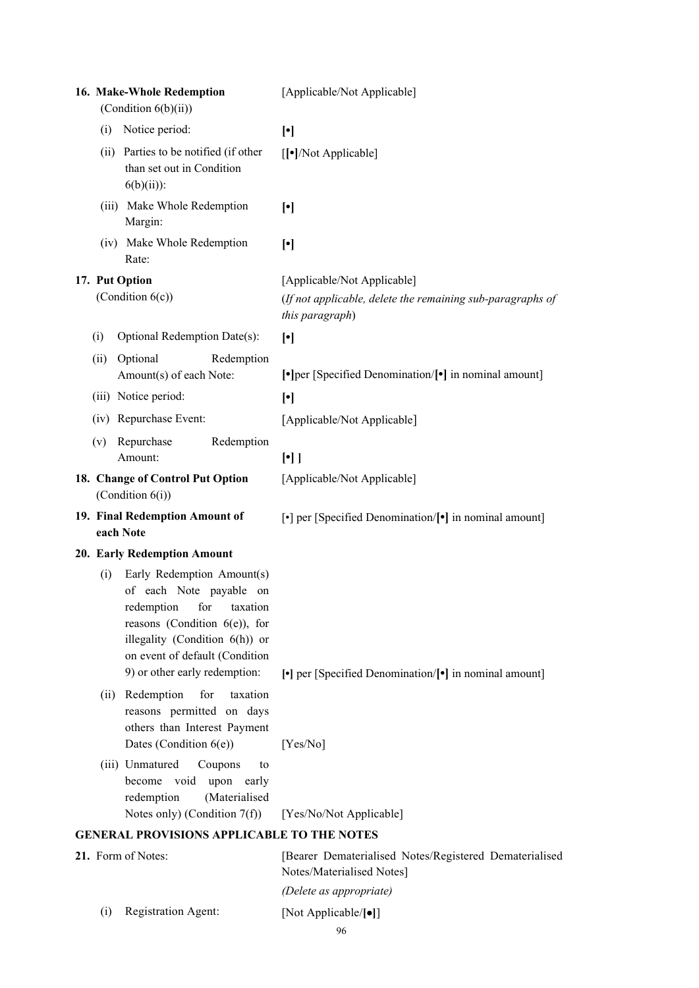| 16. Make-Whole Redemption<br>(Condition $6(b)(ii)$ )                                                                                                                                                                             | [Applicable/Not Applicable]                                                                                  |
|----------------------------------------------------------------------------------------------------------------------------------------------------------------------------------------------------------------------------------|--------------------------------------------------------------------------------------------------------------|
| Notice period:<br>(i)                                                                                                                                                                                                            | $[\cdot]$                                                                                                    |
| (ii) Parties to be notified (if other<br>than set out in Condition<br>$6(b)(ii))$ :                                                                                                                                              | [[ $\bullet$ ]/Not Applicable]                                                                               |
| (iii) Make Whole Redemption<br>Margin:                                                                                                                                                                                           | $[\cdot]$                                                                                                    |
| (iv) Make Whole Redemption<br>Rate:                                                                                                                                                                                              | $[\cdot]$                                                                                                    |
| 17. Put Option<br>(Condition 6(c))                                                                                                                                                                                               | [Applicable/Not Applicable]<br>(If not applicable, delete the remaining sub-paragraphs of<br>this paragraph) |
| Optional Redemption Date(s):<br>(i)                                                                                                                                                                                              | $[\cdot]$                                                                                                    |
| Optional<br>Redemption<br>(ii)<br>Amount(s) of each Note:                                                                                                                                                                        | [•] per [Specified Denomination/[•] in nominal amount]                                                       |
| (iii) Notice period:                                                                                                                                                                                                             | $\lceil \cdot \rceil$                                                                                        |
| (iv) Repurchase Event:                                                                                                                                                                                                           | [Applicable/Not Applicable]                                                                                  |
| Repurchase<br>Redemption<br>(v)<br>Amount:                                                                                                                                                                                       | $[\cdot]$                                                                                                    |
| 18. Change of Control Put Option<br>(Condition $6(i)$ )                                                                                                                                                                          | [Applicable/Not Applicable]                                                                                  |
| 19. Final Redemption Amount of<br>each Note                                                                                                                                                                                      | [•] per [Specified Denomination/[•] in nominal amount]                                                       |
| 20. Early Redemption Amount                                                                                                                                                                                                      |                                                                                                              |
| Early Redemption Amount(s)<br>(i)<br>of each Note payable on<br>redemption for taxation<br>reasons (Condition $6(e)$ ), for<br>illegality (Condition 6(h)) or<br>on event of default (Condition<br>9) or other early redemption: | [•] per [Specified Denomination/[•] in nominal amount]                                                       |
| Redemption<br>for<br>taxation<br>(ii)<br>reasons permitted on days<br>others than Interest Payment<br>Dates (Condition $6(e)$ )                                                                                                  | [Yes/No]                                                                                                     |
| (iii) Unmatured<br>Coupons<br>to<br>become void<br>upon<br>early<br>(Materialised<br>redemption<br>Notes only) (Condition $7(f)$ )                                                                                               |                                                                                                              |
| <b>GENERAL PROVISIONS APPLICABLE TO THE NOTES</b>                                                                                                                                                                                | [Yes/No/Not Applicable]                                                                                      |
| 21. Form of Notes:                                                                                                                                                                                                               | [Bearer Dematerialised Notes/Registered Dematerialised<br>Notes/Materialised Notes]                          |
|                                                                                                                                                                                                                                  | (Delete as appropriate)                                                                                      |
| Registration Agent:<br>(i)                                                                                                                                                                                                       | [Not Applicable/[•]]                                                                                         |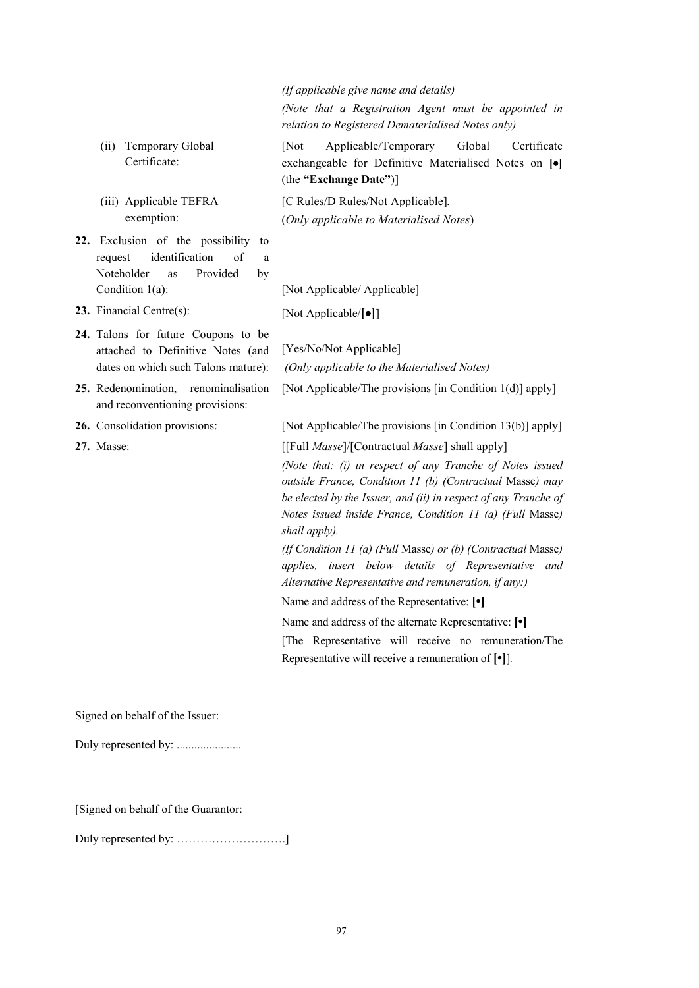*(If applicable give name and details) (Note that a Registration Agent must be appointed in relation to Registered Dematerialised Notes only)*

[Not Applicable/Temporary Global Certificate exchangeable for Definitive Materialised Notes on **[]** (the **"Exchange Date"**)]

[C Rules/D Rules/Not Applicable]*.* (*Only applicable to Materialised Notes*)

Condition 1(a): [Not Applicable/ Applicable]

**23.** Financial Centre(s): [Not Applicable/**[]**]

[Yes/No/Not Applicable]

**24.** Talons for future Coupons to be attached to Definitive Notes (and dates on which such Talons mature):

(ii) Temporary Global Certificate:

(iii) Applicable TEFRA exemption:

**22.** Exclusion of the possibility to request identification of a Noteholder as Provided by

- **25.** Redenomination, renominalisation and reconventioning provisions:
- 

**26.** Consolidation provisions: [Not Applicable/The provisions [in Condition 13(b)] apply]

[Not Applicable/The provisions [in Condition 1(d)] apply]

**27.** Masse: [[Full *Masse*]/[Contractual *Masse*] shall apply]

*(Only applicable to the Materialised Notes)*

*(Note that: (i) in respect of any Tranche of Notes issued outside France, Condition 11 (b) (Contractual* Masse*) may be elected by the Issuer, and (ii) in respect of any Tranche of Notes issued inside France, Condition 11 (a) (Full* Masse*) shall apply).* 

*(If Condition 11 (a) (Full* Masse*) or (b) (Contractual* Masse*) applies, insert below details of Representative and Alternative Representative and remuneration, if any:)*

Name and address of the Representative: **[•]**

Name and address of the alternate Representative: **[•]**

[The Representative will receive no remuneration/The Representative will receive a remuneration of **[•]**]*.*

Signed on behalf of the Issuer:

Duly represented by: .......................

[Signed on behalf of the Guarantor:

Duly represented by: ……………………….]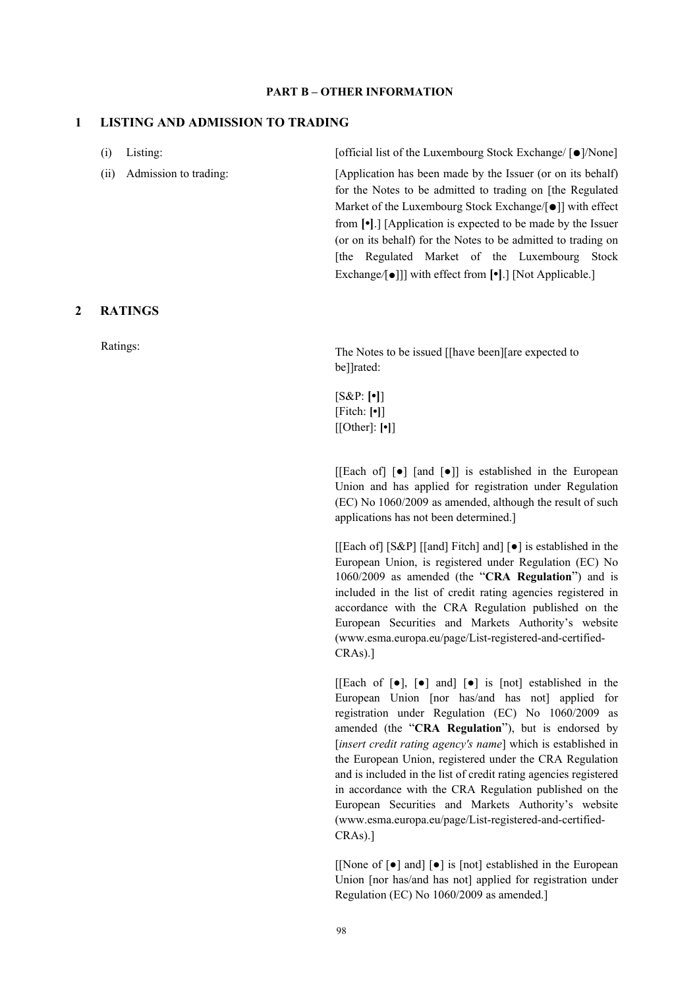#### **PART B – OTHER INFORMATION**

# **1 LISTING AND ADMISSION TO TRADING**

| (i)  | Listing:              |  |  | [official list of the Luxembourg Stock Exchange/ [●]/None]                     |  |
|------|-----------------------|--|--|--------------------------------------------------------------------------------|--|
| (ii) | Admission to trading: |  |  | [Application has been made by the Issuer (or on its behalf)                    |  |
|      |                       |  |  | for the Notes to be admitted to trading on [the Regulated                      |  |
|      |                       |  |  | Market of the Luxembourg Stock Exchange/[ $\bullet$ ]] with effect             |  |
|      |                       |  |  | from $\lceil \cdot \rceil$ . [Application is expected to be made by the Issuer |  |
|      |                       |  |  | (or on its behalf) for the Notes to be admitted to trading on                  |  |
|      |                       |  |  | [the Regulated Market of the Luxembourg Stock]                                 |  |
|      |                       |  |  | Exchange/[ $\bullet$ ]] with effect from [ $\bullet$ ]. [Not Applicable.]      |  |

## **2 RATINGS**

Ratings:<br>The Notes to be issued [[have been][are expected to be]]rated:

> [S&P: **[•]**] [Fitch: **[•]**] [[Other]: **[•]**]

 $[[Each of] [\bullet] [and [\bullet]]]$  is established in the European Union and has applied for registration under Regulation (EC) No 1060/2009 as amended, although the result of such applications has not been determined.]

[[Each of] [S&P] [[and] Fitch] and] [●] is established in the European Union, is registered under Regulation (EC) No 1060/2009 as amended (the "**CRA Regulation**") and is included in the list of credit rating agencies registered in accordance with the CRA Regulation published on the European Securities and Markets Authority's website (www.esma.europa.eu/page/List-registered-and-certified-CRAs).]

[[Each of  $[\bullet]$ ,  $[\bullet]$  and]  $[\bullet]$  is [not] established in the European Union [nor has/and has not] applied for registration under Regulation (EC) No 1060/2009 as amended (the "**CRA Regulation**"), but is endorsed by [*insert credit rating agency's name*] which is established in the European Union, registered under the CRA Regulation and is included in the list of credit rating agencies registered in accordance with the CRA Regulation published on the European Securities and Markets Authority's website (www.esma.europa.eu/page/List-registered-and-certified-CRAs).]

[[None of [●] and] [●] is [not] established in the European Union [nor has/and has not] applied for registration under Regulation (EC) No 1060/2009 as amended.]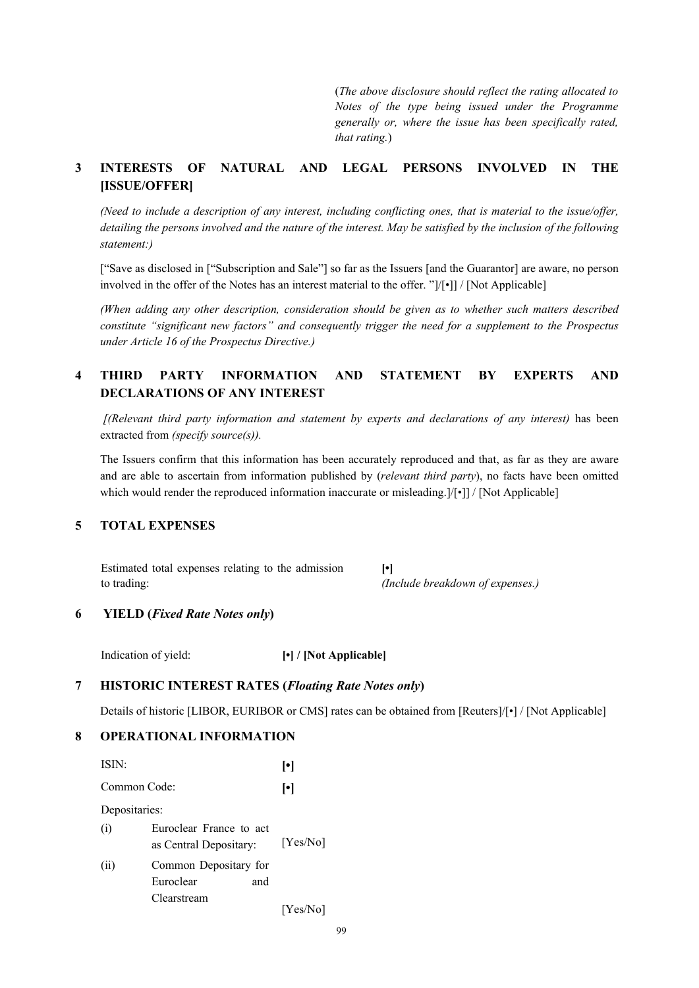(*The above disclosure should reflect the rating allocated to Notes of the type being issued under the Programme generally or, where the issue has been specifically rated, that rating.*)

# **3 INTERESTS OF NATURAL AND LEGAL PERSONS INVOLVED IN THE [ISSUE/OFFER]**

*(Need to include a description of any interest, including conflicting ones, that is material to the issue/offer,*  detailing the persons involved and the nature of the interest. May be satisfied by the inclusion of the following *statement:)*

["Save as disclosed in ["Subscription and Sale"] so far as the Issuers [and the Guarantor] are aware, no person involved in the offer of the Notes has an interest material to the offer. "]/[•]] / [Not Applicable]

*(When adding any other description, consideration should be given as to whether such matters described constitute "significant new factors" and consequently trigger the need for a supplement to the Prospectus under Article 16 of the Prospectus Directive.)*

# **4 THIRD PARTY INFORMATION AND STATEMENT BY EXPERTS AND DECLARATIONS OF ANY INTEREST**

*[(Relevant third party information and statement by experts and declarations of any interest)* has been extracted from *(specify source(s)).* 

The Issuers confirm that this information has been accurately reproduced and that, as far as they are aware and are able to ascertain from information published by (*relevant third party*), no facts have been omitted which would render the reproduced information inaccurate or misleading. $|/|\cdot|$  / [Not Applicable]

# **5 TOTAL EXPENSES**

Estimated total expenses relating to the admission to trading: **[•]** *(Include breakdown of expenses.)*

# **6 YIELD (***Fixed Rate Notes only***)**

Indication of yield: **[•] / [Not Applicable]**

# **7 HISTORIC INTEREST RATES (***Floating Rate Notes only***)**

Details of historic [LIBOR, EURIBOR or CMS] rates can be obtained from [Reuters]/[•] / [Not Applicable]

# **8 OPERATIONAL INFORMATION**

| ISIN:         |                                                   | ŀ۱       |
|---------------|---------------------------------------------------|----------|
| Common Code:  | $\lceil \bullet \rceil$                           |          |
| Depositaries: |                                                   |          |
| (i)           | Euroclear France to act<br>as Central Depositary: | [Yes/No] |
| (ii)          | Common Depositary for<br>Euroclear<br>and         |          |
|               | Clearstream                                       | [Yes/No] |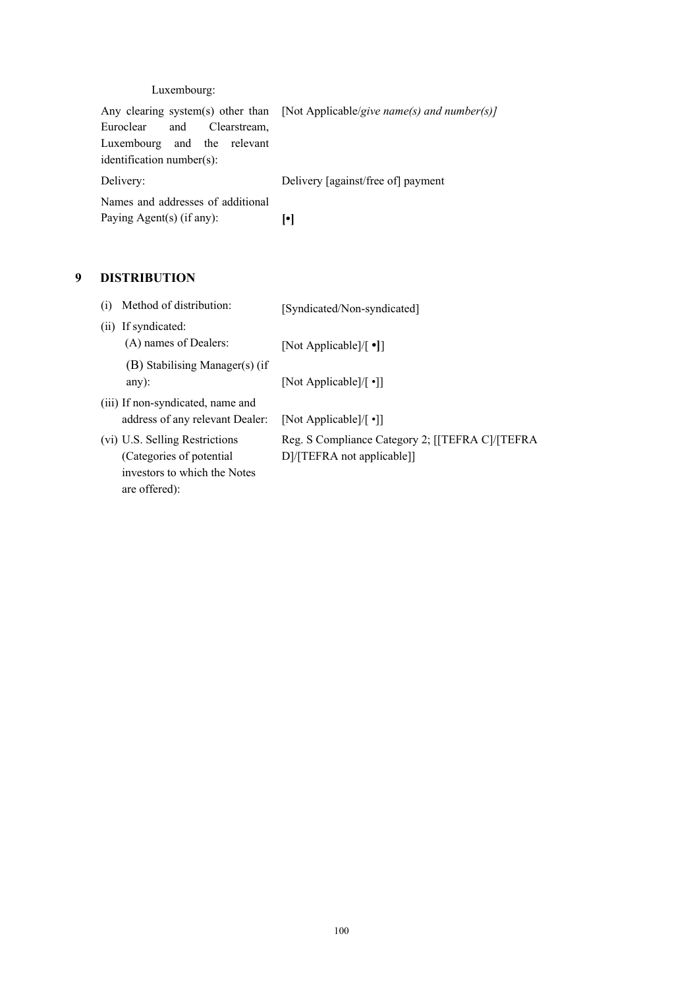# Luxembourg:

|                                   | Any clearing system(s) other than [Not Applicable/give name(s) and number(s)] |  |  |
|-----------------------------------|-------------------------------------------------------------------------------|--|--|
| and Clearstream,<br>Euroclear     |                                                                               |  |  |
| Luxembourg and the relevant       |                                                                               |  |  |
| identification number(s):         |                                                                               |  |  |
| Delivery:                         | Delivery [against/free of] payment                                            |  |  |
| Names and addresses of additional |                                                                               |  |  |
| Paying Agent(s) (if any):         |                                                                               |  |  |

# **9 DISTRIBUTION**

| (i) | Method of distribution:                                                                                      | [Syndicated/Non-syndicated]                                                   |
|-----|--------------------------------------------------------------------------------------------------------------|-------------------------------------------------------------------------------|
| (i) | If syndicated:<br>(A) names of Dealers:                                                                      | [Not Applicable]/ $\lceil \cdot \cdot \rceil$ ]                               |
|     | (B) Stabilising Manager(s) (if<br>any $)$ :                                                                  | [Not Applicable]/ $\lceil \cdot \rceil$ ]                                     |
|     | (iii) If non-syndicated, name and<br>address of any relevant Dealer:                                         | [Not Applicable]/ $\lceil \cdot \rceil$ ]                                     |
|     | (vi) U.S. Selling Restrictions<br>(Categories of potential)<br>investors to which the Notes<br>are offered): | Reg. S Compliance Category 2; [[TEFRA C]/[TEFRA<br>D]/[TEFRA not applicable]] |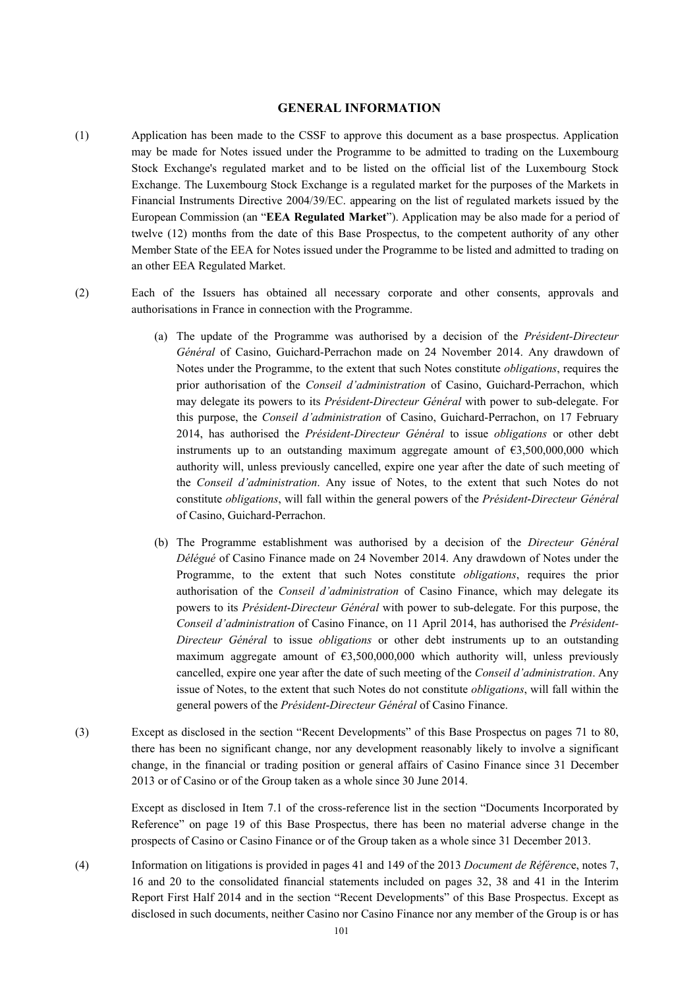#### **GENERAL INFORMATION**

- (1) Application has been made to the CSSF to approve this document as a base prospectus. Application may be made for Notes issued under the Programme to be admitted to trading on the Luxembourg Stock Exchange's regulated market and to be listed on the official list of the Luxembourg Stock Exchange. The Luxembourg Stock Exchange is a regulated market for the purposes of the Markets in Financial Instruments Directive 2004/39/EC. appearing on the list of regulated markets issued by the European Commission (an "**EEA Regulated Market**"). Application may be also made for a period of twelve (12) months from the date of this Base Prospectus, to the competent authority of any other Member State of the EEA for Notes issued under the Programme to be listed and admitted to trading on an other EEA Regulated Market.
- (2) Each of the Issuers has obtained all necessary corporate and other consents, approvals and authorisations in France in connection with the Programme.
	- (a) The update of the Programme was authorised by a decision of the *Président-Directeur Général* of Casino, Guichard-Perrachon made on 24 November 2014. Any drawdown of Notes under the Programme, to the extent that such Notes constitute *obligations*, requires the prior authorisation of the *Conseil d'administration* of Casino, Guichard-Perrachon, which may delegate its powers to its *Président*-*Directeur Général* with power to sub-delegate. For this purpose, the *Conseil d'administration* of Casino, Guichard-Perrachon, on 17 February 2014, has authorised the *Président-Directeur Général* to issue *obligations* or other debt instruments up to an outstanding maximum aggregate amount of  $63,500,000,000$  which authority will, unless previously cancelled, expire one year after the date of such meeting of the *Conseil d'administration*. Any issue of Notes, to the extent that such Notes do not constitute *obligations*, will fall within the general powers of the *Président*-*Directeur Général* of Casino, Guichard-Perrachon.
	- (b) The Programme establishment was authorised by a decision of the *Directeur Général Délégué* of Casino Finance made on 24 November 2014. Any drawdown of Notes under the Programme, to the extent that such Notes constitute *obligations*, requires the prior authorisation of the *Conseil d'administration* of Casino Finance, which may delegate its powers to its *Président*-*Directeur Général* with power to sub-delegate. For this purpose, the *Conseil d'administration* of Casino Finance, on 11 April 2014, has authorised the *Président-Directeur Général* to issue *obligations* or other debt instruments up to an outstanding maximum aggregate amount of  $\epsilon$ 3,500,000,000 which authority will, unless previously cancelled, expire one year after the date of such meeting of the *Conseil d'administration*. Any issue of Notes, to the extent that such Notes do not constitute *obligations*, will fall within the general powers of the *Président*-*Directeur Général* of Casino Finance.
- (3) Except as disclosed in the section "Recent Developments" of this Base Prospectus on pages 71 to 80, there has been no significant change, nor any development reasonably likely to involve a significant change, in the financial or trading position or general affairs of Casino Finance since 31 December 2013 or of Casino or of the Group taken as a whole since 30 June 2014.

Except as disclosed in Item 7.1 of the cross-reference list in the section "Documents Incorporated by Reference" on page 19 of this Base Prospectus, there has been no material adverse change in the prospects of Casino or Casino Finance or of the Group taken as a whole since 31 December 2013.

(4) Information on litigations is provided in pages 41 and 149 of the 2013 *Document de Référenc*e, notes 7, 16 and 20 to the consolidated financial statements included on pages 32, 38 and 41 in the Interim Report First Half 2014 and in the section "Recent Developments" of this Base Prospectus. Except as disclosed in such documents, neither Casino nor Casino Finance nor any member of the Group is or has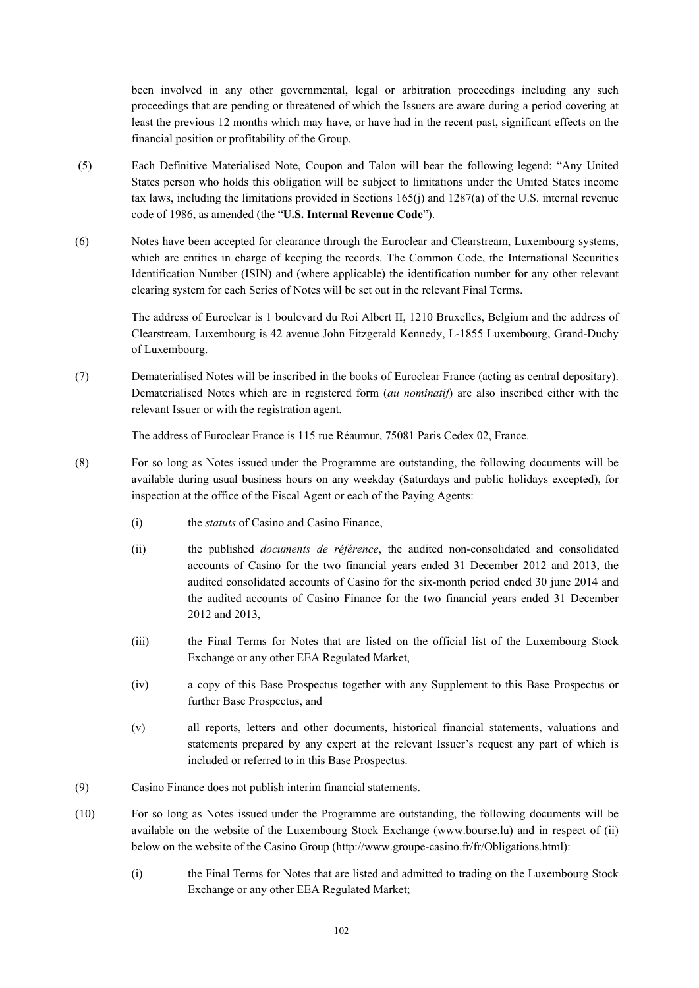been involved in any other governmental, legal or arbitration proceedings including any such proceedings that are pending or threatened of which the Issuers are aware during a period covering at least the previous 12 months which may have, or have had in the recent past, significant effects on the financial position or profitability of the Group.

- (5) Each Definitive Materialised Note, Coupon and Talon will bear the following legend: "Any United States person who holds this obligation will be subject to limitations under the United States income tax laws, including the limitations provided in Sections 165(j) and 1287(a) of the U.S. internal revenue code of 1986, as amended (the "**U.S. Internal Revenue Code**").
- (6) Notes have been accepted for clearance through the Euroclear and Clearstream, Luxembourg systems, which are entities in charge of keeping the records. The Common Code, the International Securities Identification Number (ISIN) and (where applicable) the identification number for any other relevant clearing system for each Series of Notes will be set out in the relevant Final Terms.

The address of Euroclear is 1 boulevard du Roi Albert II, 1210 Bruxelles, Belgium and the address of Clearstream, Luxembourg is 42 avenue John Fitzgerald Kennedy, L-1855 Luxembourg, Grand-Duchy of Luxembourg.

(7) Dematerialised Notes will be inscribed in the books of Euroclear France (acting as central depositary). Dematerialised Notes which are in registered form (*au nominatif*) are also inscribed either with the relevant Issuer or with the registration agent.

The address of Euroclear France is 115 rue Réaumur, 75081 Paris Cedex 02, France.

- (8) For so long as Notes issued under the Programme are outstanding, the following documents will be available during usual business hours on any weekday (Saturdays and public holidays excepted), for inspection at the office of the Fiscal Agent or each of the Paying Agents:
	- (i) the *statuts* of Casino and Casino Finance,
	- (ii) the published *documents de référence*, the audited non-consolidated and consolidated accounts of Casino for the two financial years ended 31 December 2012 and 2013, the audited consolidated accounts of Casino for the six-month period ended 30 june 2014 and the audited accounts of Casino Finance for the two financial years ended 31 December 2012 and 2013,
	- (iii) the Final Terms for Notes that are listed on the official list of the Luxembourg Stock Exchange or any other EEA Regulated Market,
	- (iv) a copy of this Base Prospectus together with any Supplement to this Base Prospectus or further Base Prospectus, and
	- (v) all reports, letters and other documents, historical financial statements, valuations and statements prepared by any expert at the relevant Issuer's request any part of which is included or referred to in this Base Prospectus.
- (9) Casino Finance does not publish interim financial statements.
- (10) For so long as Notes issued under the Programme are outstanding, the following documents will be available on the website of the Luxembourg Stock Exchange (www.bourse.lu) and in respect of (ii) below on the website of the Casino Group (http://www.groupe-casino.fr/fr/Obligations.html):
	- (i) the Final Terms for Notes that are listed and admitted to trading on the Luxembourg Stock Exchange or any other EEA Regulated Market;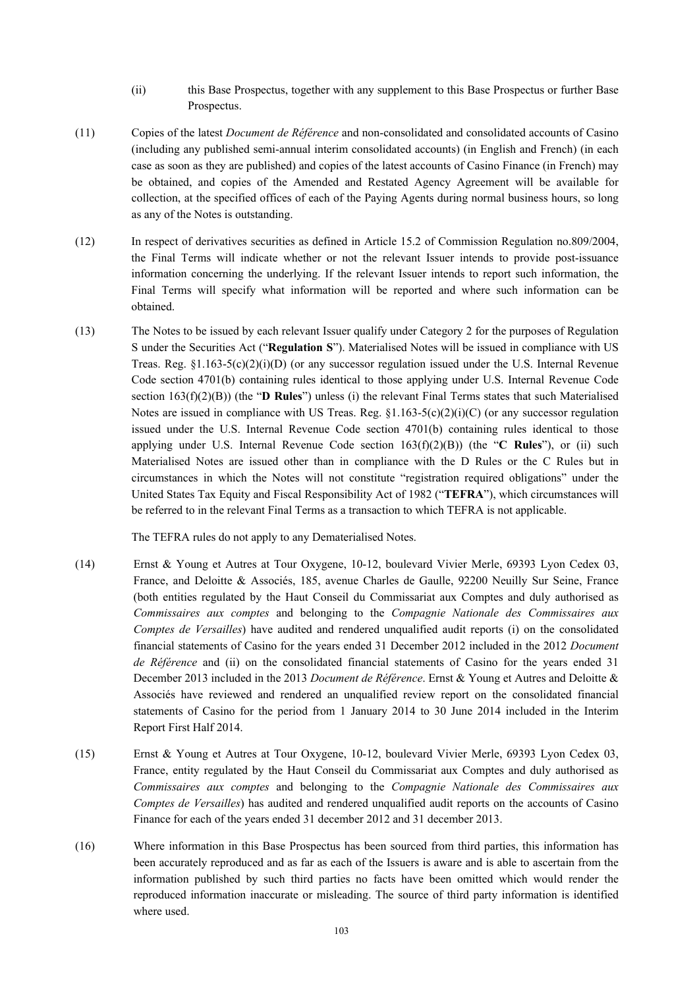- (ii) this Base Prospectus, together with any supplement to this Base Prospectus or further Base Prospectus.
- (11) Copies of the latest *Document de Référence* and non-consolidated and consolidated accounts of Casino (including any published semi-annual interim consolidated accounts) (in English and French) (in each case as soon as they are published) and copies of the latest accounts of Casino Finance (in French) may be obtained, and copies of the Amended and Restated Agency Agreement will be available for collection, at the specified offices of each of the Paying Agents during normal business hours, so long as any of the Notes is outstanding.
- (12) In respect of derivatives securities as defined in Article 15.2 of Commission Regulation no.809/2004, the Final Terms will indicate whether or not the relevant Issuer intends to provide post-issuance information concerning the underlying. If the relevant Issuer intends to report such information, the Final Terms will specify what information will be reported and where such information can be obtained.
- (13) The Notes to be issued by each relevant Issuer qualify under Category 2 for the purposes of Regulation S under the Securities Act ("**Regulation S**"). Materialised Notes will be issued in compliance with US Treas. Reg.  $\S1.163-5(c)(2)(i)(D)$  (or any successor regulation issued under the U.S. Internal Revenue Code section 4701(b) containing rules identical to those applying under U.S. Internal Revenue Code section 163(f)(2)(B)) (the "**D Rules**") unless (i) the relevant Final Terms states that such Materialised Notes are issued in compliance with US Treas. Reg.  $\S1.163-5(c)(2)(i)(C)$  (or any successor regulation issued under the U.S. Internal Revenue Code section 4701(b) containing rules identical to those applying under U.S. Internal Revenue Code section 163(f)(2)(B)) (the "**C Rules**"), or (ii) such Materialised Notes are issued other than in compliance with the D Rules or the C Rules but in circumstances in which the Notes will not constitute "registration required obligations" under the United States Tax Equity and Fiscal Responsibility Act of 1982 ("**TEFRA**"), which circumstances will be referred to in the relevant Final Terms as a transaction to which TEFRA is not applicable.

The TEFRA rules do not apply to any Dematerialised Notes.

- (14) Ernst & Young et Autres at Tour Oxygene, 10-12, boulevard Vivier Merle, 69393 Lyon Cedex 03, France, and Deloitte & Associés, 185, avenue Charles de Gaulle, 92200 Neuilly Sur Seine, France (both entities regulated by the Haut Conseil du Commissariat aux Comptes and duly authorised as *Commissaires aux comptes* and belonging to the *Compagnie Nationale des Commissaires aux Comptes de Versailles*) have audited and rendered unqualified audit reports (i) on the consolidated financial statements of Casino for the years ended 31 December 2012 included in the 2012 *Document de Référence* and (ii) on the consolidated financial statements of Casino for the years ended 31 December 2013 included in the 2013 *Document de Référence*. Ernst & Young et Autres and Deloitte & Associés have reviewed and rendered an unqualified review report on the consolidated financial statements of Casino for the period from 1 January 2014 to 30 June 2014 included in the Interim Report First Half 2014.
- (15) Ernst & Young et Autres at Tour Oxygene, 10-12, boulevard Vivier Merle, 69393 Lyon Cedex 03, France, entity regulated by the Haut Conseil du Commissariat aux Comptes and duly authorised as *Commissaires aux comptes* and belonging to the *Compagnie Nationale des Commissaires aux Comptes de Versailles*) has audited and rendered unqualified audit reports on the accounts of Casino Finance for each of the years ended 31 december 2012 and 31 december 2013.
- (16) Where information in this Base Prospectus has been sourced from third parties, this information has been accurately reproduced and as far as each of the Issuers is aware and is able to ascertain from the information published by such third parties no facts have been omitted which would render the reproduced information inaccurate or misleading. The source of third party information is identified where used.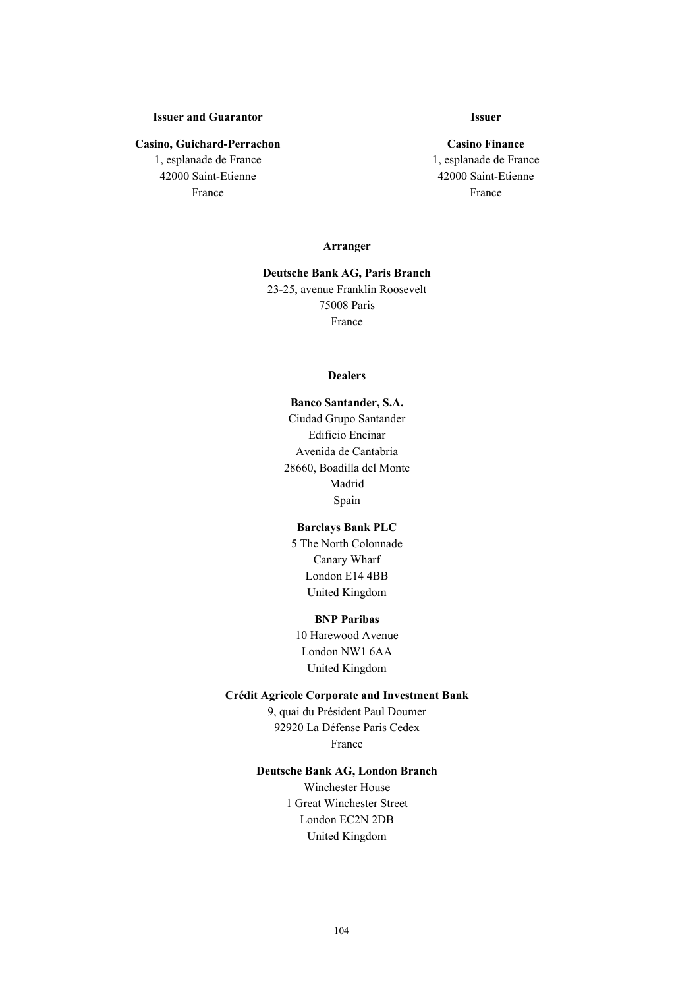# **Issuer and Guarantor**

#### **Casino, Guichard-Perrachon**

1, esplanade de France 42000 Saint-Etienne France

# **Issuer**

**Casino Finance** 1, esplanade de France 42000 Saint-Etienne France

#### **Arranger**

# **Deutsche Bank AG, Paris Branch** 23-25, avenue Franklin Roosevelt 75008 Paris France

#### **Dealers**

**Banco Santander, S.A.** Ciudad Grupo Santander Edificio Encinar Avenida de Cantabria 28660, Boadilla del Monte Madrid Spain

#### **Barclays Bank PLC**

5 The North Colonnade Canary Wharf London E14 4BB United Kingdom

## **BNP Paribas**

10 Harewood Avenue London NW1 6AA United Kingdom

#### **Crédit Agricole Corporate and Investment Bank**

9, quai du Président Paul Doumer 92920 La Défense Paris Cedex France

# **Deutsche Bank AG, London Branch**

Winchester House 1 Great Winchester Street London EC2N 2DB United Kingdom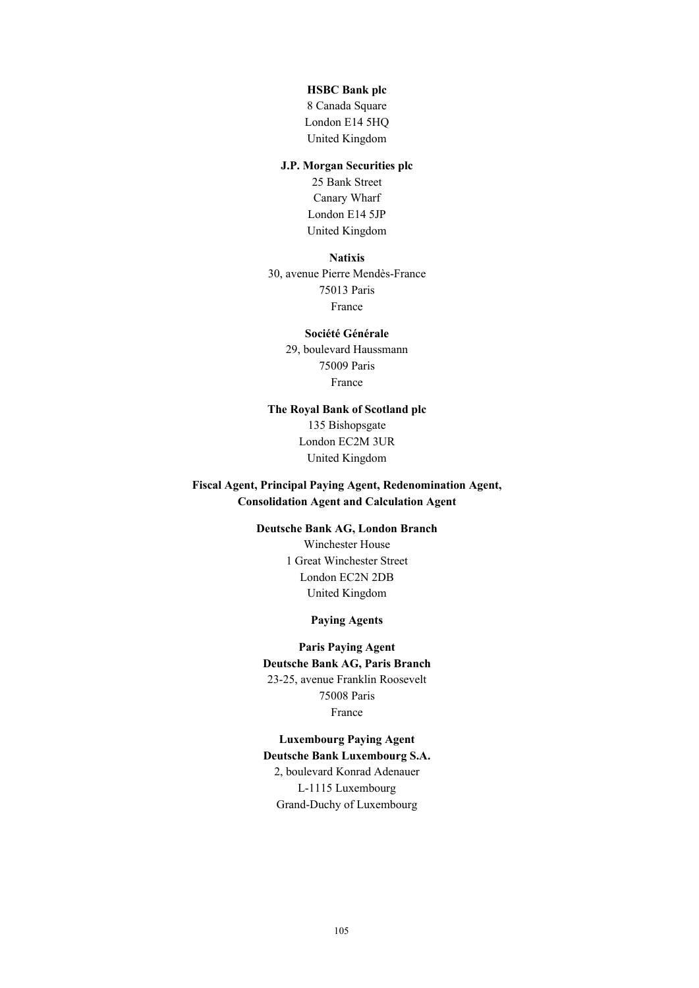#### **HSBC Bank plc**

8 Canada Square London E14 5HQ United Kingdom

# **J.P. Morgan Securities plc**

25 Bank Street Canary Wharf London E14 5JP United Kingdom

## **Natixis**

30, avenue Pierre Mendès-France 75013 Paris France

# **Société Générale**

29, boulevard Haussmann 75009 Paris France

# **The Royal Bank of Scotland plc** 135 Bishopsgate London EC2M 3UR United Kingdom

**Fiscal Agent, Principal Paying Agent, Redenomination Agent, Consolidation Agent and Calculation Agent**

# **Deutsche Bank AG, London Branch**

Winchester House 1 Great Winchester Street London EC2N 2DB United Kingdom

# **Paying Agents**

# **Paris Paying Agent Deutsche Bank AG, Paris Branch** 23-25, avenue Franklin Roosevelt 75008 Paris France

# **Luxembourg Paying Agent**

**Deutsche Bank Luxembourg S.A.** 2, boulevard Konrad Adenauer L-1115 Luxembourg Grand-Duchy of Luxembourg